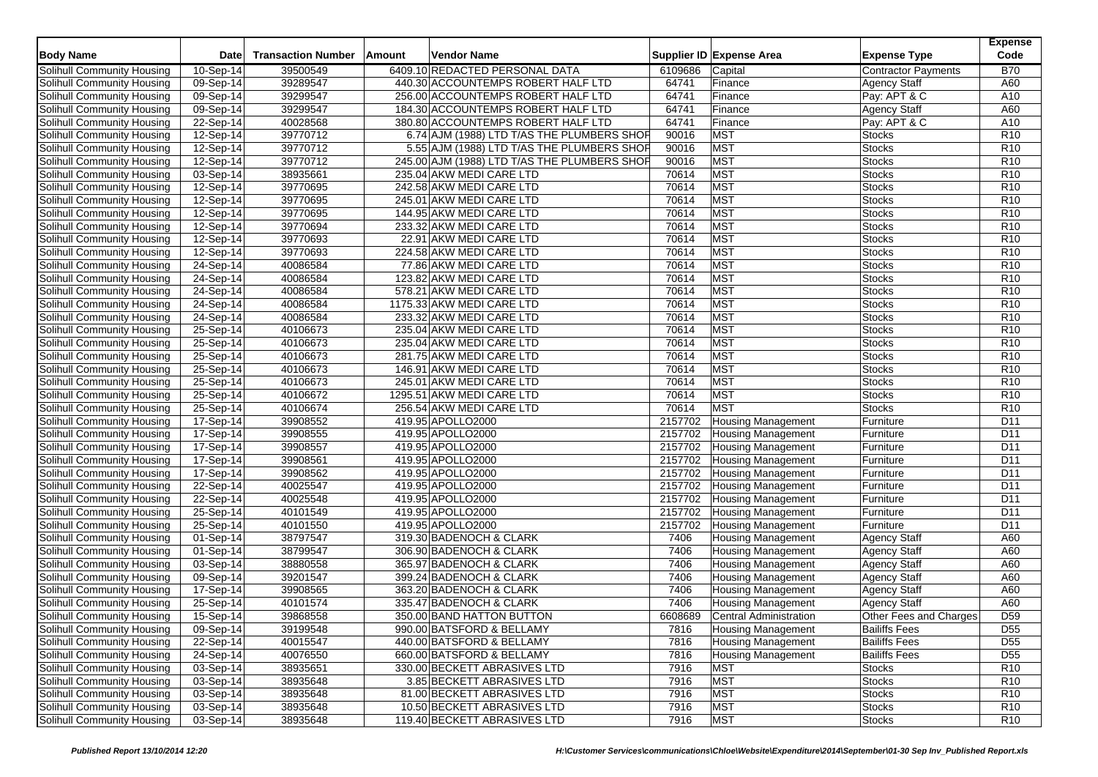| <b>Body Name</b>                  | <b>Date</b> | <b>Transaction Number</b> | Amount | <b>Vendor Name</b>                           |         | Supplier ID Expense Area      | <b>Expense Type</b>        | <b>Expense</b><br>Code |
|-----------------------------------|-------------|---------------------------|--------|----------------------------------------------|---------|-------------------------------|----------------------------|------------------------|
|                                   |             |                           |        |                                              |         |                               |                            |                        |
| Solihull Community Housing        | 10-Sep-14   | 39500549                  |        | 6409.10 REDACTED PERSONAL DATA               | 6109686 | Capital                       | <b>Contractor Payments</b> | <b>B70</b>             |
| Solihull Community Housing        | 09-Sep-14   | 39289547                  |        | 440.30 ACCOUNTEMPS ROBERT HALF LTD           | 64741   | Finance                       | <b>Agency Staff</b>        | A60                    |
| Solihull Community Housing        | 09-Sep-14   | 39299547                  |        | 256.00 ACCOUNTEMPS ROBERT HALF LTD           | 64741   | Finance                       | Pay: APT & C               | A10                    |
| Solihull Community Housing        | 09-Sep-14   | 39299547                  |        | 184.30 ACCOUNTEMPS ROBERT HALF LTD           | 64741   | Finance                       | <b>Agency Staff</b>        | A60                    |
| Solihull Community Housing        | 22-Sep-14   | 40028568                  |        | 380.80 ACCOUNTEMPS ROBERT HALF LTD           | 64741   | Finance                       | Pay: APT & C               | A10                    |
| Solihull Community Housing        | 12-Sep-14   | 39770712                  |        | 6.74 AJM (1988) LTD T/AS THE PLUMBERS SHOP   | 90016   | <b>MST</b>                    | <b>Stocks</b>              | R <sub>10</sub>        |
| Solihull Community Housing        | 12-Sep-14   | 39770712                  |        | 5.55 AJM (1988) LTD T/AS THE PLUMBERS SHOF   | 90016   | MST                           | <b>Stocks</b>              | R <sub>10</sub>        |
| Solihull Community Housing        | 12-Sep-14   | 39770712                  |        | 245.00 AJM (1988) LTD T/AS THE PLUMBERS SHOF | 90016   | <b>MST</b>                    | <b>Stocks</b>              | R <sub>10</sub>        |
| Solihull Community Housing        | 03-Sep-14   | 38935661                  |        | 235.04 AKW MEDI CARE LTD                     | 70614   | <b>MST</b>                    | <b>Stocks</b>              | R <sub>10</sub>        |
| Solihull Community Housing        | 12-Sep-14   | 39770695                  |        | 242.58 AKW MEDI CARE LTD                     | 70614   | <b>MST</b>                    | <b>Stocks</b>              | R <sub>10</sub>        |
| Solihull Community Housing        | 12-Sep-14   | 39770695                  |        | 245.01 AKW MEDI CARE LTD                     | 70614   | <b>MST</b>                    | <b>Stocks</b>              | R <sub>10</sub>        |
| Solihull Community Housing        | 12-Sep-14   | 39770695                  |        | 144.95 AKW MEDI CARE LTD                     | 70614   | <b>MST</b>                    | <b>Stocks</b>              | R <sub>10</sub>        |
| Solihull Community Housing        | 12-Sep-14   | 39770694                  |        | 233.32 AKW MEDI CARE LTD                     | 70614   | <b>MST</b>                    | <b>Stocks</b>              | R <sub>10</sub>        |
| Solihull Community Housing        | 12-Sep-14   | 39770693                  |        | 22.91 AKW MEDI CARE LTD                      | 70614   | <b>MST</b>                    | <b>Stocks</b>              | R <sub>10</sub>        |
| Solihull Community Housing        | 12-Sep-14   | 39770693                  |        | 224.58 AKW MEDI CARE LTD                     | 70614   | <b>MST</b>                    | <b>Stocks</b>              | R <sub>10</sub>        |
| Solihull Community Housing        | 24-Sep-14   | 40086584                  |        | 77.86 AKW MEDI CARE LTD                      | 70614   | <b>MST</b>                    | <b>Stocks</b>              | R10                    |
| Solihull Community Housing        | 24-Sep-14   | 40086584                  |        | 123.82 AKW MEDI CARE LTD                     | 70614   | <b>MST</b>                    | <b>Stocks</b>              | R <sub>10</sub>        |
| Solihull Community Housing        | 24-Sep-14   | 40086584                  |        | 578.21 AKW MEDI CARE LTD                     | 70614   | <b>MST</b>                    | <b>Stocks</b>              | R <sub>10</sub>        |
| Solihull Community Housing        | 24-Sep-14   | 40086584                  |        | 1175.33 AKW MEDI CARE LTD                    | 70614   | <b>MST</b>                    | <b>Stocks</b>              | R <sub>10</sub>        |
| Solihull Community Housing        | $24-Sep-14$ | 40086584                  |        | 233.32 AKW MEDI CARE LTD                     | 70614   | <b>MST</b>                    | <b>Stocks</b>              | R <sub>10</sub>        |
| Solihull Community Housing        | 25-Sep-14   | 40106673                  |        | 235.04 AKW MEDI CARE LTD                     | 70614   | <b>MST</b>                    | <b>Stocks</b>              | R <sub>10</sub>        |
| Solihull Community Housing        | 25-Sep-14   | 40106673                  |        | 235.04 AKW MEDI CARE LTD                     | 70614   | <b>MST</b>                    | <b>Stocks</b>              | R <sub>10</sub>        |
| Solihull Community Housing        | 25-Sep-14   | 40106673                  |        | 281.75 AKW MEDI CARE LTD                     | 70614   | <b>MST</b>                    | <b>Stocks</b>              | R <sub>10</sub>        |
| Solihull Community Housing        | 25-Sep-14   | 40106673                  |        | 146.91 AKW MEDI CARE LTD                     | 70614   | <b>MST</b>                    | <b>Stocks</b>              | R <sub>10</sub>        |
| Solihull Community Housing        | 25-Sep-14   | 40106673                  |        | 245.01 AKW MEDI CARE LTD                     | 70614   | <b>MST</b>                    | <b>Stocks</b>              | R <sub>10</sub>        |
| Solihull Community Housing        | 25-Sep-14   | 40106672                  |        | 1295.51 AKW MEDI CARE LTD                    | 70614   | <b>MST</b>                    | <b>Stocks</b>              | R <sub>10</sub>        |
| Solihull Community Housing        | 25-Sep-14   | 40106674                  |        | 256.54 AKW MEDI CARE LTD                     | 70614   | <b>MST</b>                    | <b>Stocks</b>              | R <sub>10</sub>        |
| Solihull Community Housing        | 17-Sep-14   | 39908552                  |        | 419.95 APOLLO2000                            | 2157702 | <b>Housing Management</b>     | Furniture                  | D11                    |
| Solihull Community Housing        | 17-Sep-14   | 39908555                  |        | 419.95 APOLLO2000                            | 2157702 | <b>Housing Management</b>     | Furniture                  | D <sub>11</sub>        |
| Solihull Community Housing        | 17-Sep-14   | 39908557                  |        | 419.95 APOLLO2000                            | 2157702 | <b>Housing Management</b>     | Furniture                  | D11                    |
| Solihull Community Housing        | 17-Sep-14   | 39908561                  |        | 419.95 APOLLO2000                            | 2157702 | <b>Housing Management</b>     | Furniture                  | D11                    |
| Solihull Community Housing        | 17-Sep-14   | 39908562                  |        | 419.95 APOLLO2000                            | 2157702 | <b>Housing Management</b>     | Furniture                  | D <sub>11</sub>        |
| Solihull Community Housing        | 22-Sep-14   | 40025547                  |        | 419.95 APOLLO2000                            | 2157702 | <b>Housing Management</b>     | Furniture                  | D11                    |
| Solihull Community Housing        | 22-Sep-14   | 40025548                  |        | 419.95 APOLLO2000                            | 2157702 | <b>Housing Management</b>     | Furniture                  | D <sub>11</sub>        |
| Solihull Community Housing        | 25-Sep-14   | 40101549                  |        | 419.95 APOLLO2000                            | 2157702 | <b>Housing Management</b>     | Furniture                  | D <sub>11</sub>        |
| <b>Solihull Community Housing</b> | 25-Sep-14   | 40101550                  |        | 419.95 APOLLO2000                            | 2157702 | <b>Housing Management</b>     | Furniture                  | D11                    |
| Solihull Community Housing        | 01-Sep-14   | 38797547                  |        | 319.30 BADENOCH & CLARK                      | 7406    | <b>Housing Management</b>     | <b>Agency Staff</b>        | A60                    |
| Solihull Community Housing        | 01-Sep-14   | 38799547                  |        | 306.90 BADENOCH & CLARK                      | 7406    | Housing Management            | Agency Staff               | A60                    |
| Solihull Community Housing        | 03-Sep-14   | 38880558                  |        | 365.97 BADENOCH & CLARK                      | 7406    | <b>Housing Management</b>     | <b>Agency Staff</b>        | A60                    |
| Solihull Community Housing        | 09-Sep-14   | 39201547                  |        | 399.24 BADENOCH & CLARK                      | 7406    | <b>Housing Management</b>     | <b>Agency Staff</b>        | A60                    |
| Solihull Community Housing        | 17-Sep-14   | 39908565                  |        | 363.20 BADENOCH & CLARK                      | 7406    | <b>Housing Management</b>     | Agency Staff               | A60                    |
| Solihull Community Housing        | 25-Sep-14   | 40101574                  |        | 335.47 BADENOCH & CLARK                      | 7406    | <b>Housing Management</b>     | <b>Agency Staff</b>        | A60                    |
| Solihull Community Housing        | 15-Sep-14   | 39868558                  |        | 350.00 BAND HATTON BUTTON                    | 6608689 | <b>Central Administration</b> | Other Fees and Charges     | D <sub>59</sub>        |
| Solihull Community Housing        | 09-Sep-14   | 39199548                  |        | 990.00 BATSFORD & BELLAMY                    | 7816    | <b>Housing Management</b>     | <b>Bailiffs Fees</b>       | D <sub>55</sub>        |
| Solihull Community Housing        | 22-Sep-14   | 40015547                  |        | 440.00 BATSFORD & BELLAMY                    | 7816    | <b>Housing Management</b>     | <b>Bailiffs Fees</b>       | D <sub>55</sub>        |
| Solihull Community Housing        | 24-Sep-14   | 40076550                  |        | 660.00 BATSFORD & BELLAMY                    | 7816    | <b>Housing Management</b>     | <b>Bailiffs Fees</b>       | D <sub>55</sub>        |
| Solihull Community Housing        | 03-Sep-14   | 38935651                  |        | 330.00 BECKETT ABRASIVES LTD                 | 7916    | <b>MST</b>                    | <b>Stocks</b>              | R <sub>10</sub>        |
| Solihull Community Housing        | 03-Sep-14   | 38935648                  |        | 3.85 BECKETT ABRASIVES LTD                   | 7916    | <b>MST</b>                    | <b>Stocks</b>              | R <sub>10</sub>        |
| Solihull Community Housing        | 03-Sep-14   | 38935648                  |        | 81.00 BECKETT ABRASIVES LTD                  | 7916    | <b>MST</b>                    | <b>Stocks</b>              | R <sub>10</sub>        |
| Solihull Community Housing        | 03-Sep-14   | 38935648                  |        | 10.50 BECKETT ABRASIVES LTD                  | 7916    | <b>MST</b>                    | <b>Stocks</b>              | R <sub>10</sub>        |
| Solihull Community Housing        | 03-Sep-14   | 38935648                  |        | 119.40 BECKETT ABRASIVES LTD                 | 7916    | <b>MST</b>                    | <b>Stocks</b>              | R <sub>10</sub>        |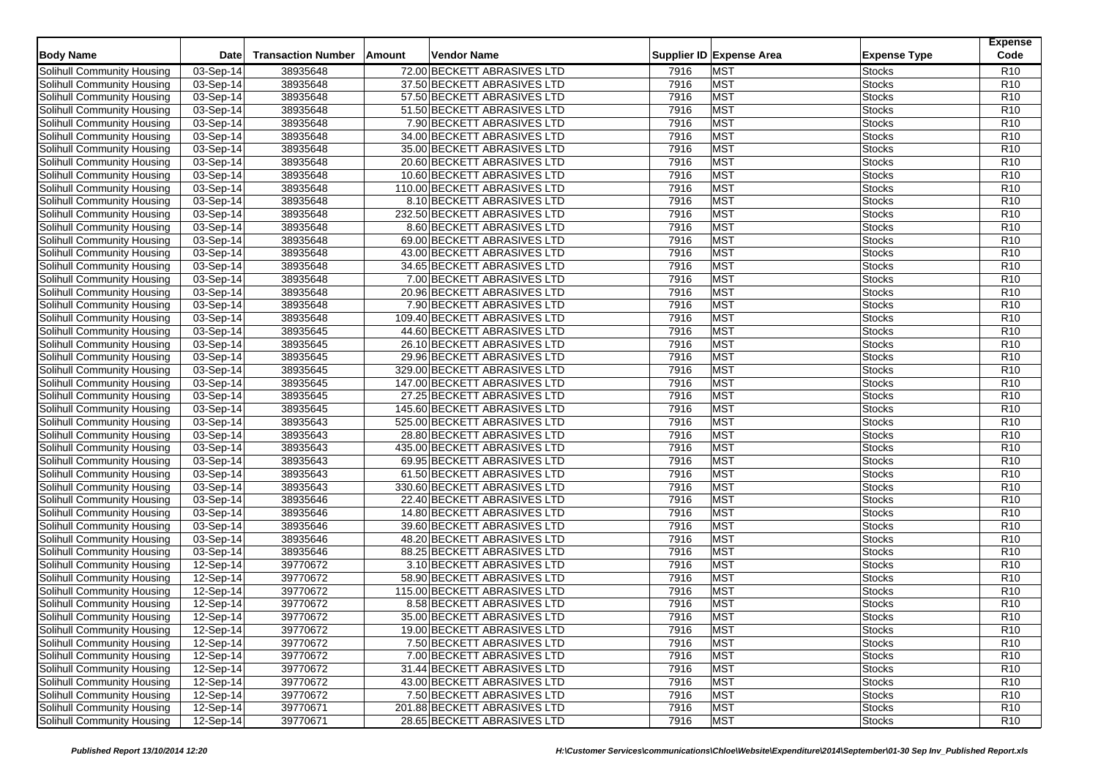| <b>Body Name</b>                                         | Date                   | <b>Transaction Number</b> | Amount<br>Vendor Name        |      | Supplier ID Expense Area | <b>Expense Type</b> | <b>Expense</b><br>Code |
|----------------------------------------------------------|------------------------|---------------------------|------------------------------|------|--------------------------|---------------------|------------------------|
| Solihull Community Housing                               | 03-Sep-14              | 38935648                  | 72.00 BECKETT ABRASIVES LTD  | 7916 | <b>MST</b>               | <b>Stocks</b>       | R <sub>10</sub>        |
| Solihull Community Housing                               | 03-Sep-14              | 38935648                  | 37.50 BECKETT ABRASIVES LTD  | 7916 | <b>MST</b>               | <b>Stocks</b>       | R <sub>10</sub>        |
| Solihull Community Housing                               | 03-Sep-14              | 38935648                  | 57.50 BECKETT ABRASIVES LTD  | 7916 | <b>MST</b>               | <b>Stocks</b>       | R <sub>10</sub>        |
| Solihull Community Housing                               | 03-Sep-14              | 38935648                  | 51.50 BECKETT ABRASIVES LTD  | 7916 | <b>MST</b>               | <b>Stocks</b>       | R <sub>10</sub>        |
| Solihull Community Housing                               | 03-Sep-14              | 38935648                  | 7.90 BECKETT ABRASIVES LTD   | 7916 | <b>MST</b>               | <b>Stocks</b>       | R <sub>10</sub>        |
| Solihull Community Housing                               | 03-Sep-14              | 38935648                  | 34.00 BECKETT ABRASIVES LTD  | 7916 | <b>MST</b>               | <b>Stocks</b>       | R <sub>10</sub>        |
| Solihull Community Housing                               | 03-Sep-14              | 38935648                  | 35.00 BECKETT ABRASIVES LTD  | 7916 | <b>MST</b>               | <b>Stocks</b>       | R <sub>10</sub>        |
| Solihull Community Housing                               | 03-Sep-14              | 38935648                  | 20.60 BECKETT ABRASIVES LTD  | 7916 | <b>MST</b>               | <b>Stocks</b>       | R <sub>10</sub>        |
| Solihull Community Housing                               | 03-Sep-14              | 38935648                  | 10.60 BECKETT ABRASIVES LTD  | 7916 | <b>MST</b>               | <b>Stocks</b>       | R <sub>10</sub>        |
| Solihull Community Housing                               | 03-Sep-14              | 38935648                  | 110.00 BECKETT ABRASIVES LTD | 7916 | <b>MST</b>               | <b>Stocks</b>       | R <sub>10</sub>        |
| Solihull Community Housing                               | 03-Sep-14              | 38935648                  | 8.10 BECKETT ABRASIVES LTD   | 7916 | <b>MST</b>               | <b>Stocks</b>       | R10                    |
| Solihull Community Housing                               | 03-Sep-14              | 38935648                  | 232.50 BECKETT ABRASIVES LTD | 7916 | <b>MST</b>               | <b>Stocks</b>       | R <sub>10</sub>        |
| Solihull Community Housing                               | 03-Sep-14              | 38935648                  | 8.60 BECKETT ABRASIVES LTD   | 7916 | <b>MST</b>               | <b>Stocks</b>       | R <sub>10</sub>        |
| Solihull Community Housing                               | 03-Sep-14              | 38935648                  | 69.00 BECKETT ABRASIVES LTD  | 7916 | <b>MST</b>               | <b>Stocks</b>       | R <sub>10</sub>        |
| Solihull Community Housing                               | 03-Sep-14              | 38935648                  | 43.00 BECKETT ABRASIVES LTD  | 7916 | <b>MST</b>               | <b>Stocks</b>       | R <sub>10</sub>        |
|                                                          |                        | 38935648                  | 34.65 BECKETT ABRASIVES LTD  | 7916 | <b>MST</b>               | <b>Stocks</b>       | R <sub>10</sub>        |
| Solihull Community Housing<br>Solihull Community Housing | 03-Sep-14<br>03-Sep-14 | 38935648                  | 7.00 BECKETT ABRASIVES LTD   | 7916 | <b>MST</b>               | <b>Stocks</b>       | R <sub>10</sub>        |
| Solihull Community Housing                               | $03-Sep-14$            | 38935648                  | 20.96 BECKETT ABRASIVES LTD  | 7916 | <b>MST</b>               | <b>Stocks</b>       | R <sub>10</sub>        |
| Solihull Community Housing                               |                        | 38935648                  | 7.90 BECKETT ABRASIVES LTD   | 7916 | <b>MST</b>               | <b>Stocks</b>       | R <sub>10</sub>        |
| Solihull Community Housing                               | 03-Sep-14<br>03-Sep-14 | 38935648                  | 109.40 BECKETT ABRASIVES LTD | 7916 | <b>MST</b>               | <b>Stocks</b>       | R <sub>10</sub>        |
|                                                          |                        |                           |                              | 7916 | <b>MST</b>               | <b>Stocks</b>       | R <sub>10</sub>        |
| Solihull Community Housing                               | 03-Sep-14              | 38935645                  | 44.60 BECKETT ABRASIVES LTD  |      |                          |                     |                        |
| Solihull Community Housing                               | 03-Sep-14              | 38935645                  | 26.10 BECKETT ABRASIVES LTD  | 7916 | <b>MST</b>               | <b>Stocks</b>       | R <sub>10</sub>        |
| Solihull Community Housing                               | 03-Sep-14              | 38935645                  | 29.96 BECKETT ABRASIVES LTD  | 7916 | <b>MST</b>               | <b>Stocks</b>       | R <sub>10</sub>        |
| Solihull Community Housing                               | 03-Sep-14              | 38935645                  | 329.00 BECKETT ABRASIVES LTD | 7916 | <b>MST</b>               | <b>Stocks</b>       | R <sub>10</sub>        |
| Solihull Community Housing                               | 03-Sep-14              | 38935645                  | 147.00 BECKETT ABRASIVES LTD | 7916 | <b>MST</b>               | <b>Stocks</b>       | R <sub>10</sub>        |
| Solihull Community Housing                               | 03-Sep-14              | 38935645                  | 27.25 BECKETT ABRASIVES LTD  | 7916 | <b>MST</b>               | <b>Stocks</b>       | R <sub>10</sub>        |
| Solihull Community Housing                               | 03-Sep-14              | 38935645                  | 145.60 BECKETT ABRASIVES LTD | 7916 | <b>MST</b>               | <b>Stocks</b>       | R <sub>10</sub>        |
| Solihull Community Housing                               | 03-Sep-14              | 38935643                  | 525.00 BECKETT ABRASIVES LTD | 7916 | <b>MST</b>               | <b>Stocks</b>       | R <sub>10</sub>        |
| Solihull Community Housing                               | 03-Sep-14              | 38935643                  | 28.80 BECKETT ABRASIVES LTD  | 7916 | <b>MST</b>               | <b>Stocks</b>       | R <sub>10</sub>        |
| Solihull Community Housing                               | $03-Sep-14$            | 38935643                  | 435.00 BECKETT ABRASIVES LTD | 7916 | <b>MST</b>               | <b>Stocks</b>       | R <sub>10</sub>        |
| <b>Solihull Community Housing</b>                        | 03-Sep-14              | 38935643                  | 69.95 BECKETT ABRASIVES LTD  | 7916 | <b>MST</b>               | <b>Stocks</b>       | R <sub>10</sub>        |
| Solihull Community Housing                               | 03-Sep-14              | 38935643                  | 61.50 BECKETT ABRASIVES LTD  | 7916 | <b>MST</b>               | <b>Stocks</b>       | R <sub>10</sub>        |
| Solihull Community Housing                               | $03-Sep-14$            | 38935643                  | 330.60 BECKETT ABRASIVES LTD | 7916 | <b>MST</b>               | <b>Stocks</b>       | R <sub>10</sub>        |
| Solihull Community Housing                               | 03-Sep-14              | 38935646                  | 22.40 BECKETT ABRASIVES LTD  | 7916 | <b>MST</b>               | <b>Stocks</b>       | R10                    |
| Solihull Community Housing                               | 03-Sep-14              | 38935646                  | 14.80 BECKETT ABRASIVES LTD  | 7916 | <b>MST</b>               | <b>Stocks</b>       | R <sub>10</sub>        |
| Solihull Community Housing                               | 03-Sep-14              | 38935646                  | 39.60 BECKETT ABRASIVES LTD  | 7916 | <b>MST</b>               | <b>Stocks</b>       | R <sub>10</sub>        |
| Solihull Community Housing                               | 03-Sep-14              | 38935646                  | 48.20 BECKETT ABRASIVES LTD  | 7916 | <b>MST</b>               | <b>Stocks</b>       | R <sub>10</sub>        |
| Solihull Community Housing                               | 03-Sep-14              | 38935646                  | 88.25 BECKETT ABRASIVES LTD  | 7916 | <b>MST</b>               | <b>Stocks</b>       | R <sub>10</sub>        |
| Solihull Community Housing                               | $12-Sep-14$            | 39770672                  | 3.10 BECKETT ABRASIVES LTD   | 7916 | <b>MST</b>               | <b>Stocks</b>       | R <sub>10</sub>        |
| Solihull Community Housing                               | 12-Sep-14              | 39770672                  | 58.90 BECKETT ABRASIVES LTD  | 7916 | <b>MST</b>               | <b>Stocks</b>       | R <sub>10</sub>        |
| Solihull Community Housing                               | 12-Sep-14              | 39770672                  | 115.00 BECKETT ABRASIVES LTD | 7916 | <b>MST</b>               | <b>Stocks</b>       | R <sub>10</sub>        |
| Solihull Community Housing                               | 12-Sep-14              | 39770672                  | 8.58 BECKETT ABRASIVES LTD   | 7916 | <b>MST</b>               | <b>Stocks</b>       | R <sub>10</sub>        |
| <b>Solihull Community Housing</b>                        | 12-Sep-14              | 39770672                  | 35.00 BECKETT ABRASIVES LTD  | 7916 | <b>MST</b>               | <b>Stocks</b>       | R <sub>10</sub>        |
| Solihull Community Housing                               | 12-Sep-14              | 39770672                  | 19.00 BECKETT ABRASIVES LTD  | 7916 | <b>MST</b>               | <b>Stocks</b>       | R <sub>10</sub>        |
| Solihull Community Housing                               | $12-Sep-14$            | 39770672                  | 7.50 BECKETT ABRASIVES LTD   | 7916 | <b>MST</b>               | <b>Stocks</b>       | R <sub>10</sub>        |
| Solihull Community Housing                               | 12-Sep-14              | 39770672                  | 7.00 BECKETT ABRASIVES LTD   | 7916 | <b>MST</b>               | <b>Stocks</b>       | R <sub>10</sub>        |
| Solihull Community Housing                               | 12-Sep-14              | 39770672                  | 31.44 BECKETT ABRASIVES LTD  | 7916 | <b>MST</b>               | <b>Stocks</b>       | R <sub>10</sub>        |
| Solihull Community Housing                               | 12-Sep-14              | 39770672                  | 43.00 BECKETT ABRASIVES LTD  | 7916 | <b>MST</b>               | <b>Stocks</b>       | R <sub>10</sub>        |
| Solihull Community Housing                               | 12-Sep-14              | 39770672                  | 7.50 BECKETT ABRASIVES LTD   | 7916 | <b>MST</b>               | Stocks              | R <sub>10</sub>        |
| Solihull Community Housing                               | 12-Sep-14              | 39770671                  | 201.88 BECKETT ABRASIVES LTD | 7916 | <b>MST</b>               | <b>Stocks</b>       | R <sub>10</sub>        |
| Solihull Community Housing                               | 12-Sep-14              | 39770671                  | 28.65 BECKETT ABRASIVES LTD  | 7916 | <b>MST</b>               | <b>Stocks</b>       | R <sub>10</sub>        |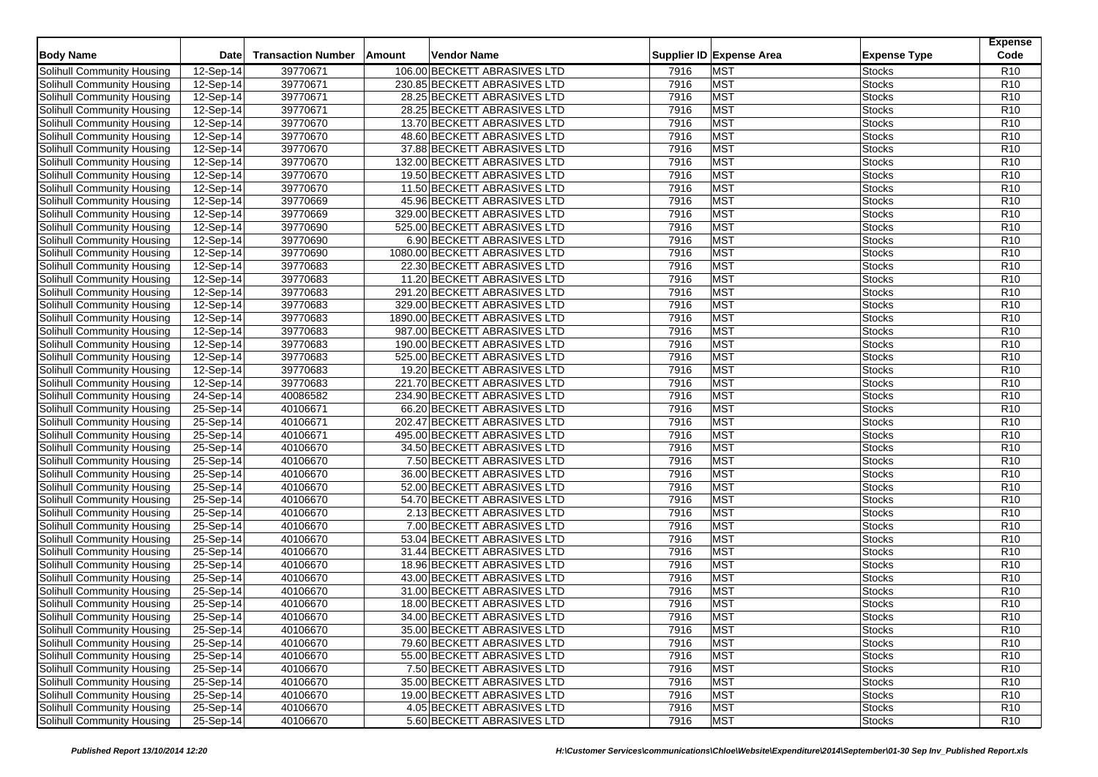| <b>Body Name</b>                  | <b>Date</b>            | <b>Transaction Number</b> | Amount<br>Vendor Name                                       |              | Supplier ID Expense Area | <b>Expense Type</b>     | <b>Expense</b><br>Code |
|-----------------------------------|------------------------|---------------------------|-------------------------------------------------------------|--------------|--------------------------|-------------------------|------------------------|
| Solihull Community Housing        | 12-Sep-14              | 39770671                  | 106.00 BECKETT ABRASIVES LTD                                | 7916         | <b>MST</b>               | <b>Stocks</b>           | R <sub>10</sub>        |
| Solihull Community Housing        | 12-Sep-14              | 39770671                  | 230.85 BECKETT ABRASIVES LTD                                | 7916         | <b>MST</b>               | <b>Stocks</b>           | R <sub>10</sub>        |
| Solihull Community Housing        | 12-Sep-14              | 39770671                  | 28.25 BECKETT ABRASIVES LTD                                 | 7916         | <b>MST</b>               | <b>Stocks</b>           | R <sub>10</sub>        |
| Solihull Community Housing        | 12-Sep-14              | 39770671                  | 28.25 BECKETT ABRASIVES LTD                                 | 7916         | <b>MST</b>               | <b>Stocks</b>           | R <sub>10</sub>        |
| Solihull Community Housing        | 12-Sep-14              | 39770670                  | 13.70 BECKETT ABRASIVES LTD                                 | 7916         | <b>MST</b>               | <b>Stocks</b>           | R <sub>10</sub>        |
| Solihull Community Housing        | 12-Sep-14              | 39770670                  | 48.60 BECKETT ABRASIVES LTD                                 | 7916         | <b>MST</b>               | <b>Stocks</b>           | R <sub>10</sub>        |
| Solihull Community Housing        | 12-Sep-14              | 39770670                  | 37.88 BECKETT ABRASIVES LTD                                 | 7916         | <b>MST</b>               | <b>Stocks</b>           | R <sub>10</sub>        |
| Solihull Community Housing        | 12-Sep-14              | 39770670                  | 132.00 BECKETT ABRASIVES LTD                                | 7916         | <b>MST</b>               | <b>Stocks</b>           | R <sub>10</sub>        |
| Solihull Community Housing        | 12-Sep-14              | 39770670                  | 19.50 BECKETT ABRASIVES LTD                                 | 7916         | <b>MST</b>               | <b>Stocks</b>           | R <sub>10</sub>        |
| Solihull Community Housing        | 12-Sep-14              | 39770670                  | 11.50 BECKETT ABRASIVES LTD                                 | 7916         | <b>MST</b>               | <b>Stocks</b>           | R <sub>10</sub>        |
| Solihull Community Housing        | 12-Sep-14              | 39770669                  | 45.96 BECKETT ABRASIVES LTD                                 | 7916         | <b>MST</b>               | <b>Stocks</b>           | R10                    |
| Solihull Community Housing        | 12-Sep-14              | 39770669                  | 329.00 BECKETT ABRASIVES LTD                                | 7916         | <b>MST</b>               | <b>Stocks</b>           | R <sub>10</sub>        |
| Solihull Community Housing        | 12-Sep-14              | 39770690                  | 525.00 BECKETT ABRASIVES LTD                                | 7916         | <b>MST</b>               | <b>Stocks</b>           | R <sub>10</sub>        |
| <b>Solihull Community Housing</b> | 12-Sep-14              | 39770690                  | 6.90 BECKETT ABRASIVES LTD                                  | 7916         | <b>MST</b>               | <b>Stocks</b>           | R <sub>10</sub>        |
| Solihull Community Housing        | 12-Sep-14              | 39770690                  | 1080.00 BECKETT ABRASIVES LTD                               | 7916         | <b>MST</b>               | <b>Stocks</b>           | R <sub>10</sub>        |
| Solihull Community Housing        | 12-Sep-14              | 39770683                  | 22.30 BECKETT ABRASIVES LTD                                 | 7916         | <b>MST</b>               | <b>Stocks</b>           | R <sub>10</sub>        |
| Solihull Community Housing        | 12-Sep-14              | 39770683                  | 11.20 BECKETT ABRASIVES LTD                                 | 7916         | <b>MST</b>               | <b>Stocks</b>           | R <sub>10</sub>        |
| Solihull Community Housing        | 12-Sep-14              | 39770683                  | 291.20 BECKETT ABRASIVES LTD                                | 7916         | <b>MST</b>               | Stocks                  | R <sub>10</sub>        |
| Solihull Community Housing        | 12-Sep-14              | 39770683                  | 329.00 BECKETT ABRASIVES LTD                                | 7916         | <b>MST</b>               | <b>Stocks</b>           | R <sub>10</sub>        |
| Solihull Community Housing        | 12-Sep-14              | 39770683                  | 1890.00 BECKETT ABRASIVES LTD                               | 7916         | <b>MST</b>               | Stocks                  | R <sub>10</sub>        |
| Solihull Community Housing        | 12-Sep-14              | 39770683                  | 987.00 BECKETT ABRASIVES LTD                                | 7916         | <b>MST</b>               | <b>Stocks</b>           | R <sub>10</sub>        |
| Solihull Community Housing        | 12-Sep-14              | 39770683                  | 190.00 BECKETT ABRASIVES LTD                                | 7916         | <b>MST</b>               | <b>Stocks</b>           | R <sub>10</sub>        |
| Solihull Community Housing        | 12-Sep-14              | 39770683                  | 525.00 BECKETT ABRASIVES LTD                                | 7916         | <b>MST</b>               | Stocks                  | R <sub>10</sub>        |
| Solihull Community Housing        |                        | 39770683                  |                                                             | 7916         | <b>MST</b>               |                         | R <sub>10</sub>        |
| Solihull Community Housing        | 12-Sep-14<br>12-Sep-14 | 39770683                  | 19.20 BECKETT ABRASIVES LTD<br>221.70 BECKETT ABRASIVES LTD | 7916         | <b>MST</b>               | Stocks<br><b>Stocks</b> | R <sub>10</sub>        |
|                                   |                        |                           |                                                             |              | <b>MST</b>               |                         | R <sub>10</sub>        |
| Solihull Community Housing        | 24-Sep-14<br>25-Sep-14 | 40086582<br>40106671      | 234.90 BECKETT ABRASIVES LTD<br>66.20 BECKETT ABRASIVES LTD | 7916<br>7916 | <b>MST</b>               | Stocks<br>Stocks        | R <sub>10</sub>        |
| Solihull Community Housing        |                        |                           |                                                             |              | <b>MST</b>               |                         | R <sub>10</sub>        |
| Solihull Community Housing        | 25-Sep-14              | 40106671<br>40106671      | 202.47 BECKETT ABRASIVES LTD                                | 7916         | <b>MST</b>               | <b>Stocks</b>           | R <sub>10</sub>        |
| Solihull Community Housing        | 25-Sep-14              |                           | 495.00 BECKETT ABRASIVES LTD                                | 7916         |                          | Stocks                  |                        |
| Solihull Community Housing        | $25-Sep-14$            | 40106670                  | 34.50 BECKETT ABRASIVES LTD                                 | 7916         | <b>MST</b>               | Stocks                  | R <sub>10</sub>        |
| Solihull Community Housing        | 25-Sep-14              | 40106670                  | 7.50 BECKETT ABRASIVES LTD                                  | 7916         | <b>MST</b>               | <b>Stocks</b>           | R <sub>10</sub>        |
| Solihull Community Housing        | 25-Sep-14              | 40106670                  | 36.00 BECKETT ABRASIVES LTD                                 | 7916         | <b>MST</b>               | Stocks                  | R <sub>10</sub>        |
| Solihull Community Housing        | $25-Sep-14$            | 40106670                  | 52.00 BECKETT ABRASIVES LTD                                 | 7916         | <b>MST</b>               | Stocks                  | R <sub>10</sub>        |
| Solihull Community Housing        | 25-Sep-14              | 40106670                  | 54.70 BECKETT ABRASIVES LTD                                 | 7916         | <b>MST</b>               | <b>Stocks</b>           | R10                    |
| Solihull Community Housing        | 25-Sep-14              | 40106670                  | 2.13 BECKETT ABRASIVES LTD                                  | 7916         | <b>MST</b>               | Stocks                  | R <sub>10</sub>        |
| Solihull Community Housing        | 25-Sep-14              | 40106670                  | 7.00 BECKETT ABRASIVES LTD                                  | 7916         | <b>MST</b>               | Stocks                  | R <sub>10</sub>        |
| Solihull Community Housing        | 25-Sep-14              | 40106670                  | 53.04 BECKETT ABRASIVES LTD                                 | 7916         | <b>MST</b>               | <b>Stocks</b>           | R <sub>10</sub>        |
| Solihull Community Housing        | 25-Sep-14              | 40106670                  | 31.44 BECKETT ABRASIVES LTD                                 | 7916         | <b>MST</b>               | Stocks                  | R <sub>10</sub>        |
| Solihull Community Housing        | 25-Sep-14              | 40106670                  | 18.96 BECKETT ABRASIVES LTD                                 | 7916         | <b>MST</b>               | <b>Stocks</b>           | R <sub>10</sub>        |
| Solihull Community Housing        | 25-Sep-14              | 40106670                  | 43.00 BECKETT ABRASIVES LTD                                 | 7916         | <b>MST</b>               | <b>Stocks</b>           | R <sub>10</sub>        |
| Solihull Community Housing        | 25-Sep-14              | 40106670                  | 31.00 BECKETT ABRASIVES LTD                                 | 7916         | <b>MST</b>               | Stocks                  | R <sub>10</sub>        |
| Solihull Community Housing        | 25-Sep-14              | 40106670                  | 18.00 BECKETT ABRASIVES LTD                                 | 7916         | <b>MST</b>               | Stocks                  | R <sub>10</sub>        |
| <b>Solihull Community Housing</b> | 25-Sep-14              | 40106670                  | 34.00 BECKETT ABRASIVES LTD                                 | 7916         | <b>MST</b>               | <b>Stocks</b>           | R <sub>10</sub>        |
| Solihull Community Housing        | 25-Sep-14              | 40106670                  | 35.00 BECKETT ABRASIVES LTD                                 | 7916         | <b>MST</b>               | <b>Stocks</b>           | R <sub>10</sub>        |
| Solihull Community Housing        | 25-Sep-14              | 40106670                  | 79.60 BECKETT ABRASIVES LTD                                 | 7916         | <b>MST</b>               | <b>Stocks</b>           | R <sub>10</sub>        |
| Solihull Community Housing        | 25-Sep-14              | 40106670                  | 55.00 BECKETT ABRASIVES LTD                                 | 7916         | <b>MST</b>               | <b>Stocks</b>           | R <sub>10</sub>        |
| Solihull Community Housing        | 25-Sep-14              | 40106670                  | 7.50 BECKETT ABRASIVES LTD                                  | 7916         | <b>MST</b>               | <b>Stocks</b>           | R <sub>10</sub>        |
| Solihull Community Housing        | 25-Sep-14              | 40106670                  | 35.00 BECKETT ABRASIVES LTD                                 | 7916         | <b>MST</b>               | <b>Stocks</b>           | R <sub>10</sub>        |
| Solihull Community Housing        | 25-Sep-14              | 40106670                  | 19.00 BECKETT ABRASIVES LTD                                 | 7916         | <b>MST</b>               | Stocks                  | R <sub>10</sub>        |
| Solihull Community Housing        | 25-Sep-14              | 40106670                  | 4.05 BECKETT ABRASIVES LTD                                  | 7916         | <b>MST</b>               | <b>Stocks</b>           | R <sub>10</sub>        |
| Solihull Community Housing        | 25-Sep-14              | 40106670                  | 5.60 BECKETT ABRASIVES LTD                                  | 7916         | <b>MST</b>               | <b>Stocks</b>           | R <sub>10</sub>        |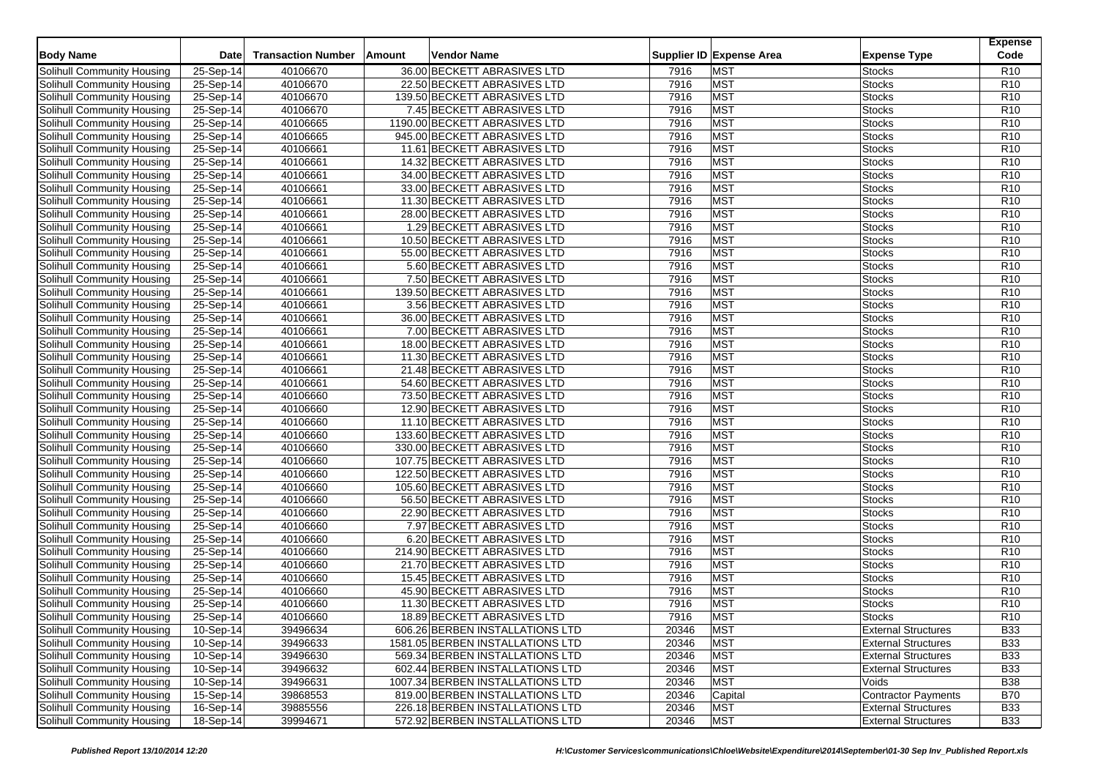| <b>Body Name</b>           | Date        | <b>Transaction Number</b> | Amount<br>Vendor Name            |       | Supplier ID Expense Area | <b>Expense Type</b>        | <b>Expense</b><br>Code |
|----------------------------|-------------|---------------------------|----------------------------------|-------|--------------------------|----------------------------|------------------------|
|                            |             |                           |                                  |       |                          |                            |                        |
| Solihull Community Housing | 25-Sep-14   | 40106670                  | 36.00 BECKETT ABRASIVES LTD      | 7916  | <b>MST</b>               | <b>Stocks</b>              | R <sub>10</sub>        |
| Solihull Community Housing | 25-Sep-14   | 40106670                  | 22.50 BECKETT ABRASIVES LTD      | 7916  | <b>MST</b>               | <b>Stocks</b>              | R <sub>10</sub>        |
| Solihull Community Housing | 25-Sep-14   | 40106670                  | 139.50 BECKETT ABRASIVES LTD     | 7916  | <b>MST</b>               | <b>Stocks</b>              | R <sub>10</sub>        |
| Solihull Community Housing | 25-Sep-14   | 40106670                  | 7.45 BECKETT ABRASIVES LTD       | 7916  | <b>MST</b>               | <b>Stocks</b>              | R <sub>10</sub>        |
| Solihull Community Housing | 25-Sep-14   | 40106665                  | 1190.00 BECKETT ABRASIVES LTD    | 7916  | <b>MST</b>               | <b>Stocks</b>              | R <sub>10</sub>        |
| Solihull Community Housing | $25-Sep-14$ | 40106665                  | 945.00 BECKETT ABRASIVES LTD     | 7916  | <b>MST</b>               | <b>Stocks</b>              | R <sub>10</sub>        |
| Solihull Community Housing | 25-Sep-14   | 40106661                  | 11.61 BECKETT ABRASIVES LTD      | 7916  | <b>MST</b>               | <b>Stocks</b>              | R <sub>10</sub>        |
| Solihull Community Housing | 25-Sep-14   | 40106661                  | 14.32 BECKETT ABRASIVES LTD      | 7916  | <b>MST</b>               | <b>Stocks</b>              | R <sub>10</sub>        |
| Solihull Community Housing | 25-Sep-14   | 40106661                  | 34.00 BECKETT ABRASIVES LTD      | 7916  | <b>MST</b>               | <b>Stocks</b>              | R <sub>10</sub>        |
| Solihull Community Housing | 25-Sep-14   | 40106661                  | 33.00 BECKETT ABRASIVES LTD      | 7916  | <b>MST</b>               | <b>Stocks</b>              | R <sub>10</sub>        |
| Solihull Community Housing | 25-Sep-14   | 40106661                  | 11.30 BECKETT ABRASIVES LTD      | 7916  | <b>MST</b>               | <b>Stocks</b>              | R <sub>10</sub>        |
| Solihull Community Housing | 25-Sep-14   | 40106661                  | 28.00 BECKETT ABRASIVES LTD      | 7916  | <b>MST</b>               | <b>Stocks</b>              | R <sub>10</sub>        |
| Solihull Community Housing | 25-Sep-14   | 40106661                  | 1.29 BECKETT ABRASIVES LTD       | 7916  | <b>MST</b>               | <b>Stocks</b>              | R <sub>10</sub>        |
| Solihull Community Housing | 25-Sep-14   | 40106661                  | 10.50 BECKETT ABRASIVES LTD      | 7916  | <b>MST</b>               | <b>Stocks</b>              | R <sub>10</sub>        |
| Solihull Community Housing | $25-Sep-14$ | 40106661                  | 55.00 BECKETT ABRASIVES LTD      | 7916  | <b>MST</b>               | <b>Stocks</b>              | R <sub>10</sub>        |
| Solihull Community Housing | 25-Sep-14   | 40106661                  | 5.60 BECKETT ABRASIVES LTD       | 7916  | <b>MST</b>               | <b>Stocks</b>              | R <sub>10</sub>        |
| Solihull Community Housing | 25-Sep-14   | 40106661                  | 7.50 BECKETT ABRASIVES LTD       | 7916  | <b>MST</b>               | <b>Stocks</b>              | R <sub>10</sub>        |
| Solihull Community Housing | 25-Sep-14   | 40106661                  | 139.50 BECKETT ABRASIVES LTD     | 7916  | <b>MST</b>               | <b>Stocks</b>              | R <sub>10</sub>        |
| Solihull Community Housing | 25-Sep-14   | 40106661                  | 3.56 BECKETT ABRASIVES LTD       | 7916  | <b>MST</b>               | <b>Stocks</b>              | R <sub>10</sub>        |
| Solihull Community Housing | 25-Sep-14   | 40106661                  | 36.00 BECKETT ABRASIVES LTD      | 7916  | <b>MST</b>               | <b>Stocks</b>              | R <sub>10</sub>        |
| Solihull Community Housing | 25-Sep-14   | 40106661                  | 7.00 BECKETT ABRASIVES LTD       | 7916  | <b>MST</b>               | <b>Stocks</b>              | R <sub>10</sub>        |
| Solihull Community Housing | 25-Sep-14   | 40106661                  | 18.00 BECKETT ABRASIVES LTD      | 7916  | <b>MST</b>               | <b>Stocks</b>              | R <sub>10</sub>        |
| Solihull Community Housing | 25-Sep-14   | 40106661                  | 11.30 BECKETT ABRASIVES LTD      | 7916  | <b>MST</b>               | <b>Stocks</b>              | R <sub>10</sub>        |
| Solihull Community Housing | 25-Sep-14   | 40106661                  | 21.48 BECKETT ABRASIVES LTD      | 7916  | <b>MST</b>               | <b>Stocks</b>              | R <sub>10</sub>        |
| Solihull Community Housing | 25-Sep-14   | 40106661                  | 54.60 BECKETT ABRASIVES LTD      | 7916  | <b>MST</b>               | <b>Stocks</b>              | R <sub>10</sub>        |
| Solihull Community Housing | 25-Sep-14   | 40106660                  | 73.50 BECKETT ABRASIVES LTD      | 7916  | <b>MST</b>               | <b>Stocks</b>              | R <sub>10</sub>        |
| Solihull Community Housing | 25-Sep-14   | 40106660                  | 12.90 BECKETT ABRASIVES LTD      | 7916  | <b>MST</b>               | <b>Stocks</b>              | R <sub>10</sub>        |
| Solihull Community Housing | 25-Sep-14   | 40106660                  | 11.10 BECKETT ABRASIVES LTD      | 7916  | <b>MST</b>               | <b>Stocks</b>              | R10                    |
| Solihull Community Housing | 25-Sep-14   | 40106660                  | 133.60 BECKETT ABRASIVES LTD     | 7916  | <b>MST</b>               | <b>Stocks</b>              | R <sub>10</sub>        |
| Solihull Community Housing | 25-Sep-14   | 40106660                  | 330.00 BECKETT ABRASIVES LTD     | 7916  | <b>MST</b>               | <b>Stocks</b>              | R <sub>10</sub>        |
| Solihull Community Housing | 25-Sep-14   | 40106660                  | 107.75 BECKETT ABRASIVES LTD     | 7916  | <b>MST</b>               | <b>Stocks</b>              | R <sub>10</sub>        |
| Solihull Community Housing | 25-Sep-14   | 40106660                  | 122.50 BECKETT ABRASIVES LTD     | 7916  | <b>MST</b>               | <b>Stocks</b>              | R <sub>10</sub>        |
| Solihull Community Housing | 25-Sep-14   | 40106660                  | 105.60 BECKETT ABRASIVES LTD     | 7916  | <b>MST</b>               | <b>Stocks</b>              | R <sub>10</sub>        |
| Solihull Community Housing | 25-Sep-14   | 40106660                  | 56.50 BECKETT ABRASIVES LTD      | 7916  | <b>MST</b>               | <b>Stocks</b>              | R10                    |
| Solihull Community Housing | 25-Sep-14   | 40106660                  | 22.90 BECKETT ABRASIVES LTD      | 7916  | <b>MST</b>               | <b>Stocks</b>              | R <sub>10</sub>        |
| Solihull Community Housing | 25-Sep-14   | 40106660                  | 7.97 BECKETT ABRASIVES LTD       | 7916  | <b>MST</b>               | <b>Stocks</b>              | R <sub>10</sub>        |
| Solihull Community Housing | 25-Sep-14   | 40106660                  | 6.20 BECKETT ABRASIVES LTD       | 7916  | <b>MST</b>               | <b>Stocks</b>              | R <sub>10</sub>        |
| Solihull Community Housing | 25-Sep-14   | 40106660                  | 214.90 BECKETT ABRASIVES LTD     | 7916  | <b>MST</b>               | <b>Stocks</b>              | R <sub>10</sub>        |
| Solihull Community Housing | $25-Sep-14$ | 40106660                  | 21.70 BECKETT ABRASIVES LTD      | 7916  | <b>MST</b>               | <b>Stocks</b>              | R <sub>10</sub>        |
| Solihull Community Housing | 25-Sep-14   | 40106660                  | 15.45 BECKETT ABRASIVES LTD      | 7916  | <b>MST</b>               | <b>Stocks</b>              | R <sub>10</sub>        |
| Solihull Community Housing | 25-Sep-14   | 40106660                  | 45.90 BECKETT ABRASIVES LTD      | 7916  | <b>MST</b>               | <b>Stocks</b>              | R <sub>10</sub>        |
| Solihull Community Housing | 25-Sep-14   | 40106660                  | 11.30 BECKETT ABRASIVES LTD      | 7916  | <b>MST</b>               | <b>Stocks</b>              | R <sub>10</sub>        |
| Solihull Community Housing | 25-Sep-14   | 40106660                  | 18.89 BECKETT ABRASIVES LTD      | 7916  | <b>MST</b>               | <b>Stocks</b>              | R <sub>10</sub>        |
| Solihull Community Housing | 10-Sep-14   | 39496634                  | 606.26 BERBEN INSTALLATIONS LTD  | 20346 | <b>MST</b>               | <b>External Structures</b> | <b>B33</b>             |
| Solihull Community Housing | $10-Sep-14$ | 39496633                  | 1581.05 BERBEN INSTALLATIONS LTD | 20346 | <b>MST</b>               | <b>External Structures</b> | <b>B33</b>             |
| Solihull Community Housing | $10-Sep-14$ | 39496630                  | 569.34 BERBEN INSTALLATIONS LTD  | 20346 | <b>MST</b>               | <b>External Structures</b> | <b>B33</b>             |
| Solihull Community Housing | 10-Sep-14   | 39496632                  | 602.44 BERBEN INSTALLATIONS LTD  | 20346 | <b>MST</b>               | <b>External Structures</b> | <b>B33</b>             |
| Solihull Community Housing | 10-Sep-14   | 39496631                  | 1007.34 BERBEN INSTALLATIONS LTD | 20346 | <b>MST</b>               | Voids                      | <b>B38</b>             |
| Solihull Community Housing | 15-Sep-14   | 39868553                  | 819.00 BERBEN INSTALLATIONS LTD  | 20346 | Capital                  | <b>Contractor Payments</b> | <b>B70</b>             |
| Solihull Community Housing | 16-Sep-14   | 39885556                  | 226.18 BERBEN INSTALLATIONS LTD  | 20346 | <b>MST</b>               | <b>External Structures</b> | <b>B33</b>             |
| Solihull Community Housing | 18-Sep-14   | 39994671                  | 572.92 BERBEN INSTALLATIONS LTD  | 20346 | <b>MST</b>               | <b>External Structures</b> | <b>B33</b>             |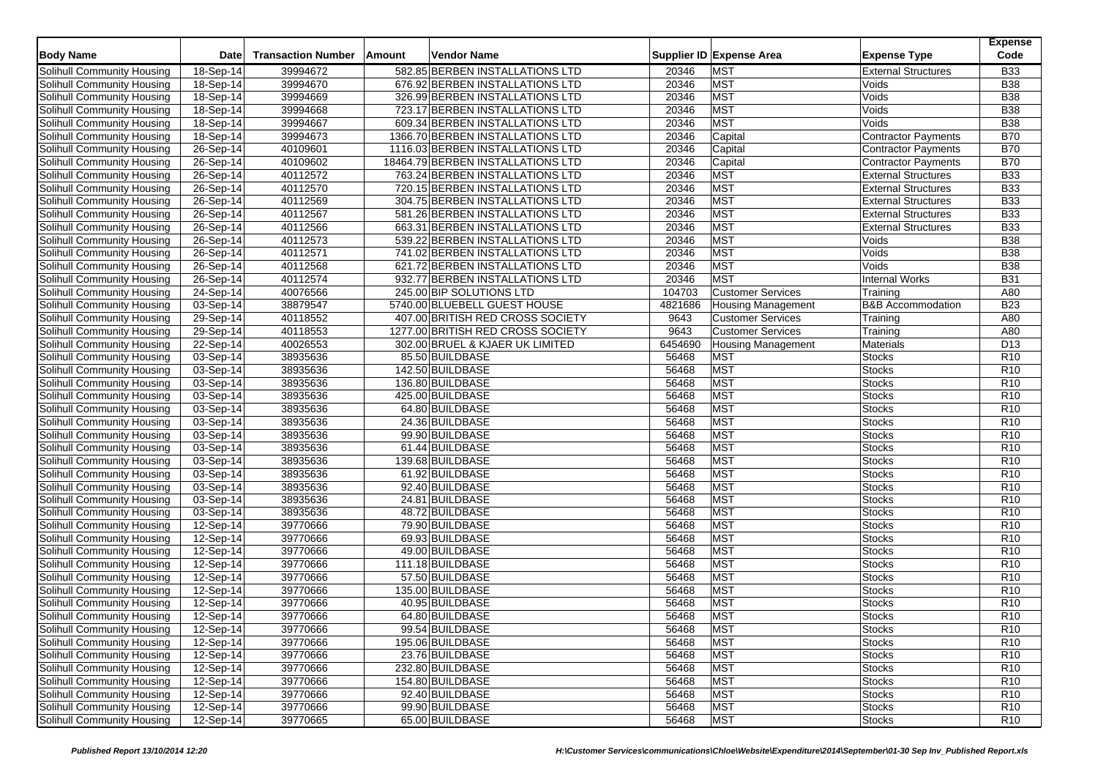| <b>Body Name</b>                  | Date        | <b>Transaction Number</b> | Amount | <b>Vendor Name</b>                |         | Supplier ID Expense Area  | <b>Expense Type</b>          | <b>Expense</b><br>Code |
|-----------------------------------|-------------|---------------------------|--------|-----------------------------------|---------|---------------------------|------------------------------|------------------------|
| Solihull Community Housing        | 18-Sep-14   | 39994672                  |        | 582.85 BERBEN INSTALLATIONS LTD   | 20346   | <b>MST</b>                | <b>External Structures</b>   | <b>B33</b>             |
| Solihull Community Housing        | 18-Sep-14   | 39994670                  |        | 676.92 BERBEN INSTALLATIONS LTD   | 20346   | <b>MST</b>                | Voids                        | <b>B38</b>             |
| <b>Solihull Community Housing</b> | 18-Sep-14   | 39994669                  |        | 326.99 BERBEN INSTALLATIONS LTD   | 20346   | <b>MST</b>                | Voids                        | <b>B</b> 38            |
| Solihull Community Housing        | 18-Sep-14   | 39994668                  |        | 723.17 BERBEN INSTALLATIONS LTD   | 20346   | <b>MST</b>                | Voids                        | <b>B38</b>             |
| Solihull Community Housing        | 18-Sep-14   | 39994667                  |        | 609.34 BERBEN INSTALLATIONS LTD   | 20346   | <b>MST</b>                | Voids                        | <b>B38</b>             |
| Solihull Community Housing        | 18-Sep-14   | 39994673                  |        | 1366.70 BERBEN INSTALLATIONS LTD  | 20346   | Capital                   | <b>Contractor Payments</b>   | <b>B70</b>             |
| Solihull Community Housing        | 26-Sep-14   | 40109601                  |        | 1116.03 BERBEN INSTALLATIONS LTD  | 20346   | Capital                   | <b>Contractor Payments</b>   | <b>B70</b>             |
| Solihull Community Housing        | 26-Sep-14   | 40109602                  |        | 18464.79 BERBEN INSTALLATIONS LTD | 20346   | Capital                   | <b>Contractor Payments</b>   | <b>B70</b>             |
| Solihull Community Housing        | 26-Sep-14   | 40112572                  |        | 763.24 BERBEN INSTALLATIONS LTD   | 20346   | <b>MST</b>                | <b>External Structures</b>   | <b>B33</b>             |
| Solihull Community Housing        | 26-Sep-14   | 40112570                  |        | 720.15 BERBEN INSTALLATIONS LTD   | 20346   | <b>MST</b>                | <b>External Structures</b>   | <b>B33</b>             |
| Solihull Community Housing        | 26-Sep-14   | 40112569                  |        | 304.75 BERBEN INSTALLATIONS LTD   | 20346   | <b>MST</b>                | <b>External Structures</b>   | <b>B33</b>             |
| Solihull Community Housing        | 26-Sep-14   | 40112567                  |        | 581.26 BERBEN INSTALLATIONS LTD   | 20346   | <b>MST</b>                | <b>External Structures</b>   | <b>B33</b>             |
| Solihull Community Housing        | 26-Sep-14   | 40112566                  |        | 663.31 BERBEN INSTALLATIONS LTD   | 20346   | <b>MST</b>                | <b>External Structures</b>   | <b>B33</b>             |
|                                   |             |                           |        |                                   | 20346   | <b>MST</b>                |                              | <b>B</b> 38            |
| Solihull Community Housing        | 26-Sep-14   | 40112573<br>40112571      |        | 539.22 BERBEN INSTALLATIONS LTD   | 20346   | <b>MST</b>                | Voids<br>Voids               | <b>B</b> 38            |
| Solihull Community Housing        | 26-Sep-14   |                           |        | 741.02 BERBEN INSTALLATIONS LTD   |         |                           |                              |                        |
| Solihull Community Housing        | $26-Sep-14$ | 40112568                  |        | 621.72 BERBEN INSTALLATIONS LTD   | 20346   | <b>MST</b>                | Voids                        | <b>B</b> 38            |
| Solihull Community Housing        | 26-Sep-14   | 40112574                  |        | 932.77 BERBEN INSTALLATIONS LTD   | 20346   | <b>MST</b>                | <b>Internal Works</b>        | <b>B31</b>             |
| Solihull Community Housing        | 24-Sep-14   | 40076566                  |        | 245.00 BIP SOLUTIONS LTD          | 104703  | <b>Customer Services</b>  | Training                     | A80                    |
| Solihull Community Housing        | 03-Sep-14   | 38879547                  |        | 5740.00 BLUEBELL GUEST HOUSE      | 4821686 | <b>Housing Management</b> | <b>B&amp;B Accommodation</b> | <b>B23</b>             |
| Solihull Community Housing        | 29-Sep-14   | 40118552                  |        | 407.00 BRITISH RED CROSS SOCIETY  | 9643    | <b>Customer Services</b>  | Training                     | A80                    |
| Solihull Community Housing        | 29-Sep-14   | 40118553                  |        | 1277.00 BRITISH RED CROSS SOCIETY | 9643    | <b>Customer Services</b>  | Training                     | A80                    |
| <b>Solihull Community Housing</b> | 22-Sep-14   | 40026553                  |        | 302.00 BRUEL & KJAER UK LIMITED   | 6454690 | <b>Housing Management</b> | Materials                    | D13                    |
| Solihull Community Housing        | 03-Sep-14   | 38935636                  |        | 85.50 BUILDBASE                   | 56468   | <b>MST</b>                | <b>Stocks</b>                | R <sub>10</sub>        |
| Solihull Community Housing        | 03-Sep-14   | 38935636                  |        | 142.50 BUILDBASE                  | 56468   | <b>MST</b>                | <b>Stocks</b>                | R <sub>10</sub>        |
| Solihull Community Housing        | 03-Sep-14   | 38935636                  |        | 136.80 BUILDBASE                  | 56468   | <b>MST</b>                | <b>Stocks</b>                | R <sub>10</sub>        |
| Solihull Community Housing        | 03-Sep-14   | 38935636                  |        | 425.00 BUILDBASE                  | 56468   | <b>MST</b>                | <b>Stocks</b>                | R <sub>10</sub>        |
| Solihull Community Housing        | 03-Sep-14   | 38935636                  |        | 64.80 BUILDBASE                   | 56468   | <b>MST</b>                | <b>Stocks</b>                | R <sub>10</sub>        |
| Solihull Community Housing        | 03-Sep-14   | 38935636                  |        | 24.36 BUILDBASE                   | 56468   | <b>MST</b>                | <b>Stocks</b>                | R <sub>10</sub>        |
| Solihull Community Housing        | 03-Sep-14   | 38935636                  |        | 99.90 BUILDBASE                   | 56468   | <b>MST</b>                | <b>Stocks</b>                | R <sub>10</sub>        |
| Solihull Community Housing        | 03-Sep-14   | 38935636                  |        | 61.44 BUILDBASE                   | 56468   | <b>MST</b>                | <b>Stocks</b>                | R <sub>10</sub>        |
| Solihull Community Housing        | 03-Sep-14   | 38935636                  |        | 139.68 BUILDBASE                  | 56468   | <b>MST</b>                | <b>Stocks</b>                | R <sub>10</sub>        |
| Solihull Community Housing        | 03-Sep-14   | 38935636                  |        | 61.92 BUILDBASE                   | 56468   | <b>MST</b>                | <b>Stocks</b>                | R <sub>10</sub>        |
| Solihull Community Housing        | 03-Sep-14   | 38935636                  |        | 92.40 BUILDBASE                   | 56468   | <b>MST</b>                | <b>Stocks</b>                | R <sub>10</sub>        |
| Solihull Community Housing        | 03-Sep-14   | 38935636                  |        | 24.81 BUILDBASE                   | 56468   | <b>MST</b>                | <b>Stocks</b>                | R <sub>10</sub>        |
| Solihull Community Housing        | 03-Sep-14   | 38935636                  |        | 48.72 BUILDBASE                   | 56468   | <b>MST</b>                | <b>Stocks</b>                | R <sub>10</sub>        |
| Solihull Community Housing        | 12-Sep-14   | 39770666                  |        | 79.90 BUILDBASE                   | 56468   | <b>MST</b>                | <b>Stocks</b>                | R <sub>10</sub>        |
| Solihull Community Housing        | 12-Sep-14   | 39770666                  |        | 69.93 BUILDBASE                   | 56468   | <b>MST</b>                | <b>Stocks</b>                | R <sub>10</sub>        |
| Solihull Community Housing        | 12-Sep-14   | 39770666                  |        | 49.00 BUILDBASE                   | 56468   | <b>MST</b>                | <b>Stocks</b>                | R <sub>10</sub>        |
| Solihull Community Housing        | 12-Sep-14   | 39770666                  |        | 111.18 BUILDBASE                  | 56468   | <b>MST</b>                | <b>Stocks</b>                | R <sub>10</sub>        |
| Solihull Community Housing        | $12-Sep-14$ | 39770666                  |        | 57.50 BUILDBASE                   | 56468   | <b>MST</b>                | <b>Stocks</b>                | R <sub>10</sub>        |
| Solihull Community Housing        | 12-Sep-14   | 39770666                  |        | 135.00 BUILDBASE                  | 56468   | <b>MST</b>                | <b>Stocks</b>                | R <sub>10</sub>        |
| Solihull Community Housing        | 12-Sep-14   | 39770666                  |        | 40.95 BUILDBASE                   | 56468   | <b>MST</b>                | <b>Stocks</b>                | R <sub>10</sub>        |
| Solihull Community Housing        | 12-Sep-14   | 39770666                  |        | 64.80 BUILDBASE                   | 56468   | <b>MST</b>                | <b>Stocks</b>                | R <sub>10</sub>        |
| <b>Solihull Community Housing</b> | 12-Sep-14   | 39770666                  |        | 99.54 BUILDBASE                   | 56468   | <b>MST</b>                | <b>Stocks</b>                | R <sub>10</sub>        |
| Solihull Community Housing        | 12-Sep-14   | 39770666                  |        | 195.06 BUILDBASE                  | 56468   | <b>MST</b>                | <b>Stocks</b>                | R <sub>10</sub>        |
| Solihull Community Housing        | 12-Sep-14   | 39770666                  |        | 23.76 BUILDBASE                   | 56468   | <b>MST</b>                | <b>Stocks</b>                | R <sub>10</sub>        |
| Solihull Community Housing        | 12-Sep-14   | 39770666                  |        | 232.80 BUILDBASE                  | 56468   | <b>MST</b>                | <b>Stocks</b>                | R <sub>10</sub>        |
| Solihull Community Housing        | 12-Sep-14   | 39770666                  |        | 154.80 BUILDBASE                  | 56468   | <b>MST</b>                | <b>Stocks</b>                | R <sub>10</sub>        |
| Solihull Community Housing        | 12-Sep-14   | 39770666                  |        | 92.40 BUILDBASE                   | 56468   | <b>MST</b>                | <b>Stocks</b>                | R <sub>10</sub>        |
| Solihull Community Housing        | 12-Sep-14   | 39770666                  |        | 99.90 BUILDBASE                   | 56468   | <b>MST</b>                | <b>Stocks</b>                | R <sub>10</sub>        |
| Solihull Community Housing        | 12-Sep-14   | 39770665                  |        | 65.00 BUILDBASE                   | 56468   | <b>MST</b>                | <b>Stocks</b>                | R <sub>10</sub>        |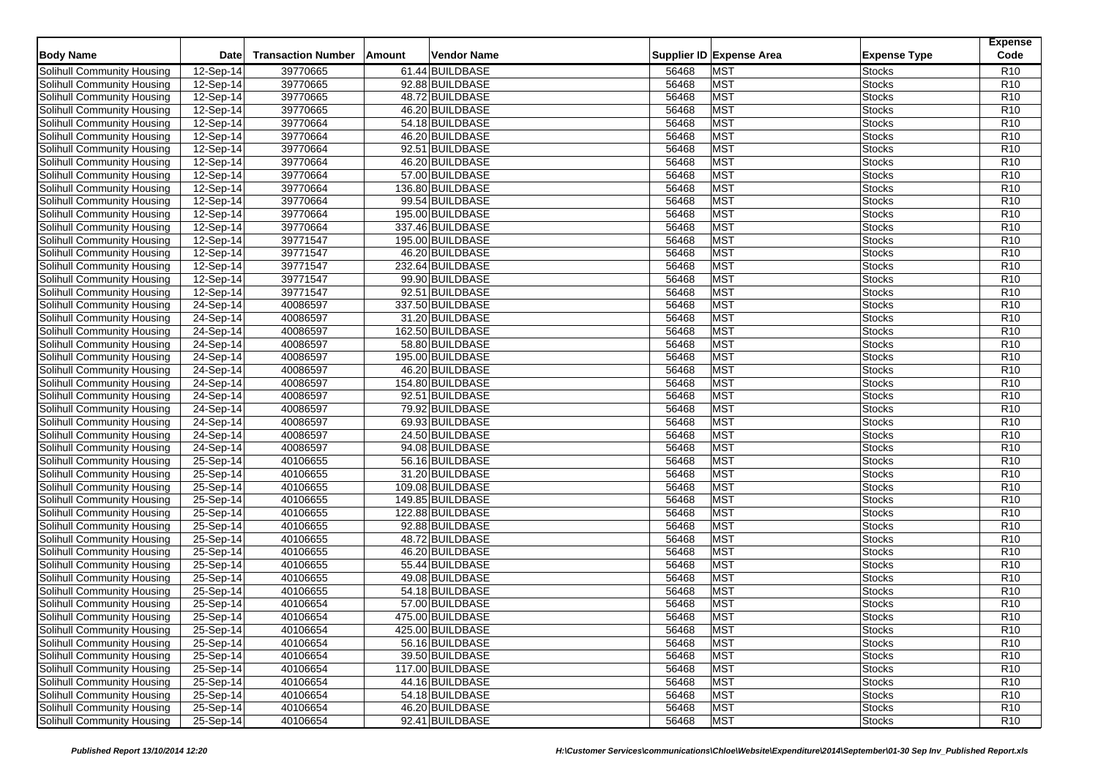|                                   |                         | <b>Transaction Number</b> |               |                  |       |                          |                     | <b>Expense</b><br>Code |
|-----------------------------------|-------------------------|---------------------------|---------------|------------------|-------|--------------------------|---------------------|------------------------|
| <b>Body Name</b>                  | <b>Date</b>             |                           | <b>Amount</b> | Vendor Name      |       | Supplier ID Expense Area | <b>Expense Type</b> |                        |
| Solihull Community Housing        | $\overline{12}$ -Sep-14 | 39770665                  |               | 61.44 BUILDBASE  | 56468 | <b>MST</b>               | <b>Stocks</b>       | R <sub>10</sub>        |
| Solihull Community Housing        | 12-Sep-14               | 39770665                  |               | 92.88 BUILDBASE  | 56468 | <b>MST</b>               | <b>Stocks</b>       | R <sub>10</sub>        |
| Solihull Community Housing        | 12-Sep-14               | 39770665                  |               | 48.72 BUILDBASE  | 56468 | <b>MST</b>               | <b>Stocks</b>       | R <sub>10</sub>        |
| Solihull Community Housing        | 12-Sep-14               | 39770665                  |               | 46.20 BUILDBASE  | 56468 | <b>MST</b>               | <b>Stocks</b>       | R <sub>10</sub>        |
| Solihull Community Housing        | 12-Sep-14               | 39770664                  |               | 54.18 BUILDBASE  | 56468 | <b>MST</b>               | <b>Stocks</b>       | R <sub>10</sub>        |
| Solihull Community Housing        | 12-Sep-14               | 39770664                  |               | 46.20 BUILDBASE  | 56468 | <b>MST</b>               | <b>Stocks</b>       | R <sub>10</sub>        |
| Solihull Community Housing        | 12-Sep-14               | 39770664                  |               | 92.51 BUILDBASE  | 56468 | <b>MST</b>               | <b>Stocks</b>       | R <sub>10</sub>        |
| Solihull Community Housing        | 12-Sep-14               | 39770664                  |               | 46.20 BUILDBASE  | 56468 | <b>MST</b>               | <b>Stocks</b>       | R <sub>10</sub>        |
| Solihull Community Housing        | 12-Sep-14               | 39770664                  |               | 57.00 BUILDBASE  | 56468 | <b>MST</b>               | <b>Stocks</b>       | R <sub>10</sub>        |
| Solihull Community Housing        | 12-Sep-14               | 39770664                  |               | 136.80 BUILDBASE | 56468 | <b>MST</b>               | <b>Stocks</b>       | R <sub>10</sub>        |
| Solihull Community Housing        | 12-Sep-14               | 39770664                  |               | 99.54 BUILDBASE  | 56468 | <b>MST</b>               | <b>Stocks</b>       | R <sub>10</sub>        |
| Solihull Community Housing        | 12-Sep-14               | 39770664                  |               | 195.00 BUILDBASE | 56468 | <b>MST</b>               | <b>Stocks</b>       | R <sub>10</sub>        |
| Solihull Community Housing        | 12-Sep-14               | 39770664                  |               | 337.46 BUILDBASE | 56468 | <b>MST</b>               | <b>Stocks</b>       | R <sub>10</sub>        |
| Solihull Community Housing        | $12-Sep-14$             | 39771547                  |               | 195.00 BUILDBASE | 56468 | <b>MST</b>               | <b>Stocks</b>       | R <sub>10</sub>        |
| <b>Solihull Community Housing</b> | 12-Sep-14               | 39771547                  |               | 46.20 BUILDBASE  | 56468 | <b>MST</b>               | <b>Stocks</b>       | R <sub>10</sub>        |
| Solihull Community Housing        | 12-Sep-14               | 39771547                  |               | 232.64 BUILDBASE | 56468 | <b>MST</b>               | <b>Stocks</b>       | R <sub>10</sub>        |
| Solihull Community Housing        | $12-Sep-14$             | 39771547                  |               | 99.90 BUILDBASE  | 56468 | <b>MST</b>               | <b>Stocks</b>       | R <sub>10</sub>        |
| Solihull Community Housing        | 12-Sep-14               | 39771547                  |               | 92.51 BUILDBASE  | 56468 | <b>MST</b>               | <b>Stocks</b>       | R <sub>10</sub>        |
| Solihull Community Housing        | $24-Sep-14$             | 40086597                  |               | 337.50 BUILDBASE | 56468 | <b>MST</b>               | <b>Stocks</b>       | R <sub>10</sub>        |
| Solihull Community Housing        | 24-Sep-14               | 40086597                  |               | 31.20 BUILDBASE  | 56468 | <b>MST</b>               | <b>Stocks</b>       | R <sub>10</sub>        |
| Solihull Community Housing        | 24-Sep-14               | 40086597                  |               | 162.50 BUILDBASE | 56468 | <b>MST</b>               | <b>Stocks</b>       | R <sub>10</sub>        |
| Solihull Community Housing        | 24-Sep-14               | 40086597                  |               | 58.80 BUILDBASE  | 56468 | <b>MST</b>               | <b>Stocks</b>       | R <sub>10</sub>        |
| Solihull Community Housing        | 24-Sep-14               | 40086597                  |               | 195.00 BUILDBASE | 56468 | <b>MST</b>               | <b>Stocks</b>       | R <sub>10</sub>        |
| Solihull Community Housing        | 24-Sep-14               | 40086597                  |               | 46.20 BUILDBASE  | 56468 | <b>MST</b>               | <b>Stocks</b>       | R <sub>10</sub>        |
| Solihull Community Housing        | 24-Sep-14               | 40086597                  |               | 154.80 BUILDBASE | 56468 | <b>MST</b>               | <b>Stocks</b>       | R <sub>10</sub>        |
| Solihull Community Housing        | 24-Sep-14               | 40086597                  |               | 92.51 BUILDBASE  | 56468 | <b>MST</b>               | <b>Stocks</b>       | R <sub>10</sub>        |
| Solihull Community Housing        | 24-Sep-14               | 40086597                  |               | 79.92 BUILDBASE  | 56468 | <b>MST</b>               | <b>Stocks</b>       | R <sub>10</sub>        |
| Solihull Community Housing        | 24-Sep-14               | 40086597                  |               | 69.93 BUILDBASE  | 56468 | <b>MST</b>               | <b>Stocks</b>       | R10                    |
| Solihull Community Housing        | 24-Sep-14               | 40086597                  |               | 24.50 BUILDBASE  | 56468 | <b>MST</b>               | <b>Stocks</b>       | R <sub>10</sub>        |
| Solihull Community Housing        | 24-Sep-14               | 40086597                  |               | 94.08 BUILDBASE  | 56468 | <b>MST</b>               | <b>Stocks</b>       | R <sub>10</sub>        |
| Solihull Community Housing        | 25-Sep-14               | 40106655                  |               | 56.16 BUILDBASE  | 56468 | <b>MST</b>               | <b>Stocks</b>       | R <sub>10</sub>        |
| Solihull Community Housing        | 25-Sep-14               | 40106655                  |               | 31.20 BUILDBASE  | 56468 | <b>MST</b>               | <b>Stocks</b>       | R <sub>10</sub>        |
| Solihull Community Housing        | 25-Sep-14               | 40106655                  |               | 109.08 BUILDBASE | 56468 | <b>MST</b>               | <b>Stocks</b>       | R <sub>10</sub>        |
| Solihull Community Housing        | 25-Sep-14               | 40106655                  |               | 149.85 BUILDBASE | 56468 | <b>MST</b>               | <b>Stocks</b>       | R <sub>10</sub>        |
| Solihull Community Housing        | 25-Sep-14               | 40106655                  |               | 122.88 BUILDBASE | 56468 | <b>MST</b>               | <b>Stocks</b>       | R <sub>10</sub>        |
| Solihull Community Housing        | 25-Sep-14               | 40106655                  |               | 92.88 BUILDBASE  | 56468 | <b>MST</b>               | <b>Stocks</b>       | R <sub>10</sub>        |
| Solihull Community Housing        | 25-Sep-14               | 40106655                  |               | 48.72 BUILDBASE  | 56468 | <b>MST</b>               | <b>Stocks</b>       | R <sub>10</sub>        |
| Solihull Community Housing        | 25-Sep-14               | 40106655                  |               | 46.20 BUILDBASE  | 56468 | <b>MST</b>               | <b>Stocks</b>       | R <sub>10</sub>        |
| Solihull Community Housing        | 25-Sep-14               | 40106655                  |               | 55.44 BUILDBASE  | 56468 | <b>MST</b>               | <b>Stocks</b>       | R <sub>10</sub>        |
| Solihull Community Housing        | 25-Sep-14               | 40106655                  |               | 49.08 BUILDBASE  | 56468 | <b>MST</b>               | <b>Stocks</b>       | R <sub>10</sub>        |
| Solihull Community Housing        | 25-Sep-14               | 40106655                  |               | 54.18 BUILDBASE  | 56468 | <b>MST</b>               | <b>Stocks</b>       | R <sub>10</sub>        |
| Solihull Community Housing        | 25-Sep-14               | 40106654                  |               | 57.00 BUILDBASE  | 56468 | <b>MST</b>               | <b>Stocks</b>       | R <sub>10</sub>        |
| Solihull Community Housing        | 25-Sep-14               | 40106654                  |               | 475.00 BUILDBASE | 56468 | <b>MST</b>               | <b>Stocks</b>       | R <sub>10</sub>        |
| Solihull Community Housing        | 25-Sep-14               | 40106654                  |               | 425.00 BUILDBASE | 56468 | <b>MST</b>               | <b>Stocks</b>       | R <sub>10</sub>        |
| Solihull Community Housing        | 25-Sep-14               | 40106654                  |               | 56.16 BUILDBASE  | 56468 | <b>MST</b>               | <b>Stocks</b>       | R <sub>10</sub>        |
| Solihull Community Housing        | 25-Sep-14               | 40106654                  |               | 39.50 BUILDBASE  | 56468 | <b>MST</b>               | <b>Stocks</b>       | R <sub>10</sub>        |
| Solihull Community Housing        | 25-Sep-14               | 40106654                  |               | 117.00 BUILDBASE | 56468 | <b>MST</b>               | <b>Stocks</b>       | R <sub>10</sub>        |
| Solihull Community Housing        | 25-Sep-14               | 40106654                  |               | 44.16 BUILDBASE  | 56468 | <b>MST</b>               | <b>Stocks</b>       | R <sub>10</sub>        |
| Solihull Community Housing        | 25-Sep-14               | 40106654                  |               | 54.18 BUILDBASE  | 56468 | <b>MST</b>               | <b>Stocks</b>       | R <sub>10</sub>        |
| <b>Solihull Community Housing</b> | 25-Sep-14               | 40106654                  |               | 46.20 BUILDBASE  | 56468 | <b>MST</b>               | <b>Stocks</b>       | R <sub>10</sub>        |
| Solihull Community Housing        | 25-Sep-14               | 40106654                  |               | 92.41 BUILDBASE  | 56468 | <b>MST</b>               | <b>Stocks</b>       | R <sub>10</sub>        |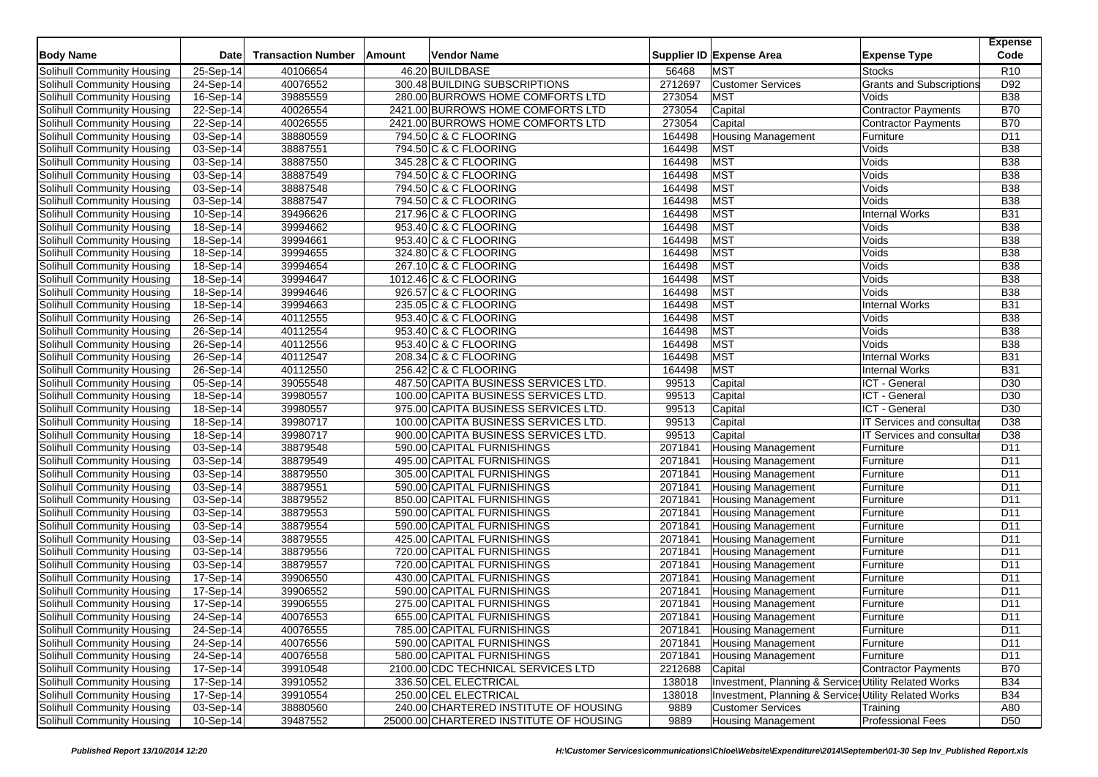| <b>Body Name</b>                  | <b>Date</b> | <b>Transaction Number</b> | Amount | <b>Vendor Name</b>                      |         | Supplier ID Expense Area                              | <b>Expense Type</b>             | <b>Expense</b><br>Code |
|-----------------------------------|-------------|---------------------------|--------|-----------------------------------------|---------|-------------------------------------------------------|---------------------------------|------------------------|
| Solihull Community Housing        | 25-Sep-14   | 40106654                  |        | 46.20 BUILDBASE                         | 56468   | <b>MST</b>                                            | Stocks                          | R <sub>10</sub>        |
| Solihull Community Housing        | 24-Sep-14   | 40076552                  |        | 300.48 BUILDING SUBSCRIPTIONS           | 2712697 | <b>Customer Services</b>                              | <b>Grants and Subscriptions</b> | D92                    |
| Solihull Community Housing        | 16-Sep-14   | 39885559                  |        | 280.00 BURROWS HOME COMFORTS LTD        | 273054  | <b>MST</b>                                            | Voids                           | <b>B38</b>             |
| Solihull Community Housing        | 22-Sep-14   | 40026554                  |        | 2421.00 BURROWS HOME COMFORTS LTD       | 273054  | Capital                                               | <b>Contractor Payments</b>      | <b>B70</b>             |
| Solihull Community Housing        | 22-Sep-14   | 40026555                  |        | 2421.00 BURROWS HOME COMFORTS LTD       | 273054  | Capital                                               | <b>Contractor Payments</b>      | <b>B70</b>             |
| Solihull Community Housing        | 03-Sep-14   | 38880559                  |        | 794.50 C & C FLOORING                   | 164498  | <b>Housing Management</b>                             | Furniture                       | D <sub>11</sub>        |
| Solihull Community Housing        | 03-Sep-14   | 38887551                  |        | 794.50 C & C FLOORING                   | 164498  | <b>MST</b>                                            | Voids                           | <b>B38</b>             |
| Solihull Community Housing        | 03-Sep-14   | 38887550                  |        | 345.28 C & C FLOORING                   | 164498  | <b>MST</b>                                            | Voids                           | <b>B38</b>             |
| Solihull Community Housing        | 03-Sep-14   | 38887549                  |        | 794.50 C & C FLOORING                   | 164498  | <b>MST</b>                                            | Voids                           | <b>B38</b>             |
| Solihull Community Housing        | 03-Sep-14   | 38887548                  |        | 794.50 C & C FLOORING                   | 164498  | <b>MST</b>                                            | Voids                           | <b>B38</b>             |
| Solihull Community Housing        | 03-Sep-14   | 38887547                  |        | 794.50 C & C FLOORING                   | 164498  | <b>MST</b>                                            | Voids                           | <b>B38</b>             |
| Solihull Community Housing        | 10-Sep-14   | 39496626                  |        | 217.96 C & C FLOORING                   | 164498  | <b>MST</b>                                            | <b>Internal Works</b>           | <b>B31</b>             |
| Solihull Community Housing        | 18-Sep-14   | 39994662                  |        | 953.40 C & C FLOORING                   | 164498  | <b>MST</b>                                            | Voids                           | <b>B38</b>             |
| Solihull Community Housing        | 18-Sep-14   | 39994661                  |        | 953.40 C & C FLOORING                   | 164498  | <b>MST</b>                                            | Voids                           | <b>B38</b>             |
| Solihull Community Housing        | 18-Sep-14   | 39994655                  |        | 324.80 C & C FLOORING                   | 164498  | <b>MST</b>                                            | Voids                           | <b>B38</b>             |
| Solihull Community Housing        | 18-Sep-14   | 39994654                  |        | 267.10 C & C FLOORING                   | 164498  | <b>MST</b>                                            | Voids                           | <b>B38</b>             |
| Solihull Community Housing        | 18-Sep-14   | 39994647                  |        | 1012.46 C & C FLOORING                  | 164498  | <b>MST</b>                                            | Voids                           | <b>B38</b>             |
| Solihull Community Housing        | 18-Sep-14   | 39994646                  |        | 926.57 C & C FLOORING                   | 164498  | <b>MST</b>                                            | Voids                           | <b>B38</b>             |
| Solihull Community Housing        | 18-Sep-14   | 39994663                  |        | 235.05 C & C FLOORING                   | 164498  | <b>MST</b>                                            | <b>Internal Works</b>           | <b>B31</b>             |
| Solihull Community Housing        | 26-Sep-14   | 40112555                  |        | 953.40 C & C FLOORING                   | 164498  | <b>MST</b>                                            | Voids                           | <b>B38</b>             |
| Solihull Community Housing        | 26-Sep-14   | 40112554                  |        | 953.40 C & C FLOORING                   | 164498  | <b>MST</b>                                            | Voids                           | <b>B38</b>             |
| Solihull Community Housing        | 26-Sep-14   | 40112556                  |        | 953.40 C & C FLOORING                   | 164498  | <b>MST</b>                                            | Voids                           | <b>B38</b>             |
| Solihull Community Housing        | 26-Sep-14   | 40112547                  |        | 208.34 C & C FLOORING                   | 164498  | <b>MST</b>                                            | <b>Internal Works</b>           | <b>B31</b>             |
| Solihull Community Housing        | 26-Sep-14   | 40112550                  |        | 256.42 C & C FLOORING                   | 164498  | <b>MST</b>                                            | <b>Internal Works</b>           | <b>B31</b>             |
| Solihull Community Housing        | 05-Sep-14   | 39055548                  |        | 487.50 CAPITA BUSINESS SERVICES LTD.    | 99513   | Capital                                               | ICT - General                   | D30                    |
| Solihull Community Housing        | 18-Sep-14   | 39980557                  |        | 100.00 CAPITA BUSINESS SERVICES LTD.    | 99513   | Capital                                               | ICT - General                   | D30                    |
| Solihull Community Housing        | $18-Sep-14$ | 39980557                  |        | 975.00 CAPITA BUSINESS SERVICES LTD.    | 99513   | Capital                                               | ICT - General                   | D30                    |
| Solihull Community Housing        | 18-Sep-14   | 39980717                  |        | 100.00 CAPITA BUSINESS SERVICES LTD.    | 99513   | Capital                                               | IT Services and consulta        | D38                    |
| Solihull Community Housing        | 18-Sep-14   | 39980717                  |        | 900.00 CAPITA BUSINESS SERVICES LTD.    | 99513   | Capital                                               | IT Services and consulta        | D38                    |
| Solihull Community Housing        | 03-Sep-14   | 38879548                  |        | 590.00 CAPITAL FURNISHINGS              | 2071841 | <b>Housing Management</b>                             | Furniture                       | D11                    |
| Solihull Community Housing        | 03-Sep-14   | 38879549                  |        | 495.00 CAPITAL FURNISHINGS              | 2071841 | Housing Management                                    | Furniture                       | D11                    |
| Solihull Community Housing        | 03-Sep-14   | 38879550                  |        | 305.00 CAPITAL FURNISHINGS              | 2071841 | <b>Housing Management</b>                             | Furniture                       | D11                    |
| Solihull Community Housing        | 03-Sep-14   | 38879551                  |        | 590.00 CAPITAL FURNISHINGS              | 2071841 | <b>Housing Management</b>                             | Furniture                       | D11                    |
| Solihull Community Housing        | 03-Sep-14   | 38879552                  |        | 850.00 CAPITAL FURNISHINGS              | 2071841 | Housing Management                                    | Furniture                       | D <sub>11</sub>        |
| Solihull Community Housing        | 03-Sep-14   | 38879553                  |        | 590.00 CAPITAL FURNISHINGS              | 2071841 | <b>Housing Management</b>                             | Furniture                       | D <sub>11</sub>        |
| <b>Solihull Community Housing</b> | 03-Sep-14   | 38879554                  |        | 590.00 CAPITAL FURNISHINGS              | 2071841 | <b>Housing Management</b>                             | Furniture                       | D11                    |
| Solihull Community Housing        | 03-Sep-14   | 38879555                  |        | 425.00 CAPITAL FURNISHINGS              | 2071841 | <b>Housing Management</b>                             | Furniture                       | D11                    |
| Solihull Community Housing        | 03-Sep-14   | 38879556                  |        | 720.00 CAPITAL FURNISHINGS              | 2071841 | <b>Housing Management</b>                             | Furniture                       | D11                    |
| Solihull Community Housing        | 03-Sep-14   | 38879557                  |        | 720.00 CAPITAL FURNISHINGS              | 2071841 | <b>Housing Management</b>                             | Furniture                       | D <sub>11</sub>        |
| Solihull Community Housing        | 17-Sep-14   | 39906550                  |        | 430.00 CAPITAL FURNISHINGS              | 2071841 | Housing Management                                    | Furniture                       | D <sub>11</sub>        |
| Solihull Community Housing        | 17-Sep-14   | 39906552                  |        | 590.00 CAPITAL FURNISHINGS              | 2071841 | <b>Housing Management</b>                             | Furniture                       | D <sub>11</sub>        |
| Solihull Community Housing        | 17-Sep-14   | 39906555                  |        | 275.00 CAPITAL FURNISHINGS              | 2071841 | <b>Housing Management</b>                             | Furniture                       | D <sub>11</sub>        |
| <b>Solihull Community Housing</b> | 24-Sep-14   | 40076553                  |        | 655.00 CAPITAL FURNISHINGS              | 2071841 | <b>Housing Management</b>                             | Furniture                       | D <sub>11</sub>        |
| Solihull Community Housing        | 24-Sep-14   | 40076555                  |        | 785.00 CAPITAL FURNISHINGS              | 2071841 | <b>Housing Management</b>                             | Furniture                       | D11                    |
| Solihull Community Housing        | 24-Sep-14   | 40076556                  |        | 590.00 CAPITAL FURNISHINGS              | 2071841 | <b>Housing Management</b>                             | Furniture                       | D11                    |
| Solihull Community Housing        | 24-Sep-14   | 40076558                  |        | 580.00 CAPITAL FURNISHINGS              | 2071841 | <b>Housing Management</b>                             | Furniture                       | D11                    |
| Solihull Community Housing        | 17-Sep-14   | 39910548                  |        | 2100.00 CDC TECHNICAL SERVICES LTD      | 2212688 | Capital                                               | <b>Contractor Payments</b>      | <b>B70</b>             |
| Solihull Community Housing        | 17-Sep-14   | 39910552                  |        | 336.50 CEL ELECTRICAL                   | 138018  | Investment, Planning & Services Utility Related Works |                                 | <b>B34</b>             |
| Solihull Community Housing        | 17-Sep-14   | 39910554                  |        | 250.00 CEL ELECTRICAL                   | 138018  | Investment, Planning & Services Utility Related Works |                                 | <b>B34</b>             |
| Solihull Community Housing        | 03-Sep-14   | 38880560                  |        | 240.00 CHARTERED INSTITUTE OF HOUSING   | 9889    | <b>Customer Services</b>                              | Training                        | A80                    |
| Solihull Community Housing        | 10-Sep-14   | 39487552                  |        | 25000.00 CHARTERED INSTITUTE OF HOUSING | 9889    | <b>Housing Management</b>                             | <b>Professional Fees</b>        | D <sub>50</sub>        |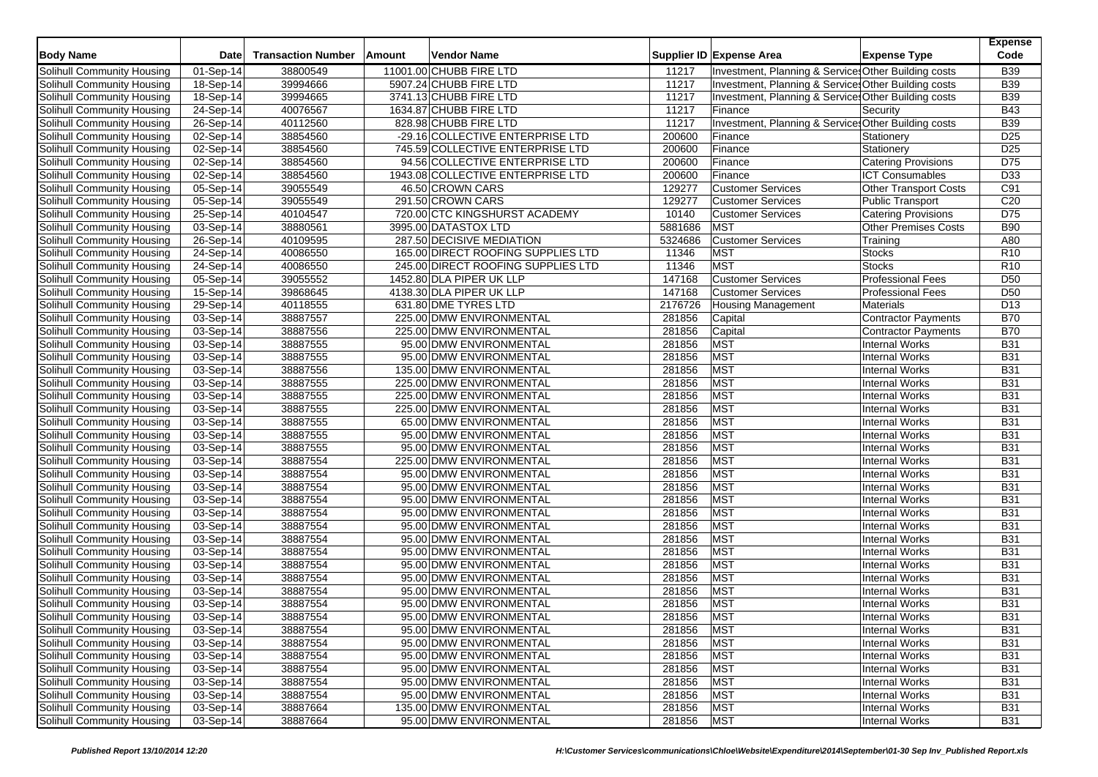| <b>Body Name</b>           | Date        | <b>Transaction Number</b> | Amount | <b>Vendor Name</b>                 |         | Supplier ID Expense Area                             | <b>Expense Type</b>          | <b>Expense</b><br>Code |
|----------------------------|-------------|---------------------------|--------|------------------------------------|---------|------------------------------------------------------|------------------------------|------------------------|
| Solihull Community Housing | 01-Sep-14   | 38800549                  |        | 11001.00 CHUBB FIRE LTD            | 11217   | Investment, Planning & Service: Other Building costs |                              | <b>B39</b>             |
| Solihull Community Housing | 18-Sep-14   | 39994666                  |        | 5907.24 CHUBB FIRE LTD             | 11217   | Investment, Planning & Service: Other Building costs |                              | <b>B39</b>             |
| Solihull Community Housing | 18-Sep-14   | 39994665                  |        | 3741.13 CHUBB FIRE LTD             | 11217   | Investment, Planning & Service: Other Building costs |                              | <b>B39</b>             |
| Solihull Community Housing | 24-Sep-14   | 40076567                  |        | 1634.87 CHUBB FIRE LTD             | 11217   | Finance                                              | Security                     | <b>B43</b>             |
| Solihull Community Housing | 26-Sep-14   | 40112560                  |        | 828.98 CHUBB FIRE LTD              | 11217   | Investment, Planning & Service: Other Building costs |                              | <b>B39</b>             |
| Solihull Community Housing | 02-Sep-14   | 38854560                  |        | -29.16 COLLECTIVE ENTERPRISE LTD   | 200600  | Finance                                              | Stationery                   | D <sub>25</sub>        |
| Solihull Community Housing | 02-Sep-14   | 38854560                  |        | 745.59 COLLECTIVE ENTERPRISE LTD   | 200600  | Finance                                              | Stationery                   | D <sub>25</sub>        |
| Solihull Community Housing | 02-Sep-14   | 38854560                  |        | 94.56 COLLECTIVE ENTERPRISE LTD    | 200600  | Finance                                              | <b>Catering Provisions</b>   | D75                    |
| Solihull Community Housing | 02-Sep-14   | 38854560                  |        | 1943.08 COLLECTIVE ENTERPRISE LTD  | 200600  | Finance                                              | <b>ICT Consumables</b>       | D33                    |
| Solihull Community Housing | 05-Sep-14   | 39055549                  |        | 46.50 CROWN CARS                   | 129277  | <b>Customer Services</b>                             | <b>Other Transport Costs</b> | C91                    |
| Solihull Community Housing | 05-Sep-14   | 39055549                  |        | 291.50 CROWN CARS                  | 129277  | <b>Customer Services</b>                             | <b>Public Transport</b>      | C <sub>20</sub>        |
| Solihull Community Housing | 25-Sep-14   | 40104547                  |        | 720.00 CTC KINGSHURST ACADEMY      | 10140   | <b>Customer Services</b>                             | <b>Catering Provisions</b>   | D75                    |
| Solihull Community Housing | 03-Sep-14   | 38880561                  |        | 3995.00 DATASTOX LTD               | 5881686 | <b>MST</b>                                           | Other Premises Costs         | <b>B90</b>             |
| Solihull Community Housing | 26-Sep-14   | 40109595                  |        | 287.50 DECISIVE MEDIATION          | 5324686 | <b>Customer Services</b>                             | Training                     | A80                    |
| Solihull Community Housing | 24-Sep-14   | 40086550                  |        | 165.00 DIRECT ROOFING SUPPLIES LTD | 11346   | <b>MST</b>                                           | <b>Stocks</b>                | R <sub>10</sub>        |
| Solihull Community Housing | 24-Sep-14   | 40086550                  |        | 245.00 DIRECT ROOFING SUPPLIES LTD | 11346   | <b>MST</b>                                           | <b>Stocks</b>                | R <sub>10</sub>        |
| Solihull Community Housing | 05-Sep-14   | 39055552                  |        | 1452.80 DLA PIPER UK LLP           | 147168  | <b>Customer Services</b>                             | <b>Professional Fees</b>     | D <sub>50</sub>        |
| Solihull Community Housing | $15-Sep-14$ | 39868645                  |        | 4138.30 DLA PIPER UK LLP           | 147168  | <b>Customer Services</b>                             | <b>Professional Fees</b>     | D <sub>50</sub>        |
| Solihull Community Housing | 29-Sep-14   | 40118555                  |        | 631.80 DME TYRES LTD               | 2176726 | <b>Housing Management</b>                            | <b>Materials</b>             | D <sub>13</sub>        |
| Solihull Community Housing | 03-Sep-14   | 38887557                  |        | 225.00 DMW ENVIRONMENTAL           | 281856  | Capital                                              | <b>Contractor Payments</b>   | <b>B70</b>             |
| Solihull Community Housing | 03-Sep-14   | 38887556                  |        | 225.00 DMW ENVIRONMENTAL           | 281856  | Capital                                              | <b>Contractor Payments</b>   | <b>B70</b>             |
| Solihull Community Housing | 03-Sep-14   | 38887555                  |        | 95.00 DMW ENVIRONMENTAL            | 281856  | <b>MST</b>                                           | <b>Internal Works</b>        | <b>B31</b>             |
| Solihull Community Housing | 03-Sep-14   | 38887555                  |        | 95.00 DMW ENVIRONMENTAL            | 281856  | <b>MST</b>                                           | <b>Internal Works</b>        | <b>B31</b>             |
| Solihull Community Housing | 03-Sep-14   | 38887556                  |        | 135.00 DMW ENVIRONMENTAL           | 281856  | <b>MST</b>                                           | <b>Internal Works</b>        | <b>B31</b>             |
| Solihull Community Housing | 03-Sep-14   | 38887555                  |        | 225.00 DMW ENVIRONMENTAL           | 281856  | <b>MST</b>                                           | <b>Internal Works</b>        | <b>B31</b>             |
| Solihull Community Housing | 03-Sep-14   | 38887555                  |        | 225.00 DMW ENVIRONMENTAL           | 281856  | <b>MST</b>                                           | <b>Internal Works</b>        | <b>B31</b>             |
| Solihull Community Housing | 03-Sep-14   | 38887555                  |        | 225.00 DMW ENVIRONMENTAL           | 281856  | <b>MST</b>                                           | <b>Internal Works</b>        | <b>B31</b>             |
| Solihull Community Housing | 03-Sep-14   | 38887555                  |        | 65.00 DMW ENVIRONMENTAL            | 281856  | <b>MST</b>                                           | <b>Internal Works</b>        | <b>B31</b>             |
| Solihull Community Housing | 03-Sep-14   | 38887555                  |        | 95.00 DMW ENVIRONMENTAL            | 281856  | <b>MST</b>                                           | <b>Internal Works</b>        | <b>B31</b>             |
| Solihull Community Housing | 03-Sep-14   | 38887555                  |        | 95.00 DMW ENVIRONMENTAL            | 281856  | <b>MST</b>                                           | <b>Internal Works</b>        | <b>B31</b>             |
| Solihull Community Housing | 03-Sep-14   | 38887554                  |        | 225.00 DMW ENVIRONMENTAL           | 281856  | <b>MST</b>                                           | <b>Internal Works</b>        | <b>B31</b>             |
| Solihull Community Housing | 03-Sep-14   | 38887554                  |        | 95.00 DMW ENVIRONMENTAL            | 281856  | <b>MST</b>                                           | <b>Internal Works</b>        | <b>B31</b>             |
| Solihull Community Housing | 03-Sep-14   | 38887554                  |        | 95.00 DMW ENVIRONMENTAL            | 281856  | <b>MST</b>                                           | <b>Internal Works</b>        | <b>B31</b>             |
| Solihull Community Housing | 03-Sep-14   | 38887554                  |        | 95.00 DMW ENVIRONMENTAL            | 281856  | <b>MST</b>                                           | <b>Internal Works</b>        | <b>B31</b>             |
| Solihull Community Housing | 03-Sep-14   | 38887554                  |        | 95.00 DMW ENVIRONMENTAL            | 281856  | <b>MST</b>                                           | <b>Internal Works</b>        | <b>B31</b>             |
| Solihull Community Housing | 03-Sep-14   | 38887554                  |        | 95.00 DMW ENVIRONMENTAL            | 281856  | <b>MST</b>                                           | <b>Internal Works</b>        | <b>B31</b>             |
| Solihull Community Housing | 03-Sep-14   | 38887554                  |        | 95.00 DMW ENVIRONMENTAL            | 281856  | <b>MST</b>                                           | <b>Internal Works</b>        | <b>B31</b>             |
| Solihull Community Housing | 03-Sep-14   | 38887554                  |        | 95.00 DMW ENVIRONMENTAL            | 281856  | <b>MST</b>                                           | <b>Internal Works</b>        | <b>B31</b>             |
| Solihull Community Housing | 03-Sep-14   | 38887554                  |        | 95.00 DMW ENVIRONMENTAL            | 281856  | <b>MST</b>                                           | <b>Internal Works</b>        | <b>B31</b>             |
| Solihull Community Housing | 03-Sep-14   | 38887554                  |        | 95.00 DMW ENVIRONMENTAL            | 281856  | <b>MST</b>                                           | <b>Internal Works</b>        | <b>B31</b>             |
| Solihull Community Housing | 03-Sep-14   | 38887554                  |        | 95.00 DMW ENVIRONMENTAL            | 281856  | <b>MST</b>                                           | <b>Internal Works</b>        | <b>B31</b>             |
| Solihull Community Housing | 03-Sep-14   | 38887554                  |        | 95.00 DMW ENVIRONMENTAL            | 281856  | <b>MST</b>                                           | <b>Internal Works</b>        | <b>B31</b>             |
| Solihull Community Housing | 03-Sep-14   | 38887554                  |        | 95.00 DMW ENVIRONMENTAL            | 281856  | <b>MST</b>                                           | <b>Internal Works</b>        | <b>B31</b>             |
| Solihull Community Housing | 03-Sep-14   | 38887554                  |        | 95.00 DMW ENVIRONMENTAL            | 281856  | <b>MST</b>                                           | <b>Internal Works</b>        | <b>B31</b>             |
| Solihull Community Housing | 03-Sep-14   | 38887554                  |        | 95.00 DMW ENVIRONMENTAL            | 281856  | <b>MST</b>                                           | <b>Internal Works</b>        | <b>B31</b>             |
| Solihull Community Housing | 03-Sep-14   | 38887554                  |        | 95.00 DMW ENVIRONMENTAL            | 281856  | <b>MST</b>                                           | <b>Internal Works</b>        | <b>B31</b>             |
| Solihull Community Housing | 03-Sep-14   | 38887554                  |        | 95.00 DMW ENVIRONMENTAL            | 281856  | <b>MST</b>                                           | <b>Internal Works</b>        | <b>B31</b>             |
| Solihull Community Housing | 03-Sep-14   | 38887554                  |        | 95.00 DMW ENVIRONMENTAL            | 281856  | <b>MST</b>                                           | <b>Internal Works</b>        | <b>B31</b>             |
| Solihull Community Housing | 03-Sep-14   | 38887554                  |        | 95.00 DMW ENVIRONMENTAL            | 281856  | <b>MST</b>                                           | <b>Internal Works</b>        | <b>B31</b>             |
| Solihull Community Housing | 03-Sep-14   | 38887664                  |        | 135.00 DMW ENVIRONMENTAL           | 281856  | <b>MST</b>                                           | <b>Internal Works</b>        | <b>B31</b>             |
| Solihull Community Housing | 03-Sep-14   | 38887664                  |        | 95.00 DMW ENVIRONMENTAL            | 281856  | <b>MST</b>                                           | <b>Internal Works</b>        | <b>B31</b>             |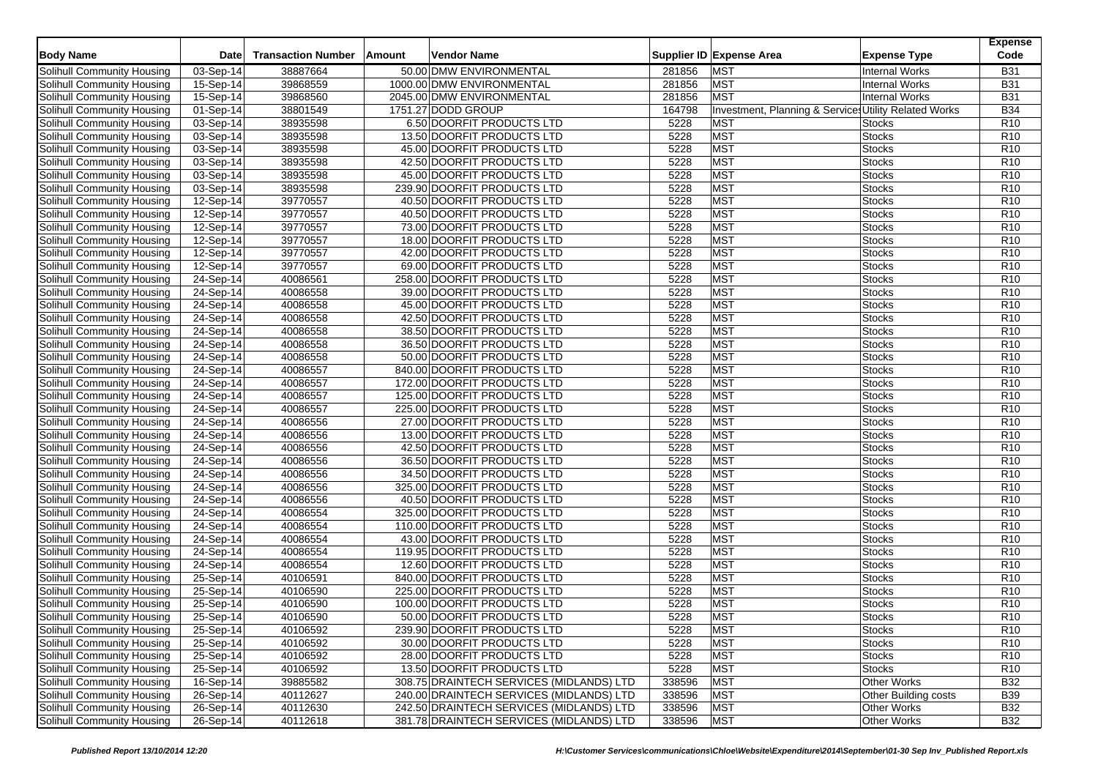| <b>Body Name</b>                  | <b>Date</b> | <b>Transaction Number</b> | Amount<br>Vendor Name                    |        | Supplier ID Expense Area<br><b>Expense Type</b>       | <b>Expense</b><br>Code |
|-----------------------------------|-------------|---------------------------|------------------------------------------|--------|-------------------------------------------------------|------------------------|
| Solihull Community Housing        | 03-Sep-14   | 38887664                  | 50.00 DMW ENVIRONMENTAL                  | 281856 | <b>MST</b><br><b>Internal Works</b>                   | <b>B31</b>             |
| Solihull Community Housing        | 15-Sep-14   | 39868559                  | 1000.00 DMW ENVIRONMENTAL                | 281856 | <b>MST</b><br><b>Internal Works</b>                   | <b>B31</b>             |
| Solihull Community Housing        | 15-Sep-14   | 39868560                  | 2045.00 DMW ENVIRONMENTAL                | 281856 | <b>MST</b><br><b>Internal Works</b>                   | <b>B31</b>             |
| Solihull Community Housing        | 01-Sep-14   | 38801549                  | 1751.27 DODD GROUP                       | 164798 | Investment, Planning & Services Utility Related Works | <b>B34</b>             |
| Solihull Community Housing        | 03-Sep-14   | 38935598                  | 6.50 DOORFIT PRODUCTS LTD                | 5228   | <b>MST</b><br><b>Stocks</b>                           | R <sub>10</sub>        |
| Solihull Community Housing        | 03-Sep-14   | 38935598                  | 13.50 DOORFIT PRODUCTS LTD               | 5228   | <b>MST</b><br><b>Stocks</b>                           | R <sub>10</sub>        |
| Solihull Community Housing        | 03-Sep-14   | 38935598                  | 45.00 DOORFIT PRODUCTS LTD               | 5228   | <b>MST</b><br>Stocks                                  | R <sub>10</sub>        |
| Solihull Community Housing        | 03-Sep-14   | 38935598                  | 42.50 DOORFIT PRODUCTS LTD               | 5228   | <b>MST</b><br><b>Stocks</b>                           | R <sub>10</sub>        |
| Solihull Community Housing        | 03-Sep-14   | 38935598                  | 45.00 DOORFIT PRODUCTS LTD               | 5228   | <b>MST</b><br><b>Stocks</b>                           | R <sub>10</sub>        |
| Solihull Community Housing        | 03-Sep-14   | 38935598                  | 239.90 DOORFIT PRODUCTS LTD              | 5228   | <b>MST</b><br>Stocks                                  | R <sub>10</sub>        |
| Solihull Community Housing        | 12-Sep-14   | 39770557                  | 40.50 DOORFIT PRODUCTS LTD               | 5228   | <b>MST</b><br><b>Stocks</b>                           | R <sub>10</sub>        |
| Solihull Community Housing        | 12-Sep-14   | 39770557                  | 40.50 DOORFIT PRODUCTS LTD               | 5228   | <b>MST</b><br><b>Stocks</b>                           | R <sub>10</sub>        |
| Solihull Community Housing        | 12-Sep-14   | 39770557                  | 73.00 DOORFIT PRODUCTS LTD               | 5228   | <b>MST</b><br>Stocks                                  | R <sub>10</sub>        |
| Solihull Community Housing        | 12-Sep-14   | 39770557                  | 18.00 DOORFIT PRODUCTS LTD               | 5228   | <b>MST</b><br><b>Stocks</b>                           | R <sub>10</sub>        |
| Solihull Community Housing        | 12-Sep-14   | 39770557                  | 42.00 DOORFIT PRODUCTS LTD               | 5228   | <b>MST</b><br><b>Stocks</b>                           | R <sub>10</sub>        |
| Solihull Community Housing        | 12-Sep-14   | 39770557                  | 69.00 DOORFIT PRODUCTS LTD               | 5228   | <b>MST</b><br><b>Stocks</b>                           | R <sub>10</sub>        |
| Solihull Community Housing        | 24-Sep-14   | 40086561                  | 258.00 DOORFIT PRODUCTS LTD              | 5228   | <b>MST</b><br><b>Stocks</b>                           | R <sub>10</sub>        |
| Solihull Community Housing        | 24-Sep-14   | 40086558                  | 39.00 DOORFIT PRODUCTS LTD               | 5228   | <b>MST</b><br><b>Stocks</b>                           | R <sub>10</sub>        |
| Solihull Community Housing        | 24-Sep-14   | 40086558                  | 45.00 DOORFIT PRODUCTS LTD               | 5228   | <b>MST</b><br><b>Stocks</b>                           | R <sub>10</sub>        |
| Solihull Community Housing        | 24-Sep-14   | 40086558                  | 42.50 DOORFIT PRODUCTS LTD               | 5228   | <b>MST</b><br><b>Stocks</b>                           | R <sub>10</sub>        |
| Solihull Community Housing        | 24-Sep-14   | 40086558                  | 38.50 DOORFIT PRODUCTS LTD               | 5228   | <b>MST</b><br><b>Stocks</b>                           | R <sub>10</sub>        |
| Solihull Community Housing        | 24-Sep-14   | 40086558                  | 36.50 DOORFIT PRODUCTS LTD               | 5228   | <b>MST</b><br><b>Stocks</b>                           | R <sub>10</sub>        |
| Solihull Community Housing        | 24-Sep-14   | 40086558                  | 50.00 DOORFIT PRODUCTS LTD               | 5228   | <b>MST</b><br><b>Stocks</b>                           | R <sub>10</sub>        |
| Solihull Community Housing        | 24-Sep-14   | 40086557                  | 840.00 DOORFIT PRODUCTS LTD              | 5228   | <b>MST</b><br><b>Stocks</b>                           | R <sub>10</sub>        |
| Solihull Community Housing        | 24-Sep-14   | 40086557                  | 172.00 DOORFIT PRODUCTS LTD              | 5228   | <b>MST</b><br><b>Stocks</b>                           | R <sub>10</sub>        |
| Solihull Community Housing        | 24-Sep-14   | 40086557                  | 125.00 DOORFIT PRODUCTS LTD              | 5228   | MST<br><b>Stocks</b>                                  | R <sub>10</sub>        |
| Solihull Community Housing        | 24-Sep-14   | 40086557                  | 225.00 DOORFIT PRODUCTS LTD              | 5228   | <b>MST</b><br><b>Stocks</b>                           | R <sub>10</sub>        |
| Solihull Community Housing        | 24-Sep-14   | 40086556                  | 27.00 DOORFIT PRODUCTS LTD               | 5228   | <b>MST</b><br><b>Stocks</b>                           | R <sub>10</sub>        |
| Solihull Community Housing        | 24-Sep-14   | 40086556                  | 13.00 DOORFIT PRODUCTS LTD               | 5228   | <b>MST</b><br><b>Stocks</b>                           | R <sub>10</sub>        |
| Solihull Community Housing        | $24-Sep-14$ | 40086556                  | 42.50 DOORFIT PRODUCTS LTD               | 5228   | <b>MST</b><br><b>Stocks</b>                           | R <sub>10</sub>        |
| <b>Solihull Community Housing</b> | 24-Sep-14   | 40086556                  | 36.50 DOORFIT PRODUCTS LTD               | 5228   | <b>MST</b><br><b>Stocks</b>                           | R <sub>10</sub>        |
| Solihull Community Housing        | 24-Sep-14   | 40086556                  | 34.50 DOORFIT PRODUCTS LTD               | 5228   | <b>MST</b><br><b>Stocks</b>                           | R <sub>10</sub>        |
| Solihull Community Housing        | $24-Sep-14$ | 40086556                  | 325.00 DOORFIT PRODUCTS LTD              | 5228   | <b>MST</b><br><b>Stocks</b>                           | R <sub>10</sub>        |
| Solihull Community Housing        | 24-Sep-14   | 40086556                  | 40.50 DOORFIT PRODUCTS LTD               | 5228   | <b>MST</b><br><b>Stocks</b>                           | R10                    |
| Solihull Community Housing        | 24-Sep-14   | 40086554                  | 325.00 DOORFIT PRODUCTS LTD              | 5228   | <b>MST</b><br><b>Stocks</b>                           | R <sub>10</sub>        |
| Solihull Community Housing        | 24-Sep-14   | 40086554                  | 110.00 DOORFIT PRODUCTS LTD              | 5228   | <b>MST</b><br><b>Stocks</b>                           | R <sub>10</sub>        |
| Solihull Community Housing        | 24-Sep-14   | 40086554                  | 43.00 DOORFIT PRODUCTS LTD               | 5228   | <b>MST</b><br><b>Stocks</b>                           | R <sub>10</sub>        |
| Solihull Community Housing        | 24-Sep-14   | 40086554                  | 119.95 DOORFIT PRODUCTS LTD              | 5228   | <b>MST</b><br><b>Stocks</b>                           | R <sub>10</sub>        |
| Solihull Community Housing        | 24-Sep-14   | 40086554                  | 12.60 DOORFIT PRODUCTS LTD               | 5228   | <b>MST</b><br><b>Stocks</b>                           | R <sub>10</sub>        |
| Solihull Community Housing        | 25-Sep-14   | 40106591                  | 840.00 DOORFIT PRODUCTS LTD              | 5228   | <b>MST</b><br><b>Stocks</b>                           | R <sub>10</sub>        |
| Solihull Community Housing        | 25-Sep-14   | 40106590                  | 225.00 DOORFIT PRODUCTS LTD              | 5228   | <b>MST</b><br><b>Stocks</b>                           | R <sub>10</sub>        |
| Solihull Community Housing        | 25-Sep-14   | 40106590                  | 100.00 DOORFIT PRODUCTS LTD              | 5228   | <b>MST</b><br><b>Stocks</b>                           | R <sub>10</sub>        |
| <b>Solihull Community Housing</b> | 25-Sep-14   | 40106590                  | 50.00 DOORFIT PRODUCTS LTD               | 5228   | <b>MST</b><br><b>Stocks</b>                           | R <sub>10</sub>        |
| Solihull Community Housing        | 25-Sep-14   | 40106592                  | 239.90 DOORFIT PRODUCTS LTD              | 5228   | <b>MST</b><br><b>Stocks</b>                           | R <sub>10</sub>        |
| Solihull Community Housing        | 25-Sep-14   | 40106592                  | 30.00 DOORFIT PRODUCTS LTD               | 5228   | <b>MST</b><br><b>Stocks</b>                           | R <sub>10</sub>        |
| Solihull Community Housing        | 25-Sep-14   | 40106592                  | 28.00 DOORFIT PRODUCTS LTD               | 5228   | <b>MST</b><br><b>Stocks</b>                           | R <sub>10</sub>        |
| Solihull Community Housing        | 25-Sep-14   | 40106592                  | 13.50 DOORFIT PRODUCTS LTD               | 5228   | <b>MST</b><br><b>Stocks</b>                           | R <sub>10</sub>        |
| Solihull Community Housing        | 16-Sep-14   | 39885582                  | 308.75 DRAINTECH SERVICES (MIDLANDS) LTD | 338596 | <b>MST</b><br><b>Other Works</b>                      | <b>B32</b>             |
| Solihull Community Housing        | 26-Sep-14   | 40112627                  | 240.00 DRAINTECH SERVICES (MIDLANDS) LTD | 338596 | <b>MST</b><br><b>Other Building costs</b>             | <b>B39</b>             |
| Solihull Community Housing        | 26-Sep-14   | 40112630                  | 242.50 DRAINTECH SERVICES (MIDLANDS) LTD | 338596 | <b>MST</b><br><b>Other Works</b>                      | <b>B32</b>             |
| Solihull Community Housing        | 26-Sep-14   | 40112618                  | 381.78 DRAINTECH SERVICES (MIDLANDS) LTD | 338596 | <b>MST</b><br><b>Other Works</b>                      | <b>B32</b>             |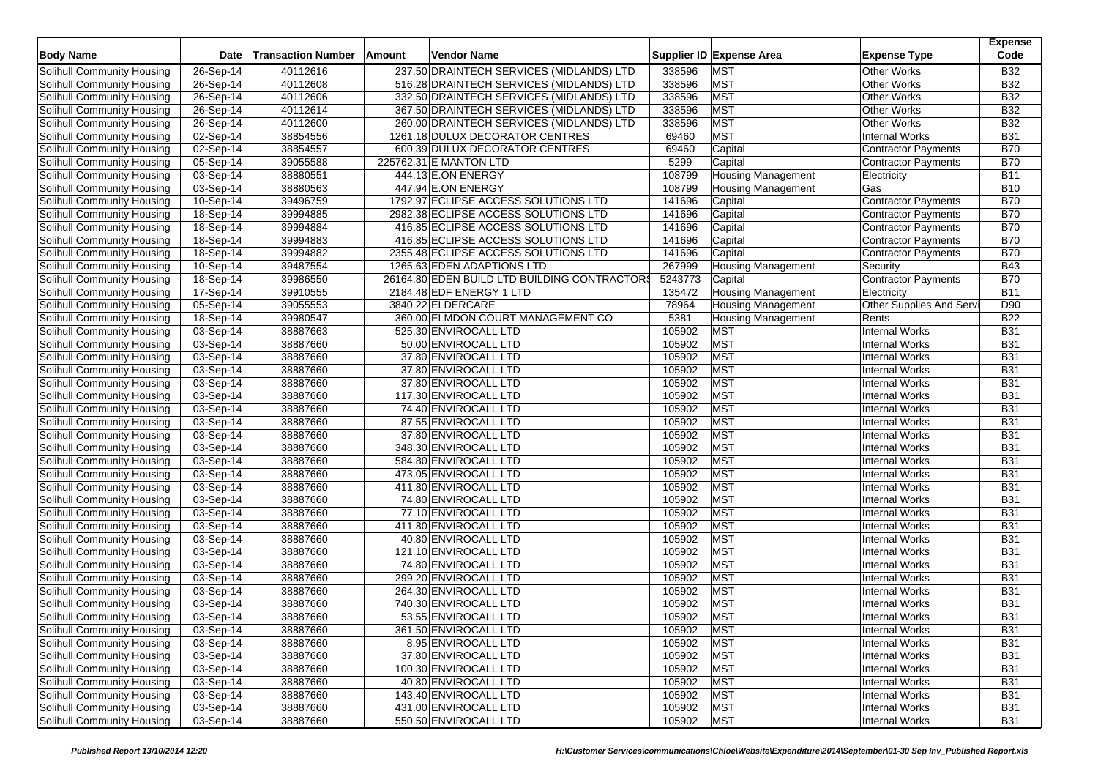|                            |                         |                           |        |                                              |         |                           |                            | <b>Expense</b><br>Code |
|----------------------------|-------------------------|---------------------------|--------|----------------------------------------------|---------|---------------------------|----------------------------|------------------------|
| <b>Body Name</b>           | <b>Date</b>             | <b>Transaction Number</b> | Amount | Vendor Name                                  |         | Supplier ID Expense Area  | <b>Expense Type</b>        |                        |
| Solihull Community Housing | 26-Sep-14               | 40112616                  |        | 237.50 DRAINTECH SERVICES (MIDLANDS) LTD     | 338596  | <b>MST</b>                | <b>Other Works</b>         | <b>B32</b>             |
| Solihull Community Housing | 26-Sep-14               | 40112608                  |        | 516.28 DRAINTECH SERVICES (MIDLANDS) LTD     | 338596  | <b>MST</b>                | <b>Other Works</b>         | <b>B32</b>             |
| Solihull Community Housing | 26-Sep-14               | 40112606                  |        | 332.50 DRAINTECH SERVICES (MIDLANDS) LTD     | 338596  | <b>MST</b>                | <b>Other Works</b>         | <b>B32</b>             |
| Solihull Community Housing | 26-Sep-14               | 40112614                  |        | 367.50 DRAINTECH SERVICES (MIDLANDS) LTD     | 338596  | <b>MST</b>                | <b>Other Works</b>         | <b>B32</b>             |
| Solihull Community Housing | 26-Sep-14               | 40112600                  |        | 260.00 DRAINTECH SERVICES (MIDLANDS) LTD     | 338596  | <b>MST</b>                | <b>Other Works</b>         | <b>B32</b>             |
| Solihull Community Housing | 02-Sep-14               | 38854556                  |        | 1261.18 DULUX DECORATOR CENTRES              | 69460   | <b>MST</b>                | <b>Internal Works</b>      | <b>B31</b>             |
| Solihull Community Housing | 02-Sep-14               | 38854557                  |        | 600.39 DULUX DECORATOR CENTRES               | 69460   | Capital                   | <b>Contractor Payments</b> | <b>B70</b>             |
| Solihull Community Housing | 05-Sep-14               | 39055588                  |        | 225762.31 E MANTON LTD                       | 5299    | Capital                   | <b>Contractor Payments</b> | <b>B70</b>             |
| Solihull Community Housing | 03-Sep-14               | 38880551                  |        | 444.13 E.ON ENERGY                           | 108799  | <b>Housing Management</b> | Electricity                | <b>B11</b>             |
| Solihull Community Housing | 03-Sep-14               | 38880563                  |        | 447.94 E.ON ENERGY                           | 108799  | <b>Housing Management</b> | Gas                        | <b>B10</b>             |
| Solihull Community Housing | $10-Sep-14$             | 39496759                  |        | 1792.97 ECLIPSE ACCESS SOLUTIONS LTD         | 141696  | Capital                   | <b>Contractor Payments</b> | <b>B70</b>             |
| Solihull Community Housing | 18-Sep-14               | 39994885                  |        | 2982.38 ECLIPSE ACCESS SOLUTIONS LTD         | 141696  | Capital                   | <b>Contractor Payments</b> | <b>B70</b>             |
| Solihull Community Housing | 18-Sep-14               | 39994884                  |        | 416.85 ECLIPSE ACCESS SOLUTIONS LTD          | 141696  | Capital                   | <b>Contractor Payments</b> | <b>B70</b>             |
| Solihull Community Housing | 18-Sep-14               | 39994883                  |        | 416.85 ECLIPSE ACCESS SOLUTIONS LTD          | 141696  | Capital                   | Contractor Payments        | <b>B70</b>             |
| Solihull Community Housing | 18-Sep-14               | 39994882                  |        | 2355.48 ECLIPSE ACCESS SOLUTIONS LTD         | 141696  | Capital                   | <b>Contractor Payments</b> | <b>B70</b>             |
| Solihull Community Housing | 10-Sep-14               | 39487554                  |        | 1265.63 EDEN ADAPTIONS LTD                   | 267999  | <b>Housing Management</b> | Security                   | <b>B43</b>             |
| Solihull Community Housing | $18-Sep-14$             | 39986550                  |        | 26164.80 EDEN BUILD LTD BUILDING CONTRACTORS | 5243773 | Capital                   | Contractor Payments        | <b>B70</b>             |
| Solihull Community Housing | 17-Sep-14               | 39910555                  |        | 2184.48 EDF ENERGY 1 LTD                     | 135472  | <b>Housing Management</b> | Electricity                | <b>B11</b>             |
| Solihull Community Housing | 05-Sep-14               | 39055553                  |        | 3840.22 ELDERCARE                            | 78964   | <b>Housing Management</b> | Other Supplies And Serv    | D90                    |
| Solihull Community Housing | 18-Sep-14               | 39980547                  |        | 360.00 ELMDON COURT MANAGEMENT CO            | 5381    | <b>Housing Management</b> | Rents                      | <b>B22</b>             |
| Solihull Community Housing | $03-Sep-14$             | 38887663                  |        | 525.30 ENVIROCALL LTD                        | 105902  | <b>MST</b>                | <b>Internal Works</b>      | <b>B31</b>             |
| Solihull Community Housing | 03-Sep-14               | 38887660                  |        | 50.00 ENVIROCALL LTD                         | 105902  | <b>MST</b>                | <b>Internal Works</b>      | <b>B31</b>             |
| Solihull Community Housing | 03-Sep-14               | 38887660                  |        | 37.80 ENVIROCALL LTD                         | 105902  | <b>MST</b>                | <b>Internal Works</b>      | <b>B31</b>             |
| Solihull Community Housing | 03-Sep-14               | 38887660                  |        | 37.80 ENVIROCALL LTD                         | 105902  | <b>MST</b>                | <b>Internal Works</b>      | <b>B31</b>             |
| Solihull Community Housing | 03-Sep-14               | 38887660                  |        | 37.80 ENVIROCALL LTD                         | 105902  | <b>MST</b>                | <b>Internal Works</b>      | <b>B31</b>             |
| Solihull Community Housing | 03-Sep-14               | 38887660                  |        | 117.30 ENVIROCALL LTD                        | 105902  | <b>MST</b>                | <b>Internal Works</b>      | <b>B31</b>             |
| Solihull Community Housing | 03-Sep-14               | 38887660                  |        | 74.40 ENVIROCALL LTD                         | 105902  | <b>MST</b>                | <b>Internal Works</b>      | <b>B31</b>             |
| Solihull Community Housing | $\overline{03}$ -Sep-14 | 38887660                  |        | 87.55 ENVIROCALL LTD                         | 105902  | <b>MST</b>                | <b>Internal Works</b>      | <b>B31</b>             |
| Solihull Community Housing | 03-Sep-14               | 38887660                  |        | 37.80 ENVIROCALL LTD                         | 105902  | <b>MST</b>                | <b>Internal Works</b>      | <b>B31</b>             |
| Solihull Community Housing | 03-Sep-14               | 38887660                  |        | 348.30 ENVIROCALL LTD                        | 105902  | <b>MST</b>                | <b>Internal Works</b>      | <b>B31</b>             |
| Solihull Community Housing | 03-Sep-14               | 38887660                  |        | 584.80 ENVIROCALL LTD                        | 105902  | <b>MST</b>                | <b>Internal Works</b>      | <b>B31</b>             |
| Solihull Community Housing | 03-Sep-14               | 38887660                  |        | 473.05 ENVIROCALL LTD                        | 105902  | <b>MST</b>                | <b>Internal Works</b>      | <b>B31</b>             |
| Solihull Community Housing | 03-Sep-14               | 38887660                  |        | 411.80 ENVIROCALL LTD                        | 105902  | <b>MST</b>                | <b>Internal Works</b>      | <b>B31</b>             |
| Solihull Community Housing | 03-Sep-14               | 38887660                  |        | 74.80 ENVIROCALL LTD                         | 105902  | <b>MST</b>                | <b>Internal Works</b>      | <b>B31</b>             |
| Solihull Community Housing | 03-Sep-14               | 38887660                  |        | 77.10 ENVIROCALL LTD                         | 105902  | MST                       | <b>Internal Works</b>      | <b>B31</b>             |
| Solihull Community Housing | 03-Sep-14               | 38887660                  |        | 411.80 ENVIROCALL LTD                        | 105902  | <b>MST</b>                | <b>Internal Works</b>      | <b>B31</b>             |
| Solihull Community Housing | 03-Sep-14               | 38887660                  |        | 40.80 ENVIROCALL LTD                         | 105902  | <b>MST</b>                | <b>Internal Works</b>      | <b>B31</b>             |
| Solihull Community Housing | 03-Sep-14               | 38887660                  |        | 121.10 ENVIROCALL LTD                        | 105902  | <b>MST</b>                | <b>Internal Works</b>      | <b>B31</b>             |
| Solihull Community Housing | $03-Sep-14$             | 38887660                  |        | 74.80 ENVIROCALL LTD                         | 105902  | <b>MST</b>                | <b>Internal Works</b>      | <b>B31</b>             |
| Solihull Community Housing | 03-Sep-14               | 38887660                  |        | 299.20 ENVIROCALL LTD                        | 105902  | <b>MST</b>                | <b>Internal Works</b>      | <b>B31</b>             |
| Solihull Community Housing | 03-Sep-14               | 38887660                  |        | 264.30 ENVIROCALL LTD                        | 105902  | <b>MST</b>                | Internal Works             | <b>B31</b>             |
| Solihull Community Housing | 03-Sep-14               | 38887660                  |        | 740.30 ENVIROCALL LTD                        | 105902  | <b>MST</b>                | Internal Works             | <b>B31</b>             |
| Solihull Community Housing | 03-Sep-14               | 38887660                  |        | 53.55 ENVIROCALL LTD                         | 105902  | <b>MST</b>                | <b>Internal Works</b>      | <b>B31</b>             |
| Solihull Community Housing | 03-Sep-14               | 38887660                  |        | 361.50 ENVIROCALL LTD                        | 105902  | <b>MST</b>                | Internal Works             | <b>B31</b>             |
| Solihull Community Housing | 03-Sep-14               | 38887660                  |        | 8.95 ENVIROCALL LTD                          | 105902  | <b>MST</b>                | <b>Internal Works</b>      | <b>B31</b>             |
| Solihull Community Housing | 03-Sep-14               | 38887660                  |        | 37.80 ENVIROCALL LTD                         | 105902  | <b>MST</b>                | Internal Works             | <b>B31</b>             |
| Solihull Community Housing | 03-Sep-14               | 38887660                  |        | 100.30 ENVIROCALL LTD                        | 105902  | <b>MST</b>                | <b>Internal Works</b>      | <b>B31</b>             |
| Solihull Community Housing | 03-Sep-14               | 38887660                  |        | 40.80 ENVIROCALL LTD                         | 105902  | <b>MST</b>                | <b>Internal Works</b>      | <b>B31</b>             |
| Solihull Community Housing | 03-Sep-14               | 38887660                  |        | 143.40 ENVIROCALL LTD                        | 105902  | <b>MST</b>                | Internal Works             | <b>B31</b>             |
| Solihull Community Housing | 03-Sep-14               | 38887660                  |        | 431.00 ENVIROCALL LTD                        | 105902  | <b>MST</b>                | Internal Works             | <b>B31</b>             |
| Solihull Community Housing | 03-Sep-14               | 38887660                  |        | 550.50 ENVIROCALL LTD                        | 105902  | <b>MST</b>                | Internal Works             | <b>B31</b>             |
|                            |                         |                           |        |                                              |         |                           |                            |                        |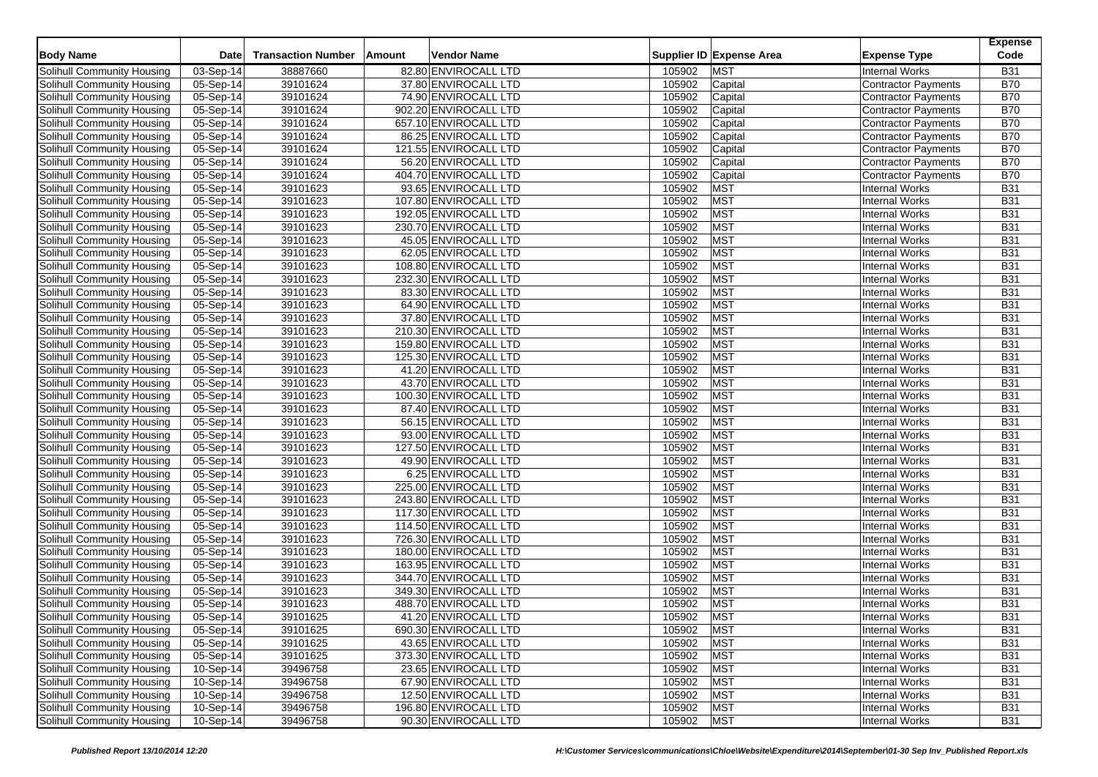| <b>Body Name</b>                                         | Date                     | <b>Transaction Number</b> | Amount | Vendor Name                                   |                  | Supplier ID Expense Area | <b>Expense Type</b>        | <b>Expense</b><br>Code   |
|----------------------------------------------------------|--------------------------|---------------------------|--------|-----------------------------------------------|------------------|--------------------------|----------------------------|--------------------------|
| <b>Solihull Community Housing</b>                        | 03-Sep-14                | 38887660                  |        | 82.80 ENVIROCALL LTD                          | 105902           | <b>MST</b>               | <b>Internal Works</b>      | <b>B31</b>               |
| Solihull Community Housing                               | 05-Sep-14                | 39101624                  |        | 37.80 ENVIROCALL LTD                          | 105902           | Capital                  | <b>Contractor Payments</b> | <b>B70</b>               |
| Solihull Community Housing                               | 05-Sep-14                | 39101624                  |        | 74.90 ENVIROCALL LTD                          | 105902           |                          | Contractor Payments        | <b>B70</b>               |
| Solihull Community Housing                               |                          |                           |        |                                               | 105902           | Capital                  |                            | <b>B70</b>               |
|                                                          | 05-Sep-14<br>05-Sep-14   | 39101624                  |        | 902.20 ENVIROCALL LTD                         |                  | Capital                  | <b>Contractor Payments</b> | <b>B70</b>               |
| Solihull Community Housing                               |                          | 39101624<br>39101624      |        | 657.10 ENVIROCALL LTD                         | 105902<br>105902 | Capital                  | <b>Contractor Payments</b> | <b>B70</b>               |
| Solihull Community Housing                               | 05-Sep-14                |                           |        | 86.25 ENVIROCALL LTD<br>121.55 ENVIROCALL LTD | 105902           | Capital                  | <b>Contractor Payments</b> | <b>B70</b>               |
| Solihull Community Housing                               | 05-Sep-14                | 39101624                  |        |                                               |                  | Capital                  | <b>Contractor Payments</b> | <b>B70</b>               |
| Solihull Community Housing                               | 05-Sep-14                | 39101624<br>39101624      |        | 56.20 ENVIROCALL LTD                          | 105902<br>105902 | Capital                  | <b>Contractor Payments</b> | <b>B70</b>               |
| Solihull Community Housing<br>Solihull Community Housing | 05-Sep-14                |                           |        | 404.70 ENVIROCALL LTD<br>93.65 ENVIROCALL LTD | 105902           | Capital                  | <b>Contractor Payments</b> | <b>B31</b>               |
|                                                          | 05-Sep-14<br>$05-Sep-14$ | 39101623                  |        |                                               |                  | <b>MST</b><br><b>MST</b> | <b>Internal Works</b>      | <b>B31</b>               |
| Solihull Community Housing                               |                          | 39101623                  |        | 107.80 ENVIROCALL LTD                         | 105902           |                          | <b>Internal Works</b>      |                          |
| Solihull Community Housing                               | 05-Sep-14                | 39101623<br>39101623      |        | 192.05 ENVIROCALL LTD                         | 105902<br>105902 | <b>MST</b><br><b>MST</b> | <b>Internal Works</b>      | <b>B31</b><br><b>B31</b> |
| Solihull Community Housing                               | 05-Sep-14                |                           |        | 230.70 ENVIROCALL LTD                         |                  |                          | <b>Internal Works</b>      |                          |
| Solihull Community Housing                               | 05-Sep-14                | 39101623<br>39101623      |        | 45.05 ENVIROCALL LTD<br>62.05 ENVIROCALL LTD  | 105902<br>105902 | <b>MST</b><br><b>MST</b> | <b>Internal Works</b>      | <b>B31</b><br><b>B31</b> |
| Solihull Community Housing                               | 05-Sep-14                |                           |        |                                               |                  |                          | <b>Internal Works</b>      |                          |
| Solihull Community Housing                               | 05-Sep-14                | 39101623                  |        | 108.80 ENVIROCALL LTD                         | 105902           | <b>MST</b>               | <b>Internal Works</b>      | <b>B31</b>               |
| Solihull Community Housing                               | $05-Sep-14$              | 39101623                  |        | 232.30 ENVIROCALL LTD                         | 105902           | <b>MST</b>               | <b>Internal Works</b>      | <b>B31</b>               |
| Solihull Community Housing                               | 05-Sep-14                | 39101623                  |        | 83.30 ENVIROCALL LTD                          | 105902           | <b>MST</b>               | <b>Internal Works</b>      | <b>B31</b>               |
| Solihull Community Housing                               | 05-Sep-14                | 39101623                  |        | 64.90 ENVIROCALL LTD                          | 105902           | <b>MST</b>               | <b>Internal Works</b>      | <b>B31</b>               |
| Solihull Community Housing                               | 05-Sep-14                | 39101623                  |        | 37.80 ENVIROCALL LTD                          | 105902           | <b>MST</b>               | <b>Internal Works</b>      | <b>B31</b>               |
| Solihull Community Housing                               | 05-Sep-14                | 39101623                  |        | 210.30 ENVIROCALL LTD                         | 105902           | <b>MST</b>               | <b>Internal Works</b>      | <b>B31</b>               |
| Solihull Community Housing                               | 05-Sep-14                | 39101623                  |        | 159.80 ENVIROCALL LTD                         | 105902           | <b>MST</b>               | <b>Internal Works</b>      | <b>B31</b>               |
| Solihull Community Housing                               | 05-Sep-14                | 39101623                  |        | 125.30 ENVIROCALL LTD                         | 105902           | <b>MST</b>               | <b>Internal Works</b>      | <b>B31</b>               |
| Solihull Community Housing                               | 05-Sep-14                | 39101623                  |        | 41.20 ENVIROCALL LTD                          | 105902           | <b>MST</b>               | <b>Internal Works</b>      | <b>B31</b>               |
| Solihull Community Housing                               | 05-Sep-14                | 39101623                  |        | 43.70 ENVIROCALL LTD                          | 105902           | <b>MST</b>               | <b>Internal Works</b>      | <b>B31</b>               |
| Solihull Community Housing                               | 05-Sep-14                | 39101623                  |        | 100.30 ENVIROCALL LTD                         | 105902           | <b>MST</b>               | <b>Internal Works</b>      | <b>B31</b>               |
| Solihull Community Housing                               | $05-Sep-14$              | 39101623                  |        | 87.40 ENVIROCALL LTD                          | 105902           | <b>MST</b>               | <b>Internal Works</b>      | <b>B31</b>               |
| Solihull Community Housing                               | 05-Sep-14                | 39101623                  |        | 56.15 ENVIROCALL LTD                          | 105902           | <b>MST</b>               | <b>Internal Works</b>      | <b>B31</b>               |
| Solihull Community Housing                               | 05-Sep-14                | 39101623                  |        | 93.00 ENVIROCALL LTD                          | 105902           | <b>MST</b>               | <b>Internal Works</b>      | <b>B31</b>               |
| Solihull Community Housing                               | 05-Sep-14                | 39101623                  |        | 127.50 ENVIROCALL LTD                         | 105902           | <b>MST</b>               | <b>Internal Works</b>      | <b>B31</b>               |
| Solihull Community Housing                               | 05-Sep-14                | 39101623                  |        | 49.90 ENVIROCALL LTD                          | 105902           | <b>MST</b>               | <b>Internal Works</b>      | <b>B31</b>               |
| Solihull Community Housing                               | 05-Sep-14                | 39101623                  |        | 6.25 ENVIROCALL LTD                           | 105902           | <b>MST</b>               | <b>Internal Works</b>      | <b>B31</b>               |
| Solihull Community Housing                               | 05-Sep-14                | 39101623                  |        | 225.00 ENVIROCALL LTD                         | 105902           | <b>MST</b>               | <b>Internal Works</b>      | <b>B31</b>               |
| Solihull Community Housing                               | 05-Sep-14                | 39101623                  |        | 243.80 ENVIROCALL LTD                         | 105902           | <b>MST</b>               | <b>Internal Works</b>      | <b>B31</b>               |
| Solihull Community Housing                               | 05-Sep-14                | 39101623                  |        | 117.30 ENVIROCALL LTD                         | 105902           | <b>MST</b>               | <b>Internal Works</b>      | <b>B31</b>               |
| Solihull Community Housing                               | 05-Sep-14                | 39101623                  |        | 114.50 ENVIROCALL LTD                         | 105902           | <b>MST</b>               | <b>Internal Works</b>      | <b>B31</b>               |
| Solihull Community Housing                               | 05-Sep-14                | 39101623                  |        | 726.30 ENVIROCALL LTD                         | 105902           | <b>MST</b>               | <b>Internal Works</b>      | <b>B31</b>               |
| Solihull Community Housing                               | 05-Sep-14                | 39101623                  |        | 180.00 ENVIROCALL LTD                         | 105902           | <b>MST</b>               | <b>Internal Works</b>      | <b>B31</b>               |
| Solihull Community Housing                               | $\overline{05}$ -Sep-14  | 39101623                  |        | 163.95 ENVIROCALL LTD                         | 105902           | <b>MST</b>               | <b>Internal Works</b>      | <b>B31</b>               |
| Solihull Community Housing                               | 05-Sep-14                | 39101623                  |        | 344.70 ENVIROCALL LTD                         | 105902           | <b>MST</b>               | <b>Internal Works</b>      | <b>B31</b>               |
| Solihull Community Housing                               | 05-Sep-14                | 39101623                  |        | 349.30 ENVIROCALL LTD                         | 105902           | <b>MST</b>               | Internal Works             | <b>B31</b>               |
| Solihull Community Housing                               | 05-Sep-14                | 39101623                  |        | 488.70 ENVIROCALL LTD                         | 105902           | <b>MST</b>               | <b>Internal Works</b>      | <b>B31</b>               |
| Solihull Community Housing                               | 05-Sep-14                | 39101625                  |        | 41.20 ENVIROCALL LTD                          | 105902           | <b>MST</b>               | <b>Internal Works</b>      | <b>B31</b>               |
| Solihull Community Housing                               | 05-Sep-14                | 39101625                  |        | 690.30 ENVIROCALL LTD                         | 105902           | <b>MST</b>               | <b>Internal Works</b>      | <b>B31</b>               |
| Solihull Community Housing                               | 05-Sep-14                | 39101625                  |        | 43.65 ENVIROCALL LTD                          | 105902           | <b>MST</b>               | <b>Internal Works</b>      | <b>B31</b>               |
| Solihull Community Housing                               | 05-Sep-14                | 39101625                  |        | 373.30 ENVIROCALL LTD                         | 105902           | <b>MST</b>               | <b>Internal Works</b>      | <b>B31</b>               |
| Solihull Community Housing                               | 10-Sep-14                | 39496758                  |        | 23.65 ENVIROCALL LTD                          | 105902           | <b>MST</b>               | <b>Internal Works</b>      | <b>B31</b>               |
| Solihull Community Housing                               | 10-Sep-14                | 39496758                  |        | 67.90 ENVIROCALL LTD                          | 105902           | <b>MST</b>               | <b>Internal Works</b>      | <b>B31</b>               |
| Solihull Community Housing                               | 10-Sep-14                | 39496758                  |        | 12.50 ENVIROCALL LTD                          | 105902           | <b>MST</b>               | <b>Internal Works</b>      | <b>B31</b>               |
| Solihull Community Housing                               | 10-Sep-14                | 39496758                  |        | 196.80 ENVIROCALL LTD                         | 105902           | <b>MST</b>               | <b>Internal Works</b>      | <b>B31</b>               |
| Solihull Community Housing                               | 10-Sep-14                | 39496758                  |        | 90.30 ENVIROCALL LTD                          | 105902           | <b>MST</b>               | <b>Internal Works</b>      | <b>B31</b>               |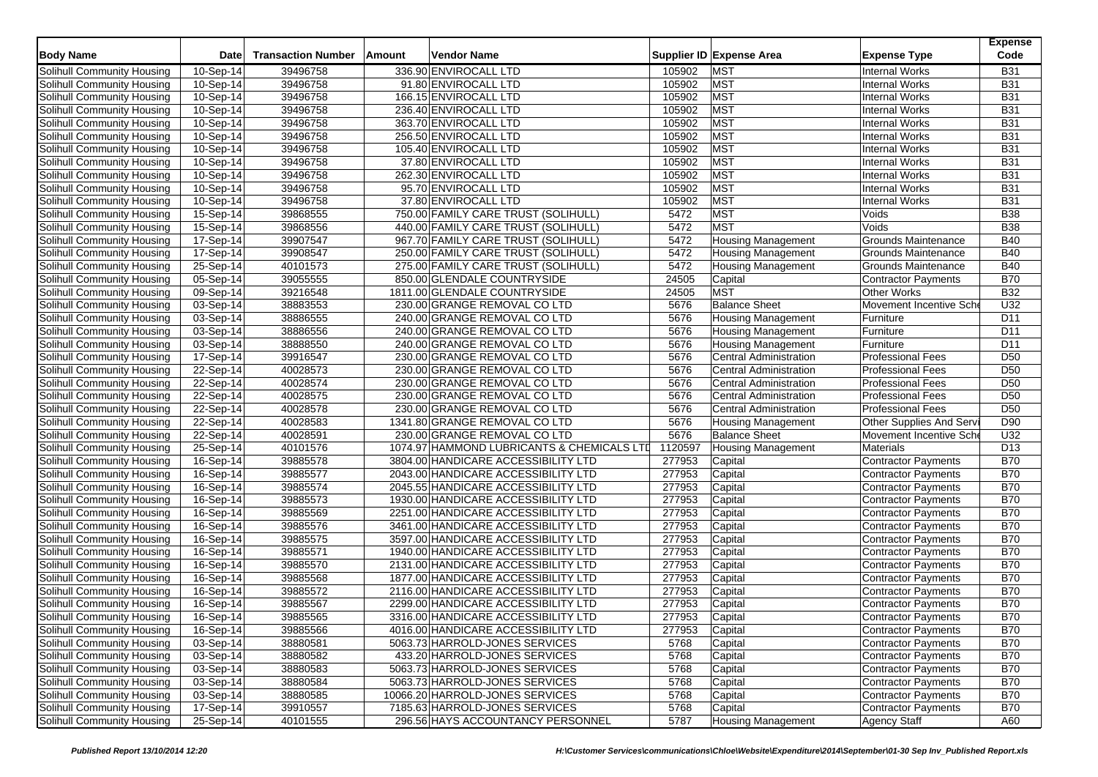| <b>Body Name</b>                  | Date                    | <b>Transaction Number</b> | Amount | Vendor Name                                |         | Supplier ID Expense Area      | <b>Expense Type</b>        | <b>Expense</b><br>Code |
|-----------------------------------|-------------------------|---------------------------|--------|--------------------------------------------|---------|-------------------------------|----------------------------|------------------------|
| Solihull Community Housing        | 10-Sep-14               | 39496758                  |        | 336.90 ENVIROCALL LTD                      | 105902  | <b>MST</b>                    | <b>Internal Works</b>      | <b>B31</b>             |
| Solihull Community Housing        | 10-Sep-14               | 39496758                  |        | 91.80 ENVIROCALL LTD                       | 105902  | <b>MST</b>                    | <b>Internal Works</b>      | <b>B31</b>             |
| Solihull Community Housing        | 10-Sep-14               | 39496758                  |        | 166.15 ENVIROCALL LTD                      | 105902  | <b>MST</b>                    | <b>Internal Works</b>      | <b>B31</b>             |
|                                   |                         |                           |        | 236.40 ENVIROCALL LTD                      |         | <b>MST</b>                    |                            | <b>B31</b>             |
| Solihull Community Housing        | 10-Sep-14               | 39496758                  |        |                                            | 105902  |                               | <b>Internal Works</b>      |                        |
| Solihull Community Housing        | 10-Sep-14               | 39496758                  |        | 363.70 ENVIROCALL LTD                      | 105902  | <b>MST</b>                    | <b>Internal Works</b>      | <b>B31</b>             |
| Solihull Community Housing        | 10-Sep-14               | 39496758                  |        | 256.50 ENVIROCALL LTD                      | 105902  | <b>MST</b>                    | <b>Internal Works</b>      | <b>B31</b>             |
| Solihull Community Housing        | 10-Sep-14               | 39496758                  |        | 105.40 ENVIROCALL LTD                      | 105902  | <b>MST</b>                    | <b>Internal Works</b>      | <b>B31</b>             |
| Solihull Community Housing        | 10-Sep-14               | 39496758                  |        | 37.80 ENVIROCALL LTD                       | 105902  | <b>MST</b>                    | <b>Internal Works</b>      | <b>B31</b>             |
| Solihull Community Housing        | 10-Sep-14               | 39496758                  |        | 262.30 ENVIROCALL LTD                      | 105902  | <b>MST</b>                    | <b>Internal Works</b>      | <b>B31</b>             |
| Solihull Community Housing        | 10-Sep-14               | 39496758                  |        | 95.70 ENVIROCALL LTD                       | 105902  | <b>MST</b>                    | <b>Internal Works</b>      | <b>B31</b>             |
| Solihull Community Housing        | 10-Sep-14               | 39496758                  |        | 37.80 ENVIROCALL LTD                       | 105902  | <b>MST</b>                    | <b>Internal Works</b>      | <b>B31</b>             |
| Solihull Community Housing        | 15-Sep-14               | 39868555                  |        | 750.00 FAMILY CARE TRUST (SOLIHULL)        | 5472    | <b>MST</b>                    | Voids                      | <b>B38</b>             |
| Solihull Community Housing        | 15-Sep-14               | 39868556                  |        | 440.00 FAMILY CARE TRUST (SOLIHULL)        | 5472    | <b>MST</b>                    | Voids                      | <b>B38</b>             |
| Solihull Community Housing        | 17-Sep-14               | 39907547                  |        | 967.70 FAMILY CARE TRUST (SOLIHULL)        | 5472    | <b>Housing Management</b>     | <b>Grounds Maintenance</b> | <b>B40</b>             |
| Solihull Community Housing        | 17-Sep-14               | 39908547                  |        | 250.00 FAMILY CARE TRUST (SOLIHULL)        | 5472    | <b>Housing Management</b>     | Grounds Maintenance        | <b>B40</b>             |
| Solihull Community Housing        | 25-Sep-14               | 40101573                  |        | 275.00 FAMILY CARE TRUST (SOLIHULL)        | 5472    | Housing Management            | Grounds Maintenance        | <b>B40</b>             |
| Solihull Community Housing        | 05-Sep-14               | 39055555                  |        | 850.00 GLENDALE COUNTRYSIDE                | 24505   | Capital                       | <b>Contractor Payments</b> | <b>B70</b>             |
| Solihull Community Housing        | 09-Sep-14               | 39216548                  |        | 1811.00 GLENDALE COUNTRYSIDE               | 24505   | <b>MST</b>                    | Other Works                | <b>B32</b>             |
| Solihull Community Housing        | 03-Sep-14               | 38883553                  |        | 230.00 GRANGE REMOVAL CO LTD               | 5676    | <b>Balance Sheet</b>          | Movement Incentive Sch     | U32                    |
| Solihull Community Housing        | 03-Sep-14               | 38886555                  |        | 240.00 GRANGE REMOVAL CO LTD               | 5676    | <b>Housing Management</b>     | Furniture                  | D11                    |
| Solihull Community Housing        | 03-Sep-14               | 38886556                  |        | 240.00 GRANGE REMOVAL CO LTD               | 5676    | Housing Management            | Furniture                  | D <sub>11</sub>        |
| Solihull Community Housing        | 03-Sep-14               | 38888550                  |        | 240.00 GRANGE REMOVAL CO LTD               | 5676    | <b>Housing Management</b>     | Furniture                  | D <sub>11</sub>        |
| Solihull Community Housing        | 17-Sep-14               | 39916547                  |        | 230.00 GRANGE REMOVAL CO LTD               | 5676    | <b>Central Administration</b> | <b>Professional Fees</b>   | D <sub>50</sub>        |
| Solihull Community Housing        | 22-Sep-14               | 40028573                  |        | 230.00 GRANGE REMOVAL CO LTD               | 5676    | <b>Central Administration</b> | <b>Professional Fees</b>   | D <sub>50</sub>        |
| Solihull Community Housing        | 22-Sep-14               | 40028574                  |        | 230.00 GRANGE REMOVAL CO LTD               | 5676    | <b>Central Administration</b> | <b>Professional Fees</b>   | D50                    |
| Solihull Community Housing        | 22-Sep-14               | 40028575                  |        | 230.00 GRANGE REMOVAL CO LTD               | 5676    | <b>Central Administration</b> | <b>Professional Fees</b>   | D <sub>50</sub>        |
| Solihull Community Housing        | 22-Sep-14               | 40028578                  |        | 230.00 GRANGE REMOVAL CO LTD               | 5676    | <b>Central Administration</b> | <b>Professional Fees</b>   | D <sub>50</sub>        |
| Solihull Community Housing        | 22-Sep-14               | 40028583                  |        | 1341.80 GRANGE REMOVAL CO LTD              | 5676    | <b>Housing Management</b>     | Other Supplies And Serv    | D90                    |
| Solihull Community Housing        | 22-Sep-14               | 40028591                  |        | 230.00 GRANGE REMOVAL CO LTD               | 5676    | <b>Balance Sheet</b>          | Movement Incentive Sch     | U32                    |
| Solihull Community Housing        | $25-Sep-14$             | 40101576                  |        | 1074.97 HAMMOND LUBRICANTS & CHEMICALS LTD | 1120597 | <b>Housing Management</b>     | <b>Materials</b>           | D <sub>13</sub>        |
| Solihull Community Housing        | 16-Sep-14               | 39885578                  |        | 3804.00 HANDICARE ACCESSIBILITY LTD        | 277953  | Capital                       | <b>Contractor Payments</b> | <b>B70</b>             |
| Solihull Community Housing        | 16-Sep-14               | 39885577                  |        | 2043.00 HANDICARE ACCESSIBILITY LTD        | 277953  | Capital                       | Contractor Payments        | <b>B70</b>             |
| Solihull Community Housing        | $16-Sep-14$             | 39885574                  |        | 2045.55 HANDICARE ACCESSIBILITY LTD        | 277953  | Capital                       | <b>Contractor Payments</b> | <b>B70</b>             |
| Solihull Community Housing        | 16-Sep-14               | 39885573                  |        | 1930.00 HANDICARE ACCESSIBILITY LTD        | 277953  | Capital                       | <b>Contractor Payments</b> | <b>B70</b>             |
| Solihull Community Housing        | 16-Sep-14               | 39885569                  |        | 2251.00 HANDICARE ACCESSIBILITY LTD        | 277953  | Capital                       | Contractor Payments        | <b>B70</b>             |
| <b>Solihull Community Housing</b> | 16-Sep-14               | 39885576                  |        | 3461.00 HANDICARE ACCESSIBILITY LTD        | 277953  | Capital                       | Contractor Payments        | <b>B70</b>             |
| Solihull Community Housing        | 16-Sep-14               | 39885575                  |        | 3597.00 HANDICARE ACCESSIBILITY LTD        | 277953  | Capital                       | <b>Contractor Payments</b> | <b>B70</b>             |
| Solihull Community Housing        | 16-Sep-14               | 39885571                  |        | 1940.00 HANDICARE ACCESSIBILITY LTD        | 277953  | Capital                       | <b>Contractor Payments</b> | <b>B70</b>             |
| Solihull Community Housing        | $\overline{16}$ -Sep-14 | 39885570                  |        | 2131.00 HANDICARE ACCESSIBILITY LTD        | 277953  | Capital                       | Contractor Payments        | <b>B70</b>             |
| Solihull Community Housing        | 16-Sep-14               | 39885568                  |        | 1877.00 HANDICARE ACCESSIBILITY LTD        | 277953  | Capital                       | <b>Contractor Payments</b> | B70                    |
| Solihull Community Housing        | 16-Sep-14               | 39885572                  |        | 2116.00 HANDICARE ACCESSIBILITY LTD        | 277953  | Capital                       | <b>Contractor Payments</b> | <b>B70</b>             |
| Solihull Community Housing        | 16-Sep-14               | 39885567                  |        | 2299.00 HANDICARE ACCESSIBILITY LTD        | 277953  | Capital                       | <b>Contractor Payments</b> | <b>B70</b>             |
| Solihull Community Housing        | 16-Sep-14               | 39885565                  |        | 3316.00 HANDICARE ACCESSIBILITY LTD        | 277953  | Capital                       | <b>Contractor Payments</b> | <b>B70</b>             |
| Solihull Community Housing        | 16-Sep-14               | 39885566                  |        | 4016.00 HANDICARE ACCESSIBILITY LTD        | 277953  | Capital                       | Contractor Payments        | <b>B70</b>             |
| Solihull Community Housing        | 03-Sep-14               | 38880581                  |        | 5063.73 HARROLD-JONES SERVICES             | 5768    | Capital                       | Contractor Payments        | <b>B70</b>             |
| Solihull Community Housing        | 03-Sep-14               | 38880582                  |        | 433.20 HARROLD-JONES SERVICES              | 5768    | Capital                       | Contractor Payments        | <b>B70</b>             |
| Solihull Community Housing        | 03-Sep-14               | 38880583                  |        | 5063.73 HARROLD-JONES SERVICES             | 5768    | Capital                       | Contractor Payments        | <b>B70</b>             |
| Solihull Community Housing        | 03-Sep-14               | 38880584                  |        | 5063.73 HARROLD-JONES SERVICES             | 5768    | Capital                       | Contractor Payments        | <b>B70</b>             |
| Solihull Community Housing        | 03-Sep-14               | 38880585                  |        | 10066.20 HARROLD-JONES SERVICES            | 5768    | Capital                       | <b>Contractor Payments</b> | <b>B70</b>             |
| Solihull Community Housing        | 17-Sep-14               | 39910557                  |        | 7185.63 HARROLD-JONES SERVICES             | 5768    | Capital                       | Contractor Payments        | <b>B70</b>             |
| Solihull Community Housing        | 25-Sep-14               | 40101555                  |        | 296.56 HAYS ACCOUNTANCY PERSONNEL          | 5787    | <b>Housing Management</b>     | Agency Staff               | A60                    |
|                                   |                         |                           |        |                                            |         |                               |                            |                        |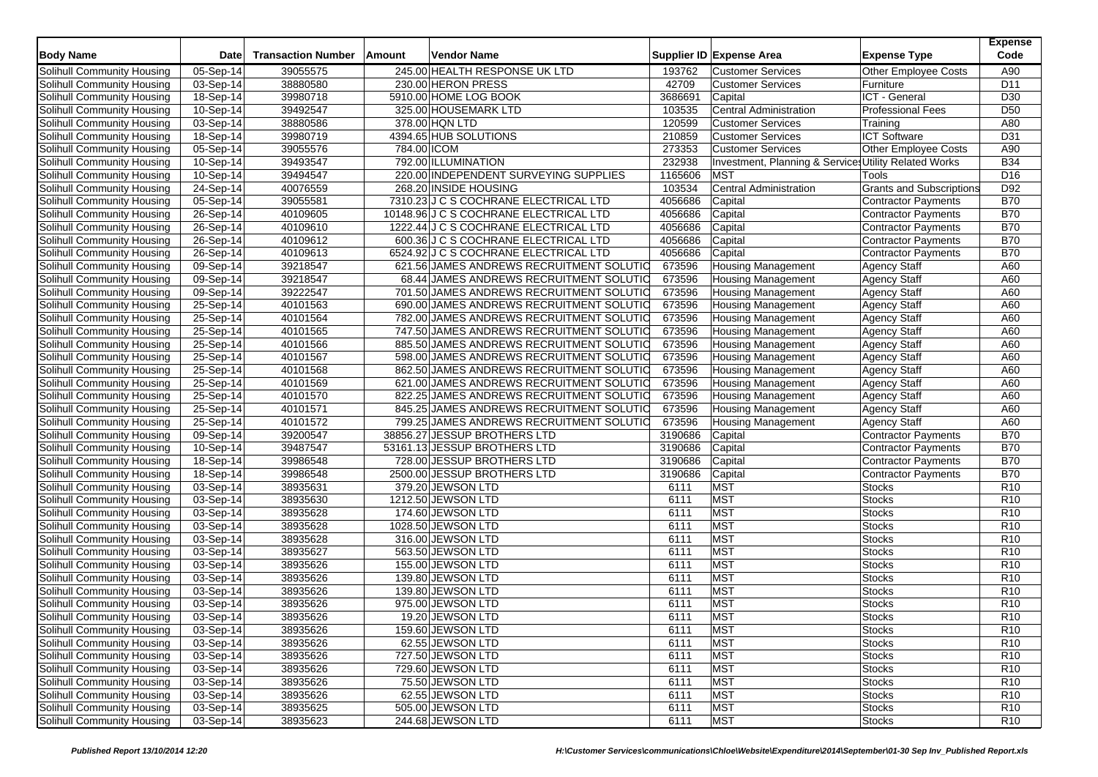| <b>Body Name</b>                  | <b>Date</b>             | <b>Transaction Number</b> | Amount | <b>Vendor Name</b>                       |         | Supplier ID Expense Area                              | <b>Expense Type</b>             | <b>Expense</b><br>Code |
|-----------------------------------|-------------------------|---------------------------|--------|------------------------------------------|---------|-------------------------------------------------------|---------------------------------|------------------------|
|                                   |                         |                           |        |                                          |         |                                                       |                                 |                        |
| <b>Solihull Community Housing</b> | 05-Sep-14               | 39055575                  |        | 245.00 HEALTH RESPONSE UK LTD            | 193762  | <b>Customer Services</b>                              | <b>Other Employee Costs</b>     | A90                    |
| Solihull Community Housing        | 03-Sep-14               | 38880580                  |        | 230.00 HERON PRESS                       | 42709   | <b>Customer Services</b>                              | Furniture                       | D <sub>11</sub>        |
| Solihull Community Housing        | 18-Sep-14               | 39980718                  |        | 5910.00 HOME LOG BOOK                    | 3686691 | Capital                                               | ICT - General                   | D <sub>30</sub>        |
| Solihull Community Housing        | 10-Sep-14               | 39492547                  |        | 325.00 HOUSEMARK LTD                     | 103535  | Central Administration                                | <b>Professional Fees</b>        | D <sub>50</sub>        |
| Solihull Community Housing        | 03-Sep-14               | 38880586                  |        | 378.00 HQN LTD                           | 120599  | <b>Customer Services</b>                              | Training                        | A80                    |
| Solihull Community Housing        | 18-Sep-14               | 39980719                  |        | 4394.65 HUB SOLUTIONS                    | 210859  | <b>Customer Services</b>                              | <b>ICT Software</b>             | D31                    |
| Solihull Community Housing        | 05-Sep-14               | 39055576                  |        | 784.00 ICOM                              | 273353  | <b>Customer Services</b>                              | Other Employee Costs            | A90                    |
| Solihull Community Housing        | 10-Sep-14               | 39493547                  |        | 792.00 ILLUMINATION                      | 232938  | Investment, Planning & Service: Utility Related Works |                                 | <b>B34</b>             |
| Solihull Community Housing        | 10-Sep-14               | 39494547                  |        | 220.00 INDEPENDENT SURVEYING SUPPLIES    | 1165606 | <b>MST</b>                                            | Tools                           | D <sub>16</sub>        |
| Solihull Community Housing        | 24-Sep-14               | 40076559                  |        | 268.20 INSIDE HOUSING                    | 103534  | Central Administration                                | <b>Grants and Subscriptions</b> | D92                    |
| Solihull Community Housing        | 05-Sep-14               | 39055581                  |        | 7310.23 J C S COCHRANE ELECTRICAL LTD    | 4056686 | Capital                                               | <b>Contractor Payments</b>      | <b>B70</b>             |
| Solihull Community Housing        | 26-Sep-14               | 40109605                  |        | 10148.96 J C S COCHRANE ELECTRICAL LTD   | 4056686 | Capital                                               | <b>Contractor Payments</b>      | <b>B70</b>             |
| Solihull Community Housing        | 26-Sep-14               | 40109610                  |        | 1222.44 J C S COCHRANE ELECTRICAL LTD    | 4056686 | Capital                                               | <b>Contractor Payments</b>      | <b>B70</b>             |
| Solihull Community Housing        | 26-Sep-14               | 40109612                  |        | 600.36 J C S COCHRANE ELECTRICAL LTD     | 4056686 | Capital                                               | <b>Contractor Payments</b>      | <b>B70</b>             |
| Solihull Community Housing        | 26-Sep-14               | 40109613                  |        | 6524.92 J C S COCHRANE ELECTRICAL LTD    | 4056686 | Capital                                               | <b>Contractor Payments</b>      | <b>B70</b>             |
| Solihull Community Housing        | 09-Sep-14               | 39218547                  |        | 621.56 JAMES ANDREWS RECRUITMENT SOLUTIC | 673596  | <b>Housing Management</b>                             | <b>Agency Staff</b>             | A60                    |
| Solihull Community Housing        | $09-Sep-14$             | 39218547                  |        | 68.44 JAMES ANDREWS RECRUITMENT SOLUTIC  | 673596  | <b>Housing Management</b>                             | <b>Agency Staff</b>             | A60                    |
| Solihull Community Housing        | 09-Sep-14               | 39222547                  |        | 701.50 JAMES ANDREWS RECRUITMENT SOLUTIO | 673596  | <b>Housing Management</b>                             | <b>Agency Staff</b>             | A60                    |
| Solihull Community Housing        | 25-Sep-14               | 40101563                  |        | 690.00 JAMES ANDREWS RECRUITMENT SOLUTIO | 673596  | <b>Housing Management</b>                             | <b>Agency Staff</b>             | A60                    |
| Solihull Community Housing        | $25-Sep-14$             | 40101564                  |        | 782.00 JAMES ANDREWS RECRUITMENT SOLUTIO | 673596  | <b>Housing Management</b>                             | <b>Agency Staff</b>             | A60                    |
| Solihull Community Housing        | 25-Sep-14               | 40101565                  |        | 747.50 JAMES ANDREWS RECRUITMENT SOLUTIO | 673596  | <b>Housing Management</b>                             | Agency Staff                    | A60                    |
| Solihull Community Housing        | 25-Sep-14               | 40101566                  |        | 885.50 JAMES ANDREWS RECRUITMENT SOLUTIO | 673596  | Housing Management                                    | <b>Agency Staff</b>             | A60                    |
| Solihull Community Housing        | $25-Sep-14$             | 40101567                  |        | 598.00 JAMES ANDREWS RECRUITMENT SOLUTIC | 673596  | <b>Housing Management</b>                             | <b>Agency Staff</b>             | A60                    |
| Solihull Community Housing        | 25-Sep-14               | 40101568                  |        | 862.50 JAMES ANDREWS RECRUITMENT SOLUTIO | 673596  | <b>Housing Management</b>                             | <b>Agency Staff</b>             | A60                    |
| Solihull Community Housing        | 25-Sep-14               | 40101569                  |        | 621.00 JAMES ANDREWS RECRUITMENT SOLUTIO | 673596  | <b>Housing Management</b>                             | <b>Agency Staff</b>             | A60                    |
| Solihull Community Housing        | 25-Sep-14               | 40101570                  |        | 822.25 JAMES ANDREWS RECRUITMENT SOLUTIO | 673596  | <b>Housing Management</b>                             | <b>Agency Staff</b>             | A60                    |
| Solihull Community Housing        | 25-Sep-14               | 40101571                  |        | 845.25 JAMES ANDREWS RECRUITMENT SOLUTIO | 673596  | <b>Housing Management</b>                             | <b>Agency Staff</b>             | A60                    |
| Solihull Community Housing        | 25-Sep-14               | 40101572                  |        | 799.25 JAMES ANDREWS RECRUITMENT SOLUTIO | 673596  | <b>Housing Management</b>                             | <b>Agency Staff</b>             | A60                    |
| Solihull Community Housing        | 09-Sep-14               | 39200547                  |        | 38856.27 JESSUP BROTHERS LTD             | 3190686 | Capital                                               | <b>Contractor Payments</b>      | <b>B70</b>             |
| Solihull Community Housing        | 10-Sep-14               | 39487547                  |        | 53161.13 JESSUP BROTHERS LTD             | 3190686 | Capital                                               | <b>Contractor Payments</b>      | <b>B70</b>             |
| Solihull Community Housing        | $\overline{18}$ -Sep-14 | 39986548                  |        | 728.00 JESSUP BROTHERS LTD               | 3190686 | Capital                                               | <b>Contractor Payments</b>      | <b>B70</b>             |
| Solihull Community Housing        | 18-Sep-14               | 39986548                  |        | 2500.00 JESSUP BROTHERS LTD              | 3190686 | Capital                                               | <b>Contractor Payments</b>      | <b>B70</b>             |
| Solihull Community Housing        | 03-Sep-14               | 38935631                  |        | 379.20 JEWSON LTD                        | 6111    | <b>MST</b>                                            | <b>Stocks</b>                   | R <sub>10</sub>        |
| Solihull Community Housing        | 03-Sep-14               | 38935630                  |        | 1212.50 JEWSON LTD                       | 6111    | <b>MST</b>                                            | <b>Stocks</b>                   | R <sub>10</sub>        |
| Solihull Community Housing        | 03-Sep-14               | 38935628                  |        | 174.60 JEWSON LTD                        | 6111    | <b>MST</b>                                            | <b>Stocks</b>                   | R <sub>10</sub>        |
| Solihull Community Housing        | 03-Sep-14               | 38935628                  |        | 1028.50 JEWSON LTD                       | 6111    | <b>MST</b>                                            | <b>Stocks</b>                   | R <sub>10</sub>        |
| Solihull Community Housing        | 03-Sep-14               | 38935628                  |        | 316.00 JEWSON LTD                        | 6111    | <b>MST</b>                                            | <b>Stocks</b>                   | R <sub>10</sub>        |
| Solihull Community Housing        | 03-Sep-14               | 38935627                  |        | 563.50 JEWSON LTD                        | 6111    | <b>MST</b>                                            | <b>Stocks</b>                   | R <sub>10</sub>        |
| Solihull Community Housing        | $03-Sep-14$             | 38935626                  |        | 155.00 JEWSON LTD                        | 6111    | <b>MST</b>                                            | <b>Stocks</b>                   | R <sub>10</sub>        |
| Solihull Community Housing        | 03-Sep-14               | 38935626                  |        | 139.80 JEWSON LTD                        | 6111    | <b>MST</b>                                            | <b>Stocks</b>                   | R <sub>10</sub>        |
| Solihull Community Housing        | 03-Sep-14               | 38935626                  |        | 139.80 JEWSON LTD                        | 6111    | <b>MST</b>                                            | <b>Stocks</b>                   | R <sub>10</sub>        |
| Solihull Community Housing        | 03-Sep-14               | 38935626                  |        | 975.00 JEWSON LTD                        | 6111    | <b>MST</b>                                            | <b>Stocks</b>                   | R <sub>10</sub>        |
| Solihull Community Housing        | 03-Sep-14               | 38935626                  |        | 19.20 JEWSON LTD                         | 6111    | <b>MST</b>                                            | <b>Stocks</b>                   | R10                    |
| Solihull Community Housing        | 03-Sep-14               | 38935626                  |        | 159.60 JEWSON LTD                        | 6111    | <b>MST</b>                                            | <b>Stocks</b>                   | R <sub>10</sub>        |
| Solihull Community Housing        | 03-Sep-14               | 38935626                  |        | 62.55 JEWSON LTD                         | 6111    | <b>MST</b>                                            | <b>Stocks</b>                   | R <sub>10</sub>        |
| Solihull Community Housing        | 03-Sep-14               | 38935626                  |        | 727.50 JEWSON LTD                        | 6111    | <b>MST</b>                                            | <b>Stocks</b>                   | R <sub>10</sub>        |
| Solihull Community Housing        | 03-Sep-14               | 38935626                  |        | 729.60 JEWSON LTD                        | 6111    | <b>MST</b>                                            | <b>Stocks</b>                   | R <sub>10</sub>        |
| Solihull Community Housing        | 03-Sep-14               | 38935626                  |        | 75.50 JEWSON LTD                         | 6111    | <b>MST</b>                                            | <b>Stocks</b>                   | R <sub>10</sub>        |
| Solihull Community Housing        | 03-Sep-14               | 38935626                  |        | 62.55 JEWSON LTD                         | 6111    | <b>MST</b>                                            | <b>Stocks</b>                   | R <sub>10</sub>        |
| <b>Solihull Community Housing</b> | 03-Sep-14               | 38935625                  |        | 505.00 JEWSON LTD                        | 6111    | <b>MST</b>                                            | <b>Stocks</b>                   | R <sub>10</sub>        |
| Solihull Community Housing        | 03-Sep-14               | 38935623                  |        | 244.68 JEWSON LTD                        | 6111    | <b>MST</b>                                            | <b>Stocks</b>                   | R <sub>10</sub>        |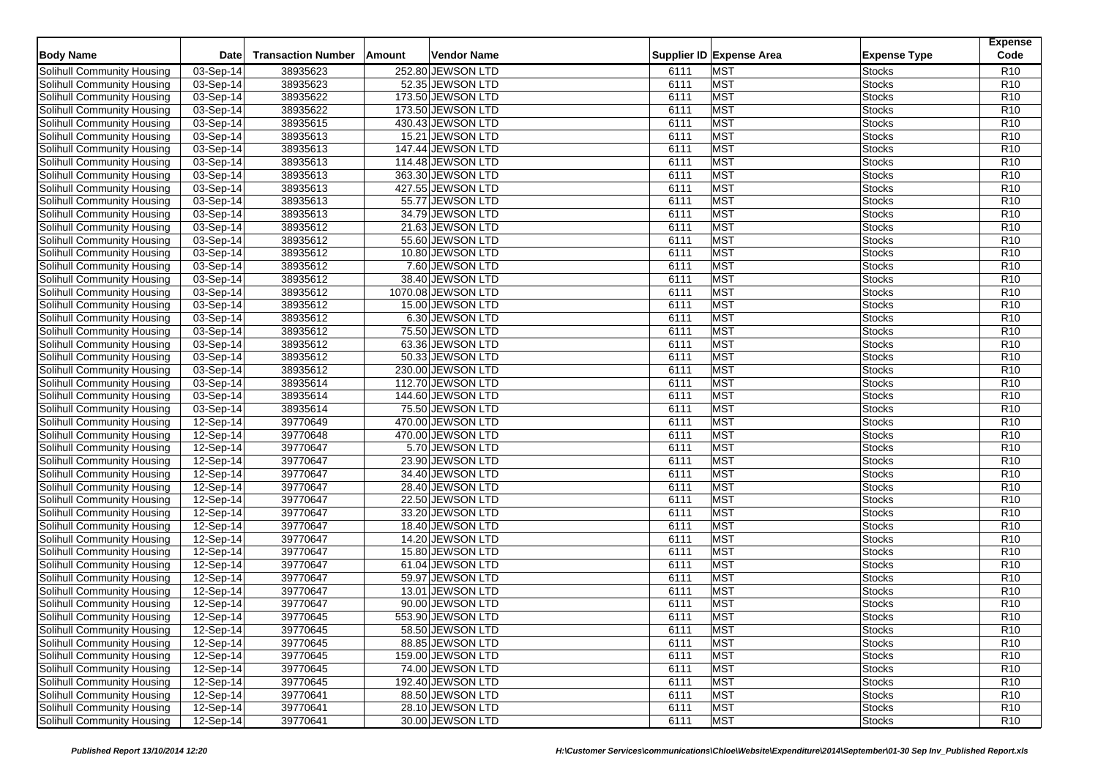| <b>Body Name</b>                                                | Date                     | <b>Transaction Number</b> | Amount | Vendor Name                            |              | Supplier ID Expense Area | <b>Expense Type</b>            | <b>Expense</b><br>Code             |
|-----------------------------------------------------------------|--------------------------|---------------------------|--------|----------------------------------------|--------------|--------------------------|--------------------------------|------------------------------------|
| Solihull Community Housing                                      |                          |                           |        | 252.80 JEWSON LTD                      | 6111         | <b>MST</b>               |                                | R <sub>10</sub>                    |
|                                                                 | 03-Sep-14                | 38935623                  |        | 52.35 JEWSON LTD                       |              | <b>MST</b>               | <b>Stocks</b>                  | R <sub>10</sub>                    |
| Solihull Community Housing<br><b>Solihull Community Housing</b> | 03-Sep-14<br>03-Sep-14   | 38935623<br>38935622      |        | 173.50 JEWSON LTD                      | 6111<br>6111 | <b>MST</b>               | <b>Stocks</b><br><b>Stocks</b> | R <sub>10</sub>                    |
| Solihull Community Housing                                      |                          |                           |        |                                        |              | <b>MST</b>               |                                | R <sub>10</sub>                    |
|                                                                 | 03-Sep-14                | 38935622                  |        | 173.50 JEWSON LTD                      | 6111         | <b>MST</b>               | <b>Stocks</b>                  |                                    |
| Solihull Community Housing                                      | $03-Sep-14$              | 38935615                  |        | 430.43 JEWSON LTD                      | 6111<br>6111 | <b>MST</b>               | <b>Stocks</b><br><b>Stocks</b> | R <sub>10</sub><br>R <sub>10</sub> |
| Solihull Community Housing<br>Solihull Community Housing        | 03-Sep-14<br>$03-Sep-14$ | 38935613<br>38935613      |        | 15.21 JEWSON LTD                       | 6111         | <b>MST</b>               |                                | R <sub>10</sub>                    |
|                                                                 | 03-Sep-14                | 38935613                  |        | 147.44 JEWSON LTD<br>114.48 JEWSON LTD | 6111         | <b>MST</b>               | <b>Stocks</b><br><b>Stocks</b> | R <sub>10</sub>                    |
| Solihull Community Housing                                      |                          |                           |        |                                        | 6111         | <b>MST</b>               | <b>Stocks</b>                  | R <sub>10</sub>                    |
| Solihull Community Housing                                      | 03-Sep-14                | 38935613                  |        | 363.30 JEWSON LTD                      |              |                          |                                |                                    |
| Solihull Community Housing                                      | 03-Sep-14                | 38935613<br>38935613      |        | 427.55 JEWSON LTD<br>55.77 JEWSON LTD  | 6111         | <b>MST</b><br><b>MST</b> | <b>Stocks</b>                  | R <sub>10</sub><br>R <sub>10</sub> |
| Solihull Community Housing                                      | 03-Sep-14                |                           |        |                                        | 6111         |                          | <b>Stocks</b>                  |                                    |
| Solihull Community Housing                                      | 03-Sep-14                | 38935613                  |        | 34.79 JEWSON LTD                       | 6111<br>6111 | <b>MST</b><br><b>MST</b> | <b>Stocks</b>                  | R <sub>10</sub><br>R <sub>10</sub> |
| Solihull Community Housing                                      | 03-Sep-14                | 38935612<br>38935612      |        | 21.63 JEWSON LTD<br>55.60 JEWSON LTD   | 6111         | <b>MST</b>               | <b>Stocks</b>                  | R <sub>10</sub>                    |
| Solihull Community Housing                                      | 03-Sep-14                |                           |        |                                        | 6111         | <b>MST</b>               | <b>Stocks</b>                  | R <sub>10</sub>                    |
| Solihull Community Housing                                      | 03-Sep-14                | 38935612                  |        | 10.80 JEWSON LTD                       |              | <b>MST</b>               | <b>Stocks</b>                  |                                    |
| Solihull Community Housing                                      | $\overline{03}$ -Sep-14  | 38935612                  |        | 7.60 JEWSON LTD<br>38.40 JEWSON LTD    | 6111         | <b>MST</b>               | <b>Stocks</b>                  | R <sub>10</sub>                    |
| Solihull Community Housing                                      | 03-Sep-14                | 38935612<br>38935612      |        |                                        | 6111         | <b>MST</b>               | <b>Stocks</b>                  | R <sub>10</sub><br>R <sub>10</sub> |
| Solihull Community Housing                                      | 03-Sep-14                |                           |        | 1070.08 JEWSON LTD                     | 6111         |                          | <b>Stocks</b>                  |                                    |
| Solihull Community Housing                                      | 03-Sep-14                | 38935612                  |        | 15.00 JEWSON LTD                       | 6111         | <b>MST</b><br><b>MST</b> | <b>Stocks</b>                  | R <sub>10</sub><br>R <sub>10</sub> |
| Solihull Community Housing                                      | 03-Sep-14                | 38935612                  |        | 6.30 JEWSON LTD<br>75.50 JEWSON LTD    | 6111         |                          | <b>Stocks</b>                  |                                    |
| Solihull Community Housing<br>Solihull Community Housing        | 03-Sep-14                | 38935612                  |        |                                        | 6111<br>6111 | <b>MST</b><br><b>MST</b> | <b>Stocks</b>                  | R <sub>10</sub><br>R <sub>10</sub> |
|                                                                 | 03-Sep-14                | 38935612                  |        | 63.36 JEWSON LTD                       |              |                          | <b>Stocks</b>                  |                                    |
| Solihull Community Housing                                      | 03-Sep-14                | 38935612                  |        | 50.33 JEWSON LTD                       | 6111         | <b>MST</b>               | <b>Stocks</b>                  | R <sub>10</sub>                    |
| Solihull Community Housing                                      | 03-Sep-14                | 38935612                  |        | 230.00 JEWSON LTD                      | 6111<br>6111 | <b>MST</b><br><b>MST</b> | <b>Stocks</b>                  | R <sub>10</sub><br>R <sub>10</sub> |
| Solihull Community Housing                                      | 03-Sep-14                | 38935614<br>38935614      |        | 112.70 JEWSON LTD                      |              | <b>MST</b>               | <b>Stocks</b>                  | R <sub>10</sub>                    |
| Solihull Community Housing<br>Solihull Community Housing        | 03-Sep-14<br>03-Sep-14   | 38935614                  |        | 144.60 JEWSON LTD<br>75.50 JEWSON LTD  | 6111<br>6111 | <b>MST</b>               | <b>Stocks</b><br><b>Stocks</b> | R <sub>10</sub>                    |
| Solihull Community Housing                                      | 12-Sep-14                | 39770649                  |        | 470.00 JEWSON LTD                      | 6111         | <b>MST</b>               | <b>Stocks</b>                  | R <sub>10</sub>                    |
|                                                                 | 12-Sep-14                | 39770648                  |        | 470.00 JEWSON LTD                      | 6111         | <b>MST</b>               | <b>Stocks</b>                  | R <sub>10</sub>                    |
| Solihull Community Housing<br>Solihull Community Housing        | 12-Sep-14                | 39770647                  |        | 5.70 JEWSON LTD                        | 6111         | <b>MST</b>               | <b>Stocks</b>                  | R <sub>10</sub>                    |
|                                                                 |                          | 39770647                  |        | 23.90 JEWSON LTD                       | 6111         | <b>MST</b>               |                                | R <sub>10</sub>                    |
| Solihull Community Housing                                      | 12-Sep-14<br>12-Sep-14   | 39770647                  |        | 34.40 JEWSON LTD                       | 6111         | <b>MST</b>               | <b>Stocks</b><br><b>Stocks</b> | R <sub>10</sub>                    |
| Solihull Community Housing<br>Solihull Community Housing        | 12-Sep-14                | 39770647                  |        | 28.40 JEWSON LTD                       | 6111         | <b>MST</b>               | <b>Stocks</b>                  | R <sub>10</sub>                    |
| Solihull Community Housing                                      | 12-Sep-14                | 39770647                  |        | 22.50 JEWSON LTD                       | 6111         | <b>MST</b>               | <b>Stocks</b>                  | R <sub>10</sub>                    |
| Solihull Community Housing                                      | 12-Sep-14                | 39770647                  |        | 33.20 JEWSON LTD                       | 6111         | <b>MST</b>               | <b>Stocks</b>                  | R <sub>10</sub>                    |
| Solihull Community Housing                                      | 12-Sep-14                | 39770647                  |        | 18.40 JEWSON LTD                       | 6111         | <b>MST</b>               | <b>Stocks</b>                  | R <sub>10</sub>                    |
| Solihull Community Housing                                      | 12-Sep-14                | 39770647                  |        | 14.20 JEWSON LTD                       | 6111         | <b>MST</b>               | <b>Stocks</b>                  | R <sub>10</sub>                    |
| Solihull Community Housing                                      | 12-Sep-14                | 39770647                  |        | 15.80 JEWSON LTD                       | 6111         | <b>MST</b>               | <b>Stocks</b>                  | R <sub>10</sub>                    |
| Solihull Community Housing                                      | 12-Sep-14                | 39770647                  |        | 61.04 JEWSON LTD                       | 6111         | <b>MST</b>               | <b>Stocks</b>                  | R <sub>10</sub>                    |
| Solihull Community Housing                                      | 12-Sep-14                | 39770647                  |        | 59.97 JEWSON LTD                       | 6111         | <b>MST</b>               | <b>Stocks</b>                  | R <sub>10</sub>                    |
| Solihull Community Housing                                      | 12-Sep-14                | 39770647                  |        | 13.01 JEWSON LTD                       | 6111         | <b>MST</b>               | <b>Stocks</b>                  | R <sub>10</sub>                    |
| Solihull Community Housing                                      | 12-Sep-14                | 39770647                  |        | 90.00 JEWSON LTD                       | 6111         | <b>MST</b>               | <b>Stocks</b>                  | R <sub>10</sub>                    |
| Solihull Community Housing                                      | 12-Sep-14                | 39770645                  |        | 553.90 JEWSON LTD                      | 6111         | <b>MST</b>               | <b>Stocks</b>                  | R <sub>10</sub>                    |
| Solihull Community Housing                                      | 12-Sep-14                | 39770645                  |        | 58.50 JEWSON LTD                       | 6111         | MST                      | <b>Stocks</b>                  | R <sub>10</sub>                    |
| Solihull Community Housing                                      | $12-Sep-14$              | 39770645                  |        | 88.85 JEWSON LTD                       | 6111         | <b>MST</b>               | <b>Stocks</b>                  | R <sub>10</sub>                    |
| Solihull Community Housing                                      | 12-Sep-14                | 39770645                  |        | 159.00 JEWSON LTD                      | 6111         | <b>MST</b>               | <b>Stocks</b>                  | R <sub>10</sub>                    |
| Solihull Community Housing                                      | 12-Sep-14                | 39770645                  |        | 74.00 JEWSON LTD                       | 6111         | <b>MST</b>               | <b>Stocks</b>                  | R <sub>10</sub>                    |
| Solihull Community Housing                                      | 12-Sep-14                | 39770645                  |        | 192.40 JEWSON LTD                      | 6111         | <b>MST</b>               | <b>Stocks</b>                  | R <sub>10</sub>                    |
| Solihull Community Housing                                      | 12-Sep-14                | 39770641                  |        | 88.50 JEWSON LTD                       | 6111         | <b>MST</b>               | <b>Stocks</b>                  | R <sub>10</sub>                    |
| <b>Solihull Community Housing</b>                               | 12-Sep-14                | 39770641                  |        | 28.10 JEWSON LTD                       | 6111         | <b>MST</b>               | <b>Stocks</b>                  | R <sub>10</sub>                    |
| Solihull Community Housing                                      | 12-Sep-14                | 39770641                  |        | 30.00 JEWSON LTD                       | 6111         | <b>MST</b>               | <b>Stocks</b>                  | R <sub>10</sub>                    |
|                                                                 |                          |                           |        |                                        |              |                          |                                |                                    |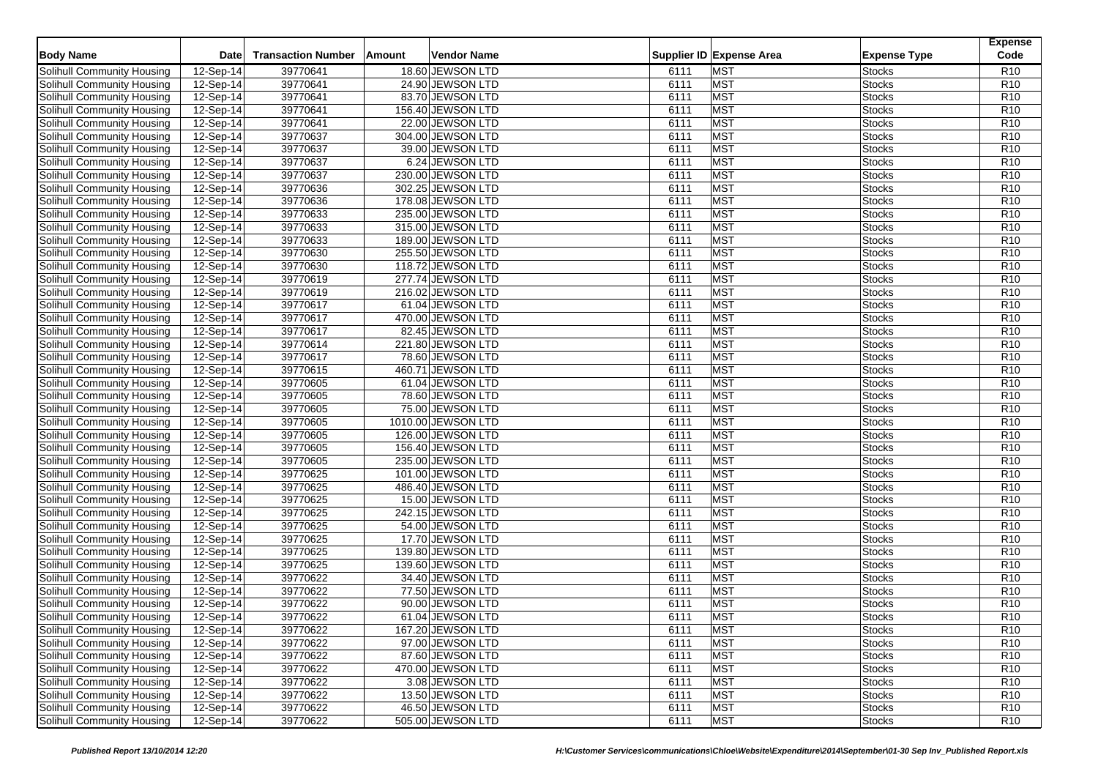| <b>Body Name</b>                  | <b>Date</b> | <b>Transaction Number</b> | <b>Amount</b> | Vendor Name        |      | Supplier ID Expense Area | <b>Expense Type</b> | <b>Expense</b><br>Code |
|-----------------------------------|-------------|---------------------------|---------------|--------------------|------|--------------------------|---------------------|------------------------|
| Solihull Community Housing        | 12-Sep-14   | 39770641                  |               | 18.60 JEWSON LTD   | 6111 | <b>MST</b>               | <b>Stocks</b>       | R <sub>10</sub>        |
| Solihull Community Housing        | 12-Sep-14   | 39770641                  |               | 24.90 JEWSON LTD   | 6111 | <b>MST</b>               | <b>Stocks</b>       | R <sub>10</sub>        |
| Solihull Community Housing        | 12-Sep-14   | 39770641                  |               | 83.70 JEWSON LTD   | 6111 | <b>MST</b>               | <b>Stocks</b>       | R <sub>10</sub>        |
| Solihull Community Housing        | 12-Sep-14   | 39770641                  |               | 156.40 JEWSON LTD  | 6111 | <b>MST</b>               | <b>Stocks</b>       | R <sub>10</sub>        |
| Solihull Community Housing        | 12-Sep-14   | 39770641                  |               | 22.00 JEWSON LTD   | 6111 | <b>MST</b>               | <b>Stocks</b>       | R <sub>10</sub>        |
| Solihull Community Housing        | 12-Sep-14   | 39770637                  |               | 304.00 JEWSON LTD  | 6111 | <b>MST</b>               | <b>Stocks</b>       | R <sub>10</sub>        |
| Solihull Community Housing        | 12-Sep-14   | 39770637                  |               | 39.00 JEWSON LTD   | 6111 | <b>MST</b>               | <b>Stocks</b>       | R <sub>10</sub>        |
| <b>Solihull Community Housing</b> | 12-Sep-14   | 39770637                  |               | 6.24 JEWSON LTD    | 6111 | <b>MST</b>               | Stocks              | R <sub>10</sub>        |
| Solihull Community Housing        | 12-Sep-14   | 39770637                  |               | 230.00 JEWSON LTD  | 6111 | <b>MST</b>               | Stocks              | R <sub>10</sub>        |
| Solihull Community Housing        | 12-Sep-14   | 39770636                  |               | 302.25 JEWSON LTD  | 6111 | <b>MST</b>               | Stocks              | R <sub>10</sub>        |
| Solihull Community Housing        | 12-Sep-14   | 39770636                  |               | 178.08 JEWSON LTD  | 6111 | <b>MST</b>               | Stocks              | R <sub>10</sub>        |
| Solihull Community Housing        | 12-Sep-14   | 39770633                  |               | 235.00 JEWSON LTD  | 6111 | <b>MST</b>               | <b>Stocks</b>       | R <sub>10</sub>        |
| Solihull Community Housing        | 12-Sep-14   | 39770633                  |               | 315.00 JEWSON LTD  | 6111 | <b>MST</b>               | Stocks              | R <sub>10</sub>        |
| Solihull Community Housing        | $12-Sep-14$ | 39770633                  |               | 189.00 JEWSON LTD  | 6111 | <b>MST</b>               | Stocks              | R <sub>10</sub>        |
| Solihull Community Housing        | 12-Sep-14   | 39770630                  |               | 255.50 JEWSON LTD  | 6111 | <b>MST</b>               | <b>Stocks</b>       | R <sub>10</sub>        |
| Solihull Community Housing        | 12-Sep-14   | 39770630                  |               | 118.72 JEWSON LTD  | 6111 | <b>MST</b>               | Stocks              | R <sub>10</sub>        |
| Solihull Community Housing        | 12-Sep-14   | 39770619                  |               | 277.74 JEWSON LTD  | 6111 | <b>MST</b>               | <b>Stocks</b>       | R <sub>10</sub>        |
| Solihull Community Housing        | 12-Sep-14   | 39770619                  |               | 216.02 JEWSON LTD  | 6111 | <b>MST</b>               | <b>Stocks</b>       | R <sub>10</sub>        |
| Solihull Community Housing        | 12-Sep-14   | 39770617                  |               | 61.04 JEWSON LTD   | 6111 | <b>MST</b>               | Stocks              | R <sub>10</sub>        |
| Solihull Community Housing        | 12-Sep-14   | 39770617                  |               | 470.00 JEWSON LTD  | 6111 | <b>MST</b>               | <b>Stocks</b>       | R <sub>10</sub>        |
| Solihull Community Housing        | 12-Sep-14   | 39770617                  |               | 82.45 JEWSON LTD   | 6111 | <b>MST</b>               | <b>Stocks</b>       | R <sub>10</sub>        |
| <b>Solihull Community Housing</b> | 12-Sep-14   | 39770614                  |               | 221.80 JEWSON LTD  | 6111 | <b>MST</b>               | Stocks              | R <sub>10</sub>        |
| Solihull Community Housing        | 12-Sep-14   | 39770617                  |               | 78.60 JEWSON LTD   | 6111 | <b>MST</b>               | <b>Stocks</b>       | R <sub>10</sub>        |
| Solihull Community Housing        | 12-Sep-14   | 39770615                  |               | 460.71 JEWSON LTD  | 6111 | <b>MST</b>               | <b>Stocks</b>       | R <sub>10</sub>        |
| Solihull Community Housing        | 12-Sep-14   | 39770605                  |               | 61.04 JEWSON LTD   | 6111 | <b>MST</b>               | Stocks              | R <sub>10</sub>        |
| Solihull Community Housing        | $12-Sep-14$ | 39770605                  |               | 78.60 JEWSON LTD   | 6111 | <b>MST</b>               | <b>Stocks</b>       | R <sub>10</sub>        |
| Solihull Community Housing        | 12-Sep-14   | 39770605                  |               | 75.00 JEWSON LTD   | 6111 | <b>MST</b>               | Stocks              | R <sub>10</sub>        |
| Solihull Community Housing        | 12-Sep-14   | 39770605                  |               | 1010.00 JEWSON LTD | 6111 | <b>MST</b>               | Stocks              | R <sub>10</sub>        |
| Solihull Community Housing        | 12-Sep-14   | 39770605                  |               | 126.00 JEWSON LTD  | 6111 | <b>MST</b>               | Stocks              | R <sub>10</sub>        |
| Solihull Community Housing        | 12-Sep-14   | 39770605                  |               | 156.40 JEWSON LTD  | 6111 | <b>MST</b>               | <b>Stocks</b>       | R <sub>10</sub>        |
| Solihull Community Housing        | 12-Sep-14   | 39770605                  |               | 235.00 JEWSON LTD  | 6111 | <b>MST</b>               | Stocks              | R <sub>10</sub>        |
| Solihull Community Housing        | 12-Sep-14   | 39770625                  |               | 101.00 JEWSON LTD  | 6111 | <b>MST</b>               | Stocks              | R <sub>10</sub>        |
| Solihull Community Housing        | 12-Sep-14   | 39770625                  |               | 486.40 JEWSON LTD  | 6111 | <b>MST</b>               | Stocks              | R <sub>10</sub>        |
| Solihull Community Housing        | $12-Sep-14$ | 39770625                  |               | 15.00 JEWSON LTD   | 6111 | <b>MST</b>               | <b>Stocks</b>       | R <sub>10</sub>        |
| Solihull Community Housing        | 12-Sep-14   | 39770625                  |               | 242.15 JEWSON LTD  | 6111 | <b>MST</b>               | Stocks              | R <sub>10</sub>        |
| Solihull Community Housing        | 12-Sep-14   | 39770625                  |               | 54.00 JEWSON LTD   | 6111 | <b>MST</b>               | Stocks              | R <sub>10</sub>        |
| Solihull Community Housing        | $12-Sep-14$ | 39770625                  |               | 17.70 JEWSON LTD   | 6111 | <b>MST</b>               | Stocks              | R <sub>10</sub>        |
| Solihull Community Housing        | 12-Sep-14   | 39770625                  |               | 139.80 JEWSON LTD  | 6111 | MST                      | Stocks              | R <sub>10</sub>        |
| Solihull Community Housing        | 12-Sep-14   | 39770625                  |               | 139.60 JEWSON LTD  | 6111 | <b>MST</b>               | Stocks              | R <sub>10</sub>        |
| Solihull Community Housing        | 12-Sep-14   | 39770622                  |               | 34.40 JEWSON LTD   | 6111 | <b>MST</b>               | <b>Stocks</b>       | R <sub>10</sub>        |
| Solihull Community Housing        | 12-Sep-14   | 39770622                  |               | 77.50 JEWSON LTD   | 6111 | <b>MST</b>               | Stocks              | R <sub>10</sub>        |
| Solihull Community Housing        | 12-Sep-14   | 39770622                  |               | 90.00 JEWSON LTD   | 6111 | <b>MST</b>               | Stocks              | R <sub>10</sub>        |
| Solihull Community Housing        | 12-Sep-14   | 39770622                  |               | 61.04 JEWSON LTD   | 6111 | <b>MST</b>               | <b>Stocks</b>       | R <sub>10</sub>        |
| Solihull Community Housing        | 12-Sep-14   | 39770622                  |               | 167.20 JEWSON LTD  | 6111 | <b>MST</b>               | <b>Stocks</b>       | R <sub>10</sub>        |
| Solihull Community Housing        | 12-Sep-14   | 39770622                  |               | 97.00 JEWSON LTD   | 6111 | <b>MST</b>               | Stocks              | R <sub>10</sub>        |
| Solihull Community Housing        | 12-Sep-14   | 39770622                  |               | 87.60 JEWSON LTD   | 6111 | <b>MST</b>               | <b>Stocks</b>       | R <sub>10</sub>        |
| Solihull Community Housing        | 12-Sep-14   | 39770622                  |               | 470.00 JEWSON LTD  | 6111 | <b>MST</b>               | <b>Stocks</b>       | R <sub>10</sub>        |
| Solihull Community Housing        | 12-Sep-14   | 39770622                  |               | 3.08 JEWSON LTD    | 6111 | <b>MST</b>               | <b>Stocks</b>       | R <sub>10</sub>        |
| Solihull Community Housing        | 12-Sep-14   | 39770622                  |               | 13.50 JEWSON LTD   | 6111 | <b>MST</b>               | <b>Stocks</b>       | R <sub>10</sub>        |
| Solihull Community Housing        | 12-Sep-14   | 39770622                  |               | 46.50 JEWSON LTD   | 6111 | <b>MST</b>               | <b>Stocks</b>       | R <sub>10</sub>        |
| Solihull Community Housing        | 12-Sep-14   | 39770622                  |               | 505.00 JEWSON LTD  | 6111 | <b>MST</b>               | <b>Stocks</b>       | R <sub>10</sub>        |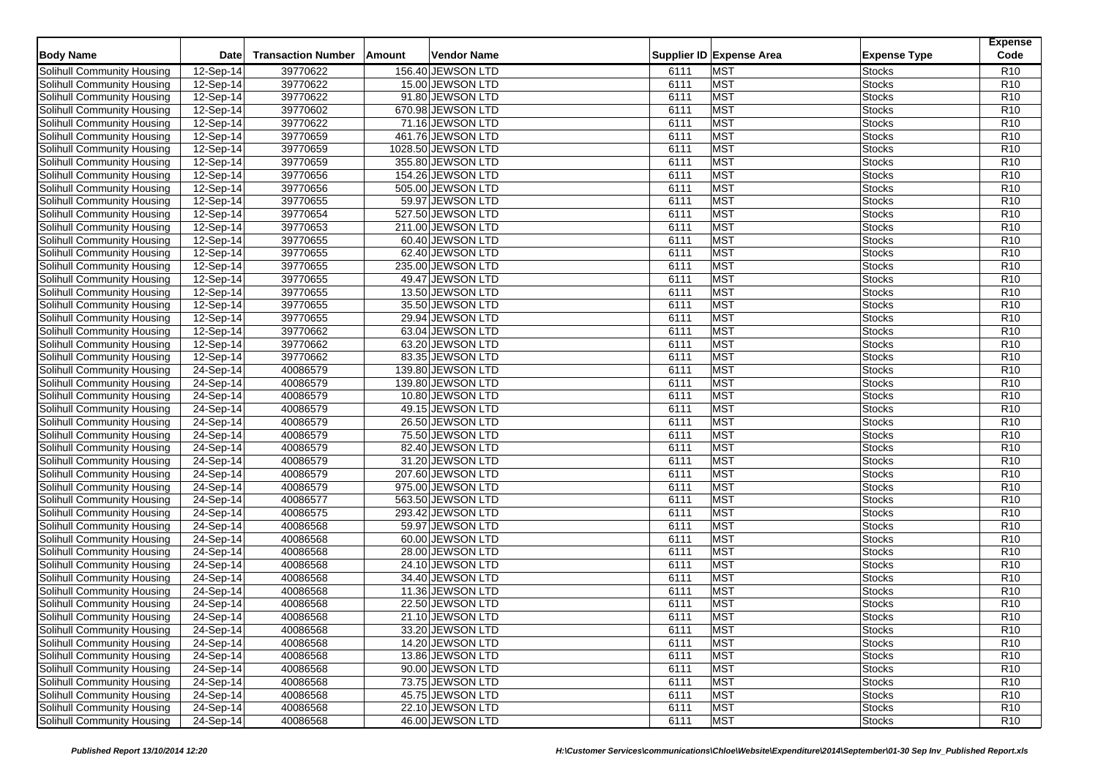|                                   |             |                           |        |                    |      |                          |                     | <b>Expense</b><br>Code |
|-----------------------------------|-------------|---------------------------|--------|--------------------|------|--------------------------|---------------------|------------------------|
| <b>Body Name</b>                  | <b>Date</b> | <b>Transaction Number</b> | Amount | Vendor Name        |      | Supplier ID Expense Area | <b>Expense Type</b> |                        |
| Solihull Community Housing        | 12-Sep-14   | 39770622                  |        | 156.40 JEWSON LTD  | 6111 | <b>MST</b>               | <b>Stocks</b>       | R <sub>10</sub>        |
| Solihull Community Housing        | 12-Sep-14   | 39770622                  |        | 15.00 JEWSON LTD   | 6111 | <b>MST</b>               | <b>Stocks</b>       | R <sub>10</sub>        |
| Solihull Community Housing        | 12-Sep-14   | 39770622                  |        | 91.80 JEWSON LTD   | 6111 | <b>MST</b>               | <b>Stocks</b>       | R <sub>10</sub>        |
| Solihull Community Housing        | 12-Sep-14   | 39770602                  |        | 670.98 JEWSON LTD  | 6111 | <b>MST</b>               | <b>Stocks</b>       | R <sub>10</sub>        |
| Solihull Community Housing        | 12-Sep-14   | 39770622                  |        | 71.16 JEWSON LTD   | 6111 | <b>MST</b>               | <b>Stocks</b>       | R <sub>10</sub>        |
| Solihull Community Housing        | 12-Sep-14   | 39770659                  |        | 461.76 JEWSON LTD  | 6111 | <b>MST</b>               | <b>Stocks</b>       | R <sub>10</sub>        |
| Solihull Community Housing        | 12-Sep-14   | 39770659                  |        | 1028.50 JEWSON LTD | 6111 | <b>MST</b>               | <b>Stocks</b>       | R <sub>10</sub>        |
| Solihull Community Housing        | 12-Sep-14   | 39770659                  |        | 355.80 JEWSON LTD  | 6111 | <b>MST</b>               | <b>Stocks</b>       | R <sub>10</sub>        |
| Solihull Community Housing        | 12-Sep-14   | 39770656                  |        | 154.26 JEWSON LTD  | 6111 | <b>MST</b>               | <b>Stocks</b>       | R <sub>10</sub>        |
| Solihull Community Housing        | 12-Sep-14   | 39770656                  |        | 505.00 JEWSON LTD  | 6111 | <b>MST</b>               | <b>Stocks</b>       | R <sub>10</sub>        |
| Solihull Community Housing        | 12-Sep-14   | 39770655                  |        | 59.97 JEWSON LTD   | 6111 | <b>MST</b>               | <b>Stocks</b>       | R <sub>10</sub>        |
| Solihull Community Housing        | 12-Sep-14   | 39770654                  |        | 527.50 JEWSON LTD  | 6111 | <b>MST</b>               | <b>Stocks</b>       | R <sub>10</sub>        |
| Solihull Community Housing        | 12-Sep-14   | 39770653                  |        | 211.00 JEWSON LTD  | 6111 | <b>MST</b>               | <b>Stocks</b>       | R <sub>10</sub>        |
| Solihull Community Housing        | $12-Sep-14$ | 39770655                  |        | 60.40 JEWSON LTD   | 6111 | <b>MST</b>               | <b>Stocks</b>       | R <sub>10</sub>        |
| Solihull Community Housing        | 12-Sep-14   | 39770655                  |        | 62.40 JEWSON LTD   | 6111 | <b>MST</b>               | <b>Stocks</b>       | R <sub>10</sub>        |
| Solihull Community Housing        | 12-Sep-14   | 39770655                  |        | 235.00 JEWSON LTD  | 6111 | <b>MST</b>               | <b>Stocks</b>       | R <sub>10</sub>        |
| Solihull Community Housing        | $12-Sep-14$ | 39770655                  |        | 49.47 JEWSON LTD   | 6111 | <b>MST</b>               | <b>Stocks</b>       | R <sub>10</sub>        |
| Solihull Community Housing        | 12-Sep-14   | 39770655                  |        | 13.50 JEWSON LTD   | 6111 | <b>MST</b>               | <b>Stocks</b>       | R <sub>10</sub>        |
| Solihull Community Housing        | $12-Sep-14$ | 39770655                  |        | 35.50 JEWSON LTD   | 6111 | <b>MST</b>               | <b>Stocks</b>       | R <sub>10</sub>        |
| Solihull Community Housing        | $12-Sep-14$ | 39770655                  |        | 29.94 JEWSON LTD   | 6111 | <b>MST</b>               | <b>Stocks</b>       | R <sub>10</sub>        |
| Solihull Community Housing        | 12-Sep-14   | 39770662                  |        | 63.04 JEWSON LTD   | 6111 | <b>MST</b>               | <b>Stocks</b>       | R <sub>10</sub>        |
| Solihull Community Housing        | 12-Sep-14   | 39770662                  |        | 63.20 JEWSON LTD   | 6111 | <b>MST</b>               | <b>Stocks</b>       | R <sub>10</sub>        |
| Solihull Community Housing        | $12-Sep-14$ | 39770662                  |        | 83.35 JEWSON LTD   | 6111 | <b>MST</b>               | <b>Stocks</b>       | R <sub>10</sub>        |
| Solihull Community Housing        | 24-Sep-14   | 40086579                  |        | 139.80 JEWSON LTD  | 6111 | <b>MST</b>               | <b>Stocks</b>       | R <sub>10</sub>        |
| Solihull Community Housing        | 24-Sep-14   | 40086579                  |        | 139.80 JEWSON LTD  | 6111 | <b>MST</b>               | <b>Stocks</b>       | R <sub>10</sub>        |
| Solihull Community Housing        | 24-Sep-14   | 40086579                  |        | 10.80 JEWSON LTD   | 6111 | <b>MST</b>               | <b>Stocks</b>       | R <sub>10</sub>        |
| Solihull Community Housing        | 24-Sep-14   | 40086579                  |        | 49.15 JEWSON LTD   | 6111 | <b>MST</b>               | <b>Stocks</b>       | R <sub>10</sub>        |
| Solihull Community Housing        | 24-Sep-14   | 40086579                  |        | 26.50 JEWSON LTD   | 6111 | <b>MST</b>               | <b>Stocks</b>       | R <sub>10</sub>        |
| Solihull Community Housing        | 24-Sep-14   | 40086579                  |        | 75.50 JEWSON LTD   | 6111 | <b>MST</b>               | <b>Stocks</b>       | R <sub>10</sub>        |
| Solihull Community Housing        | 24-Sep-14   | 40086579                  |        | 82.40 JEWSON LTD   | 6111 | <b>MST</b>               | <b>Stocks</b>       | R <sub>10</sub>        |
| Solihull Community Housing        | 24-Sep-14   | 40086579                  |        | 31.20 JEWSON LTD   | 6111 | <b>MST</b>               | <b>Stocks</b>       | R <sub>10</sub>        |
| Solihull Community Housing        | 24-Sep-14   | 40086579                  |        | 207.60 JEWSON LTD  | 6111 | <b>MST</b>               | <b>Stocks</b>       | R <sub>10</sub>        |
| Solihull Community Housing        | 24-Sep-14   | 40086579                  |        | 975.00 JEWSON LTD  | 6111 | <b>MST</b>               | <b>Stocks</b>       | R <sub>10</sub>        |
| Solihull Community Housing        | 24-Sep-14   | 40086577                  |        | 563.50 JEWSON LTD  | 6111 | <b>MST</b>               | <b>Stocks</b>       | R <sub>10</sub>        |
| Solihull Community Housing        | 24-Sep-14   | 40086575                  |        | 293.42 JEWSON LTD  | 6111 | <b>MST</b>               | <b>Stocks</b>       | R <sub>10</sub>        |
| Solihull Community Housing        | 24-Sep-14   | 40086568                  |        | 59.97 JEWSON LTD   | 6111 | <b>MST</b>               | <b>Stocks</b>       | R <sub>10</sub>        |
| Solihull Community Housing        | 24-Sep-14   | 40086568                  |        | 60.00 JEWSON LTD   | 6111 | <b>MST</b>               | <b>Stocks</b>       | R <sub>10</sub>        |
| Solihull Community Housing        | 24-Sep-14   | 40086568                  |        | 28.00 JEWSON LTD   | 6111 | <b>MST</b>               | <b>Stocks</b>       | R <sub>10</sub>        |
| Solihull Community Housing        | 24-Sep-14   | 40086568                  |        | 24.10 JEWSON LTD   | 6111 | <b>MST</b>               | <b>Stocks</b>       | R <sub>10</sub>        |
| Solihull Community Housing        | 24-Sep-14   | 40086568                  |        | 34.40 JEWSON LTD   | 6111 | <b>MST</b>               | <b>Stocks</b>       | R <sub>10</sub>        |
| Solihull Community Housing        | 24-Sep-14   | 40086568                  |        | 11.36 JEWSON LTD   | 6111 | <b>MST</b>               | <b>Stocks</b>       | R <sub>10</sub>        |
| Solihull Community Housing        | 24-Sep-14   | 40086568                  |        | 22.50 JEWSON LTD   | 6111 | <b>MST</b>               | <b>Stocks</b>       | R <sub>10</sub>        |
| Solihull Community Housing        | 24-Sep-14   | 40086568                  |        | 21.10 JEWSON LTD   | 6111 | <b>MST</b>               | <b>Stocks</b>       | R <sub>10</sub>        |
| Solihull Community Housing        | 24-Sep-14   | 40086568                  |        | 33.20 JEWSON LTD   | 6111 | <b>MST</b>               | <b>Stocks</b>       | R <sub>10</sub>        |
| Solihull Community Housing        | 24-Sep-14   | 40086568                  |        | 14.20 JEWSON LTD   | 6111 | <b>MST</b>               | <b>Stocks</b>       | R <sub>10</sub>        |
| Solihull Community Housing        | 24-Sep-14   | 40086568                  |        | 13.86 JEWSON LTD   | 6111 | <b>MST</b>               | <b>Stocks</b>       | R <sub>10</sub>        |
| Solihull Community Housing        | 24-Sep-14   | 40086568                  |        | 90.00 JEWSON LTD   | 6111 | <b>MST</b>               | <b>Stocks</b>       | R <sub>10</sub>        |
| Solihull Community Housing        | 24-Sep-14   | 40086568                  |        | 73.75 JEWSON LTD   | 6111 | <b>MST</b>               | <b>Stocks</b>       | R <sub>10</sub>        |
| Solihull Community Housing        | 24-Sep-14   | 40086568                  |        | 45.75 JEWSON LTD   | 6111 | <b>MST</b>               | <b>Stocks</b>       | R <sub>10</sub>        |
| <b>Solihull Community Housing</b> | 24-Sep-14   | 40086568                  |        | 22.10 JEWSON LTD   | 6111 | <b>MST</b>               | <b>Stocks</b>       | R <sub>10</sub>        |
| Solihull Community Housing        | 24-Sep-14   | 40086568                  |        | 46.00 JEWSON LTD   | 6111 | <b>MST</b>               | <b>Stocks</b>       | R <sub>10</sub>        |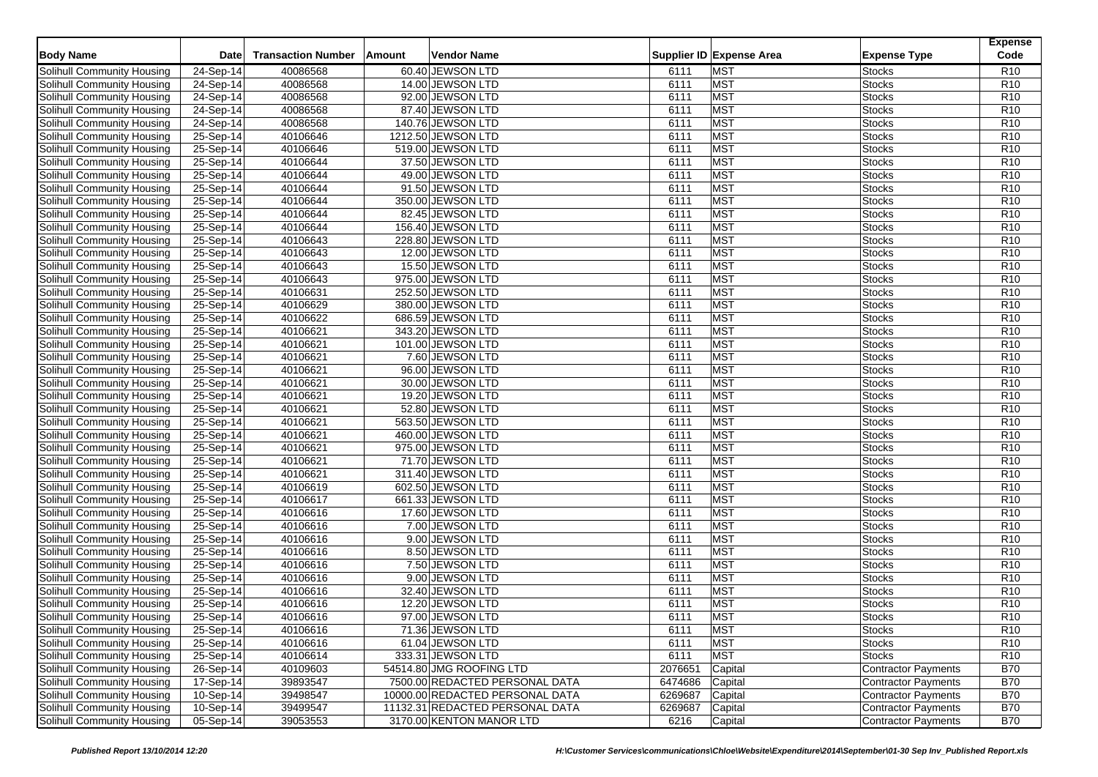|                                   |             |                           |        |                                 |         |                          |                            | <b>Expense</b>  |
|-----------------------------------|-------------|---------------------------|--------|---------------------------------|---------|--------------------------|----------------------------|-----------------|
| <b>Body Name</b>                  | <b>Date</b> | <b>Transaction Number</b> | Amount | Vendor Name                     |         | Supplier ID Expense Area | <b>Expense Type</b>        | Code            |
| Solihull Community Housing        | 24-Sep-14   | 40086568                  |        | 60.40 JEWSON LTD                | 6111    | <b>MST</b>               | <b>Stocks</b>              | R <sub>10</sub> |
| Solihull Community Housing        | 24-Sep-14   | 40086568                  |        | 14.00 JEWSON LTD                | 6111    | <b>MST</b>               | <b>Stocks</b>              | R <sub>10</sub> |
| <b>Solihull Community Housing</b> | 24-Sep-14   | 40086568                  |        | 92.00 JEWSON LTD                | 6111    | <b>MST</b>               | <b>Stocks</b>              | R <sub>10</sub> |
| Solihull Community Housing        | 24-Sep-14   | 40086568                  |        | 87.40 JEWSON LTD                | 6111    | <b>MST</b>               | <b>Stocks</b>              | R <sub>10</sub> |
| Solihull Community Housing        | 24-Sep-14   | 40086568                  |        | 140.76 JEWSON LTD               | 6111    | <b>MST</b>               | <b>Stocks</b>              | R <sub>10</sub> |
| Solihull Community Housing        | 25-Sep-14   | 40106646                  |        | 1212.50 JEWSON LTD              | 6111    | <b>MST</b>               | <b>Stocks</b>              | R <sub>10</sub> |
| Solihull Community Housing        | 25-Sep-14   | 40106646                  |        | 519.00 JEWSON LTD               | 6111    | <b>MST</b>               | <b>Stocks</b>              | R <sub>10</sub> |
| Solihull Community Housing        | 25-Sep-14   | 40106644                  |        | 37.50 JEWSON LTD                | 6111    | <b>MST</b>               | <b>Stocks</b>              | R <sub>10</sub> |
| Solihull Community Housing        | 25-Sep-14   | 40106644                  |        | 49.00 JEWSON LTD                | 6111    | <b>MST</b>               | <b>Stocks</b>              | R <sub>10</sub> |
| Solihull Community Housing        | 25-Sep-14   | 40106644                  |        | 91.50 JEWSON LTD                | 6111    | <b>MST</b>               | <b>Stocks</b>              | R <sub>10</sub> |
| Solihull Community Housing        | 25-Sep-14   | 40106644                  |        | 350.00 JEWSON LTD               | 6111    | <b>MST</b>               | <b>Stocks</b>              | R <sub>10</sub> |
| Solihull Community Housing        | 25-Sep-14   | 40106644                  |        | 82.45 JEWSON LTD                | 6111    | <b>MST</b>               | <b>Stocks</b>              | R <sub>10</sub> |
| Solihull Community Housing        | 25-Sep-14   | 40106644                  |        | 156.40 JEWSON LTD               | 6111    | <b>MST</b>               | <b>Stocks</b>              | R10             |
| Solihull Community Housing        | 25-Sep-14   | 40106643                  |        | 228.80 JEWSON LTD               | 6111    | <b>MST</b>               | <b>Stocks</b>              | R <sub>10</sub> |
| Solihull Community Housing        | 25-Sep-14   | 40106643                  |        | 12.00 JEWSON LTD                | 6111    | <b>MST</b>               | <b>Stocks</b>              | R <sub>10</sub> |
| Solihull Community Housing        | 25-Sep-14   | 40106643                  |        | 15.50 JEWSON LTD                | 6111    | <b>MST</b>               | <b>Stocks</b>              | R <sub>10</sub> |
| Solihull Community Housing        | 25-Sep-14   | 40106643                  |        | 975.00 JEWSON LTD               | 6111    | <b>MST</b>               | <b>Stocks</b>              | R <sub>10</sub> |
| Solihull Community Housing        | 25-Sep-14   | 40106631                  |        | 252.50 JEWSON LTD               | 6111    | <b>MST</b>               | <b>Stocks</b>              | R <sub>10</sub> |
| Solihull Community Housing        | 25-Sep-14   | 40106629                  |        | 380.00 JEWSON LTD               | 6111    | <b>MST</b>               | <b>Stocks</b>              | R <sub>10</sub> |
| Solihull Community Housing        | 25-Sep-14   | 40106622                  |        | 686.59 JEWSON LTD               | 6111    | <b>MST</b>               | <b>Stocks</b>              | R <sub>10</sub> |
| Solihull Community Housing        | 25-Sep-14   | 40106621                  |        | 343.20 JEWSON LTD               | 6111    | <b>MST</b>               | <b>Stocks</b>              | R <sub>10</sub> |
| Solihull Community Housing        | 25-Sep-14   | 40106621                  |        | 101.00 JEWSON LTD               | 6111    | <b>MST</b>               | <b>Stocks</b>              | R <sub>10</sub> |
| Solihull Community Housing        | 25-Sep-14   | 40106621                  |        | 7.60 JEWSON LTD                 | 6111    | <b>MST</b>               | <b>Stocks</b>              | R <sub>10</sub> |
| Solihull Community Housing        | 25-Sep-14   | 40106621                  |        | 96.00 JEWSON LTD                | 6111    | <b>MST</b>               | <b>Stocks</b>              | R <sub>10</sub> |
| Solihull Community Housing        | 25-Sep-14   | 40106621                  |        | 30.00 JEWSON LTD                | 6111    | <b>MST</b>               | <b>Stocks</b>              | R <sub>10</sub> |
| Solihull Community Housing        | 25-Sep-14   | 40106621                  |        | 19.20 JEWSON LTD                | 6111    | <b>MST</b>               | <b>Stocks</b>              | R <sub>10</sub> |
| Solihull Community Housing        | 25-Sep-14   | 40106621                  |        | 52.80 JEWSON LTD                | 6111    | <b>MST</b>               | <b>Stocks</b>              | R <sub>10</sub> |
| Solihull Community Housing        | 25-Sep-14   | 40106621                  |        | 563.50 JEWSON LTD               | 6111    | <b>MST</b>               | <b>Stocks</b>              | R <sub>10</sub> |
| Solihull Community Housing        | 25-Sep-14   | 40106621                  |        | 460.00 JEWSON LTD               | 6111    | <b>MST</b>               | <b>Stocks</b>              | R <sub>10</sub> |
| Solihull Community Housing        | 25-Sep-14   | 40106621                  |        | 975.00 JEWSON LTD               | 6111    | <b>MST</b>               | <b>Stocks</b>              | R <sub>10</sub> |
| Solihull Community Housing        | 25-Sep-14   | 40106621                  |        | 71.70 JEWSON LTD                | 6111    | <b>MST</b>               | <b>Stocks</b>              | R <sub>10</sub> |
| Solihull Community Housing        | 25-Sep-14   | 40106621                  |        | 311.40 JEWSON LTD               | 6111    | <b>MST</b>               | <b>Stocks</b>              | R <sub>10</sub> |
| Solihull Community Housing        | $25-Sep-14$ | 40106619                  |        | 602.50 JEWSON LTD               | 6111    | <b>MST</b>               | <b>Stocks</b>              | R <sub>10</sub> |
| Solihull Community Housing        | 25-Sep-14   | 40106617                  |        | 661.33 JEWSON LTD               | 6111    | <b>MST</b>               | <b>Stocks</b>              | R <sub>10</sub> |
| Solihull Community Housing        | 25-Sep-14   | 40106616                  |        | 17.60 JEWSON LTD                | 6111    | <b>MST</b>               | <b>Stocks</b>              | R <sub>10</sub> |
| Solihull Community Housing        | 25-Sep-14   | 40106616                  |        | 7.00 JEWSON LTD                 | 6111    | <b>MST</b>               | <b>Stocks</b>              | R <sub>10</sub> |
| Solihull Community Housing        | 25-Sep-14   | 40106616                  |        | 9.00 JEWSON LTD                 | 6111    | <b>MST</b>               | <b>Stocks</b>              | R <sub>10</sub> |
| Solihull Community Housing        | 25-Sep-14   | 40106616                  |        | 8.50 JEWSON LTD                 | 6111    | <b>MST</b>               | <b>Stocks</b>              | R <sub>10</sub> |
| Solihull Community Housing        | 25-Sep-14   | 40106616                  |        | 7.50 JEWSON LTD                 | 6111    | <b>MST</b>               | <b>Stocks</b>              | R <sub>10</sub> |
| Solihull Community Housing        | 25-Sep-14   | 40106616                  |        | 9.00 JEWSON LTD                 | 6111    | <b>MST</b>               | <b>Stocks</b>              | R <sub>10</sub> |
| Solihull Community Housing        | $25-Sep-14$ | 40106616                  |        | 32.40 JEWSON LTD                | 6111    | <b>MST</b>               | <b>Stocks</b>              | R <sub>10</sub> |
| Solihull Community Housing        | 25-Sep-14   | 40106616                  |        | 12.20 JEWSON LTD                | 6111    | <b>MST</b>               | <b>Stocks</b>              | R <sub>10</sub> |
| Solihull Community Housing        | 25-Sep-14   | 40106616                  |        | 97.00 JEWSON LTD                | 6111    | <b>MST</b>               | <b>Stocks</b>              | R <sub>10</sub> |
| Solihull Community Housing        | 25-Sep-14   | 40106616                  |        | 71.36 JEWSON LTD                | 6111    | <b>MST</b>               | <b>Stocks</b>              | R <sub>10</sub> |
| Solihull Community Housing        | $25-Sep-14$ | 40106616                  |        | 61.04 JEWSON LTD                | 6111    | <b>MST</b>               | <b>Stocks</b>              | R <sub>10</sub> |
| Solihull Community Housing        | 25-Sep-14   | 40106614                  |        | 333.31 JEWSON LTD               | 6111    | <b>MST</b>               | <b>Stocks</b>              | R <sub>10</sub> |
| Solihull Community Housing        | 26-Sep-14   | 40109603                  |        | 54514.80 JMG ROOFING LTD        | 2076651 | Capital                  | <b>Contractor Payments</b> | <b>B70</b>      |
| Solihull Community Housing        | 17-Sep-14   | 39893547                  |        | 7500.00 REDACTED PERSONAL DATA  | 6474686 | Capital                  | <b>Contractor Payments</b> | <b>B70</b>      |
| Solihull Community Housing        | 10-Sep-14   | 39498547                  |        | 10000.00 REDACTED PERSONAL DATA | 6269687 | Capital                  | <b>Contractor Payments</b> | <b>B70</b>      |
| Solihull Community Housing        | 10-Sep-14   | 39499547                  |        | 11132.31 REDACTED PERSONAL DATA | 6269687 | Capital                  | <b>Contractor Payments</b> | <b>B70</b>      |
| Solihull Community Housing        | 05-Sep-14   | 39053553                  |        | 3170.00 KENTON MANOR LTD        | 6216    | Capital                  | <b>Contractor Payments</b> | <b>B70</b>      |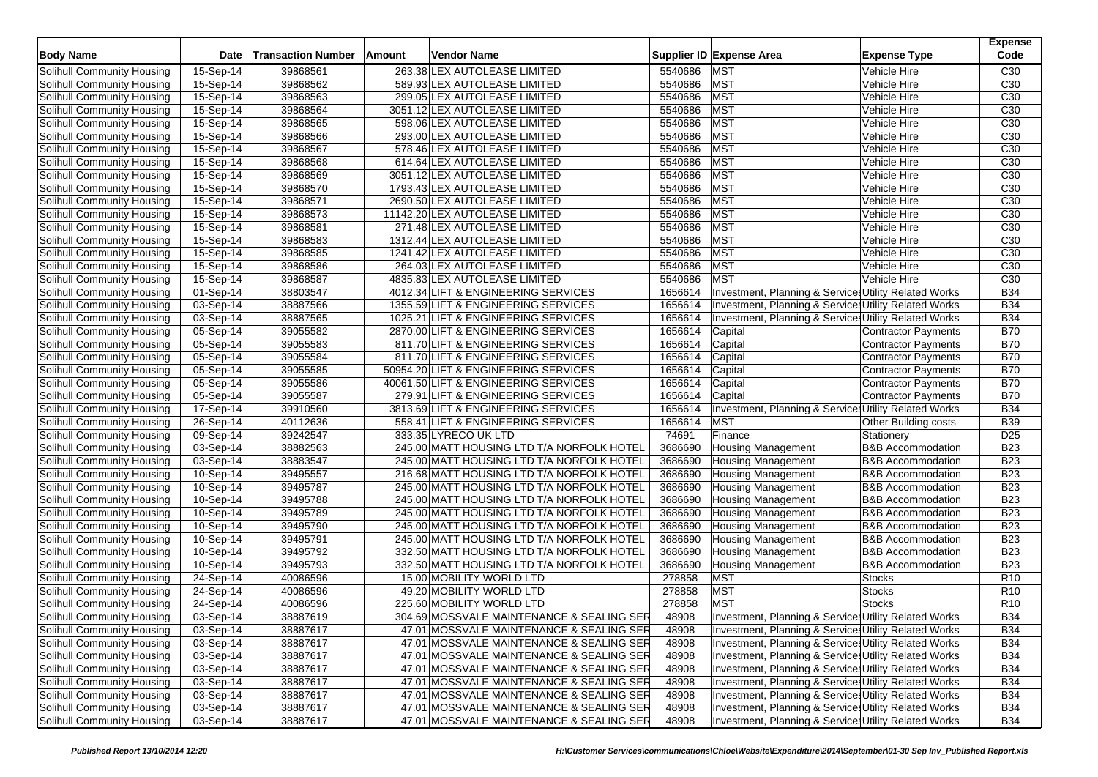| <b>Body Name</b>           | <b>Date</b> | <b>Transaction Number</b> | Amount | Vendor Name                               |         | Supplier ID Expense Area                                         | <b>Expense Type</b>          | <b>Expense</b><br>Code |
|----------------------------|-------------|---------------------------|--------|-------------------------------------------|---------|------------------------------------------------------------------|------------------------------|------------------------|
| Solihull Community Housing | 15-Sep-14   | 39868561                  |        | 263.38 LEX AUTOLEASE LIMITED              | 5540686 | <b>MST</b>                                                       | Vehicle Hire                 | C <sub>30</sub>        |
| Solihull Community Housing | 15-Sep-14   | 39868562                  |        | 589.93 LEX AUTOLEASE LIMITED              | 5540686 | <b>MST</b>                                                       | Vehicle Hire                 | C30                    |
| Solihull Community Housing | 15-Sep-14   | 39868563                  |        | 299.05 LEX AUTOLEASE LIMITED              | 5540686 | <b>MST</b>                                                       | Vehicle Hire                 | C <sub>30</sub>        |
| Solihull Community Housing | 15-Sep-14   | 39868564                  |        | 3051.12 LEX AUTOLEASE LIMITED             | 5540686 | <b>MST</b>                                                       | Vehicle Hire                 | C30                    |
| Solihull Community Housing | 15-Sep-14   | 39868565                  |        | 598.06 LEX AUTOLEASE LIMITED              | 5540686 | <b>MST</b>                                                       | Vehicle Hire                 | C <sub>30</sub>        |
| Solihull Community Housing | 15-Sep-14   | 39868566                  |        | 293.00 LEX AUTOLEASE LIMITED              | 5540686 | <b>MST</b>                                                       | Vehicle Hire                 | C <sub>30</sub>        |
| Solihull Community Housing | 15-Sep-14   | 39868567                  |        | 578.46 LEX AUTOLEASE LIMITED              | 5540686 | <b>MST</b>                                                       | Vehicle Hire                 | C30                    |
| Solihull Community Housing | 15-Sep-14   | 39868568                  |        | 614.64 LEX AUTOLEASE LIMITED              | 5540686 | <b>MST</b>                                                       | Vehicle Hire                 | C <sub>30</sub>        |
| Solihull Community Housing | 15-Sep-14   | 39868569                  |        | 3051.12 LEX AUTOLEASE LIMITED             | 5540686 | <b>MST</b>                                                       | Vehicle Hire                 | C <sub>30</sub>        |
| Solihull Community Housing | 15-Sep-14   | 39868570                  |        | 1793.43 LEX AUTOLEASE LIMITED             | 5540686 | <b>MST</b>                                                       | Vehicle Hire                 | C30                    |
| Solihull Community Housing | 15-Sep-14   | 39868571                  |        | 2690.50 LEX AUTOLEASE LIMITED             | 5540686 | <b>MST</b>                                                       | Vehicle Hire                 | C <sub>30</sub>        |
| Solihull Community Housing | $15-Sep-14$ | 39868573                  |        | 11142.20 LEX AUTOLEASE LIMITED            | 5540686 | <b>MST</b>                                                       | Vehicle Hire                 | C <sub>30</sub>        |
| Solihull Community Housing | 15-Sep-14   | 39868581                  |        | 271.48 LEX AUTOLEASE LIMITED              | 5540686 | <b>MST</b>                                                       | Vehicle Hire                 | C <sub>30</sub>        |
| Solihull Community Housing | 15-Sep-14   | 39868583                  |        | 1312.44 LEX AUTOLEASE LIMITED             | 5540686 | <b>MST</b>                                                       | Vehicle Hire                 | C <sub>30</sub>        |
| Solihull Community Housing | 15-Sep-14   | 39868585                  |        | 1241.42 LEX AUTOLEASE LIMITED             | 5540686 | <b>MST</b>                                                       | Vehicle Hire                 | C <sub>30</sub>        |
| Solihull Community Housing | 15-Sep-14   | 39868586                  |        | 264.03 LEX AUTOLEASE LIMITED              | 5540686 | <b>MST</b>                                                       | Vehicle Hire                 | C30                    |
| Solihull Community Housing | 15-Sep-14   | 39868587                  |        | 4835.83 LEX AUTOLEASE LIMITED             | 5540686 | <b>MST</b>                                                       | Vehicle Hire                 | C <sub>30</sub>        |
| Solihull Community Housing | 01-Sep-14   | 38803547                  |        | 4012.34 LIFT & ENGINEERING SERVICES       | 1656614 | Investment, Planning & Services Utility Related Works            |                              | <b>B34</b>             |
| Solihull Community Housing | 03-Sep-14   | 38887566                  |        | 1355.59 LIFT & ENGINEERING SERVICES       | 1656614 | Investment, Planning & Service Utility Related Works             |                              | <b>B34</b>             |
| Solihull Community Housing | 03-Sep-14   | 38887565                  |        | 1025.21 LIFT & ENGINEERING SERVICES       | 1656614 | <b>Investment, Planning &amp; Service, Utility Related Works</b> |                              | <b>B34</b>             |
| Solihull Community Housing | 05-Sep-14   | 39055582                  |        | 2870.00 LIFT & ENGINEERING SERVICES       | 1656614 | Capital                                                          | <b>Contractor Payments</b>   | <b>B70</b>             |
| Solihull Community Housing | 05-Sep-14   | 39055583                  |        | 811.70 LIFT & ENGINEERING SERVICES        | 1656614 | Capital                                                          | <b>Contractor Payments</b>   | <b>B70</b>             |
| Solihull Community Housing | 05-Sep-14   | 39055584                  |        | 811.70 LIFT & ENGINEERING SERVICES        | 1656614 | Capital                                                          | <b>Contractor Payments</b>   | <b>B70</b>             |
| Solihull Community Housing | 05-Sep-14   | 39055585                  |        | 50954.20 LIFT & ENGINEERING SERVICES      | 1656614 | Capital                                                          | <b>Contractor Payments</b>   | <b>B70</b>             |
| Solihull Community Housing | 05-Sep-14   | 39055586                  |        | 40061.50 LIFT & ENGINEERING SERVICES      | 1656614 | Capital                                                          | <b>Contractor Payments</b>   | <b>B70</b>             |
| Solihull Community Housing | 05-Sep-14   | 39055587                  |        | 279.91 LIFT & ENGINEERING SERVICES        | 1656614 | Capital                                                          | <b>Contractor Payments</b>   | <b>B70</b>             |
| Solihull Community Housing | 17-Sep-14   | 39910560                  |        | 3813.69 LIFT & ENGINEERING SERVICES       | 1656614 | Investment, Planning & Services Utility Related Works            |                              | <b>B34</b>             |
| Solihull Community Housing | 26-Sep-14   | 40112636                  |        | 558.41 LIFT & ENGINEERING SERVICES        | 1656614 | <b>MST</b>                                                       | Other Building costs         | <b>B39</b>             |
| Solihull Community Housing | 09-Sep-14   | 39242547                  |        | 333.35 LYRECO UK LTD                      | 74691   | Finance                                                          | Stationery                   | D <sub>25</sub>        |
| Solihull Community Housing | 03-Sep-14   | 38882563                  |        | 245.00 MATT HOUSING LTD T/A NORFOLK HOTEL | 3686690 | <b>Housing Management</b>                                        | <b>B&amp;B Accommodation</b> | <b>B23</b>             |
| Solihull Community Housing | 03-Sep-14   | 38883547                  |        | 245.00 MATT HOUSING LTD T/A NORFOLK HOTEL | 3686690 | Housing Management                                               | <b>B&amp;B Accommodation</b> | <b>B23</b>             |
| Solihull Community Housing | 10-Sep-14   | 39495557                  |        | 216.68 MATT HOUSING LTD T/A NORFOLK HOTEL | 3686690 | <b>Housing Management</b>                                        | <b>B&amp;B</b> Accommodation | <b>B23</b>             |
| Solihull Community Housing | 10-Sep-14   | 39495787                  |        | 245.00 MATT HOUSING LTD T/A NORFOLK HOTEL | 3686690 | <b>Housing Management</b>                                        | <b>B&amp;B Accommodation</b> | <b>B23</b>             |
| Solihull Community Housing | 10-Sep-14   | 39495788                  |        | 245.00 MATT HOUSING LTD T/A NORFOLK HOTEL | 3686690 | Housing Management                                               | <b>B&amp;B Accommodation</b> | <b>B23</b>             |
| Solihull Community Housing | 10-Sep-14   | 39495789                  |        | 245.00 MATT HOUSING LTD T/A NORFOLK HOTEL | 3686690 | <b>Housing Management</b>                                        | <b>B&amp;B Accommodation</b> | <b>B23</b>             |
| Solihull Community Housing | 10-Sep-14   | 39495790                  |        | 245.00 MATT HOUSING LTD T/A NORFOLK HOTEL | 3686690 | <b>Housing Management</b>                                        | <b>B&amp;B Accommodation</b> | <b>B23</b>             |
| Solihull Community Housing | 10-Sep-14   | 39495791                  |        | 245.00 MATT HOUSING LTD T/A NORFOLK HOTEL | 3686690 | <b>Housing Management</b>                                        | <b>B&amp;B Accommodation</b> | <b>B23</b>             |
| Solihull Community Housing | 10-Sep-14   | 39495792                  |        | 332.50 MATT HOUSING LTD T/A NORFOLK HOTEL | 3686690 | <b>Housing Management</b>                                        | <b>B&amp;B Accommodation</b> | <b>B23</b>             |
| Solihull Community Housing | 10-Sep-14   | 39495793                  |        | 332.50 MATT HOUSING LTD T/A NORFOLK HOTEL | 3686690 | <b>Housing Management</b>                                        | <b>B&amp;B Accommodation</b> | <b>B23</b>             |
| Solihull Community Housing | 24-Sep-14   | 40086596                  |        | 15.00 MOBILITY WORLD LTD                  | 278858  | <b>MST</b>                                                       | <b>Stocks</b>                | R <sub>10</sub>        |
| Solihull Community Housing | 24-Sep-14   | 40086596                  |        | 49.20 MOBILITY WORLD LTD                  | 278858  | <b>MST</b>                                                       | <b>Stocks</b>                | R <sub>10</sub>        |
| Solihull Community Housing | $24-Sep-14$ | 40086596                  |        | 225.60 MOBILITY WORLD LTD                 | 278858  | <b>MST</b>                                                       | <b>Stocks</b>                | R <sub>10</sub>        |
| Solihull Community Housing | 03-Sep-14   | 38887619                  |        | 304.69 MOSSVALE MAINTENANCE & SEALING SER | 48908   | Investment, Planning & Services Utility Related Works            |                              | <b>B34</b>             |
| Solihull Community Housing | 03-Sep-14   | 38887617                  |        | 47.01 MOSSVALE MAINTENANCE & SEALING SER  | 48908   | Investment, Planning & Services Utility Related Works            |                              | <b>B34</b>             |
| Solihull Community Housing | 03-Sep-14   | 38887617                  |        | 47.01 MOSSVALE MAINTENANCE & SEALING SER  | 48908   | Investment, Planning & Services Utility Related Works            |                              | <b>B34</b>             |
| Solihull Community Housing | 03-Sep-14   | 38887617                  |        | 47.01 MOSSVALE MAINTENANCE & SEALING SER  | 48908   | Investment, Planning & Services Utility Related Works            |                              | <b>B34</b>             |
| Solihull Community Housing | 03-Sep-14   | 38887617                  |        | 47.01 MOSSVALE MAINTENANCE & SEALING SER  | 48908   | Investment, Planning & Services Utility Related Works            |                              | <b>B34</b>             |
| Solihull Community Housing | 03-Sep-14   | 38887617                  |        | 47.01 MOSSVALE MAINTENANCE & SEALING SER  | 48908   | Investment, Planning & Services Utility Related Works            |                              | <b>B34</b>             |
| Solihull Community Housing | 03-Sep-14   | 38887617                  |        | 47.01 MOSSVALE MAINTENANCE & SEALING SER  | 48908   | Investment, Planning & Services Utility Related Works            |                              | <b>B34</b>             |
| Solihull Community Housing | 03-Sep-14   | 38887617                  |        | 47.01 MOSSVALE MAINTENANCE & SEALING SER  | 48908   | Investment, Planning & Services Utility Related Works            |                              | <b>B34</b>             |
| Solihull Community Housing | 03-Sep-14   | 38887617                  |        | 47.01 MOSSVALE MAINTENANCE & SEALING SER  | 48908   | Investment, Planning & Services Utility Related Works            |                              | <b>B34</b>             |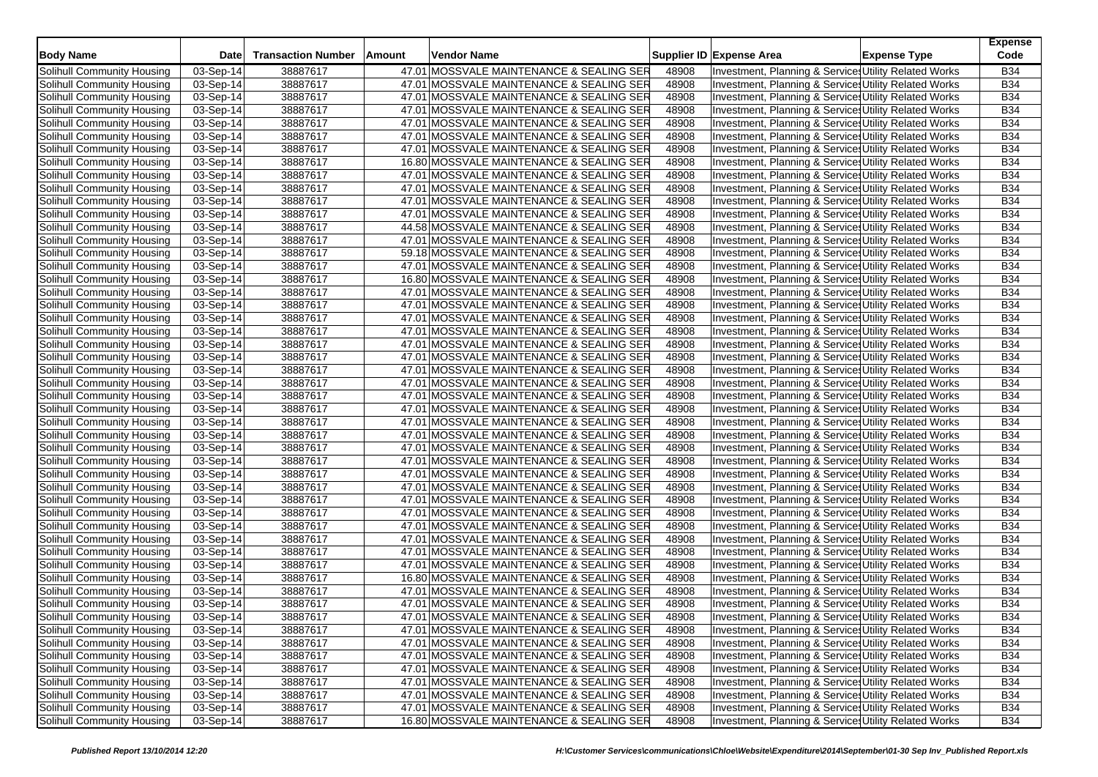| <b>Body Name</b>           | <b>Date</b> | <b>Transaction Number</b> | Amount | Vendor Name                              |       | Supplier ID Expense Area                                        | <b>Expense Type</b> | <b>Expense</b><br>Code |
|----------------------------|-------------|---------------------------|--------|------------------------------------------|-------|-----------------------------------------------------------------|---------------------|------------------------|
| Solihull Community Housing | 03-Sep-14   | 38887617                  |        | 47.01 MOSSVALE MAINTENANCE & SEALING SER | 48908 | Investment, Planning & Services Utility Related Works           |                     | <b>B34</b>             |
| Solihull Community Housing | 03-Sep-14   | 38887617                  |        | 47.01 MOSSVALE MAINTENANCE & SEALING SER | 48908 | Investment, Planning & Service, Utility Related Works           |                     | <b>B34</b>             |
| Solihull Community Housing | 03-Sep-14   | 38887617                  |        | 47.01 MOSSVALE MAINTENANCE & SEALING SER | 48908 | Investment, Planning & Service: Utility Related Works           |                     | <b>B34</b>             |
| Solihull Community Housing | 03-Sep-14   | 38887617                  |        | 47.01 MOSSVALE MAINTENANCE & SEALING SER | 48908 | Investment, Planning & Service: Utility Related Works           |                     | <b>B34</b>             |
| Solihull Community Housing | 03-Sep-14   | 38887617                  |        | 47.01 MOSSVALE MAINTENANCE & SEALING SER | 48908 | Investment, Planning & Service: Utility Related Works           |                     | <b>B34</b>             |
| Solihull Community Housing | 03-Sep-14   | 38887617                  |        | 47.01 MOSSVALE MAINTENANCE & SEALING SER | 48908 | Investment, Planning & Service: Utility Related Works           |                     | <b>B34</b>             |
| Solihull Community Housing | 03-Sep-14   | 38887617                  |        | 47.01 MOSSVALE MAINTENANCE & SEALING SER | 48908 | Investment, Planning & Service, Utility Related Works           |                     | <b>B34</b>             |
| Solihull Community Housing | 03-Sep-14   | 38887617                  |        | 16.80 MOSSVALE MAINTENANCE & SEALING SER | 48908 | Investment, Planning & Service: Utility Related Works           |                     | <b>B34</b>             |
| Solihull Community Housing | 03-Sep-14   | 38887617                  |        | 47.01 MOSSVALE MAINTENANCE & SEALING SER | 48908 | Investment, Planning & Service: Utility Related Works           |                     | <b>B34</b>             |
| Solihull Community Housing | 03-Sep-14   | 38887617                  |        | 47.01 MOSSVALE MAINTENANCE & SEALING SER | 48908 | Investment, Planning & Service: Utility Related Works           |                     | <b>B34</b>             |
| Solihull Community Housing | 03-Sep-14   | 38887617                  |        | 47.01 MOSSVALE MAINTENANCE & SEALING SER | 48908 | Investment, Planning & Service, Utility Related Works           |                     | <b>B34</b>             |
| Solihull Community Housing | 03-Sep-14   | 38887617                  |        | 47.01 MOSSVALE MAINTENANCE & SEALING SER | 48908 | Investment, Planning & Services Utility Related Works           |                     | <b>B34</b>             |
| Solihull Community Housing | 03-Sep-14   | 38887617                  |        | 44.58 MOSSVALE MAINTENANCE & SEALING SER | 48908 | Investment, Planning & Service: Utility Related Works           |                     | <b>B34</b>             |
| Solihull Community Housing | 03-Sep-14   | 38887617                  |        | 47.01 MOSSVALE MAINTENANCE & SEALING SER | 48908 | Investment, Planning & Service, Utility Related Works           |                     | <b>B34</b>             |
| Solihull Community Housing | 03-Sep-14   | 38887617                  |        | 59.18 MOSSVALE MAINTENANCE & SEALING SER | 48908 | Investment, Planning & Service, Utility Related Works           |                     | <b>B34</b>             |
| Solihull Community Housing | 03-Sep-14   | 38887617                  |        | 47.01 MOSSVALE MAINTENANCE & SEALING SER | 48908 | Investment, Planning & Service: Utility Related Works           |                     | <b>B34</b>             |
| Solihull Community Housing | 03-Sep-14   | 38887617                  |        | 16.80 MOSSVALE MAINTENANCE & SEALING SER | 48908 | Investment, Planning & Service: Utility Related Works           |                     | <b>B34</b>             |
| Solihull Community Housing | 03-Sep-14   | 38887617                  |        | 47.01 MOSSVALE MAINTENANCE & SEALING SER | 48908 | Investment, Planning & Service, Utility Related Works           |                     | <b>B34</b>             |
| Solihull Community Housing | 03-Sep-14   | 38887617                  |        | 47.01 MOSSVALE MAINTENANCE & SEALING SER | 48908 | Investment, Planning & Service: Utility Related Works           |                     | <b>B34</b>             |
| Solihull Community Housing | 03-Sep-14   | 38887617                  |        | 47.01 MOSSVALE MAINTENANCE & SEALING SER | 48908 | Investment, Planning & Service: Utility Related Works           |                     | <b>B34</b>             |
| Solihull Community Housing | 03-Sep-14   | 38887617                  |        | 47.01 MOSSVALE MAINTENANCE & SEALING SER | 48908 | <b>Investment, Planning &amp; Service Utility Related Works</b> |                     | <b>B34</b>             |
| Solihull Community Housing | 03-Sep-14   | 38887617                  |        | 47.01 MOSSVALE MAINTENANCE & SEALING SER | 48908 | Investment, Planning & Service: Utility Related Works           |                     | <b>B34</b>             |
| Solihull Community Housing | 03-Sep-14   | 38887617                  |        | 47.01 MOSSVALE MAINTENANCE & SEALING SER | 48908 | Investment, Planning & Service: Utility Related Works           |                     | <b>B34</b>             |
| Solihull Community Housing | 03-Sep-14   | 38887617                  |        | 47.01 MOSSVALE MAINTENANCE & SEALING SER | 48908 | Investment, Planning & Service Utility Related Works            |                     | <b>B34</b>             |
| Solihull Community Housing | 03-Sep-14   | 38887617                  |        | 47.01 MOSSVALE MAINTENANCE & SEALING SER | 48908 | Investment, Planning & Service: Utility Related Works           |                     | <b>B34</b>             |
| Solihull Community Housing | 03-Sep-14   | 38887617                  |        | 47.01 MOSSVALE MAINTENANCE & SEALING SER | 48908 | Investment, Planning & Service: Utility Related Works           |                     | <b>B34</b>             |
| Solihull Community Housing | 03-Sep-14   | 38887617                  |        | 47.01 MOSSVALE MAINTENANCE & SEALING SER | 48908 | Investment, Planning & Service, Utility Related Works           |                     | <b>B34</b>             |
| Solihull Community Housing | 03-Sep-14   | 38887617                  |        | 47.01 MOSSVALE MAINTENANCE & SEALING SER | 48908 | Investment, Planning & Service: Utility Related Works           |                     | <b>B34</b>             |
| Solihull Community Housing | 03-Sep-14   | 38887617                  |        | 47.01 MOSSVALE MAINTENANCE & SEALING SER | 48908 | Investment, Planning & Service: Utility Related Works           |                     | <b>B34</b>             |
| Solihull Community Housing | 03-Sep-14   | 38887617                  |        | 47.01 MOSSVALE MAINTENANCE & SEALING SER | 48908 | Investment, Planning & Service, Utility Related Works           |                     | <b>B34</b>             |
| Solihull Community Housing | 03-Sep-14   | 38887617                  |        | 47.01 MOSSVALE MAINTENANCE & SEALING SER | 48908 | Investment, Planning & Service: Utility Related Works           |                     | <b>B34</b>             |
| Solihull Community Housing | 03-Sep-14   | 38887617                  |        | 47.01 MOSSVALE MAINTENANCE & SEALING SER | 48908 | Investment, Planning & Service, Utility Related Works           |                     | B34                    |
| Solihull Community Housing | 03-Sep-14   | 38887617                  |        | 47.01 MOSSVALE MAINTENANCE & SEALING SER | 48908 | Investment, Planning & Service, Utility Related Works           |                     | <b>B34</b>             |
| Solihull Community Housing | 03-Sep-14   | 38887617                  |        | 47.01 MOSSVALE MAINTENANCE & SEALING SER | 48908 | Investment, Planning & Service: Utility Related Works           |                     | <b>B34</b>             |
| Solihull Community Housing | 03-Sep-14   | 38887617                  |        | 47.01 MOSSVALE MAINTENANCE & SEALING SER | 48908 | Investment, Planning & Service: Utility Related Works           |                     | <b>B34</b>             |
| Solihull Community Housing | 03-Sep-14   | 38887617                  |        | 47.01 MOSSVALE MAINTENANCE & SEALING SER | 48908 | Investment, Planning & Service, Utility Related Works           |                     | <b>B34</b>             |
| Solihull Community Housing | 03-Sep-14   | 38887617                  |        | 47.01 MOSSVALE MAINTENANCE & SEALING SER | 48908 | Investment, Planning & Service Utility Related Works            |                     | B34                    |
| Solihull Community Housing | 03-Sep-14   | 38887617                  |        | 47.01 MOSSVALE MAINTENANCE & SEALING SER | 48908 | Investment, Planning & Service: Utility Related Works           |                     | B34                    |
| Solihull Community Housing | 03-Sep-14   | 38887617                  |        | 47.01 MOSSVALE MAINTENANCE & SEALING SER | 48908 | Investment, Planning & Service, Utility Related Works           |                     | <b>B34</b>             |
| Solihull Community Housing | 03-Sep-14   | 38887617                  |        | 16.80 MOSSVALE MAINTENANCE & SEALING SER | 48908 | Investment, Planning & Service, Utility Related Works           |                     | <b>B34</b>             |
| Solihull Community Housing | 03-Sep-14   | 38887617                  |        | 47.01 MOSSVALE MAINTENANCE & SEALING SER | 48908 | Investment, Planning & Service: Utility Related Works           |                     | <b>B34</b>             |
| Solihull Community Housing | 03-Sep-14   | 38887617                  |        | 47.01 MOSSVALE MAINTENANCE & SEALING SER | 48908 | Investment, Planning & Service, Utility Related Works           |                     | <b>B34</b>             |
| Solihull Community Housing | 03-Sep-14   | 38887617                  |        | 47.01 MOSSVALE MAINTENANCE & SEALING SER | 48908 | Investment, Planning & Services Utility Related Works           |                     | B34                    |
| Solihull Community Housing | 03-Sep-14   | 38887617                  |        | 47.01 MOSSVALE MAINTENANCE & SEALING SER | 48908 | Investment, Planning & Services Utility Related Works           |                     | <b>B34</b>             |
| Solihull Community Housing | 03-Sep-14   | 38887617                  |        | 47.01 MOSSVALE MAINTENANCE & SEALING SER | 48908 | Investment, Planning & Services Utility Related Works           |                     | <b>B34</b>             |
| Solihull Community Housing | 03-Sep-14   | 38887617                  |        | 47.01 MOSSVALE MAINTENANCE & SEALING SER | 48908 | Investment, Planning & Service: Utility Related Works           |                     | <b>B34</b>             |
| Solihull Community Housing | 03-Sep-14   | 38887617                  |        | 47.01 MOSSVALE MAINTENANCE & SEALING SER | 48908 | Investment, Planning & Services Utility Related Works           |                     | <b>B34</b>             |
| Solihull Community Housing | 03-Sep-14   | 38887617                  |        | 47.01 MOSSVALE MAINTENANCE & SEALING SER | 48908 | Investment, Planning & Service Utility Related Works            |                     | <b>B34</b>             |
| Solihull Community Housing | 03-Sep-14   | 38887617                  |        | 47.01 MOSSVALE MAINTENANCE & SEALING SER | 48908 | Investment, Planning & Services Utility Related Works           |                     | <b>B34</b>             |
| Solihull Community Housing | 03-Sep-14   | 38887617                  |        | 47.01 MOSSVALE MAINTENANCE & SEALING SER | 48908 | Investment, Planning & Service Utility Related Works            |                     | <b>B34</b>             |
| Solihull Community Housing | 03-Sep-14   | 38887617                  |        | 16.80 MOSSVALE MAINTENANCE & SEALING SER | 48908 | Investment, Planning & Service Utility Related Works            |                     | <b>B34</b>             |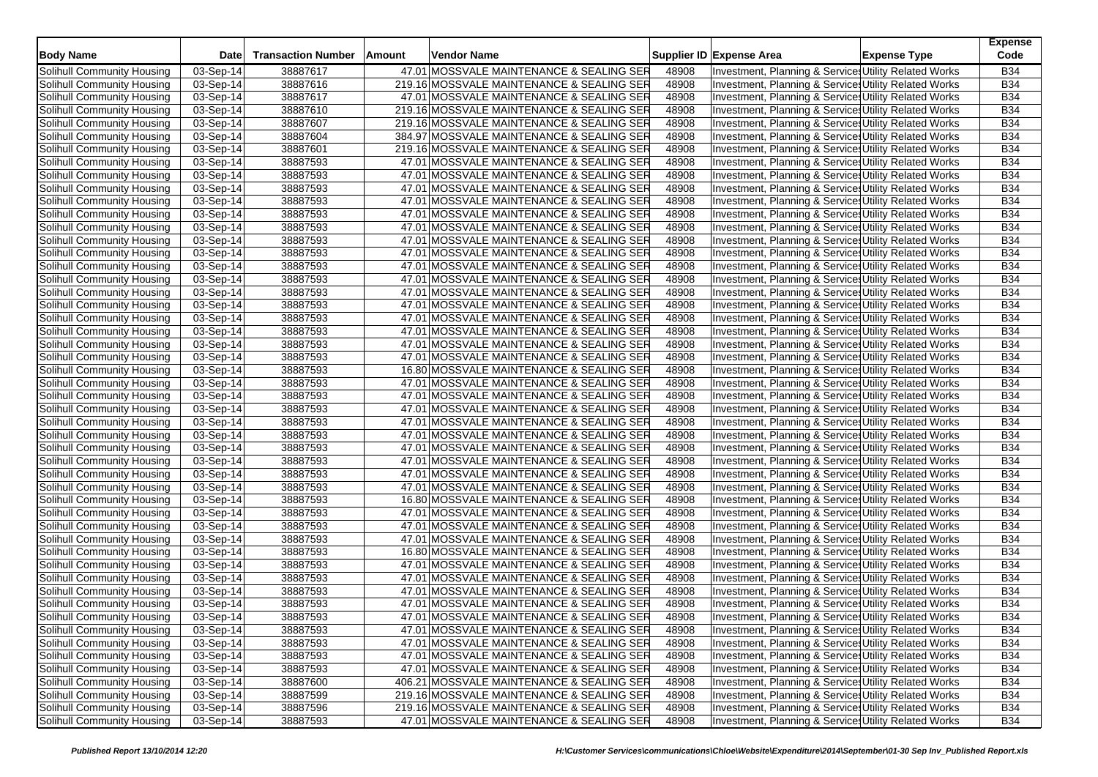| <b>Body Name</b>           | <b>Date</b> | <b>Transaction Number</b> | Amount | Vendor Name                               |       | Supplier ID Expense Area                              | <b>Expense Type</b> | <b>Expense</b><br>Code |
|----------------------------|-------------|---------------------------|--------|-------------------------------------------|-------|-------------------------------------------------------|---------------------|------------------------|
| Solihull Community Housing | 03-Sep-14   | 38887617                  |        | 47.01 MOSSVALE MAINTENANCE & SEALING SER  | 48908 | Investment, Planning & Service: Utility Related Works |                     | <b>B34</b>             |
| Solihull Community Housing | 03-Sep-14   | 38887616                  |        | 219.16 MOSSVALE MAINTENANCE & SEALING SER | 48908 | Investment, Planning & Service: Utility Related Works |                     | <b>B34</b>             |
| Solihull Community Housing | 03-Sep-14   | 38887617                  |        | 47.01 MOSSVALE MAINTENANCE & SEALING SER  | 48908 | Investment, Planning & Service: Utility Related Works |                     | <b>B34</b>             |
| Solihull Community Housing | 03-Sep-14   | 38887610                  |        | 219.16 MOSSVALE MAINTENANCE & SEALING SER | 48908 | Investment, Planning & Service: Utility Related Works |                     | <b>B34</b>             |
| Solihull Community Housing | 03-Sep-14   | 38887607                  |        | 219.16 MOSSVALE MAINTENANCE & SEALING SER | 48908 | Investment, Planning & Service: Utility Related Works |                     | <b>B34</b>             |
| Solihull Community Housing | 03-Sep-14   | 38887604                  |        | 384.97 MOSSVALE MAINTENANCE & SEALING SER | 48908 | Investment, Planning & Services Utility Related Works |                     | <b>B34</b>             |
| Solihull Community Housing | 03-Sep-14   | 38887601                  |        | 219.16 MOSSVALE MAINTENANCE & SEALING SER | 48908 | Investment, Planning & Service: Utility Related Works |                     | <b>B34</b>             |
| Solihull Community Housing | 03-Sep-14   | 38887593                  |        | 47.01 MOSSVALE MAINTENANCE & SEALING SER  | 48908 | Investment, Planning & Service Utility Related Works  |                     | <b>B34</b>             |
| Solihull Community Housing | 03-Sep-14   | 38887593                  |        | 47.01 MOSSVALE MAINTENANCE & SEALING SER  | 48908 | Investment, Planning & Service: Utility Related Works |                     | <b>B34</b>             |
| Solihull Community Housing | 03-Sep-14   | 38887593                  |        | 47.01 MOSSVALE MAINTENANCE & SEALING SER  | 48908 | Investment, Planning & Service: Utility Related Works |                     | <b>B34</b>             |
| Solihull Community Housing | 03-Sep-14   | 38887593                  |        | 47.01 MOSSVALE MAINTENANCE & SEALING SER  | 48908 | Investment, Planning & Service Utility Related Works  |                     | <b>B34</b>             |
| Solihull Community Housing | 03-Sep-14   | 38887593                  |        | 47.01 MOSSVALE MAINTENANCE & SEALING SER  | 48908 | Investment, Planning & Service: Utility Related Works |                     | <b>B34</b>             |
| Solihull Community Housing | 03-Sep-14   | 38887593                  |        | 47.01 MOSSVALE MAINTENANCE & SEALING SER  | 48908 | Investment, Planning & Services Utility Related Works |                     | <b>B34</b>             |
| Solihull Community Housing | 03-Sep-14   | 38887593                  |        | 47.01 MOSSVALE MAINTENANCE & SEALING SER  | 48908 | Investment, Planning & Service Utility Related Works  |                     | <b>B34</b>             |
| Solihull Community Housing | 03-Sep-14   | 38887593                  |        | 47.01 MOSSVALE MAINTENANCE & SEALING SER  | 48908 | Investment, Planning & Services Utility Related Works |                     | <b>B34</b>             |
| Solihull Community Housing | 03-Sep-14   | 38887593                  |        | 47.01 MOSSVALE MAINTENANCE & SEALING SER  | 48908 | Investment, Planning & Service Utility Related Works  |                     | <b>B34</b>             |
| Solihull Community Housing | 03-Sep-14   | 38887593                  |        | 47.01 MOSSVALE MAINTENANCE & SEALING SER  | 48908 | Investment, Planning & Service: Utility Related Works |                     | <b>B34</b>             |
| Solihull Community Housing | 03-Sep-14   | 38887593                  |        | 47.01 MOSSVALE MAINTENANCE & SEALING SER  | 48908 | Investment, Planning & Service: Utility Related Works |                     | <b>B34</b>             |
| Solihull Community Housing | 03-Sep-14   | 38887593                  |        | 47.01 MOSSVALE MAINTENANCE & SEALING SER  | 48908 | Investment, Planning & Service: Utility Related Works |                     | <b>B34</b>             |
| Solihull Community Housing | 03-Sep-14   | 38887593                  |        | 47.01 MOSSVALE MAINTENANCE & SEALING SER  | 48908 | Investment, Planning & Service: Utility Related Works |                     | <b>B34</b>             |
| Solihull Community Housing | 03-Sep-14   | 38887593                  |        | 47.01 MOSSVALE MAINTENANCE & SEALING SER  | 48908 | Investment, Planning & Service: Utility Related Works |                     | <b>B34</b>             |
| Solihull Community Housing | 03-Sep-14   | 38887593                  |        | 47.01 MOSSVALE MAINTENANCE & SEALING SER  | 48908 | Investment, Planning & Services Utility Related Works |                     | <b>B34</b>             |
| Solihull Community Housing | 03-Sep-14   | 38887593                  |        | 47.01 MOSSVALE MAINTENANCE & SEALING SER  | 48908 | Investment, Planning & Service: Utility Related Works |                     | <b>B34</b>             |
| Solihull Community Housing | 03-Sep-14   | 38887593                  |        | 16.80 MOSSVALE MAINTENANCE & SEALING SER  | 48908 | Investment, Planning & Service: Utility Related Works |                     | <b>B34</b>             |
| Solihull Community Housing | 03-Sep-14   | 38887593                  |        | 47.01 MOSSVALE MAINTENANCE & SEALING SER  | 48908 | Investment, Planning & Services Utility Related Works |                     | <b>B34</b>             |
| Solihull Community Housing | 03-Sep-14   | 38887593                  |        | 47.01 MOSSVALE MAINTENANCE & SEALING SER  | 48908 | Investment, Planning & Service: Utility Related Works |                     | <b>B34</b>             |
| Solihull Community Housing | 03-Sep-14   | 38887593                  |        | 47.01 MOSSVALE MAINTENANCE & SEALING SER  | 48908 | Investment, Planning & Service: Utility Related Works |                     | <b>B34</b>             |
| Solihull Community Housing | 03-Sep-14   | 38887593                  |        | 47.01 MOSSVALE MAINTENANCE & SEALING SER  | 48908 | Investment, Planning & Service: Utility Related Works |                     | <b>B34</b>             |
| Solihull Community Housing | 03-Sep-14   | 38887593                  |        | 47.01 MOSSVALE MAINTENANCE & SEALING SER  | 48908 | Investment, Planning & Services Utility Related Works |                     | <b>B34</b>             |
| Solihull Community Housing | 03-Sep-14   | 38887593                  |        | 47.01 MOSSVALE MAINTENANCE & SEALING SER  | 48908 | Investment, Planning & Service Utility Related Works  |                     | <b>B34</b>             |
| Solihull Community Housing | 03-Sep-14   | 38887593                  |        | 47.01 MOSSVALE MAINTENANCE & SEALING SER  | 48908 | Investment, Planning & Service: Utility Related Works |                     | <b>B34</b>             |
| Solihull Community Housing | 03-Sep-14   | 38887593                  |        | 47.01 MOSSVALE MAINTENANCE & SEALING SER  | 48908 | Investment, Planning & Service Utility Related Works  |                     | <b>B34</b>             |
| Solihull Community Housing | 03-Sep-14   | 38887593                  |        | 47.01 MOSSVALE MAINTENANCE & SEALING SER  | 48908 | Investment, Planning & Service Utility Related Works  |                     | <b>B34</b>             |
| Solihull Community Housing | 03-Sep-14   | 38887593                  |        | 16.80 MOSSVALE MAINTENANCE & SEALING SER  | 48908 | Investment, Planning & Service: Utility Related Works |                     | <b>B34</b>             |
| Solihull Community Housing | 03-Sep-14   | 38887593                  |        | 47.01 MOSSVALE MAINTENANCE & SEALING SER  | 48908 | Investment, Planning & Service: Utility Related Works |                     | <b>B34</b>             |
| Solihull Community Housing | 03-Sep-14   | 38887593                  |        | 47.01 MOSSVALE MAINTENANCE & SEALING SER  | 48908 | Investment, Planning & Services Utility Related Works |                     | <b>B34</b>             |
| Solihull Community Housing | 03-Sep-14   | 38887593                  |        | 47.01 MOSSVALE MAINTENANCE & SEALING SER  | 48908 | Investment, Planning & Service: Utility Related Works |                     | <b>B34</b>             |
| Solihull Community Housing | 03-Sep-14   | 38887593                  |        | 16.80 MOSSVALE MAINTENANCE & SEALING SER  | 48908 | Investment, Planning & Service: Utility Related Works |                     | <b>B34</b>             |
| Solihull Community Housing | 03-Sep-14   | 38887593                  |        | 47.01 MOSSVALE MAINTENANCE & SEALING SER  | 48908 | Investment, Planning & Services Utility Related Works |                     | <b>B34</b>             |
| Solihull Community Housing | 03-Sep-14   | 38887593                  |        | 47.01 MOSSVALE MAINTENANCE & SEALING SER  | 48908 | Investment, Planning & Service: Utility Related Works |                     | <b>B34</b>             |
| Solihull Community Housing | 03-Sep-14   | 38887593                  |        | 47.01 MOSSVALE MAINTENANCE & SEALING SER  | 48908 | Investment, Planning & Services Utility Related Works |                     | <b>B34</b>             |
| Solihull Community Housing | 03-Sep-14   | 38887593                  |        | 47.01 MOSSVALE MAINTENANCE & SEALING SER  | 48908 | Investment, Planning & Services Utility Related Works |                     | <b>B34</b>             |
| Solihull Community Housing | 03-Sep-14   | 38887593                  |        | 47.01 MOSSVALE MAINTENANCE & SEALING SER  | 48908 | Investment, Planning & Services Utility Related Works |                     | <b>B34</b>             |
| Solihull Community Housing | 03-Sep-14   | 38887593                  |        | 47.01 MOSSVALE MAINTENANCE & SEALING SER  | 48908 | Investment, Planning & Services Utility Related Works |                     | <b>B34</b>             |
| Solihull Community Housing | 03-Sep-14   | 38887593                  |        | 47.01 MOSSVALE MAINTENANCE & SEALING SER  | 48908 | Investment, Planning & Services Utility Related Works |                     | <b>B34</b>             |
| Solihull Community Housing | 03-Sep-14   | 38887593                  |        | 47.01 MOSSVALE MAINTENANCE & SEALING SER  | 48908 | Investment, Planning & Services Utility Related Works |                     | <b>B34</b>             |
| Solihull Community Housing | 03-Sep-14   | 38887593                  |        | 47.01 MOSSVALE MAINTENANCE & SEALING SER  | 48908 | Investment, Planning & Services Utility Related Works |                     | <b>B34</b>             |
| Solihull Community Housing | 03-Sep-14   | 38887600                  |        | 406.21 MOSSVALE MAINTENANCE & SEALING SER | 48908 | Investment, Planning & Services Utility Related Works |                     | <b>B34</b>             |
| Solihull Community Housing | 03-Sep-14   | 38887599                  |        | 219.16 MOSSVALE MAINTENANCE & SEALING SER | 48908 | Investment, Planning & Services Utility Related Works |                     | <b>B34</b>             |
| Solihull Community Housing | 03-Sep-14   | 38887596                  |        | 219.16 MOSSVALE MAINTENANCE & SEALING SER | 48908 | Investment, Planning & Service Utility Related Works  |                     | <b>B34</b>             |
| Solihull Community Housing | 03-Sep-14   | 38887593                  |        | 47.01 MOSSVALE MAINTENANCE & SEALING SER  | 48908 | Investment, Planning & Services Utility Related Works |                     | <b>B34</b>             |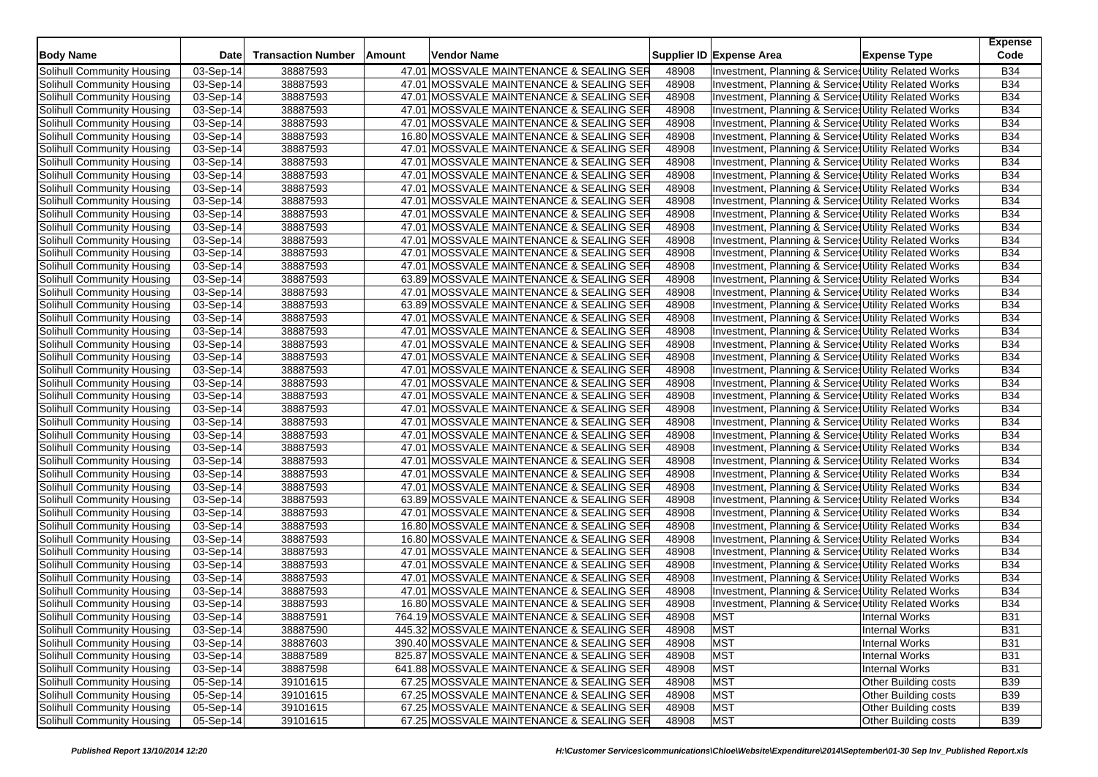| <b>Body Name</b>                  | <b>Date</b> | <b>Transaction Number</b> | Amount | Vendor Name                               |       | Supplier ID Expense Area                              | <b>Expense Type</b>   | <b>Expense</b><br>Code |
|-----------------------------------|-------------|---------------------------|--------|-------------------------------------------|-------|-------------------------------------------------------|-----------------------|------------------------|
| Solihull Community Housing        | 03-Sep-14   | 38887593                  |        | 47.01 MOSSVALE MAINTENANCE & SEALING SER  | 48908 | Investment, Planning & Services Utility Related Works |                       | <b>B34</b>             |
| Solihull Community Housing        | 03-Sep-14   | 38887593                  |        | 47.01 MOSSVALE MAINTENANCE & SEALING SER  | 48908 | Investment, Planning & Service, Utility Related Works |                       | <b>B34</b>             |
| Solihull Community Housing        | 03-Sep-14   | 38887593                  |        | 47.01 MOSSVALE MAINTENANCE & SEALING SER  | 48908 | Investment, Planning & Service: Utility Related Works |                       | <b>B34</b>             |
| Solihull Community Housing        | 03-Sep-14   | 38887593                  |        | 47.01 MOSSVALE MAINTENANCE & SEALING SER  | 48908 | Investment, Planning & Service: Utility Related Works |                       | <b>B34</b>             |
| Solihull Community Housing        | 03-Sep-14   | 38887593                  |        | 47.01 MOSSVALE MAINTENANCE & SEALING SER  | 48908 | Investment, Planning & Service: Utility Related Works |                       | <b>B34</b>             |
| Solihull Community Housing        | 03-Sep-14   | 38887593                  |        | 16.80 MOSSVALE MAINTENANCE & SEALING SER  | 48908 | Investment, Planning & Service: Utility Related Works |                       | <b>B34</b>             |
| Solihull Community Housing        | 03-Sep-14   | 38887593                  |        | 47.01 MOSSVALE MAINTENANCE & SEALING SER  | 48908 | Investment, Planning & Service: Utility Related Works |                       | <b>B34</b>             |
| Solihull Community Housing        | 03-Sep-14   | 38887593                  |        | 47.01 MOSSVALE MAINTENANCE & SEALING SER  | 48908 | Investment, Planning & Service: Utility Related Works |                       | <b>B34</b>             |
| Solihull Community Housing        | 03-Sep-14   | 38887593                  |        | 47.01 MOSSVALE MAINTENANCE & SEALING SER  | 48908 | Investment, Planning & Service: Utility Related Works |                       | <b>B34</b>             |
| Solihull Community Housing        | 03-Sep-14   | 38887593                  |        | 47.01 MOSSVALE MAINTENANCE & SEALING SER  | 48908 | Investment, Planning & Service: Utility Related Works |                       | <b>B34</b>             |
| Solihull Community Housing        | 03-Sep-14   | 38887593                  |        | 47.01 MOSSVALE MAINTENANCE & SEALING SER  | 48908 | Investment, Planning & Service, Utility Related Works |                       | <b>B34</b>             |
| Solihull Community Housing        | 03-Sep-14   | 38887593                  |        | 47.01 MOSSVALE MAINTENANCE & SEALING SER  | 48908 | Investment, Planning & Services Utility Related Works |                       | <b>B34</b>             |
| Solihull Community Housing        | 03-Sep-14   | 38887593                  |        | 47.01 MOSSVALE MAINTENANCE & SEALING SER  | 48908 | Investment, Planning & Service: Utility Related Works |                       | <b>B34</b>             |
| Solihull Community Housing        | 03-Sep-14   | 38887593                  |        | 47.01 MOSSVALE MAINTENANCE & SEALING SER  | 48908 | Investment, Planning & Service, Utility Related Works |                       | <b>B34</b>             |
| Solihull Community Housing        | 03-Sep-14   | 38887593                  |        | 47.01 MOSSVALE MAINTENANCE & SEALING SER  | 48908 | Investment, Planning & Service, Utility Related Works |                       | <b>B34</b>             |
| Solihull Community Housing        | 03-Sep-14   | 38887593                  |        | 47.01 MOSSVALE MAINTENANCE & SEALING SER  | 48908 | Investment, Planning & Service: Utility Related Works |                       | <b>B34</b>             |
| Solihull Community Housing        | 03-Sep-14   | 38887593                  |        | 63.89 MOSSVALE MAINTENANCE & SEALING SER  | 48908 | Investment, Planning & Service: Utility Related Works |                       | <b>B34</b>             |
| Solihull Community Housing        | 03-Sep-14   | 38887593                  |        | 47.01 MOSSVALE MAINTENANCE & SEALING SER  | 48908 | Investment, Planning & Service, Utility Related Works |                       | <b>B34</b>             |
| Solihull Community Housing        | 03-Sep-14   | 38887593                  |        | 63.89 MOSSVALE MAINTENANCE & SEALING SER  | 48908 | Investment, Planning & Service: Utility Related Works |                       | <b>B34</b>             |
| Solihull Community Housing        | 03-Sep-14   | 38887593                  |        | 47.01 MOSSVALE MAINTENANCE & SEALING SER  | 48908 | Investment, Planning & Service: Utility Related Works |                       | <b>B34</b>             |
| Solihull Community Housing        | 03-Sep-14   | 38887593                  |        | 47.01 MOSSVALE MAINTENANCE & SEALING SER  | 48908 | Investment, Planning & Service, Utility Related Works |                       | <b>B34</b>             |
| Solihull Community Housing        | 03-Sep-14   | 38887593                  |        | 47.01 MOSSVALE MAINTENANCE & SEALING SER  | 48908 | Investment, Planning & Service: Utility Related Works |                       | <b>B34</b>             |
| Solihull Community Housing        | 03-Sep-14   | 38887593                  |        | 47.01 MOSSVALE MAINTENANCE & SEALING SER  | 48908 | Investment, Planning & Service: Utility Related Works |                       | <b>B34</b>             |
| Solihull Community Housing        | 03-Sep-14   | 38887593                  |        | 47.01 MOSSVALE MAINTENANCE & SEALING SER  | 48908 | Investment, Planning & Service: Utility Related Works |                       | <b>B34</b>             |
| Solihull Community Housing        | 03-Sep-14   | 38887593                  |        | 47.01 MOSSVALE MAINTENANCE & SEALING SER  | 48908 | Investment, Planning & Service: Utility Related Works |                       | <b>B34</b>             |
| Solihull Community Housing        | 03-Sep-14   | 38887593                  |        | 47.01 MOSSVALE MAINTENANCE & SEALING SER  | 48908 | Investment, Planning & Service: Utility Related Works |                       | <b>B34</b>             |
| Solihull Community Housing        | 03-Sep-14   | 38887593                  |        | 47.01 MOSSVALE MAINTENANCE & SEALING SER  | 48908 | Investment, Planning & Service, Utility Related Works |                       | <b>B34</b>             |
| Solihull Community Housing        | 03-Sep-14   | 38887593                  |        | 47.01 MOSSVALE MAINTENANCE & SEALING SER  | 48908 | Investment, Planning & Service: Utility Related Works |                       | <b>B34</b>             |
| Solihull Community Housing        | 03-Sep-14   | 38887593                  |        | 47.01 MOSSVALE MAINTENANCE & SEALING SER  | 48908 | Investment, Planning & Service: Utility Related Works |                       | <b>B34</b>             |
| Solihull Community Housing        | 03-Sep-14   | 38887593                  |        | 47.01 MOSSVALE MAINTENANCE & SEALING SER  | 48908 | Investment, Planning & Service, Utility Related Works |                       | <b>B34</b>             |
| Solihull Community Housing        | 03-Sep-14   | 38887593                  |        | 47.01 MOSSVALE MAINTENANCE & SEALING SER  | 48908 | Investment, Planning & Service: Utility Related Works |                       | <b>B34</b>             |
| Solihull Community Housing        | 03-Sep-14   | 38887593                  |        | 47.01 MOSSVALE MAINTENANCE & SEALING SER  | 48908 | Investment, Planning & Service: Utility Related Works |                       | B34                    |
| Solihull Community Housing        | 03-Sep-14   | 38887593                  |        | 47.01 MOSSVALE MAINTENANCE & SEALING SER  | 48908 | Investment, Planning & Service, Utility Related Works |                       | <b>B34</b>             |
| Solihull Community Housing        | 03-Sep-14   | 38887593                  |        | 63.89 MOSSVALE MAINTENANCE & SEALING SER  | 48908 | Investment, Planning & Service: Utility Related Works |                       | <b>B34</b>             |
| Solihull Community Housing        | 03-Sep-14   | 38887593                  |        | 47.01 MOSSVALE MAINTENANCE & SEALING SER  | 48908 | Investment, Planning & Service: Utility Related Works |                       | <b>B34</b>             |
| Solihull Community Housing        | 03-Sep-14   | 38887593                  |        | 16.80 MOSSVALE MAINTENANCE & SEALING SER  | 48908 | Investment, Planning & Service, Utility Related Works |                       | <b>B34</b>             |
| Solihull Community Housing        | 03-Sep-14   | 38887593                  |        | 16.80 MOSSVALE MAINTENANCE & SEALING SER  | 48908 | Investment, Planning & Service Utility Related Works  |                       | B34                    |
| Solihull Community Housing        | 03-Sep-14   | 38887593                  |        | 47.01 MOSSVALE MAINTENANCE & SEALING SER  | 48908 | Investment, Planning & Service: Utility Related Works |                       | B34                    |
| Solihull Community Housing        | 03-Sep-14   | 38887593                  |        | 47.01 MOSSVALE MAINTENANCE & SEALING SER  | 48908 | Investment, Planning & Service: Utility Related Works |                       | <b>B34</b>             |
| Solihull Community Housing        | 03-Sep-14   | 38887593                  |        | 47.01 MOSSVALE MAINTENANCE & SEALING SER  | 48908 | Investment, Planning & Service, Utility Related Works |                       | <b>B34</b>             |
| Solihull Community Housing        | 03-Sep-14   | 38887593                  |        | 47.01 MOSSVALE MAINTENANCE & SEALING SER  | 48908 | Investment, Planning & Service: Utility Related Works |                       | <b>B34</b>             |
| Solihull Community Housing        | 03-Sep-14   | 38887593                  |        | 16.80 MOSSVALE MAINTENANCE & SEALING SER  | 48908 | Investment, Planning & Service, Utility Related Works |                       | <b>B34</b>             |
| Solihull Community Housing        | 03-Sep-14   | 38887591                  |        | 764.19 MOSSVALE MAINTENANCE & SEALING SER | 48908 | <b>MST</b>                                            | Internal Works        | <b>B31</b>             |
| Solihull Community Housing        | 03-Sep-14   | 38887590                  |        | 445.32 MOSSVALE MAINTENANCE & SEALING SER | 48908 | <b>MST</b>                                            | <b>Internal Works</b> | <b>B31</b>             |
| Solihull Community Housing        | 03-Sep-14   | 38887603                  |        | 390.40 MOSSVALE MAINTENANCE & SEALING SER | 48908 | <b>MST</b>                                            | <b>Internal Works</b> | <b>B31</b>             |
| Solihull Community Housing        | 03-Sep-14   | 38887589                  |        | 825.87 MOSSVALE MAINTENANCE & SEALING SER | 48908 | <b>MST</b>                                            | <b>Internal Works</b> | <b>B31</b>             |
| Solihull Community Housing        | 03-Sep-14   | 38887598                  |        | 641.88 MOSSVALE MAINTENANCE & SEALING SER | 48908 | <b>MST</b>                                            | <b>Internal Works</b> | <b>B31</b>             |
| Solihull Community Housing        | 05-Sep-14   | 39101615                  |        | 67.25 MOSSVALE MAINTENANCE & SEALING SER  | 48908 | <b>MST</b>                                            | Other Building costs  | <b>B39</b>             |
| Solihull Community Housing        | 05-Sep-14   | 39101615                  |        | 67.25 MOSSVALE MAINTENANCE & SEALING SER  | 48908 | <b>MST</b>                                            | Other Building costs  | <b>B39</b>             |
| <b>Solihull Community Housing</b> | 05-Sep-14   | 39101615                  |        | 67.25 MOSSVALE MAINTENANCE & SEALING SER  | 48908 | <b>MST</b>                                            | Other Building costs  | <b>B39</b>             |
| Solihull Community Housing        | 05-Sep-14   | 39101615                  |        | 67.25 MOSSVALE MAINTENANCE & SEALING SER  | 48908 | <b>MST</b>                                            | Other Building costs  | <b>B39</b>             |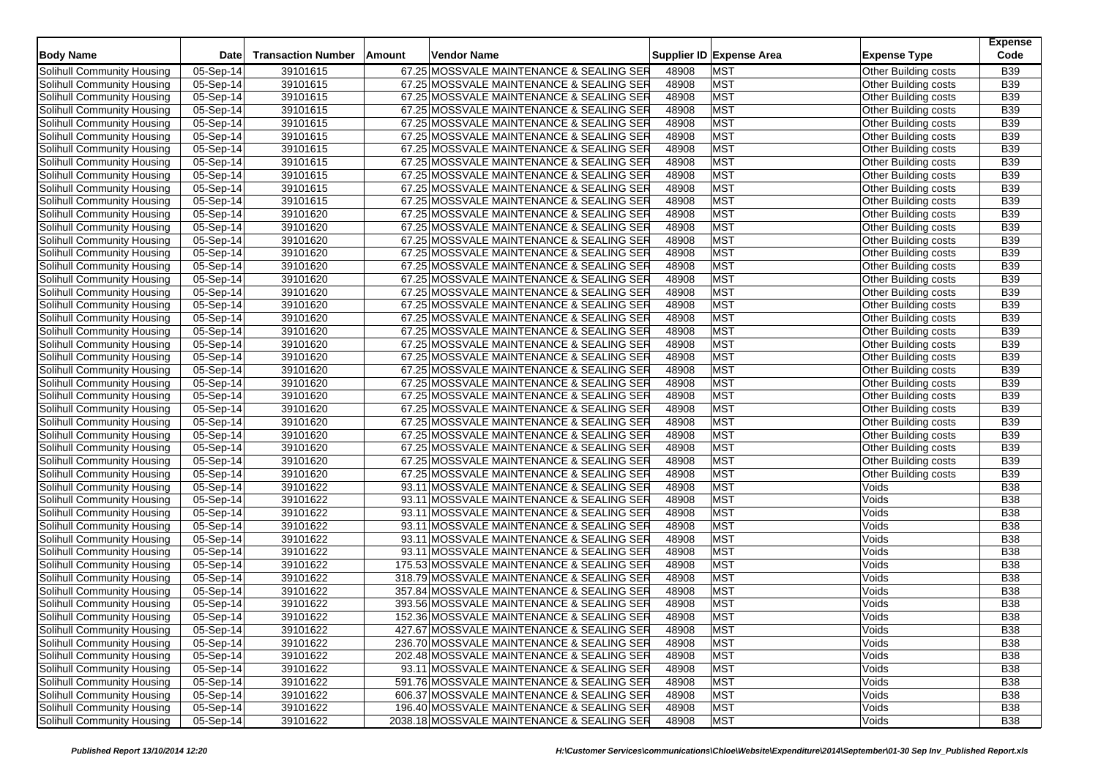|                            |             |                           |                                            |       |                          |                             | <b>Expense</b> |
|----------------------------|-------------|---------------------------|--------------------------------------------|-------|--------------------------|-----------------------------|----------------|
| <b>Body Name</b>           | <b>Date</b> | <b>Transaction Number</b> | Amount<br>Vendor Name                      |       | Supplier ID Expense Area | <b>Expense Type</b>         | Code           |
| Solihull Community Housing | 05-Sep-14   | 39101615                  | 67.25 MOSSVALE MAINTENANCE & SEALING SER   | 48908 | <b>MST</b>               | Other Building costs        | <b>B39</b>     |
| Solihull Community Housing | 05-Sep-14   | 39101615                  | 67.25 MOSSVALE MAINTENANCE & SEALING SER   | 48908 | <b>MST</b>               | Other Building costs        | <b>B39</b>     |
| Solihull Community Housing | 05-Sep-14   | 39101615                  | 67.25 MOSSVALE MAINTENANCE & SEALING SER   | 48908 | <b>MST</b>               | Other Building costs        | <b>B39</b>     |
| Solihull Community Housing | 05-Sep-14   | 39101615                  | 67.25 MOSSVALE MAINTENANCE & SEALING SER   | 48908 | <b>MST</b>               | Other Building costs        | <b>B39</b>     |
| Solihull Community Housing | 05-Sep-14   | 39101615                  | 67.25 MOSSVALE MAINTENANCE & SEALING SER   | 48908 | <b>MST</b>               | Other Building costs        | <b>B39</b>     |
| Solihull Community Housing | 05-Sep-14   | 39101615                  | 67.25 MOSSVALE MAINTENANCE & SEALING SER   | 48908 | <b>MST</b>               | Other Building costs        | <b>B39</b>     |
| Solihull Community Housing | 05-Sep-14   | 39101615                  | 67.25 MOSSVALE MAINTENANCE & SEALING SER   | 48908 | <b>MST</b>               | Other Building costs        | <b>B39</b>     |
| Solihull Community Housing | $05-Sep-14$ | 39101615                  | 67.25 MOSSVALE MAINTENANCE & SEALING SER   | 48908 | <b>MST</b>               | Other Building costs        | <b>B39</b>     |
| Solihull Community Housing | 05-Sep-14   | 39101615                  | 67.25 MOSSVALE MAINTENANCE & SEALING SER   | 48908 | <b>MST</b>               | Other Building costs        | <b>B39</b>     |
| Solihull Community Housing | 05-Sep-14   | 39101615                  | 67.25 MOSSVALE MAINTENANCE & SEALING SER   | 48908 | <b>MST</b>               | Other Building costs        | <b>B39</b>     |
| Solihull Community Housing | 05-Sep-14   | 39101615                  | 67.25 MOSSVALE MAINTENANCE & SEALING SER   | 48908 | <b>MST</b>               | Other Building costs        | B39            |
| Solihull Community Housing | 05-Sep-14   | 39101620                  | 67.25 MOSSVALE MAINTENANCE & SEALING SER   | 48908 | <b>MST</b>               | Other Building costs        | <b>B39</b>     |
| Solihull Community Housing | 05-Sep-14   | 39101620                  | 67.25 MOSSVALE MAINTENANCE & SEALING SER   | 48908 | <b>MST</b>               | Other Building costs        | <b>B39</b>     |
| Solihull Community Housing | 05-Sep-14   | 39101620                  | 67.25 MOSSVALE MAINTENANCE & SEALING SER   | 48908 | <b>MST</b>               | Other Building costs        | <b>B39</b>     |
| Solihull Community Housing | $05-Sep-14$ | 39101620                  | 67.25 MOSSVALE MAINTENANCE & SEALING SER   | 48908 | <b>MST</b>               | Other Building costs        | <b>B39</b>     |
| Solihull Community Housing | 05-Sep-14   | 39101620                  | 67.25 MOSSVALE MAINTENANCE & SEALING SER   | 48908 | <b>MST</b>               | Other Building costs        | <b>B39</b>     |
| Solihull Community Housing | 05-Sep-14   | 39101620                  | 67.25 MOSSVALE MAINTENANCE & SEALING SER   | 48908 | <b>MST</b>               | Other Building costs        | <b>B39</b>     |
| Solihull Community Housing | 05-Sep-14   | 39101620                  | 67.25 MOSSVALE MAINTENANCE & SEALING SER   | 48908 | <b>MST</b>               | Other Building costs        | <b>B39</b>     |
| Solihull Community Housing | 05-Sep-14   | 39101620                  | 67.25 MOSSVALE MAINTENANCE & SEALING SER   | 48908 | <b>MST</b>               | Other Building costs        | <b>B39</b>     |
| Solihull Community Housing | 05-Sep-14   | 39101620                  | 67.25 MOSSVALE MAINTENANCE & SEALING SER   | 48908 | <b>MST</b>               | Other Building costs        | <b>B39</b>     |
| Solihull Community Housing | 05-Sep-14   | 39101620                  | 67.25 MOSSVALE MAINTENANCE & SEALING SER   | 48908 | <b>MST</b>               | <b>Other Building costs</b> | <b>B39</b>     |
| Solihull Community Housing | 05-Sep-14   | 39101620                  | 67.25 MOSSVALE MAINTENANCE & SEALING SER   | 48908 | <b>MST</b>               | Other Building costs        | <b>B39</b>     |
| Solihull Community Housing | 05-Sep-14   | 39101620                  | 67.25 MOSSVALE MAINTENANCE & SEALING SER   | 48908 | <b>MST</b>               | Other Building costs        | <b>B39</b>     |
| Solihull Community Housing | 05-Sep-14   | 39101620                  | 67.25 MOSSVALE MAINTENANCE & SEALING SER   | 48908 | <b>MST</b>               | Other Building costs        | <b>B39</b>     |
| Solihull Community Housing | 05-Sep-14   | 39101620                  | 67.25 MOSSVALE MAINTENANCE & SEALING SER   | 48908 | <b>MST</b>               | Other Building costs        | <b>B39</b>     |
| Solihull Community Housing | 05-Sep-14   | 39101620                  | 67.25 MOSSVALE MAINTENANCE & SEALING SER   | 48908 | <b>MST</b>               | Other Building costs        | <b>B39</b>     |
| Solihull Community Housing | 05-Sep-14   | 39101620                  | 67.25 MOSSVALE MAINTENANCE & SEALING SER   | 48908 | <b>MST</b>               | Other Building costs        | <b>B39</b>     |
| Solihull Community Housing | 05-Sep-14   | 39101620                  | 67.25 MOSSVALE MAINTENANCE & SEALING SER   | 48908 | <b>MST</b>               | Other Building costs        | <b>B39</b>     |
| Solihull Community Housing | 05-Sep-14   | 39101620                  | 67.25 MOSSVALE MAINTENANCE & SEALING SER   | 48908 | <b>MST</b>               | Other Building costs        | <b>B39</b>     |
| Solihull Community Housing | $05-Sep-14$ | 39101620                  | 67.25 MOSSVALE MAINTENANCE & SEALING SER   | 48908 | <b>MST</b>               | Other Building costs        | <b>B39</b>     |
| Solihull Community Housing | 05-Sep-14   | 39101620                  | 67.25 MOSSVALE MAINTENANCE & SEALING SER   | 48908 | <b>MST</b>               | Other Building costs        | <b>B39</b>     |
| Solihull Community Housing | 05-Sep-14   | 39101620                  | 67.25 MOSSVALE MAINTENANCE & SEALING SER   | 48908 | <b>MST</b>               | Other Building costs        | <b>B39</b>     |
| Solihull Community Housing | 05-Sep-14   | 39101622                  | 93.11 MOSSVALE MAINTENANCE & SEALING SER   | 48908 | <b>MST</b>               | Voids                       | <b>B38</b>     |
| Solihull Community Housing | 05-Sep-14   | 39101622                  | 93.11 MOSSVALE MAINTENANCE & SEALING SER   | 48908 | <b>MST</b>               | Voids                       | <b>B38</b>     |
| Solihull Community Housing | 05-Sep-14   | 39101622                  | 93.11 MOSSVALE MAINTENANCE & SEALING SER   | 48908 | <b>MST</b>               | Voids                       | <b>B38</b>     |
| Solihull Community Housing | 05-Sep-14   | 39101622                  | 93.11 MOSSVALE MAINTENANCE & SEALING SER   | 48908 | <b>MST</b>               | Voids                       | <b>B38</b>     |
| Solihull Community Housing | 05-Sep-14   | 39101622                  | 93.11 MOSSVALE MAINTENANCE & SEALING SER   | 48908 | <b>MST</b>               | Voids                       | <b>B38</b>     |
| Solihull Community Housing | 05-Sep-14   | 39101622                  | 93.11 MOSSVALE MAINTENANCE & SEALING SER   | 48908 | <b>MST</b>               | Voids                       | <b>B38</b>     |
| Solihull Community Housing | $05-Sep-14$ | 39101622                  | 175.53 MOSSVALE MAINTENANCE & SEALING SER  | 48908 | <b>MST</b>               | Voids                       | <b>B38</b>     |
| Solihull Community Housing | 05-Sep-14   | 39101622                  | 318.79 MOSSVALE MAINTENANCE & SEALING SER  | 48908 | <b>MST</b>               | Voids                       | B38            |
| Solihull Community Housing | 05-Sep-14   | 39101622                  | 357.84 MOSSVALE MAINTENANCE & SEALING SER  | 48908 | <b>MST</b>               | Voids                       | <b>B38</b>     |
| Solihull Community Housing | 05-Sep-14   | 39101622                  | 393.56 MOSSVALE MAINTENANCE & SEALING SER  | 48908 | <b>MST</b>               | Voids                       | <b>B38</b>     |
| Solihull Community Housing | 05-Sep-14   | 39101622                  | 152.36 MOSSVALE MAINTENANCE & SEALING SER  | 48908 | <b>MST</b>               | Voids                       | <b>B38</b>     |
| Solihull Community Housing | 05-Sep-14   | 39101622                  | 427.67 MOSSVALE MAINTENANCE & SEALING SER  | 48908 | <b>MST</b>               | Voids                       | <b>B38</b>     |
| Solihull Community Housing | $05-Sep-14$ | 39101622                  | 236.70 MOSSVALE MAINTENANCE & SEALING SER  | 48908 | <b>MST</b>               | Voids                       | <b>B38</b>     |
| Solihull Community Housing | 05-Sep-14   | 39101622                  | 202.48 MOSSVALE MAINTENANCE & SEALING SER  | 48908 | <b>MST</b>               | Voids                       | <b>B38</b>     |
| Solihull Community Housing | 05-Sep-14   | 39101622                  | 93.11 MOSSVALE MAINTENANCE & SEALING SER   | 48908 | <b>MST</b>               | Voids                       | <b>B38</b>     |
| Solihull Community Housing | 05-Sep-14   | 39101622                  | 591.76 MOSSVALE MAINTENANCE & SEALING SER  | 48908 | <b>MST</b>               | Voids                       | <b>B38</b>     |
| Solihull Community Housing | 05-Sep-14   | 39101622                  | 606.37 MOSSVALE MAINTENANCE & SEALING SER  | 48908 | <b>MST</b>               | Voids                       | <b>B38</b>     |
| Solihull Community Housing | 05-Sep-14   | 39101622                  | 196.40 MOSSVALE MAINTENANCE & SEALING SER  | 48908 | <b>MST</b>               | Voids                       | B38            |
| Solihull Community Housing | 05-Sep-14   | 39101622                  | 2038.18 MOSSVALE MAINTENANCE & SEALING SER | 48908 | <b>MST</b>               | Voids                       | <b>B38</b>     |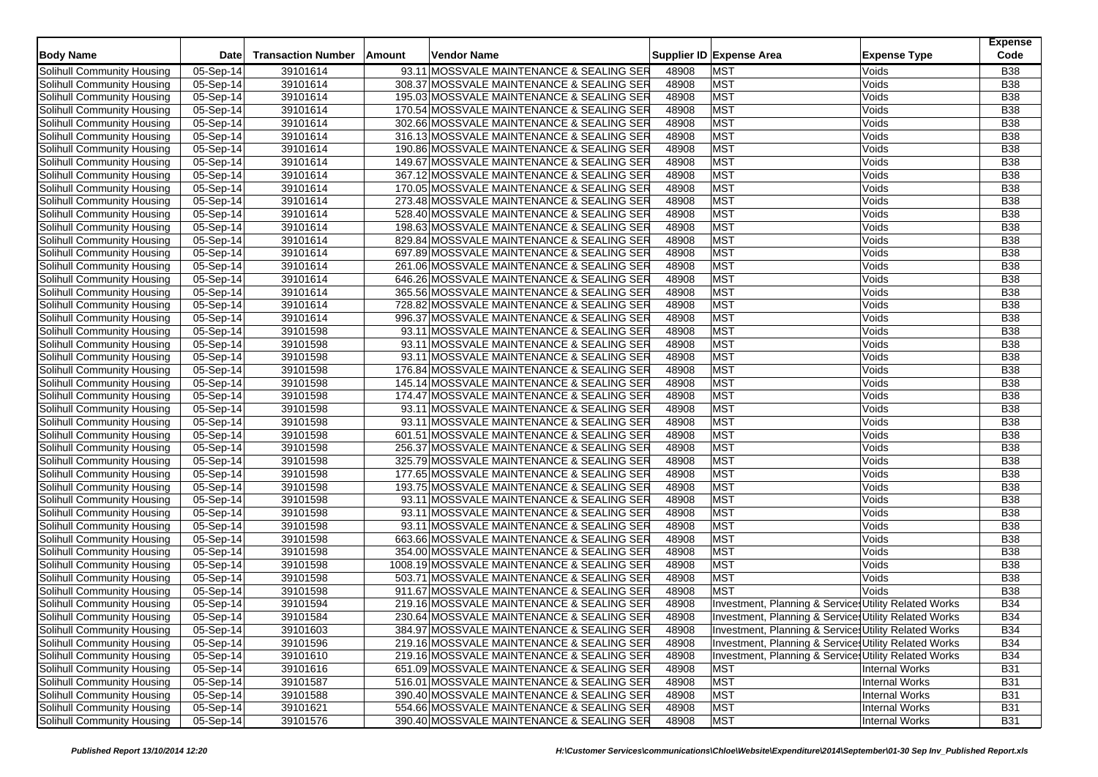|                            |             |                           |        |                                            |       | Supplier ID Expense Area                              | <b>Expense</b><br>Code |
|----------------------------|-------------|---------------------------|--------|--------------------------------------------|-------|-------------------------------------------------------|------------------------|
| <b>Body Name</b>           | <b>Date</b> | <b>Transaction Number</b> | Amount | Vendor Name                                |       | <b>Expense Type</b>                                   |                        |
| Solihull Community Housing | 05-Sep-14   | 39101614                  |        | 93.11 MOSSVALE MAINTENANCE & SEALING SER   | 48908 | <b>MST</b><br>Voids                                   | <b>B38</b>             |
| Solihull Community Housing | 05-Sep-14   | 39101614                  |        | 308.37 MOSSVALE MAINTENANCE & SEALING SER  | 48908 | <b>MST</b><br>Voids                                   | <b>B38</b>             |
| Solihull Community Housing | 05-Sep-14   | 39101614                  |        | 195.03 MOSSVALE MAINTENANCE & SEALING SER  | 48908 | <b>MST</b><br>Voids                                   | <b>B38</b>             |
| Solihull Community Housing | 05-Sep-14   | 39101614                  |        | 170.54 MOSSVALE MAINTENANCE & SEALING SER  | 48908 | <b>MST</b><br>Voids                                   | <b>B38</b>             |
| Solihull Community Housing | 05-Sep-14   | 39101614                  |        | 302.66 MOSSVALE MAINTENANCE & SEALING SER  | 48908 | <b>MST</b><br>Voids                                   | <b>B38</b>             |
| Solihull Community Housing | 05-Sep-14   | 39101614                  |        | 316.13 MOSSVALE MAINTENANCE & SEALING SER  | 48908 | <b>MST</b><br>Voids                                   | <b>B38</b>             |
| Solihull Community Housing | 05-Sep-14   | 39101614                  |        | 190.86 MOSSVALE MAINTENANCE & SEALING SER  | 48908 | <b>MST</b><br>Voids                                   | <b>B38</b>             |
| Solihull Community Housing | 05-Sep-14   | 39101614                  |        | 149.67 MOSSVALE MAINTENANCE & SEALING SER  | 48908 | <b>MST</b><br>Voids                                   | <b>B38</b>             |
| Solihull Community Housing | 05-Sep-14   | 39101614                  |        | 367.12 MOSSVALE MAINTENANCE & SEALING SER  | 48908 | <b>MST</b><br>Voids                                   | <b>B38</b>             |
| Solihull Community Housing | 05-Sep-14   | 39101614                  |        | 170.05 MOSSVALE MAINTENANCE & SEALING SER  | 48908 | <b>MST</b><br>Voids                                   | <b>B38</b>             |
| Solihull Community Housing | 05-Sep-14   | 39101614                  |        | 273.48 MOSSVALE MAINTENANCE & SEALING SER  | 48908 | <b>MST</b><br>Voids                                   | <b>B38</b>             |
| Solihull Community Housing | 05-Sep-14   | 39101614                  |        | 528.40 MOSSVALE MAINTENANCE & SEALING SER  | 48908 | <b>MST</b><br>Voids                                   | <b>B38</b>             |
| Solihull Community Housing | 05-Sep-14   | 39101614                  |        | 198.63 MOSSVALE MAINTENANCE & SEALING SER  | 48908 | <b>MST</b><br>Voids                                   | <b>B38</b>             |
| Solihull Community Housing | 05-Sep-14   | 39101614                  |        | 829.84 MOSSVALE MAINTENANCE & SEALING SER  | 48908 | <b>MST</b><br>Voids                                   | <b>B38</b>             |
| Solihull Community Housing | 05-Sep-14   | 39101614                  |        | 697.89 MOSSVALE MAINTENANCE & SEALING SER  | 48908 | <b>MST</b><br>Voids                                   | <b>B38</b>             |
| Solihull Community Housing | 05-Sep-14   | 39101614                  |        | 261.06 MOSSVALE MAINTENANCE & SEALING SER  | 48908 | <b>MST</b><br>Voids                                   | <b>B38</b>             |
| Solihull Community Housing | 05-Sep-14   | 39101614                  |        | 646.26 MOSSVALE MAINTENANCE & SEALING SER  | 48908 | <b>MST</b><br>Voids                                   | <b>B38</b>             |
| Solihull Community Housing | $05-Sep-14$ | 39101614                  |        | 365.56 MOSSVALE MAINTENANCE & SEALING SER  | 48908 | <b>MST</b><br>Voids                                   | <b>B38</b>             |
| Solihull Community Housing | 05-Sep-14   | 39101614                  |        | 728.82 MOSSVALE MAINTENANCE & SEALING SER  | 48908 | <b>MST</b><br>Voids                                   | <b>B38</b>             |
| Solihull Community Housing | 05-Sep-14   | 39101614                  |        | 996.37 MOSSVALE MAINTENANCE & SEALING SER  | 48908 | <b>MST</b><br>Voids                                   | <b>B38</b>             |
| Solihull Community Housing | 05-Sep-14   | 39101598                  |        | 93.11 MOSSVALE MAINTENANCE & SEALING SER   | 48908 | <b>MST</b><br>Voids                                   | <b>B38</b>             |
| Solihull Community Housing | 05-Sep-14   | 39101598                  |        | 93.11 MOSSVALE MAINTENANCE & SEALING SER   | 48908 | <b>MST</b><br>Voids                                   | <b>B38</b>             |
| Solihull Community Housing | 05-Sep-14   | 39101598                  |        | 93.11 MOSSVALE MAINTENANCE & SEALING SER   | 48908 | <b>MST</b><br>Voids                                   | <b>B38</b>             |
| Solihull Community Housing | 05-Sep-14   | 39101598                  |        | 176.84 MOSSVALE MAINTENANCE & SEALING SER  | 48908 | <b>MST</b><br>Voids                                   | <b>B38</b>             |
| Solihull Community Housing | 05-Sep-14   | 39101598                  |        | 145.14 MOSSVALE MAINTENANCE & SEALING SER  | 48908 | <b>MST</b><br>Voids                                   | <b>B38</b>             |
| Solihull Community Housing | 05-Sep-14   | 39101598                  |        | 174.47 MOSSVALE MAINTENANCE & SEALING SER  | 48908 | <b>MST</b><br>Voids                                   | <b>B38</b>             |
| Solihull Community Housing | 05-Sep-14   | 39101598                  |        | 93.11 MOSSVALE MAINTENANCE & SEALING SER   | 48908 | <b>MST</b><br>Voids                                   | <b>B38</b>             |
| Solihull Community Housing | 05-Sep-14   | 39101598                  |        | 93.11 MOSSVALE MAINTENANCE & SEALING SER   | 48908 | <b>MST</b><br>Voids                                   | <b>B38</b>             |
| Solihull Community Housing | 05-Sep-14   | 39101598                  |        | 601.51 MOSSVALE MAINTENANCE & SEALING SER  | 48908 | <b>MST</b><br>Voids                                   | <b>B38</b>             |
| Solihull Community Housing | $05-Sep-14$ | 39101598                  |        | 256.37 MOSSVALE MAINTENANCE & SEALING SER  | 48908 | <b>MST</b><br>Voids                                   | <b>B38</b>             |
| Solihull Community Housing | 05-Sep-14   | 39101598                  |        | 325.79 MOSSVALE MAINTENANCE & SEALING SER  | 48908 | <b>MST</b><br>Voids                                   | <b>B38</b>             |
| Solihull Community Housing | 05-Sep-14   | 39101598                  |        | 177.65 MOSSVALE MAINTENANCE & SEALING SER  | 48908 | <b>MST</b><br>Voids                                   | <b>B38</b>             |
| Solihull Community Housing | 05-Sep-14   | 39101598                  |        | 193.75 MOSSVALE MAINTENANCE & SEALING SER  | 48908 | <b>MST</b><br>Voids                                   | <b>B38</b>             |
| Solihull Community Housing | 05-Sep-14   | 39101598                  |        | 93.11 MOSSVALE MAINTENANCE & SEALING SER   | 48908 | <b>MST</b><br>Voids                                   | <b>B38</b>             |
| Solihull Community Housing | 05-Sep-14   | 39101598                  |        | 93.11 MOSSVALE MAINTENANCE & SEALING SER   | 48908 | <b>MST</b><br>Voids                                   | <b>B38</b>             |
| Solihull Community Housing | 05-Sep-14   | 39101598                  |        | 93.11 MOSSVALE MAINTENANCE & SEALING SER   | 48908 | <b>MST</b><br>Voids                                   | <b>B38</b>             |
| Solihull Community Housing | 05-Sep-14   | 39101598                  |        | 663.66 MOSSVALE MAINTENANCE & SEALING SER  | 48908 | <b>MST</b><br>Voids                                   | <b>B38</b>             |
| Solihull Community Housing | 05-Sep-14   | 39101598                  |        | 354.00 MOSSVALE MAINTENANCE & SEALING SER  | 48908 | <b>MST</b><br>Voids                                   | <b>B38</b>             |
| Solihull Community Housing | 05-Sep-14   | 39101598                  |        | 1008.19 MOSSVALE MAINTENANCE & SEALING SER | 48908 | <b>MST</b><br>Voids                                   | <b>B38</b>             |
| Solihull Community Housing | 05-Sep-14   | 39101598                  |        | 503.71 MOSSVALE MAINTENANCE & SEALING SER  | 48908 | <b>MST</b><br>Voids                                   | B38                    |
| Solihull Community Housing | 05-Sep-14   | 39101598                  |        | 911.67 MOSSVALE MAINTENANCE & SEALING SER  | 48908 | <b>MST</b><br>Voids                                   | <b>B38</b>             |
| Solihull Community Housing | 05-Sep-14   | 39101594                  |        | 219.16 MOSSVALE MAINTENANCE & SEALING SER  | 48908 | Investment, Planning & Service: Utility Related Works | <b>B34</b>             |
| Solihull Community Housing | 05-Sep-14   | 39101584                  |        | 230.64 MOSSVALE MAINTENANCE & SEALING SER  | 48908 | Investment, Planning & Service: Utility Related Works | <b>B34</b>             |
| Solihull Community Housing | 05-Sep-14   | 39101603                  |        | 384.97 MOSSVALE MAINTENANCE & SEALING SER  | 48908 | Investment, Planning & Services Utility Related Works | <b>B34</b>             |
| Solihull Community Housing | $05-Sep-14$ | 39101596                  |        | 219.16 MOSSVALE MAINTENANCE & SEALING SER  | 48908 | Investment, Planning & Services Utility Related Works | <b>B34</b>             |
| Solihull Community Housing | 05-Sep-14   | 39101610                  |        | 219.16 MOSSVALE MAINTENANCE & SEALING SER  | 48908 | Investment, Planning & Services Utility Related Works | <b>B34</b>             |
| Solihull Community Housing | 05-Sep-14   | 39101616                  |        | 651.09 MOSSVALE MAINTENANCE & SEALING SER  | 48908 | <b>MST</b><br><b>Internal Works</b>                   | <b>B31</b>             |
| Solihull Community Housing | 05-Sep-14   | 39101587                  |        | 516.01 MOSSVALE MAINTENANCE & SEALING SER  | 48908 | <b>MST</b><br><b>Internal Works</b>                   | <b>B31</b>             |
| Solihull Community Housing | 05-Sep-14   | 39101588                  |        | 390.40 MOSSVALE MAINTENANCE & SEALING SER  | 48908 | <b>MST</b><br><b>Internal Works</b>                   | <b>B31</b>             |
| Solihull Community Housing | 05-Sep-14   | 39101621                  |        | 554.66 MOSSVALE MAINTENANCE & SEALING SER  | 48908 | <b>MST</b><br><b>Internal Works</b>                   | <b>B31</b>             |
| Solihull Community Housing | 05-Sep-14   | 39101576                  |        | 390.40 MOSSVALE MAINTENANCE & SEALING SER  | 48908 | <b>MST</b><br><b>Internal Works</b>                   | <b>B31</b>             |
|                            |             |                           |        |                                            |       |                                                       |                        |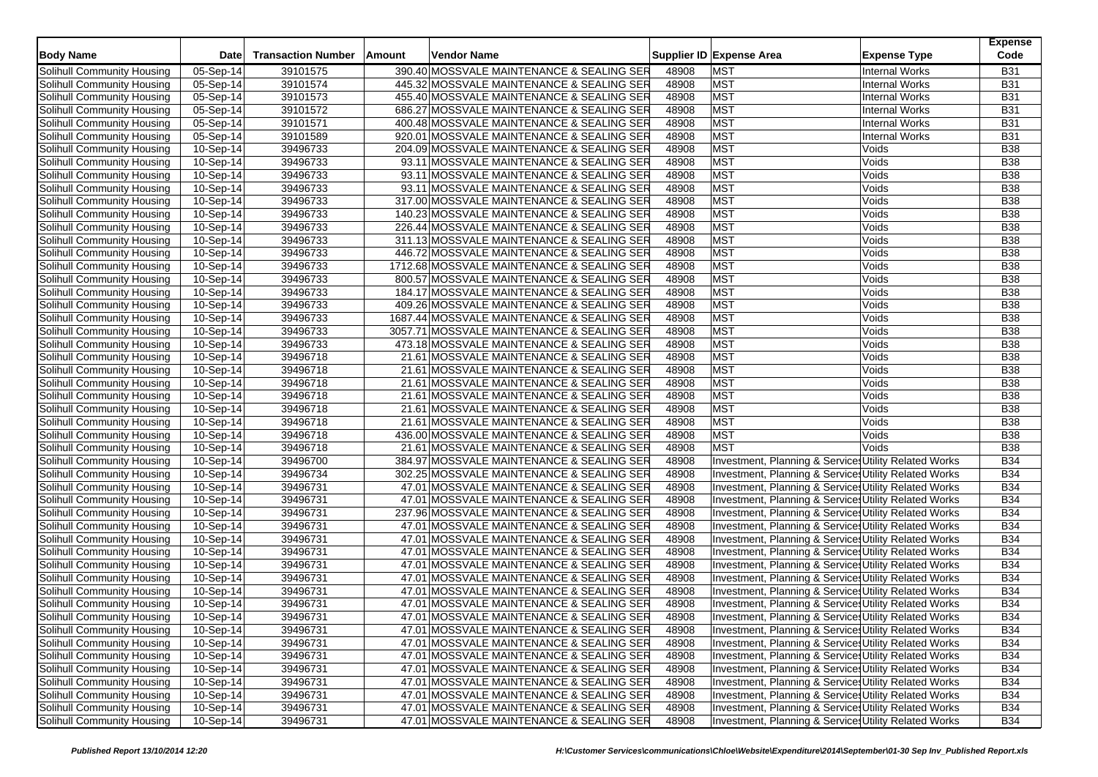| <b>Body Name</b>                                         | <b>Date</b>             | <b>Transaction Number</b> | Amount | Vendor Name |                                                                                        |       | Supplier ID Expense Area                              | <b>Expense Type</b>                            | <b>Expense</b><br>Code   |
|----------------------------------------------------------|-------------------------|---------------------------|--------|-------------|----------------------------------------------------------------------------------------|-------|-------------------------------------------------------|------------------------------------------------|--------------------------|
| Solihull Community Housing                               |                         |                           |        |             |                                                                                        | 48908 | <b>MST</b>                                            | <b>Internal Works</b>                          |                          |
|                                                          | 05-Sep-14               | 39101575<br>39101574      |        |             | 390.40 MOSSVALE MAINTENANCE & SEALING SER                                              | 48908 | <b>MST</b>                                            |                                                | <b>B31</b>               |
| Solihull Community Housing<br>Solihull Community Housing | 05-Sep-14<br>05-Sep-14  | 39101573                  |        |             | 445.32 MOSSVALE MAINTENANCE & SEALING SER<br>455.40 MOSSVALE MAINTENANCE & SEALING SER | 48908 | <b>MST</b>                                            | <b>Internal Works</b><br><b>Internal Works</b> | <b>B31</b><br><b>B31</b> |
|                                                          |                         |                           |        |             |                                                                                        |       | <b>MST</b>                                            |                                                | <b>B31</b>               |
| Solihull Community Housing                               | 05-Sep-14               | 39101572                  |        |             | 686.27 MOSSVALE MAINTENANCE & SEALING SER                                              | 48908 |                                                       | <b>Internal Works</b>                          |                          |
| Solihull Community Housing                               | 05-Sep-14               | 39101571                  |        |             | 400.48 MOSSVALE MAINTENANCE & SEALING SER                                              | 48908 | <b>MST</b>                                            | <b>Internal Works</b>                          | <b>B31</b>               |
| Solihull Community Housing                               | 05-Sep-14               | 39101589                  |        |             | 920.01 MOSSVALE MAINTENANCE & SEALING SER                                              | 48908 | <b>MST</b>                                            | <b>Internal Works</b>                          | <b>B31</b>               |
| Solihull Community Housing                               | 10-Sep-14               | 39496733                  |        |             | 204.09 MOSSVALE MAINTENANCE & SEALING SER                                              | 48908 | <b>MST</b>                                            | Voids                                          | <b>B38</b>               |
| Solihull Community Housing                               | $10-Sep-14$             | 39496733                  |        |             | 93.11 MOSSVALE MAINTENANCE & SEALING SER                                               | 48908 | <b>MST</b>                                            | Voids                                          | <b>B38</b>               |
| Solihull Community Housing                               | 10-Sep-14               | 39496733                  |        |             | 93.11 MOSSVALE MAINTENANCE & SEALING SER                                               | 48908 | <b>MST</b>                                            | Voids                                          | <b>B38</b>               |
| Solihull Community Housing                               | 10-Sep-14               | 39496733                  |        |             | 93.11 MOSSVALE MAINTENANCE & SEALING SER                                               | 48908 | <b>MST</b>                                            | Voids                                          | <b>B38</b>               |
| Solihull Community Housing                               | $\overline{10}$ -Sep-14 | 39496733                  |        |             | 317.00 MOSSVALE MAINTENANCE & SEALING SER                                              | 48908 | <b>MST</b>                                            | Voids                                          | B38                      |
| Solihull Community Housing                               | 10-Sep-14               | 39496733                  |        |             | 140.23 MOSSVALE MAINTENANCE & SEALING SER                                              | 48908 | <b>MST</b>                                            | Voids                                          | <b>B38</b>               |
| Solihull Community Housing                               | 10-Sep-14               | 39496733                  |        |             | 226.44 MOSSVALE MAINTENANCE & SEALING SER                                              | 48908 | <b>MST</b>                                            | Voids                                          | <b>B38</b>               |
| Solihull Community Housing                               | 10-Sep-14               | 39496733                  |        |             | 311.13 MOSSVALE MAINTENANCE & SEALING SER                                              | 48908 | <b>MST</b>                                            | Voids                                          | <b>B38</b>               |
| Solihull Community Housing                               | 10-Sep-14               | 39496733                  |        |             | 446.72 MOSSVALE MAINTENANCE & SEALING SER                                              | 48908 | <b>MST</b>                                            | Voids                                          | <b>B38</b>               |
| Solihull Community Housing                               | 10-Sep-14               | 39496733                  |        |             | 1712.68 MOSSVALE MAINTENANCE & SEALING SER                                             | 48908 | <b>MST</b>                                            | Voids                                          | <b>B38</b>               |
| Solihull Community Housing                               | 10-Sep-14               | 39496733                  |        |             | 800.57 MOSSVALE MAINTENANCE & SEALING SER                                              | 48908 | <b>MST</b>                                            | Voids                                          | <b>B38</b>               |
| Solihull Community Housing                               | 10-Sep-14               | 39496733                  |        |             | 184.17 MOSSVALE MAINTENANCE & SEALING SER                                              | 48908 | <b>MST</b>                                            | Voids                                          | <b>B38</b>               |
| Solihull Community Housing                               | 10-Sep-14               | 39496733                  |        |             | 409.26 MOSSVALE MAINTENANCE & SEALING SER                                              | 48908 | <b>MST</b>                                            | Voids                                          | <b>B38</b>               |
| Solihull Community Housing                               | 10-Sep-14               | 39496733                  |        |             | 1687.44 MOSSVALE MAINTENANCE & SEALING SER                                             | 48908 | <b>MST</b>                                            | Voids                                          | B38                      |
| Solihull Community Housing                               | 10-Sep-14               | 39496733                  |        |             | 3057.71 MOSSVALE MAINTENANCE & SEALING SER                                             | 48908 | <b>MST</b>                                            | Voids                                          | <b>B38</b>               |
| Solihull Community Housing                               | 10-Sep-14               | 39496733                  |        |             | 473.18 MOSSVALE MAINTENANCE & SEALING SER                                              | 48908 | <b>MST</b>                                            | Voids                                          | <b>B38</b>               |
| Solihull Community Housing                               | 10-Sep-14               | 39496718                  |        |             | 21.61 MOSSVALE MAINTENANCE & SEALING SER                                               | 48908 | <b>MST</b>                                            | Voids                                          | B38                      |
| Solihull Community Housing                               | 10-Sep-14               | 39496718                  |        |             | 21.61 MOSSVALE MAINTENANCE & SEALING SER                                               | 48908 | <b>MST</b>                                            | Voids                                          | <b>B38</b>               |
| Solihull Community Housing                               | 10-Sep-14               | 39496718                  |        |             | 21.61 MOSSVALE MAINTENANCE & SEALING SER                                               | 48908 | <b>MST</b>                                            | Voids                                          | <b>B38</b>               |
| Solihull Community Housing                               | 10-Sep-14               | 39496718                  |        |             | 21.61 MOSSVALE MAINTENANCE & SEALING SER                                               | 48908 | <b>MST</b>                                            | Voids                                          | B38                      |
| Solihull Community Housing                               | 10-Sep-14               | 39496718                  |        |             | 21.61 MOSSVALE MAINTENANCE & SEALING SER                                               | 48908 | <b>MST</b>                                            | Voids                                          | <b>B38</b>               |
| Solihull Community Housing                               | 10-Sep-14               | 39496718                  |        |             | 21.61 MOSSVALE MAINTENANCE & SEALING SER                                               | 48908 | <b>MST</b>                                            | Voids                                          | <b>B38</b>               |
| Solihull Community Housing                               | 10-Sep-14               | 39496718                  |        |             | 436.00 MOSSVALE MAINTENANCE & SEALING SER                                              | 48908 | <b>MST</b>                                            | Voids                                          | B38                      |
| Solihull Community Housing                               | 10-Sep-14               | 39496718                  |        |             | 21.61 MOSSVALE MAINTENANCE & SEALING SER                                               | 48908 | <b>MST</b>                                            | Voids                                          | <b>B38</b>               |
| Solihull Community Housing                               | 10-Sep-14               | 39496700                  |        |             | 384.97 MOSSVALE MAINTENANCE & SEALING SER                                              | 48908 | Investment, Planning & Service: Utility Related Works |                                                | <b>B34</b>               |
| Solihull Community Housing                               | 10-Sep-14               | 39496734                  |        |             | 302.25 MOSSVALE MAINTENANCE & SEALING SER                                              | 48908 | Investment, Planning & Service: Utility Related Works |                                                | <b>B34</b>               |
| Solihull Community Housing                               | 10-Sep-14               | 39496731                  |        |             | 47.01 MOSSVALE MAINTENANCE & SEALING SER                                               | 48908 | Investment, Planning & Service: Utility Related Works |                                                | <b>B34</b>               |
| Solihull Community Housing                               | 10-Sep-14               | 39496731                  |        |             | 47.01 MOSSVALE MAINTENANCE & SEALING SER                                               | 48908 | Investment, Planning & Service: Utility Related Works |                                                | <b>B34</b>               |
| Solihull Community Housing                               | 10-Sep-14               | 39496731                  |        |             | 237.96 MOSSVALE MAINTENANCE & SEALING SER                                              | 48908 | Investment, Planning & Service: Utility Related Works |                                                | <b>B34</b>               |
| Solihull Community Housing                               | 10-Sep-14               | 39496731                  |        |             | 47.01 MOSSVALE MAINTENANCE & SEALING SER                                               | 48908 | Investment, Planning & Service, Utility Related Works |                                                | <b>B34</b>               |
| Solihull Community Housing                               | 10-Sep-14               | 39496731                  |        |             | 47.01 MOSSVALE MAINTENANCE & SEALING SER                                               | 48908 | Investment, Planning & Service: Utility Related Works |                                                | <b>B34</b>               |
| Solihull Community Housing                               | 10-Sep-14               | 39496731                  |        |             | 47.01 MOSSVALE MAINTENANCE & SEALING SER                                               | 48908 | Investment, Planning & Service: Utility Related Works |                                                | <b>B34</b>               |
| Solihull Community Housing                               | 10-Sep-14               | 39496731                  |        |             | 47.01 MOSSVALE MAINTENANCE & SEALING SER                                               | 48908 | Investment, Planning & Services Utility Related Works |                                                | <b>B34</b>               |
| Solihull Community Housing                               | 10-Sep-14               | 39496731                  |        |             | 47.01 MOSSVALE MAINTENANCE & SEALING SER                                               | 48908 | Investment, Planning & Service: Utility Related Works |                                                | <b>B34</b>               |
| Solihull Community Housing                               | 10-Sep-14               | 39496731                  |        |             | 47.01 MOSSVALE MAINTENANCE & SEALING SER                                               | 48908 | Investment, Planning & Service: Utility Related Works |                                                | <b>B34</b>               |
| Solihull Community Housing                               | 10-Sep-14               | 39496731                  |        |             | 47.01 MOSSVALE MAINTENANCE & SEALING SER                                               | 48908 | Investment, Planning & Services Utility Related Works |                                                | <b>B34</b>               |
| Solihull Community Housing                               | 10-Sep-14               | 39496731                  |        |             | 47.01 MOSSVALE MAINTENANCE & SEALING SER                                               | 48908 | Investment, Planning & Services Utility Related Works |                                                | <b>B34</b>               |
| Solihull Community Housing                               | 10-Sep-14               | 39496731                  |        |             | 47.01 MOSSVALE MAINTENANCE & SEALING SER                                               | 48908 | Investment, Planning & Services Utility Related Works |                                                | <b>B34</b>               |
| Solihull Community Housing                               | 10-Sep-14               | 39496731                  |        |             | 47.01 MOSSVALE MAINTENANCE & SEALING SER                                               | 48908 | Investment, Planning & Services Utility Related Works |                                                | <b>B34</b>               |
| Solihull Community Housing                               | 10-Sep-14               | 39496731                  |        |             | 47.01 MOSSVALE MAINTENANCE & SEALING SER                                               | 48908 | Investment, Planning & Services Utility Related Works |                                                | <b>B34</b>               |
| Solihull Community Housing                               | 10-Sep-14               | 39496731                  |        |             | 47.01 MOSSVALE MAINTENANCE & SEALING SER                                               | 48908 | Investment, Planning & Services Utility Related Works |                                                | <b>B34</b>               |
| Solihull Community Housing                               | 10-Sep-14               | 39496731                  |        |             | 47.01 MOSSVALE MAINTENANCE & SEALING SER                                               | 48908 | Investment, Planning & Service Utility Related Works  |                                                | <b>B34</b>               |
| Solihull Community Housing                               | 10-Sep-14               | 39496731                  |        |             | 47.01 MOSSVALE MAINTENANCE & SEALING SER                                               | 48908 | Investment, Planning & Service: Utility Related Works |                                                | <b>B34</b>               |
| <b>Solihull Community Housing</b>                        | 10-Sep-14               | 39496731                  |        |             | 47.01 MOSSVALE MAINTENANCE & SEALING SER                                               | 48908 | Investment, Planning & Service, Utility Related Works |                                                | <b>B34</b>               |
| Solihull Community Housing                               | 10-Sep-14               | 39496731                  |        |             | 47.01 MOSSVALE MAINTENANCE & SEALING SER                                               | 48908 | Investment, Planning & Services Utility Related Works |                                                | <b>B34</b>               |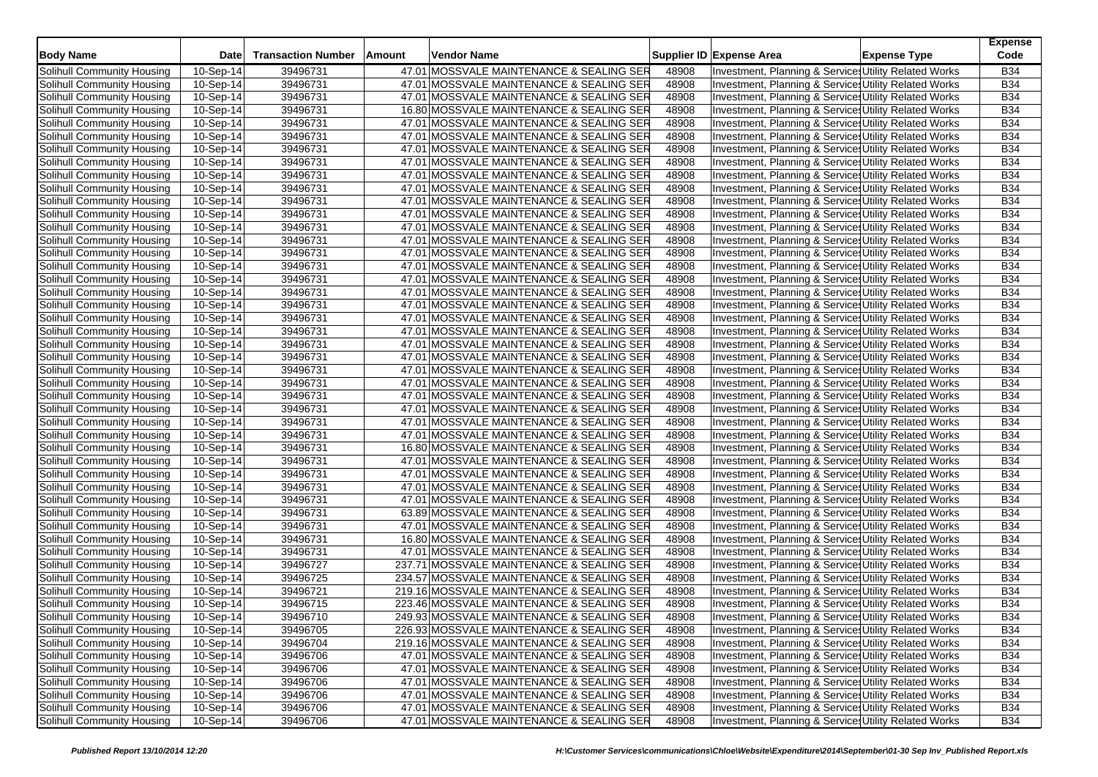| <b>Body Name</b>           | <b>Date</b>             | <b>Transaction Number</b> | Amount | Vendor Name                               |       | Supplier ID Expense Area                              | <b>Expense Type</b> | <b>Expense</b><br>Code |
|----------------------------|-------------------------|---------------------------|--------|-------------------------------------------|-------|-------------------------------------------------------|---------------------|------------------------|
| Solihull Community Housing | 10-Sep-14               | 39496731                  |        | 47.01 MOSSVALE MAINTENANCE & SEALING SER  | 48908 | Investment, Planning & Service: Utility Related Works |                     | <b>B34</b>             |
| Solihull Community Housing | 10-Sep-14               | 39496731                  |        | 47.01 MOSSVALE MAINTENANCE & SEALING SER  | 48908 | Investment, Planning & Service: Utility Related Works |                     | <b>B34</b>             |
| Solihull Community Housing | 10-Sep-14               | 39496731                  |        | 47.01 MOSSVALE MAINTENANCE & SEALING SER  | 48908 | Investment, Planning & Service: Utility Related Works |                     | <b>B34</b>             |
| Solihull Community Housing | 10-Sep-14               | 39496731                  |        | 16.80 MOSSVALE MAINTENANCE & SEALING SER  | 48908 | Investment, Planning & Service: Utility Related Works |                     | <b>B34</b>             |
| Solihull Community Housing | 10-Sep-14               | 39496731                  |        | 47.01 MOSSVALE MAINTENANCE & SEALING SER  | 48908 | Investment, Planning & Service: Utility Related Works |                     | <b>B34</b>             |
| Solihull Community Housing | $\overline{10}$ -Sep-14 | 39496731                  |        | 47.01 MOSSVALE MAINTENANCE & SEALING SER  | 48908 | Investment, Planning & Services Utility Related Works |                     | <b>B34</b>             |
| Solihull Community Housing | 10-Sep-14               | 39496731                  |        | 47.01 MOSSVALE MAINTENANCE & SEALING SER  | 48908 | Investment, Planning & Service: Utility Related Works |                     | <b>B34</b>             |
| Solihull Community Housing | 10-Sep-14               | 39496731                  |        | 47.01 MOSSVALE MAINTENANCE & SEALING SER  | 48908 | Investment, Planning & Service Utility Related Works  |                     | <b>B34</b>             |
| Solihull Community Housing | 10-Sep-14               | 39496731                  |        | 47.01 MOSSVALE MAINTENANCE & SEALING SER  | 48908 | Investment, Planning & Service: Utility Related Works |                     | <b>B34</b>             |
| Solihull Community Housing | 10-Sep-14               | 39496731                  |        | 47.01 MOSSVALE MAINTENANCE & SEALING SER  | 48908 | Investment, Planning & Service: Utility Related Works |                     | <b>B34</b>             |
| Solihull Community Housing | 10-Sep-14               | 39496731                  |        | 47.01 MOSSVALE MAINTENANCE & SEALING SER  | 48908 | Investment, Planning & Service Utility Related Works  |                     | <b>B34</b>             |
| Solihull Community Housing | 10-Sep-14               | 39496731                  |        | 47.01 MOSSVALE MAINTENANCE & SEALING SER  | 48908 | Investment, Planning & Service: Utility Related Works |                     | <b>B34</b>             |
| Solihull Community Housing | 10-Sep-14               | 39496731                  |        | 47.01 MOSSVALE MAINTENANCE & SEALING SER  | 48908 | Investment, Planning & Services Utility Related Works |                     | <b>B34</b>             |
| Solihull Community Housing | 10-Sep-14               | 39496731                  |        | 47.01 MOSSVALE MAINTENANCE & SEALING SER  | 48908 | Investment, Planning & Service Utility Related Works  |                     | <b>B34</b>             |
| Solihull Community Housing | 10-Sep-14               | 39496731                  |        | 47.01 MOSSVALE MAINTENANCE & SEALING SER  | 48908 | Investment, Planning & Services Utility Related Works |                     | <b>B34</b>             |
| Solihull Community Housing | 10-Sep-14               | 39496731                  |        | 47.01 MOSSVALE MAINTENANCE & SEALING SER  | 48908 | Investment, Planning & Service Utility Related Works  |                     | <b>B34</b>             |
| Solihull Community Housing | 10-Sep-14               | 39496731                  |        | 47.01 MOSSVALE MAINTENANCE & SEALING SER  | 48908 | Investment, Planning & Service: Utility Related Works |                     | <b>B34</b>             |
| Solihull Community Housing | 10-Sep-14               | 39496731                  |        | 47.01 MOSSVALE MAINTENANCE & SEALING SER  | 48908 | Investment, Planning & Service: Utility Related Works |                     | <b>B34</b>             |
| Solihull Community Housing | 10-Sep-14               | 39496731                  |        | 47.01 MOSSVALE MAINTENANCE & SEALING SER  | 48908 | Investment, Planning & Service: Utility Related Works |                     | <b>B34</b>             |
| Solihull Community Housing | 10-Sep-14               | 39496731                  |        | 47.01 MOSSVALE MAINTENANCE & SEALING SER  | 48908 | Investment, Planning & Service: Utility Related Works |                     | <b>B34</b>             |
| Solihull Community Housing | 10-Sep-14               | 39496731                  |        | 47.01 MOSSVALE MAINTENANCE & SEALING SER  | 48908 | Investment, Planning & Service: Utility Related Works |                     | <b>B34</b>             |
| Solihull Community Housing | 10-Sep-14               | 39496731                  |        | 47.01 MOSSVALE MAINTENANCE & SEALING SER  | 48908 | Investment, Planning & Services Utility Related Works |                     | <b>B34</b>             |
| Solihull Community Housing | 10-Sep-14               | 39496731                  |        | 47.01 MOSSVALE MAINTENANCE & SEALING SER  | 48908 | Investment, Planning & Service: Utility Related Works |                     | <b>B34</b>             |
| Solihull Community Housing | 10-Sep-14               | 39496731                  |        | 47.01 MOSSVALE MAINTENANCE & SEALING SER  | 48908 | Investment, Planning & Service: Utility Related Works |                     | <b>B34</b>             |
| Solihull Community Housing | 10-Sep-14               | 39496731                  |        | 47.01 MOSSVALE MAINTENANCE & SEALING SER  | 48908 | Investment, Planning & Services Utility Related Works |                     | <b>B34</b>             |
| Solihull Community Housing | 10-Sep-14               | 39496731                  |        | 47.01 MOSSVALE MAINTENANCE & SEALING SER  | 48908 | Investment, Planning & Service: Utility Related Works |                     | <b>B34</b>             |
| Solihull Community Housing | 10-Sep-14               | 39496731                  |        | 47.01 MOSSVALE MAINTENANCE & SEALING SER  | 48908 | Investment, Planning & Service Utility Related Works  |                     | <b>B34</b>             |
| Solihull Community Housing | 10-Sep-14               | 39496731                  |        | 47.01 MOSSVALE MAINTENANCE & SEALING SER  | 48908 | Investment, Planning & Service: Utility Related Works |                     | <b>B34</b>             |
| Solihull Community Housing | 10-Sep-14               | 39496731                  |        | 47.01 MOSSVALE MAINTENANCE & SEALING SER  | 48908 | Investment, Planning & Services Utility Related Works |                     | <b>B34</b>             |
| Solihull Community Housing | 10-Sep-14               | 39496731                  |        | 16.80 MOSSVALE MAINTENANCE & SEALING SER  | 48908 | Investment, Planning & Service Utility Related Works  |                     | <b>B34</b>             |
| Solihull Community Housing | 10-Sep-14               | 39496731                  |        | 47.01 MOSSVALE MAINTENANCE & SEALING SER  | 48908 | Investment, Planning & Service: Utility Related Works |                     | <b>B34</b>             |
| Solihull Community Housing | 10-Sep-14               | 39496731                  |        | 47.01 MOSSVALE MAINTENANCE & SEALING SER  | 48908 | Investment, Planning & Service Utility Related Works  |                     | <b>B34</b>             |
| Solihull Community Housing | 10-Sep-14               | 39496731                  |        | 47.01 MOSSVALE MAINTENANCE & SEALING SER  | 48908 | Investment, Planning & Service Utility Related Works  |                     | <b>B34</b>             |
| Solihull Community Housing | 10-Sep-14               | 39496731                  |        | 47.01 MOSSVALE MAINTENANCE & SEALING SER  | 48908 | Investment, Planning & Service Utility Related Works  |                     | <b>B34</b>             |
| Solihull Community Housing | 10-Sep-14               | 39496731                  |        | 63.89 MOSSVALE MAINTENANCE & SEALING SER  | 48908 | Investment, Planning & Service: Utility Related Works |                     | <b>B34</b>             |
| Solihull Community Housing | 10-Sep-14               | 39496731                  |        | 47.01 MOSSVALE MAINTENANCE & SEALING SER  | 48908 | Investment, Planning & Services Utility Related Works |                     | <b>B34</b>             |
| Solihull Community Housing | 10-Sep-14               | 39496731                  |        | 16.80 MOSSVALE MAINTENANCE & SEALING SER  | 48908 | Investment, Planning & Service: Utility Related Works |                     | <b>B34</b>             |
| Solihull Community Housing | 10-Sep-14               | 39496731                  |        | 47.01 MOSSVALE MAINTENANCE & SEALING SER  | 48908 | Investment, Planning & Service: Utility Related Works |                     | <b>B34</b>             |
| Solihull Community Housing | 10-Sep-14               | 39496727                  |        | 237.71 MOSSVALE MAINTENANCE & SEALING SER | 48908 | Investment, Planning & Services Utility Related Works |                     | <b>B34</b>             |
| Solihull Community Housing | 10-Sep-14               | 39496725                  |        | 234.57 MOSSVALE MAINTENANCE & SEALING SER | 48908 | Investment, Planning & Service: Utility Related Works |                     | <b>B34</b>             |
| Solihull Community Housing | 10-Sep-14               | 39496721                  |        | 219.16 MOSSVALE MAINTENANCE & SEALING SER | 48908 | Investment, Planning & Service: Utility Related Works |                     | <b>B34</b>             |
| Solihull Community Housing | 10-Sep-14               | 39496715                  |        | 223.46 MOSSVALE MAINTENANCE & SEALING SER | 48908 | Investment, Planning & Services Utility Related Works |                     | <b>B34</b>             |
| Solihull Community Housing | 10-Sep-14               | 39496710                  |        | 249.93 MOSSVALE MAINTENANCE & SEALING SER | 48908 | Investment, Planning & Services Utility Related Works |                     | <b>B34</b>             |
| Solihull Community Housing | 10-Sep-14               | 39496705                  |        | 226.93 MOSSVALE MAINTENANCE & SEALING SER | 48908 | Investment, Planning & Services Utility Related Works |                     | <b>B34</b>             |
| Solihull Community Housing | 10-Sep-14               | 39496704                  |        | 219.16 MOSSVALE MAINTENANCE & SEALING SER | 48908 | Investment, Planning & Services Utility Related Works |                     | <b>B34</b>             |
| Solihull Community Housing | 10-Sep-14               | 39496706                  |        | 47.01 MOSSVALE MAINTENANCE & SEALING SER  | 48908 | Investment, Planning & Services Utility Related Works |                     | <b>B34</b>             |
| Solihull Community Housing | 10-Sep-14               | 39496706                  |        | 47.01 MOSSVALE MAINTENANCE & SEALING SER  | 48908 | Investment, Planning & Services Utility Related Works |                     | <b>B34</b>             |
| Solihull Community Housing | 10-Sep-14               | 39496706                  |        | 47.01 MOSSVALE MAINTENANCE & SEALING SER  | 48908 | Investment, Planning & Service Utility Related Works  |                     | <b>B34</b>             |
| Solihull Community Housing | 10-Sep-14               | 39496706                  |        | 47.01 MOSSVALE MAINTENANCE & SEALING SER  | 48908 | Investment, Planning & Services Utility Related Works |                     | <b>B34</b>             |
| Solihull Community Housing | 10-Sep-14               | 39496706                  |        | 47.01 MOSSVALE MAINTENANCE & SEALING SER  | 48908 | Investment, Planning & Service Utility Related Works  |                     | <b>B34</b>             |
| Solihull Community Housing | 10-Sep-14               | 39496706                  |        | 47.01 MOSSVALE MAINTENANCE & SEALING SER  | 48908 | Investment, Planning & Services Utility Related Works |                     | <b>B34</b>             |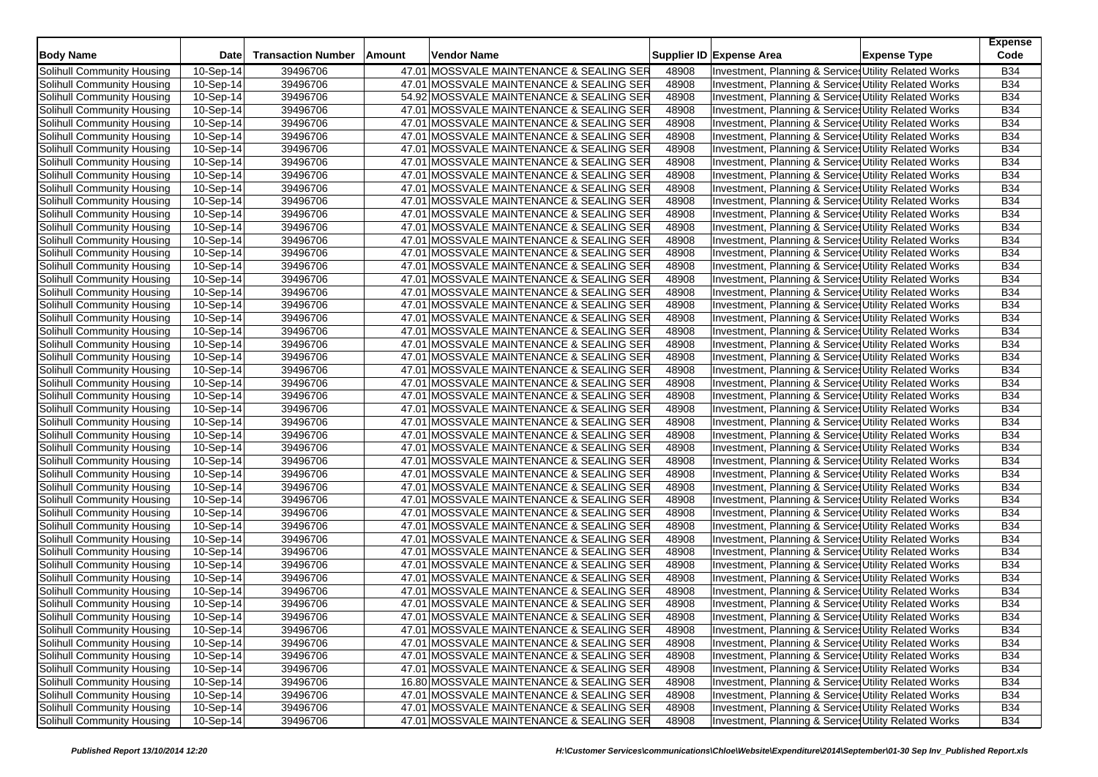| <b>Body Name</b>           | <b>Date</b> | <b>Transaction Number</b> | Amount | Vendor Name                              |       | Supplier ID Expense Area                              | <b>Expense Type</b> | <b>Expense</b><br>Code |
|----------------------------|-------------|---------------------------|--------|------------------------------------------|-------|-------------------------------------------------------|---------------------|------------------------|
| Solihull Community Housing | 10-Sep-14   | 39496706                  |        | 47.01 MOSSVALE MAINTENANCE & SEALING SER | 48908 | Investment, Planning & Service: Utility Related Works |                     | <b>B34</b>             |
| Solihull Community Housing | 10-Sep-14   | 39496706                  |        | 47.01 MOSSVALE MAINTENANCE & SEALING SER | 48908 | Investment, Planning & Service: Utility Related Works |                     | <b>B34</b>             |
| Solihull Community Housing | 10-Sep-14   | 39496706                  |        | 54.92 MOSSVALE MAINTENANCE & SEALING SER | 48908 | Investment, Planning & Service: Utility Related Works |                     | <b>B34</b>             |
| Solihull Community Housing | 10-Sep-14   | 39496706                  |        | 47.01 MOSSVALE MAINTENANCE & SEALING SER | 48908 | Investment, Planning & Service: Utility Related Works |                     | <b>B34</b>             |
| Solihull Community Housing | 10-Sep-14   | 39496706                  |        | 47.01 MOSSVALE MAINTENANCE & SEALING SER | 48908 | Investment, Planning & Service: Utility Related Works |                     | <b>B34</b>             |
| Solihull Community Housing | 10-Sep-14   | 39496706                  |        | 47.01 MOSSVALE MAINTENANCE & SEALING SER | 48908 | Investment, Planning & Services Utility Related Works |                     | <b>B34</b>             |
| Solihull Community Housing | 10-Sep-14   | 39496706                  |        | 47.01 MOSSVALE MAINTENANCE & SEALING SER | 48908 | Investment, Planning & Service: Utility Related Works |                     | <b>B34</b>             |
| Solihull Community Housing | 10-Sep-14   | 39496706                  |        | 47.01 MOSSVALE MAINTENANCE & SEALING SER | 48908 | Investment, Planning & Services Utility Related Works |                     | <b>B34</b>             |
| Solihull Community Housing | 10-Sep-14   | 39496706                  |        | 47.01 MOSSVALE MAINTENANCE & SEALING SER | 48908 | Investment, Planning & Service: Utility Related Works |                     | <b>B34</b>             |
| Solihull Community Housing | 10-Sep-14   | 39496706                  |        | 47.01 MOSSVALE MAINTENANCE & SEALING SER | 48908 | Investment, Planning & Service: Utility Related Works |                     | <b>B34</b>             |
| Solihull Community Housing | 10-Sep-14   | 39496706                  |        | 47.01 MOSSVALE MAINTENANCE & SEALING SER | 48908 | Investment, Planning & Service Utility Related Works  |                     | <b>B34</b>             |
| Solihull Community Housing | 10-Sep-14   | 39496706                  |        | 47.01 MOSSVALE MAINTENANCE & SEALING SER | 48908 | Investment, Planning & Service: Utility Related Works |                     | <b>B34</b>             |
| Solihull Community Housing | 10-Sep-14   | 39496706                  |        | 47.01 MOSSVALE MAINTENANCE & SEALING SER | 48908 | Investment, Planning & Services Utility Related Works |                     | <b>B34</b>             |
| Solihull Community Housing | 10-Sep-14   | 39496706                  |        | 47.01 MOSSVALE MAINTENANCE & SEALING SER | 48908 | Investment, Planning & Service Utility Related Works  |                     | <b>B34</b>             |
| Solihull Community Housing | 10-Sep-14   | 39496706                  |        | 47.01 MOSSVALE MAINTENANCE & SEALING SER | 48908 | Investment, Planning & Services Utility Related Works |                     | <b>B34</b>             |
| Solihull Community Housing | 10-Sep-14   | 39496706                  |        | 47.01 MOSSVALE MAINTENANCE & SEALING SER | 48908 | Investment, Planning & Service Utility Related Works  |                     | <b>B34</b>             |
| Solihull Community Housing | 10-Sep-14   | 39496706                  |        | 47.01 MOSSVALE MAINTENANCE & SEALING SER | 48908 | Investment, Planning & Service: Utility Related Works |                     | <b>B34</b>             |
| Solihull Community Housing | 10-Sep-14   | 39496706                  |        | 47.01 MOSSVALE MAINTENANCE & SEALING SER | 48908 | Investment, Planning & Service: Utility Related Works |                     | <b>B34</b>             |
| Solihull Community Housing | 10-Sep-14   | 39496706                  |        | 47.01 MOSSVALE MAINTENANCE & SEALING SER | 48908 | Investment, Planning & Service: Utility Related Works |                     | <b>B34</b>             |
| Solihull Community Housing | 10-Sep-14   | 39496706                  |        | 47.01 MOSSVALE MAINTENANCE & SEALING SER | 48908 | Investment, Planning & Service: Utility Related Works |                     | <b>B34</b>             |
| Solihull Community Housing | 10-Sep-14   | 39496706                  |        | 47.01 MOSSVALE MAINTENANCE & SEALING SER | 48908 | Investment, Planning & Service: Utility Related Works |                     | <b>B34</b>             |
| Solihull Community Housing | 10-Sep-14   | 39496706                  |        | 47.01 MOSSVALE MAINTENANCE & SEALING SER | 48908 | Investment, Planning & Services Utility Related Works |                     | <b>B34</b>             |
| Solihull Community Housing | 10-Sep-14   | 39496706                  |        | 47.01 MOSSVALE MAINTENANCE & SEALING SER | 48908 | Investment, Planning & Service: Utility Related Works |                     | <b>B34</b>             |
| Solihull Community Housing | 10-Sep-14   | 39496706                  |        | 47.01 MOSSVALE MAINTENANCE & SEALING SER | 48908 | Investment, Planning & Service: Utility Related Works |                     | <b>B34</b>             |
| Solihull Community Housing | 10-Sep-14   | 39496706                  |        | 47.01 MOSSVALE MAINTENANCE & SEALING SER | 48908 | Investment, Planning & Services Utility Related Works |                     | <b>B34</b>             |
| Solihull Community Housing | 10-Sep-14   | 39496706                  |        | 47.01 MOSSVALE MAINTENANCE & SEALING SER | 48908 | Investment, Planning & Service: Utility Related Works |                     | <b>B34</b>             |
| Solihull Community Housing | 10-Sep-14   | 39496706                  |        | 47.01 MOSSVALE MAINTENANCE & SEALING SER | 48908 | Investment, Planning & Service: Utility Related Works |                     | <b>B34</b>             |
| Solihull Community Housing | 10-Sep-14   | 39496706                  |        | 47.01 MOSSVALE MAINTENANCE & SEALING SER | 48908 | Investment, Planning & Service Utility Related Works  |                     | <b>B34</b>             |
| Solihull Community Housing | 10-Sep-14   | 39496706                  |        | 47.01 MOSSVALE MAINTENANCE & SEALING SER | 48908 | Investment, Planning & Services Utility Related Works |                     | <b>B34</b>             |
| Solihull Community Housing | 10-Sep-14   | 39496706                  |        | 47.01 MOSSVALE MAINTENANCE & SEALING SER | 48908 | Investment, Planning & Service Utility Related Works  |                     | <b>B34</b>             |
| Solihull Community Housing | 10-Sep-14   | 39496706                  |        | 47.01 MOSSVALE MAINTENANCE & SEALING SER | 48908 | Investment, Planning & Service: Utility Related Works |                     | <b>B34</b>             |
| Solihull Community Housing | 10-Sep-14   | 39496706                  |        | 47.01 MOSSVALE MAINTENANCE & SEALING SER | 48908 | Investment, Planning & Service Utility Related Works  |                     | <b>B34</b>             |
| Solihull Community Housing | 10-Sep-14   | 39496706                  |        | 47.01 MOSSVALE MAINTENANCE & SEALING SER | 48908 | Investment, Planning & Service Utility Related Works  |                     | <b>B34</b>             |
| Solihull Community Housing | 10-Sep-14   | 39496706                  |        | 47.01 MOSSVALE MAINTENANCE & SEALING SER | 48908 | Investment, Planning & Service Utility Related Works  |                     | <b>B34</b>             |
| Solihull Community Housing | 10-Sep-14   | 39496706                  |        | 47.01 MOSSVALE MAINTENANCE & SEALING SER | 48908 | Investment, Planning & Service: Utility Related Works |                     | <b>B34</b>             |
| Solihull Community Housing | 10-Sep-14   | 39496706                  |        | 47.01 MOSSVALE MAINTENANCE & SEALING SER | 48908 | Investment, Planning & Services Utility Related Works |                     | <b>B34</b>             |
| Solihull Community Housing | 10-Sep-14   | 39496706                  |        | 47.01 MOSSVALE MAINTENANCE & SEALING SER | 48908 | Investment, Planning & Service: Utility Related Works |                     | <b>B34</b>             |
| Solihull Community Housing | 10-Sep-14   | 39496706                  |        | 47.01 MOSSVALE MAINTENANCE & SEALING SER | 48908 | Investment, Planning & Service: Utility Related Works |                     | <b>B34</b>             |
| Solihull Community Housing | 10-Sep-14   | 39496706                  |        | 47.01 MOSSVALE MAINTENANCE & SEALING SER | 48908 | Investment, Planning & Services Utility Related Works |                     | <b>B34</b>             |
| Solihull Community Housing | 10-Sep-14   | 39496706                  |        | 47.01 MOSSVALE MAINTENANCE & SEALING SER | 48908 | Investment, Planning & Service: Utility Related Works |                     | <b>B34</b>             |
| Solihull Community Housing | 10-Sep-14   | 39496706                  |        | 47.01 MOSSVALE MAINTENANCE & SEALING SER | 48908 | Investment, Planning & Service: Utility Related Works |                     | <b>B34</b>             |
| Solihull Community Housing | 10-Sep-14   | 39496706                  |        | 47.01 MOSSVALE MAINTENANCE & SEALING SER | 48908 | Investment, Planning & Services Utility Related Works |                     | <b>B34</b>             |
| Solihull Community Housing | 10-Sep-14   | 39496706                  |        | 47.01 MOSSVALE MAINTENANCE & SEALING SER | 48908 | Investment, Planning & Services Utility Related Works |                     | <b>B34</b>             |
| Solihull Community Housing | 10-Sep-14   | 39496706                  |        | 47.01 MOSSVALE MAINTENANCE & SEALING SER | 48908 | Investment, Planning & Services Utility Related Works |                     | <b>B34</b>             |
| Solihull Community Housing | 10-Sep-14   | 39496706                  |        | 47.01 MOSSVALE MAINTENANCE & SEALING SER | 48908 | Investment, Planning & Services Utility Related Works |                     | <b>B34</b>             |
| Solihull Community Housing | 10-Sep-14   | 39496706                  |        | 47.01 MOSSVALE MAINTENANCE & SEALING SER | 48908 | Investment, Planning & Services Utility Related Works |                     | <b>B34</b>             |
| Solihull Community Housing | 10-Sep-14   | 39496706                  |        | 47.01 MOSSVALE MAINTENANCE & SEALING SER | 48908 | Investment, Planning & Services Utility Related Works |                     | <b>B34</b>             |
| Solihull Community Housing | 10-Sep-14   | 39496706                  |        | 16.80 MOSSVALE MAINTENANCE & SEALING SER | 48908 | Investment, Planning & Service Utility Related Works  |                     | <b>B34</b>             |
| Solihull Community Housing | 10-Sep-14   | 39496706                  |        | 47.01 MOSSVALE MAINTENANCE & SEALING SER | 48908 | Investment, Planning & Services Utility Related Works |                     | <b>B34</b>             |
| Solihull Community Housing | 10-Sep-14   | 39496706                  |        | 47.01 MOSSVALE MAINTENANCE & SEALING SER | 48908 | Investment, Planning & Service Utility Related Works  |                     | <b>B34</b>             |
| Solihull Community Housing | 10-Sep-14   | 39496706                  |        | 47.01 MOSSVALE MAINTENANCE & SEALING SER | 48908 | Investment, Planning & Services Utility Related Works |                     | <b>B34</b>             |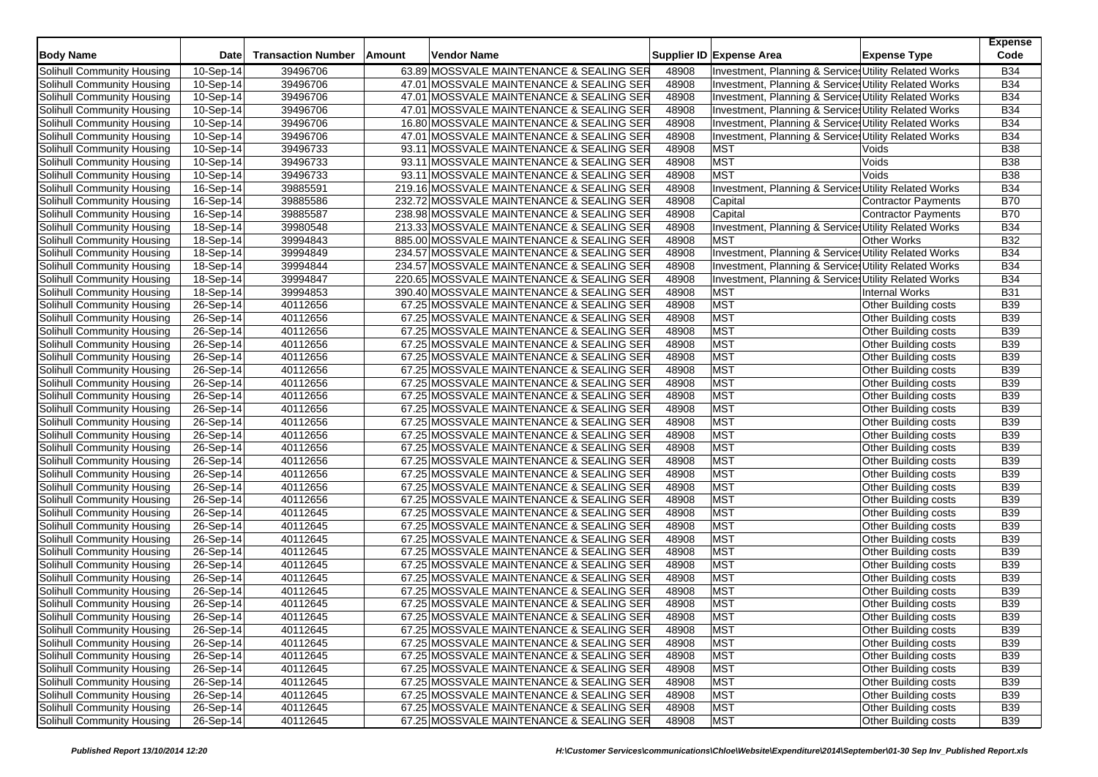| <b>Body Name</b>                                         | Date                    | <b>Transaction Number</b> | Amount | Vendor Name                                                                          |                | Supplier ID Expense Area                              | <b>Expense Type</b>                                 | <b>Expense</b><br>Code   |
|----------------------------------------------------------|-------------------------|---------------------------|--------|--------------------------------------------------------------------------------------|----------------|-------------------------------------------------------|-----------------------------------------------------|--------------------------|
| Solihull Community Housing                               | $10-Sep-14$             | 39496706                  |        | 63.89 MOSSVALE MAINTENANCE & SEALING SER                                             | 48908          | Investment, Planning & Service: Utility Related Works |                                                     | <b>B34</b>               |
| Solihull Community Housing                               | 10-Sep-14               | 39496706                  |        | 47.01 MOSSVALE MAINTENANCE & SEALING SER                                             | 48908          | Investment, Planning & Service: Utility Related Works |                                                     | <b>B34</b>               |
| Solihull Community Housing                               | 10-Sep-14               | 39496706                  |        | 47.01 MOSSVALE MAINTENANCE & SEALING SER                                             | 48908          | Investment, Planning & Service: Utility Related Works |                                                     | <b>B34</b>               |
| Solihull Community Housing                               | 10-Sep-14               | 39496706                  |        | 47.01 MOSSVALE MAINTENANCE & SEALING SER                                             | 48908          | Investment, Planning & Service: Utility Related Works |                                                     | <b>B34</b>               |
| Solihull Community Housing                               | 10-Sep-14               | 39496706                  |        | 16.80 MOSSVALE MAINTENANCE & SEALING SER                                             | 48908          | Investment, Planning & Service Utility Related Works  |                                                     | <b>B34</b>               |
| Solihull Community Housing                               | 10-Sep-14               | 39496706                  |        | 47.01 MOSSVALE MAINTENANCE & SEALING SER                                             | 48908          | Investment, Planning & Service: Utility Related Works |                                                     | <b>B34</b>               |
| Solihull Community Housing                               | 10-Sep-14               | 39496733                  |        | 93.11 MOSSVALE MAINTENANCE & SEALING SER                                             | 48908          | <b>MST</b>                                            | Voids                                               | <b>B38</b>               |
| Solihull Community Housing                               | 10-Sep-14               | 39496733                  |        | 93.11 MOSSVALE MAINTENANCE & SEALING SER                                             | 48908          | <b>MST</b>                                            | Voids                                               | <b>B38</b>               |
| Solihull Community Housing                               | 10-Sep-14               | 39496733                  |        | 93.11 MOSSVALE MAINTENANCE & SEALING SER                                             | 48908          | <b>MST</b>                                            | Voids                                               | <b>B38</b>               |
| Solihull Community Housing                               | 16-Sep-14               | 39885591                  |        | 219.16 MOSSVALE MAINTENANCE & SEALING SER                                            | 48908          | Investment, Planning & Service: Utility Related Works |                                                     | <b>B34</b>               |
| Solihull Community Housing                               | $\overline{16}$ -Sep-14 | 39885586                  |        | 232.72 MOSSVALE MAINTENANCE & SEALING SER                                            | 48908          | Capital                                               | Contractor Payments                                 | <b>B70</b>               |
| Solihull Community Housing                               | 16-Sep-14               | 39885587                  |        | 238.98 MOSSVALE MAINTENANCE & SEALING SER                                            | 48908          | Capital                                               | <b>Contractor Payments</b>                          | <b>B70</b>               |
| Solihull Community Housing                               | 18-Sep-14               | 39980548                  |        | 213.33 MOSSVALE MAINTENANCE & SEALING SER                                            | 48908          | Investment, Planning & Service: Utility Related Works |                                                     | <b>B34</b>               |
| Solihull Community Housing                               | 18-Sep-14               | 39994843                  |        | 885.00 MOSSVALE MAINTENANCE & SEALING SER                                            | 48908          | <b>MST</b>                                            | <b>Other Works</b>                                  | <b>B32</b>               |
| Solihull Community Housing                               | 18-Sep-14               | 39994849                  |        | 234.57 MOSSVALE MAINTENANCE & SEALING SER                                            | 48908          | Investment, Planning & Service Utility Related Works  |                                                     | <b>B34</b>               |
| Solihull Community Housing                               | 18-Sep-14               | 39994844                  |        | 234.57 MOSSVALE MAINTENANCE & SEALING SER                                            | 48908          | Investment, Planning & Service: Utility Related Works |                                                     | <b>B34</b>               |
| Solihull Community Housing                               | $\overline{18}$ -Sep-14 | 39994847                  |        | 220.65 MOSSVALE MAINTENANCE & SEALING SER                                            | 48908          | Investment, Planning & Services Utility Related Works |                                                     | <b>B34</b>               |
| Solihull Community Housing                               | 18-Sep-14               | 39994853                  |        | 390.40 MOSSVALE MAINTENANCE & SEALING SER                                            | 48908          | <b>MST</b>                                            | <b>Internal Works</b>                               | <b>B31</b>               |
|                                                          |                         | 40112656                  |        | 67.25 MOSSVALE MAINTENANCE & SEALING SER                                             | 48908          | <b>MST</b>                                            |                                                     | <b>B39</b>               |
| Solihull Community Housing<br>Solihull Community Housing | 26-Sep-14<br>26-Sep-14  | 40112656                  |        | 67.25 MOSSVALE MAINTENANCE & SEALING SER                                             | 48908          | <b>MST</b>                                            | Other Building costs<br><b>Other Building costs</b> | <b>B39</b>               |
|                                                          |                         |                           |        |                                                                                      |                | <b>MST</b>                                            |                                                     |                          |
| Solihull Community Housing                               | 26-Sep-14               | 40112656<br>40112656      |        | 67.25 MOSSVALE MAINTENANCE & SEALING SER<br>67.25 MOSSVALE MAINTENANCE & SEALING SER | 48908<br>48908 | <b>MST</b>                                            | <b>Other Building costs</b>                         | <b>B39</b><br><b>B39</b> |
| Solihull Community Housing                               | 26-Sep-14<br>26-Sep-14  |                           |        | 67.25 MOSSVALE MAINTENANCE & SEALING SER                                             | 48908          | <b>MST</b>                                            | Other Building costs                                |                          |
| Solihull Community Housing                               |                         | 40112656                  |        |                                                                                      |                |                                                       | Other Building costs                                | <b>B39</b>               |
| Solihull Community Housing                               | 26-Sep-14               | 40112656                  |        | 67.25 MOSSVALE MAINTENANCE & SEALING SER                                             | 48908          | <b>MST</b>                                            | <b>Other Building costs</b>                         | <b>B39</b>               |
| Solihull Community Housing                               | 26-Sep-14               | 40112656                  |        | 67.25 MOSSVALE MAINTENANCE & SEALING SER                                             | 48908          | <b>MST</b>                                            | Other Building costs                                | <b>B39</b>               |
| Solihull Community Housing                               | 26-Sep-14               | 40112656                  |        | 67.25 MOSSVALE MAINTENANCE & SEALING SER                                             | 48908          | <b>MST</b>                                            | Other Building costs                                | <b>B39</b>               |
| Solihull Community Housing                               | 26-Sep-14               | 40112656                  |        | 67.25 MOSSVALE MAINTENANCE & SEALING SER                                             | 48908          | <b>MST</b>                                            | Other Building costs                                | <b>B39</b>               |
| Solihull Community Housing                               | 26-Sep-14               | 40112656                  |        | 67.25 MOSSVALE MAINTENANCE & SEALING SER                                             | 48908          | <b>MST</b>                                            | <b>Other Building costs</b>                         | <b>B39</b>               |
| Solihull Community Housing                               | 26-Sep-14               | 40112656                  |        | 67.25 MOSSVALE MAINTENANCE & SEALING SER                                             | 48908          | <b>MST</b>                                            | <b>Other Building costs</b>                         | <b>B39</b>               |
| Solihull Community Housing                               | 26-Sep-14               | 40112656                  |        | 67.25 MOSSVALE MAINTENANCE & SEALING SER                                             | 48908          | <b>MST</b>                                            | <b>Other Building costs</b>                         | <b>B39</b>               |
| Solihull Community Housing                               | 26-Sep-14               | 40112656                  |        | 67.25 MOSSVALE MAINTENANCE & SEALING SER                                             | 48908          | <b>MST</b>                                            | <b>Other Building costs</b>                         | <b>B39</b>               |
| Solihull Community Housing                               | 26-Sep-14               | 40112656                  |        | 67.25 MOSSVALE MAINTENANCE & SEALING SER                                             | 48908          | <b>MST</b>                                            | <b>Other Building costs</b>                         | <b>B39</b>               |
| Solihull Community Housing                               | 26-Sep-14               | 40112656                  |        | 67.25 MOSSVALE MAINTENANCE & SEALING SER                                             | 48908          | <b>MST</b>                                            | <b>Other Building costs</b>                         | <b>B39</b>               |
| Solihull Community Housing                               | 26-Sep-14               | 40112656                  |        | 67.25 MOSSVALE MAINTENANCE & SEALING SER                                             | 48908          | <b>MST</b>                                            | Other Building costs                                | <b>B39</b>               |
| Solihull Community Housing                               | 26-Sep-14               | 40112645                  |        | 67.25 MOSSVALE MAINTENANCE & SEALING SER                                             | 48908          | <b>MST</b>                                            | Other Building costs                                | <b>B39</b>               |
| Solihull Community Housing                               | 26-Sep-14               | 40112645                  |        | 67.25 MOSSVALE MAINTENANCE & SEALING SER                                             | 48908          | <b>MST</b>                                            | <b>Other Building costs</b>                         | <b>B39</b>               |
| Solihull Community Housing                               | 26-Sep-14               | 40112645                  |        | 67.25 MOSSVALE MAINTENANCE & SEALING SER                                             | 48908          | <b>MST</b>                                            | <b>Other Building costs</b>                         | <b>B39</b>               |
| Solihull Community Housing                               | 26-Sep-14               | 40112645                  |        | 67.25 MOSSVALE MAINTENANCE & SEALING SER                                             | 48908          | <b>MST</b>                                            | Other Building costs                                | <b>B39</b>               |
| Solihull Community Housing                               | $26$ -Sep-14            | 40112645                  |        | 67.25 MOSSVALE MAINTENANCE & SEALING SER                                             | 48908          | <b>MST</b>                                            | <b>Other Building costs</b>                         | <b>B39</b>               |
| Solihull Community Housing                               | 26-Sep-14               | 40112645                  |        | 67.25 MOSSVALE MAINTENANCE & SEALING SER                                             | 48908          | <b>MST</b>                                            | <b>Other Building costs</b>                         | <b>B39</b>               |
| Solihull Community Housing                               | 26-Sep-14               | 40112645                  |        | 67.25 MOSSVALE MAINTENANCE & SEALING SER                                             | 48908          | <b>MST</b>                                            | Other Building costs                                | <b>B39</b>               |
| Solihull Community Housing                               | 26-Sep-14               | 40112645                  |        | 67.25 MOSSVALE MAINTENANCE & SEALING SER                                             | 48908          | <b>MST</b>                                            | <b>Other Building costs</b>                         | <b>B39</b>               |
| Solihull Community Housing                               | 26-Sep-14               | 40112645                  |        | 67.25 MOSSVALE MAINTENANCE & SEALING SER                                             | 48908          | <b>MST</b>                                            | Other Building costs                                | <b>B39</b>               |
| Solihull Community Housing                               | 26-Sep-14               | 40112645                  |        | 67.25 MOSSVALE MAINTENANCE & SEALING SER                                             | 48908          | <b>MST</b>                                            | Other Building costs                                | <b>B39</b>               |
| Solihull Community Housing                               | 26-Sep-14               | 40112645                  |        | 67.25 MOSSVALE MAINTENANCE & SEALING SER                                             | 48908          | <b>MST</b>                                            | Other Building costs                                | <b>B39</b>               |
| Solihull Community Housing                               | 26-Sep-14               | 40112645                  |        | 67.25 MOSSVALE MAINTENANCE & SEALING SER                                             | 48908          | <b>MST</b>                                            | Other Building costs                                | <b>B39</b>               |
| Solihull Community Housing                               | 26-Sep-14               | 40112645                  |        | 67.25 MOSSVALE MAINTENANCE & SEALING SER                                             | 48908          | <b>MST</b>                                            | Other Building costs                                | <b>B39</b>               |
| Solihull Community Housing                               | 26-Sep-14               | 40112645                  |        | 67.25 MOSSVALE MAINTENANCE & SEALING SER                                             | 48908          | <b>MST</b>                                            | Other Building costs                                | <b>B39</b>               |
| Solihull Community Housing                               | 26-Sep-14               | 40112645                  |        | 67.25 MOSSVALE MAINTENANCE & SEALING SER                                             | 48908          | <b>MST</b>                                            | Other Building costs                                | <b>B39</b>               |
| <b>Solihull Community Housing</b>                        | 26-Sep-14               | 40112645                  |        | 67.25 MOSSVALE MAINTENANCE & SEALING SER                                             | 48908          | <b>MST</b>                                            | Other Building costs                                | <b>B39</b>               |
| Solihull Community Housing                               | 26-Sep-14               | 40112645                  |        | 67.25 MOSSVALE MAINTENANCE & SEALING SER                                             | 48908          | <b>MST</b>                                            | Other Building costs                                | <b>B39</b>               |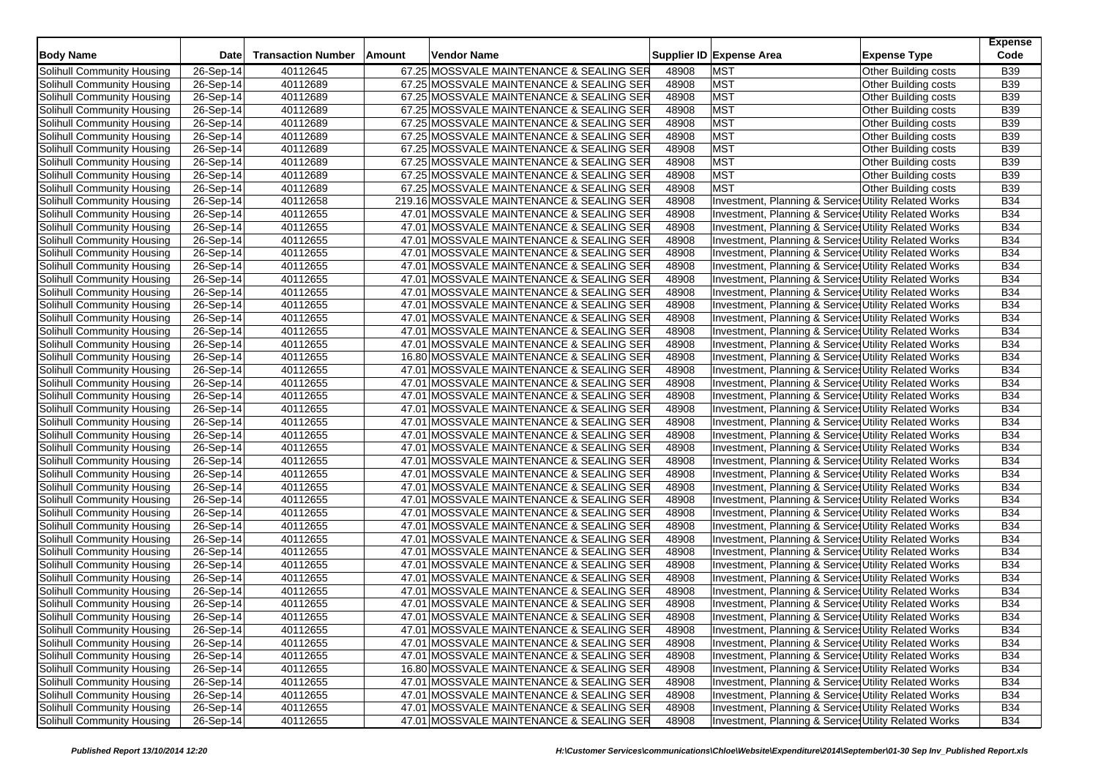|                            |             |                           |                                           |       |                                                       |                      | <b>Expense</b> |
|----------------------------|-------------|---------------------------|-------------------------------------------|-------|-------------------------------------------------------|----------------------|----------------|
| <b>Body Name</b>           | <b>Date</b> | <b>Transaction Number</b> | Vendor Name<br>Amount                     |       | Supplier ID Expense Area                              | <b>Expense Type</b>  | Code           |
| Solihull Community Housing | 26-Sep-14   | 40112645                  | 67.25 MOSSVALE MAINTENANCE & SEALING SER  | 48908 | <b>MST</b>                                            | Other Building costs | B39            |
| Solihull Community Housing | 26-Sep-14   | 40112689                  | 67.25 MOSSVALE MAINTENANCE & SEALING SER  | 48908 | <b>MST</b>                                            | Other Building costs | B39            |
| Solihull Community Housing | 26-Sep-14   | 40112689                  | 67.25 MOSSVALE MAINTENANCE & SEALING SER  | 48908 | <b>MST</b>                                            | Other Building costs | B39            |
| Solihull Community Housing | 26-Sep-14   | 40112689                  | 67.25 MOSSVALE MAINTENANCE & SEALING SER  | 48908 | <b>MST</b>                                            | Other Building costs | B39            |
| Solihull Community Housing | 26-Sep-14   | 40112689                  | 67.25 MOSSVALE MAINTENANCE & SEALING SER  | 48908 | <b>MST</b>                                            | Other Building costs | B39            |
| Solihull Community Housing | 26-Sep-14   | 40112689                  | 67.25 MOSSVALE MAINTENANCE & SEALING SER  | 48908 | <b>MST</b>                                            | Other Building costs | B39            |
| Solihull Community Housing | 26-Sep-14   | 40112689                  | 67.25 MOSSVALE MAINTENANCE & SEALING SER  | 48908 | <b>MST</b>                                            | Other Building costs | B39            |
| Solihull Community Housing | 26-Sep-14   | 40112689                  | 67.25 MOSSVALE MAINTENANCE & SEALING SER  | 48908 | <b>MST</b>                                            | Other Building costs | B39            |
| Solihull Community Housing | 26-Sep-14   | 40112689                  | 67.25 MOSSVALE MAINTENANCE & SEALING SER  | 48908 | <b>MST</b>                                            | Other Building costs | B39            |
| Solihull Community Housing | 26-Sep-14   | 40112689                  | 67.25 MOSSVALE MAINTENANCE & SEALING SER  | 48908 | <b>MST</b>                                            | Other Building costs | B39            |
| Solihull Community Housing | 26-Sep-14   | 40112658                  | 219.16 MOSSVALE MAINTENANCE & SEALING SER | 48908 | Investment, Planning & Services Utility Related Works |                      | <b>B34</b>     |
| Solihull Community Housing | 26-Sep-14   | 40112655                  | 47.01 MOSSVALE MAINTENANCE & SEALING SER  | 48908 | Investment, Planning & Service: Utility Related Works |                      | <b>B34</b>     |
| Solihull Community Housing | 26-Sep-14   | 40112655                  | 47.01 MOSSVALE MAINTENANCE & SEALING SER  | 48908 | Investment, Planning & Service: Utility Related Works |                      | <b>B34</b>     |
| Solihull Community Housing | 26-Sep-14   | 40112655                  | 47.01 MOSSVALE MAINTENANCE & SEALING SER  | 48908 | Investment, Planning & Service: Utility Related Works |                      | <b>B34</b>     |
| Solihull Community Housing | 26-Sep-14   | 40112655                  | 47.01 MOSSVALE MAINTENANCE & SEALING SER  | 48908 | Investment, Planning & Service, Utility Related Works |                      | <b>B34</b>     |
| Solihull Community Housing | 26-Sep-14   | 40112655                  | 47.01 MOSSVALE MAINTENANCE & SEALING SER  | 48908 | Investment, Planning & Service: Utility Related Works |                      | <b>B34</b>     |
| Solihull Community Housing | 26-Sep-14   | 40112655                  | 47.01 MOSSVALE MAINTENANCE & SEALING SER  | 48908 | Investment, Planning & Service: Utility Related Works |                      | <b>B34</b>     |
| Solihull Community Housing | 26-Sep-14   | 40112655                  | 47.01 MOSSVALE MAINTENANCE & SEALING SER  | 48908 | Investment, Planning & Service, Utility Related Works |                      | <b>B34</b>     |
| Solihull Community Housing | 26-Sep-14   | 40112655                  | 47.01 MOSSVALE MAINTENANCE & SEALING SER  | 48908 | Investment, Planning & Service: Utility Related Works |                      | <b>B34</b>     |
| Solihull Community Housing | 26-Sep-14   | 40112655                  | 47.01 MOSSVALE MAINTENANCE & SEALING SER  | 48908 | Investment, Planning & Service: Utility Related Works |                      | <b>B34</b>     |
| Solihull Community Housing | 26-Sep-14   | 40112655                  | 47.01 MOSSVALE MAINTENANCE & SEALING SER  | 48908 | Investment, Planning & Service, Utility Related Works |                      | <b>B34</b>     |
| Solihull Community Housing | 26-Sep-14   | 40112655                  | 47.01 MOSSVALE MAINTENANCE & SEALING SER  | 48908 | Investment, Planning & Service: Utility Related Works |                      | <b>B34</b>     |
| Solihull Community Housing | 26-Sep-14   | 40112655                  | 16.80 MOSSVALE MAINTENANCE & SEALING SER  | 48908 | Investment, Planning & Service: Utility Related Works |                      | <b>B34</b>     |
| Solihull Community Housing | 26-Sep-14   | 40112655                  | 47.01 MOSSVALE MAINTENANCE & SEALING SER  | 48908 | Investment, Planning & Service: Utility Related Works |                      | <b>B34</b>     |
| Solihull Community Housing | 26-Sep-14   | 40112655                  | 47.01 MOSSVALE MAINTENANCE & SEALING SER  | 48908 | Investment, Planning & Service: Utility Related Works |                      | <b>B34</b>     |
| Solihull Community Housing | 26-Sep-14   | 40112655                  | 47.01 MOSSVALE MAINTENANCE & SEALING SER  | 48908 | Investment, Planning & Service: Utility Related Works |                      | <b>B34</b>     |
| Solihull Community Housing | 26-Sep-14   | 40112655                  | 47.01 MOSSVALE MAINTENANCE & SEALING SER  | 48908 | Investment, Planning & Service, Utility Related Works |                      | <b>B34</b>     |
| Solihull Community Housing | 26-Sep-14   | 40112655                  | 47.01 MOSSVALE MAINTENANCE & SEALING SER  | 48908 | Investment, Planning & Service: Utility Related Works |                      | <b>B34</b>     |
| Solihull Community Housing | 26-Sep-14   | 40112655                  | 47.01 MOSSVALE MAINTENANCE & SEALING SER  | 48908 | Investment, Planning & Service: Utility Related Works |                      | <b>B34</b>     |
| Solihull Community Housing | 26-Sep-14   | 40112655                  | 47.01 MOSSVALE MAINTENANCE & SEALING SER  | 48908 | Investment, Planning & Service, Utility Related Works |                      | <b>B34</b>     |
| Solihull Community Housing | 26-Sep-14   | 40112655                  | 47.01 MOSSVALE MAINTENANCE & SEALING SER  | 48908 | Investment, Planning & Service: Utility Related Works |                      | <b>B34</b>     |
| Solihull Community Housing | 26-Sep-14   | 40112655                  | 47.01 MOSSVALE MAINTENANCE & SEALING SER  | 48908 | Investment, Planning & Service: Utility Related Works |                      | <b>B34</b>     |
| Solihull Community Housing | 26-Sep-14   | 40112655                  | 47.01 MOSSVALE MAINTENANCE & SEALING SER  | 48908 | Investment, Planning & Service, Utility Related Works |                      | <b>B34</b>     |
| Solihull Community Housing | 26-Sep-14   | 40112655                  | 47.01 MOSSVALE MAINTENANCE & SEALING SER  | 48908 | Investment, Planning & Service: Utility Related Works |                      | <b>B34</b>     |
| Solihull Community Housing | 26-Sep-14   | 40112655                  | 47.01 MOSSVALE MAINTENANCE & SEALING SER  | 48908 | Investment, Planning & Service: Utility Related Works |                      | <b>B34</b>     |
| Solihull Community Housing | 26-Sep-14   | 40112655                  | 47.01 MOSSVALE MAINTENANCE & SEALING SER  | 48908 | Investment, Planning & Service, Utility Related Works |                      | <b>B34</b>     |
| Solihull Community Housing | 26-Sep-14   | 40112655                  | 47.01 MOSSVALE MAINTENANCE & SEALING SER  | 48908 | Investment, Planning & Service: Utility Related Works |                      | <b>B34</b>     |
| Solihull Community Housing | 26-Sep-14   | 40112655                  | 47.01 MOSSVALE MAINTENANCE & SEALING SER  | 48908 | Investment, Planning & Service: Utility Related Works |                      | B34            |
| Solihull Community Housing | $26-Sep-14$ | 40112655                  | 47.01 MOSSVALE MAINTENANCE & SEALING SER  | 48908 | Investment, Planning & Service, Utility Related Works |                      | <b>B34</b>     |
| Solihull Community Housing | 26-Sep-14   | 40112655                  | 47.01 MOSSVALE MAINTENANCE & SEALING SER  | 48908 | Investment, Planning & Service: Utility Related Works |                      | <b>B34</b>     |
| Solihull Community Housing | 26-Sep-14   | 40112655                  | 47.01 MOSSVALE MAINTENANCE & SEALING SER  | 48908 | Investment, Planning & Service: Utility Related Works |                      | <b>B34</b>     |
| Solihull Community Housing | 26-Sep-14   | 40112655                  | 47.01 MOSSVALE MAINTENANCE & SEALING SER  | 48908 | Investment, Planning & Service, Utility Related Works |                      | <b>B34</b>     |
| Solihull Community Housing | 26-Sep-14   | 40112655                  | 47.01 MOSSVALE MAINTENANCE & SEALING SER  | 48908 | Investment, Planning & Services Utility Related Works |                      | B34            |
| Solihull Community Housing | 26-Sep-14   | 40112655                  | 47.01 MOSSVALE MAINTENANCE & SEALING SER  | 48908 | Investment, Planning & Services Utility Related Works |                      | <b>B34</b>     |
| Solihull Community Housing | 26-Sep-14   | 40112655                  | 47.01 MOSSVALE MAINTENANCE & SEALING SER  | 48908 | Investment, Planning & Services Utility Related Works |                      | <b>B34</b>     |
| Solihull Community Housing | 26-Sep-14   | 40112655                  | 47.01 MOSSVALE MAINTENANCE & SEALING SER  | 48908 | Investment, Planning & Service: Utility Related Works |                      | <b>B34</b>     |
| Solihull Community Housing | 26-Sep-14   | 40112655                  | 16.80 MOSSVALE MAINTENANCE & SEALING SER  | 48908 | Investment, Planning & Services Utility Related Works |                      | <b>B34</b>     |
| Solihull Community Housing | 26-Sep-14   | 40112655                  | 47.01 MOSSVALE MAINTENANCE & SEALING SER  | 48908 | Investment, Planning & Service Utility Related Works  |                      | <b>B34</b>     |
| Solihull Community Housing | 26-Sep-14   | 40112655                  | 47.01 MOSSVALE MAINTENANCE & SEALING SER  | 48908 | Investment, Planning & Service: Utility Related Works |                      | <b>B34</b>     |
| Solihull Community Housing | 26-Sep-14   | 40112655                  | 47.01 MOSSVALE MAINTENANCE & SEALING SER  | 48908 | Investment, Planning & Service, Utility Related Works |                      | <b>B34</b>     |
| Solihull Community Housing | 26-Sep-14   | 40112655                  | 47.01 MOSSVALE MAINTENANCE & SEALING SER  | 48908 | Investment, Planning & Services Utility Related Works |                      | <b>B34</b>     |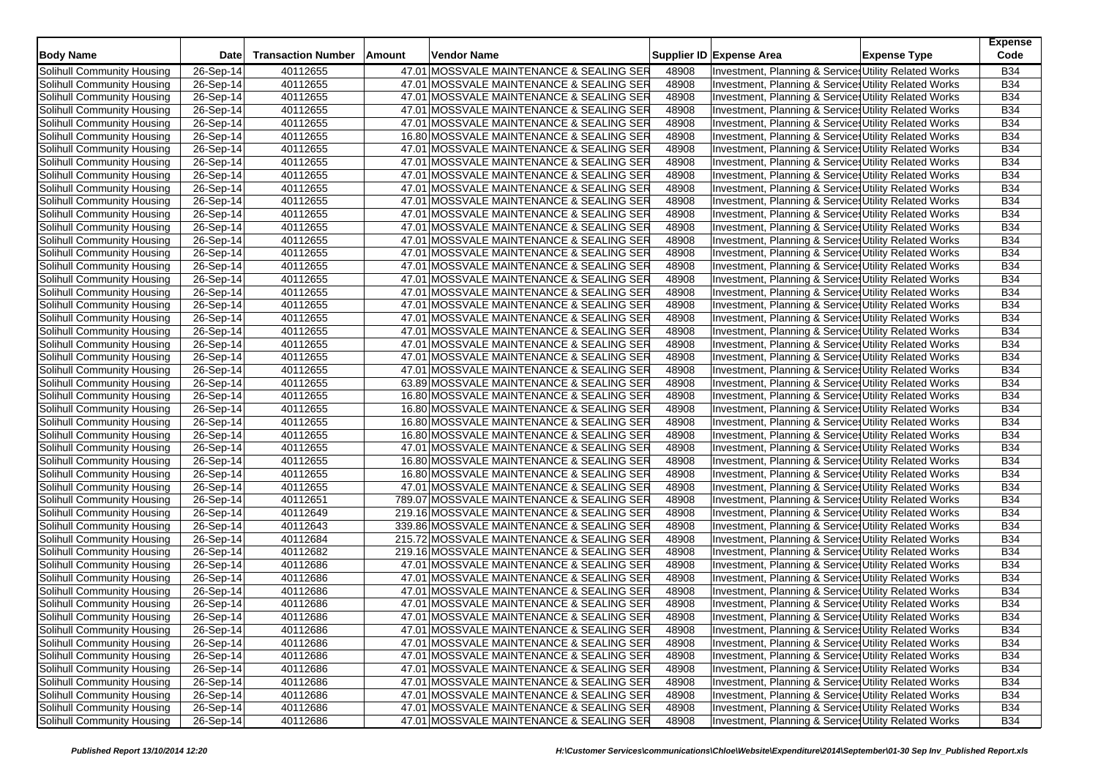| <b>Body Name</b>           | <b>Date</b> | <b>Transaction Number</b> | Vendor Name<br>Amount                     |       | Supplier ID Expense Area                                        | <b>Expense Type</b> | <b>Expense</b><br>Code |
|----------------------------|-------------|---------------------------|-------------------------------------------|-------|-----------------------------------------------------------------|---------------------|------------------------|
| Solihull Community Housing | 26-Sep-14   | 40112655                  | 47.01 MOSSVALE MAINTENANCE & SEALING SER  | 48908 | Investment, Planning & Service: Utility Related Works           |                     | <b>B34</b>             |
| Solihull Community Housing | 26-Sep-14   | 40112655                  | 47.01 MOSSVALE MAINTENANCE & SEALING SER  | 48908 | Investment, Planning & Service, Utility Related Works           |                     | <b>B34</b>             |
| Solihull Community Housing | 26-Sep-14   | 40112655                  | 47.01 MOSSVALE MAINTENANCE & SEALING SER  | 48908 | Investment, Planning & Service, Utility Related Works           |                     | <b>B34</b>             |
| Solihull Community Housing | 26-Sep-14   | 40112655                  | 47.01 MOSSVALE MAINTENANCE & SEALING SER  | 48908 | Investment, Planning & Service, Utility Related Works           |                     | <b>B34</b>             |
| Solihull Community Housing | 26-Sep-14   | 40112655                  | 47.01 MOSSVALE MAINTENANCE & SEALING SER  | 48908 | Investment, Planning & Service: Utility Related Works           |                     | <b>B34</b>             |
| Solihull Community Housing | 26-Sep-14   | 40112655                  | 16.80 MOSSVALE MAINTENANCE & SEALING SER  | 48908 | Investment, Planning & Service, Utility Related Works           |                     | <b>B34</b>             |
| Solihull Community Housing | 26-Sep-14   | 40112655                  | 47.01 MOSSVALE MAINTENANCE & SEALING SER  | 48908 | Investment, Planning & Service, Utility Related Works           |                     | <b>B34</b>             |
| Solihull Community Housing | 26-Sep-14   | 40112655                  | 47.01 MOSSVALE MAINTENANCE & SEALING SER  | 48908 | Investment, Planning & Service: Utility Related Works           |                     | <b>B34</b>             |
| Solihull Community Housing | 26-Sep-14   | 40112655                  | 47.01 MOSSVALE MAINTENANCE & SEALING SER  | 48908 | <b>Investment, Planning &amp; Service Utility Related Works</b> |                     | <b>B34</b>             |
| Solihull Community Housing | 26-Sep-14   | 40112655                  | 47.01 MOSSVALE MAINTENANCE & SEALING SER  | 48908 | Investment, Planning & Service: Utility Related Works           |                     | <b>B34</b>             |
| Solihull Community Housing | 26-Sep-14   | 40112655                  | 47.01 MOSSVALE MAINTENANCE & SEALING SER  | 48908 | Investment, Planning & Service: Utility Related Works           |                     | <b>B34</b>             |
| Solihull Community Housing | 26-Sep-14   | 40112655                  | 47.01 MOSSVALE MAINTENANCE & SEALING SER  | 48908 | Investment, Planning & Service, Utility Related Works           |                     | <b>B34</b>             |
| Solihull Community Housing | 26-Sep-14   | 40112655                  | 47.01 MOSSVALE MAINTENANCE & SEALING SER  | 48908 | Investment, Planning & Service: Utility Related Works           |                     | <b>B34</b>             |
| Solihull Community Housing | 26-Sep-14   | 40112655                  | 47.01 MOSSVALE MAINTENANCE & SEALING SER  | 48908 | Investment, Planning & Service: Utility Related Works           |                     | <b>B34</b>             |
| Solihull Community Housing | 26-Sep-14   | 40112655                  | 47.01 MOSSVALE MAINTENANCE & SEALING SER  | 48908 | Investment, Planning & Service, Utility Related Works           |                     | <b>B34</b>             |
| Solihull Community Housing | 26-Sep-14   | 40112655                  | 47.01 MOSSVALE MAINTENANCE & SEALING SER  | 48908 | Investment, Planning & Service, Utility Related Works           |                     | <b>B34</b>             |
| Solihull Community Housing | 26-Sep-14   | 40112655                  | 47.01 MOSSVALE MAINTENANCE & SEALING SER  | 48908 | Investment, Planning & Service: Utility Related Works           |                     | <b>B34</b>             |
| Solihull Community Housing | 26-Sep-14   | 40112655                  | 47.01 MOSSVALE MAINTENANCE & SEALING SER  | 48908 | Investment, Planning & Service, Utility Related Works           |                     | <b>B34</b>             |
| Solihull Community Housing | 26-Sep-14   | 40112655                  | 47.01 MOSSVALE MAINTENANCE & SEALING SER  | 48908 | Investment, Planning & Service: Utility Related Works           |                     | <b>B34</b>             |
| Solihull Community Housing | 26-Sep-14   | 40112655                  | 47.01 MOSSVALE MAINTENANCE & SEALING SER  | 48908 | Investment, Planning & Service: Utility Related Works           |                     | <b>B34</b>             |
| Solihull Community Housing | 26-Sep-14   | 40112655                  | 47.01 MOSSVALE MAINTENANCE & SEALING SER  | 48908 | Investment, Planning & Service: Utility Related Works           |                     | <b>B34</b>             |
| Solihull Community Housing | 26-Sep-14   | 40112655                  | 47.01 MOSSVALE MAINTENANCE & SEALING SER  | 48908 | Investment, Planning & Service: Utility Related Works           |                     | <b>B34</b>             |
| Solihull Community Housing | 26-Sep-14   | 40112655                  | 47.01 MOSSVALE MAINTENANCE & SEALING SER  | 48908 | Investment, Planning & Service Utility Related Works            |                     | <b>B34</b>             |
| Solihull Community Housing | 26-Sep-14   | 40112655                  | 47.01 MOSSVALE MAINTENANCE & SEALING SER  | 48908 | Investment, Planning & Service: Utility Related Works           |                     | <b>B34</b>             |
| Solihull Community Housing | 26-Sep-14   | 40112655                  | 63.89 MOSSVALE MAINTENANCE & SEALING SER  | 48908 | Investment, Planning & Service: Utility Related Works           |                     | <b>B34</b>             |
| Solihull Community Housing | 26-Sep-14   | 40112655                  | 16.80 MOSSVALE MAINTENANCE & SEALING SER  | 48908 | Investment, Planning & Service: Utility Related Works           |                     | B34                    |
| Solihull Community Housing | 26-Sep-14   | 40112655                  | 16.80 MOSSVALE MAINTENANCE & SEALING SER  | 48908 | Investment, Planning & Service, Utility Related Works           |                     | <b>B34</b>             |
| Solihull Community Housing | 26-Sep-14   | 40112655                  | 16.80 MOSSVALE MAINTENANCE & SEALING SER  | 48908 | Investment, Planning & Service, Utility Related Works           |                     | <b>B34</b>             |
| Solihull Community Housing | 26-Sep-14   | 40112655                  | 16.80 MOSSVALE MAINTENANCE & SEALING SER  | 48908 | Investment, Planning & Service: Utility Related Works           |                     | <b>B34</b>             |
| Solihull Community Housing | 26-Sep-14   | 40112655                  | 47.01 MOSSVALE MAINTENANCE & SEALING SER  | 48908 | Investment, Planning & Service: Utility Related Works           |                     | <b>B34</b>             |
| Solihull Community Housing | 26-Sep-14   | 40112655                  | 16.80 MOSSVALE MAINTENANCE & SEALING SER  | 48908 | Investment, Planning & Service: Utility Related Works           |                     | <b>B34</b>             |
| Solihull Community Housing | 26-Sep-14   | 40112655                  | 16.80 MOSSVALE MAINTENANCE & SEALING SER  | 48908 | Investment, Planning & Service: Utility Related Works           |                     | <b>B34</b>             |
| Solihull Community Housing | 26-Sep-14   | 40112655                  | 47.01 MOSSVALE MAINTENANCE & SEALING SER  | 48908 | Investment, Planning & Service: Utility Related Works           |                     | <b>B34</b>             |
| Solihull Community Housing | 26-Sep-14   | 40112651                  | 789.07 MOSSVALE MAINTENANCE & SEALING SER | 48908 | Investment, Planning & Service: Utility Related Works           |                     | B34                    |
| Solihull Community Housing | 26-Sep-14   | 40112649                  | 219.16 MOSSVALE MAINTENANCE & SEALING SER | 48908 | Investment, Planning & Service: Utility Related Works           |                     | <b>B34</b>             |
| Solihull Community Housing | 26-Sep-14   | 40112643                  | 339.86 MOSSVALE MAINTENANCE & SEALING SER | 48908 | Investment, Planning & Service: Utility Related Works           |                     | <b>B34</b>             |
| Solihull Community Housing | 26-Sep-14   | 40112684                  | 215.72 MOSSVALE MAINTENANCE & SEALING SER | 48908 | Investment, Planning & Service, Utility Related Works           |                     | <b>B34</b>             |
| Solihull Community Housing | 26-Sep-14   | 40112682                  | 219.16 MOSSVALE MAINTENANCE & SEALING SER | 48908 | Investment, Planning & Service: Utility Related Works           |                     | <b>B34</b>             |
| Solihull Community Housing | 26-Sep-14   | 40112686                  | 47.01 MOSSVALE MAINTENANCE & SEALING SER  | 48908 | Investment, Planning & Service: Utility Related Works           |                     | <b>B34</b>             |
| Solihull Community Housing | 26-Sep-14   | 40112686                  | 47.01 MOSSVALE MAINTENANCE & SEALING SER  | 48908 | Investment, Planning & Service, Utility Related Works           |                     | B34                    |
| Solihull Community Housing | 26-Sep-14   | 40112686                  | 47.01 MOSSVALE MAINTENANCE & SEALING SER  | 48908 | Investment, Planning & Service: Utility Related Works           |                     | <b>B34</b>             |
| Solihull Community Housing | 26-Sep-14   | 40112686                  | 47.01 MOSSVALE MAINTENANCE & SEALING SER  | 48908 | Investment, Planning & Service: Utility Related Works           |                     | <b>B34</b>             |
| Solihull Community Housing | 26-Sep-14   | 40112686                  | 47.01 MOSSVALE MAINTENANCE & SEALING SER  | 48908 | Investment, Planning & Service, Utility Related Works           |                     | <b>B34</b>             |
| Solihull Community Housing | 26-Sep-14   | 40112686                  | 47.01 MOSSVALE MAINTENANCE & SEALING SER  | 48908 | Investment, Planning & Services Utility Related Works           |                     | <b>B34</b>             |
| Solihull Community Housing | 26-Sep-14   | 40112686                  | 47.01 MOSSVALE MAINTENANCE & SEALING SER  | 48908 | Investment, Planning & Services Utility Related Works           |                     | <b>B34</b>             |
| Solihull Community Housing | 26-Sep-14   | 40112686                  | 47.01 MOSSVALE MAINTENANCE & SEALING SER  | 48908 | Investment, Planning & Service: Utility Related Works           |                     | <b>B34</b>             |
| Solihull Community Housing | 26-Sep-14   | 40112686                  | 47.01 MOSSVALE MAINTENANCE & SEALING SER  | 48908 | Investment, Planning & Service Utility Related Works            |                     | <b>B34</b>             |
| Solihull Community Housing | 26-Sep-14   | 40112686                  | 47.01 MOSSVALE MAINTENANCE & SEALING SER  | 48908 | Investment, Planning & Services Utility Related Works           |                     | <b>B34</b>             |
| Solihull Community Housing | 26-Sep-14   | 40112686                  | 47.01 MOSSVALE MAINTENANCE & SEALING SER  | 48908 | Investment, Planning & Services Utility Related Works           |                     | <b>B34</b>             |
| Solihull Community Housing | 26-Sep-14   | 40112686                  | 47.01 MOSSVALE MAINTENANCE & SEALING SER  | 48908 | Investment, Planning & Services Utility Related Works           |                     | <b>B34</b>             |
| Solihull Community Housing | 26-Sep-14   | 40112686                  | 47.01 MOSSVALE MAINTENANCE & SEALING SER  | 48908 | Investment, Planning & Services Utility Related Works           |                     | <b>B34</b>             |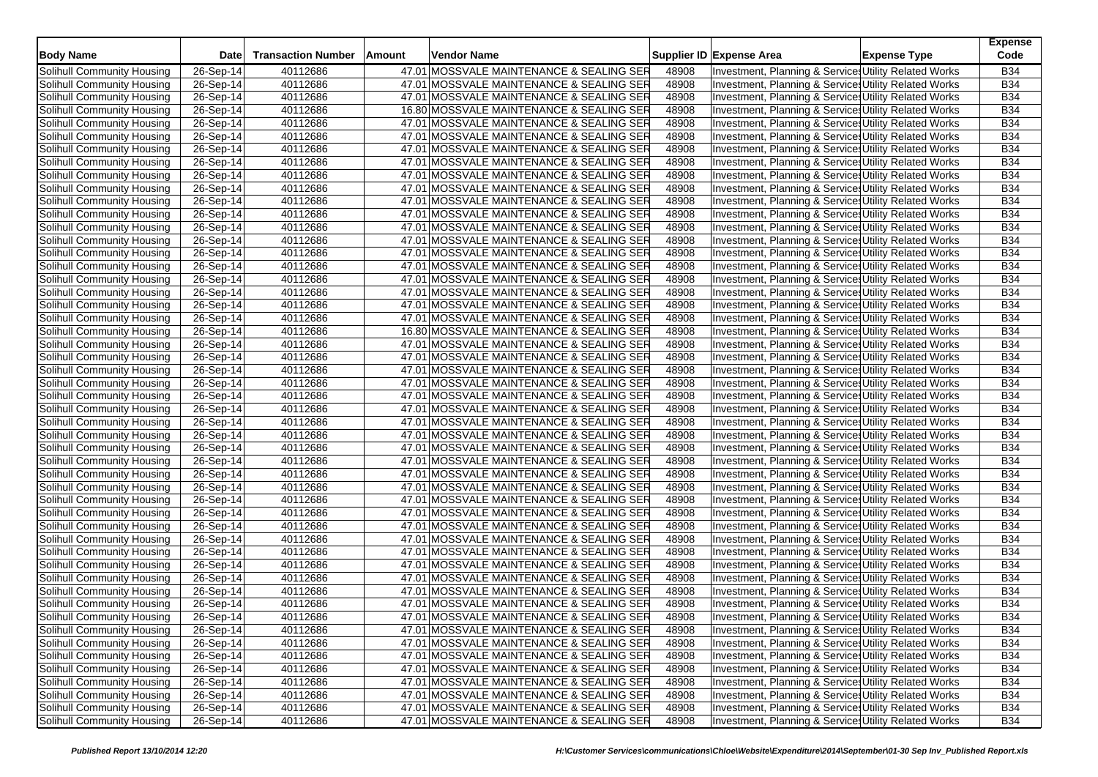| <b>Body Name</b>                  | <b>Date</b> | <b>Transaction Number</b> | Amount | Vendor Name                              |       | Supplier ID Expense Area                              | <b>Expense Type</b> | <b>Expense</b><br>Code |
|-----------------------------------|-------------|---------------------------|--------|------------------------------------------|-------|-------------------------------------------------------|---------------------|------------------------|
| Solihull Community Housing        | 26-Sep-14   | 40112686                  |        | 47.01 MOSSVALE MAINTENANCE & SEALING SER | 48908 | Investment, Planning & Services Utility Related Works |                     | <b>B34</b>             |
| Solihull Community Housing        | 26-Sep-14   | 40112686                  |        | 47.01 MOSSVALE MAINTENANCE & SEALING SER | 48908 | Investment, Planning & Service, Utility Related Works |                     | <b>B34</b>             |
| Solihull Community Housing        | 26-Sep-14   | 40112686                  |        | 47.01 MOSSVALE MAINTENANCE & SEALING SER | 48908 | Investment, Planning & Service: Utility Related Works |                     | <b>B34</b>             |
| Solihull Community Housing        | 26-Sep-14   | 40112686                  |        | 16.80 MOSSVALE MAINTENANCE & SEALING SER | 48908 | Investment, Planning & Service: Utility Related Works |                     | <b>B34</b>             |
| Solihull Community Housing        | 26-Sep-14   | 40112686                  |        | 47.01 MOSSVALE MAINTENANCE & SEALING SER | 48908 | Investment, Planning & Service: Utility Related Works |                     | <b>B34</b>             |
| Solihull Community Housing        | 26-Sep-14   | 40112686                  |        | 47.01 MOSSVALE MAINTENANCE & SEALING SER | 48908 | Investment, Planning & Service: Utility Related Works |                     | <b>B34</b>             |
| Solihull Community Housing        | 26-Sep-14   | 40112686                  |        | 47.01 MOSSVALE MAINTENANCE & SEALING SER | 48908 | Investment, Planning & Service, Utility Related Works |                     | <b>B34</b>             |
| Solihull Community Housing        | 26-Sep-14   | 40112686                  |        | 47.01 MOSSVALE MAINTENANCE & SEALING SER | 48908 | Investment, Planning & Service: Utility Related Works |                     | <b>B34</b>             |
| Solihull Community Housing        | 26-Sep-14   | 40112686                  |        | 47.01 MOSSVALE MAINTENANCE & SEALING SER | 48908 | Investment, Planning & Service: Utility Related Works |                     | <b>B34</b>             |
| Solihull Community Housing        | 26-Sep-14   | 40112686                  |        | 47.01 MOSSVALE MAINTENANCE & SEALING SER | 48908 | Investment, Planning & Service: Utility Related Works |                     | <b>B34</b>             |
| Solihull Community Housing        | 26-Sep-14   | 40112686                  |        | 47.01 MOSSVALE MAINTENANCE & SEALING SER | 48908 | Investment, Planning & Service, Utility Related Works |                     | <b>B34</b>             |
| Solihull Community Housing        | 26-Sep-14   | 40112686                  |        | 47.01 MOSSVALE MAINTENANCE & SEALING SER | 48908 | Investment, Planning & Service Utility Related Works  |                     | <b>B34</b>             |
| Solihull Community Housing        | 26-Sep-14   | 40112686                  |        | 47.01 MOSSVALE MAINTENANCE & SEALING SER | 48908 | Investment, Planning & Service: Utility Related Works |                     | <b>B34</b>             |
| Solihull Community Housing        | 26-Sep-14   | 40112686                  |        | 47.01 MOSSVALE MAINTENANCE & SEALING SER | 48908 | Investment, Planning & Service, Utility Related Works |                     | <b>B34</b>             |
| Solihull Community Housing        | 26-Sep-14   | 40112686                  |        | 47.01 MOSSVALE MAINTENANCE & SEALING SER | 48908 | Investment, Planning & Service, Utility Related Works |                     | <b>B34</b>             |
| Solihull Community Housing        | 26-Sep-14   | 40112686                  |        | 47.01 MOSSVALE MAINTENANCE & SEALING SER | 48908 | Investment, Planning & Service: Utility Related Works |                     | <b>B34</b>             |
| Solihull Community Housing        | 26-Sep-14   | 40112686                  |        | 47.01 MOSSVALE MAINTENANCE & SEALING SER | 48908 | Investment, Planning & Service: Utility Related Works |                     | <b>B34</b>             |
| Solihull Community Housing        | 26-Sep-14   | 40112686                  |        | 47.01 MOSSVALE MAINTENANCE & SEALING SER | 48908 | Investment, Planning & Service, Utility Related Works |                     | <b>B34</b>             |
| Solihull Community Housing        | 26-Sep-14   | 40112686                  |        | 47.01 MOSSVALE MAINTENANCE & SEALING SER | 48908 | Investment, Planning & Service: Utility Related Works |                     | <b>B34</b>             |
| Solihull Community Housing        | 26-Sep-14   | 40112686                  |        | 47.01 MOSSVALE MAINTENANCE & SEALING SER | 48908 | Investment, Planning & Service: Utility Related Works |                     | <b>B34</b>             |
| Solihull Community Housing        | 26-Sep-14   | 40112686                  |        | 16.80 MOSSVALE MAINTENANCE & SEALING SER | 48908 | Investment, Planning & Service, Utility Related Works |                     | <b>B34</b>             |
| Solihull Community Housing        | 26-Sep-14   | 40112686                  |        | 47.01 MOSSVALE MAINTENANCE & SEALING SER | 48908 | Investment, Planning & Service: Utility Related Works |                     | <b>B34</b>             |
| Solihull Community Housing        | 26-Sep-14   | 40112686                  |        | 47.01 MOSSVALE MAINTENANCE & SEALING SER | 48908 | Investment, Planning & Service: Utility Related Works |                     | <b>B34</b>             |
| Solihull Community Housing        | 26-Sep-14   | 40112686                  |        | 47.01 MOSSVALE MAINTENANCE & SEALING SER | 48908 | Investment, Planning & Service, Utility Related Works |                     | <b>B34</b>             |
| Solihull Community Housing        | 26-Sep-14   | 40112686                  |        | 47.01 MOSSVALE MAINTENANCE & SEALING SER | 48908 | Investment, Planning & Service: Utility Related Works |                     | <b>B34</b>             |
| Solihull Community Housing        | 26-Sep-14   | 40112686                  |        | 47.01 MOSSVALE MAINTENANCE & SEALING SER | 48908 | Investment, Planning & Service: Utility Related Works |                     | <b>B34</b>             |
| Solihull Community Housing        | 26-Sep-14   | 40112686                  |        | 47.01 MOSSVALE MAINTENANCE & SEALING SER | 48908 | Investment, Planning & Service, Utility Related Works |                     | <b>B34</b>             |
| Solihull Community Housing        | 26-Sep-14   | 40112686                  |        | 47.01 MOSSVALE MAINTENANCE & SEALING SER | 48908 | Investment, Planning & Service: Utility Related Works |                     | <b>B34</b>             |
| Solihull Community Housing        | 26-Sep-14   | 40112686                  |        | 47.01 MOSSVALE MAINTENANCE & SEALING SER | 48908 | Investment, Planning & Service: Utility Related Works |                     | <b>B34</b>             |
| Solihull Community Housing        | 26-Sep-14   | 40112686                  |        | 47.01 MOSSVALE MAINTENANCE & SEALING SER | 48908 | Investment, Planning & Service, Utility Related Works |                     | <b>B34</b>             |
| Solihull Community Housing        | 26-Sep-14   | 40112686                  |        | 47.01 MOSSVALE MAINTENANCE & SEALING SER | 48908 | Investment, Planning & Service: Utility Related Works |                     | <b>B34</b>             |
| Solihull Community Housing        | 26-Sep-14   | 40112686                  |        | 47.01 MOSSVALE MAINTENANCE & SEALING SER | 48908 | Investment, Planning & Service, Utility Related Works |                     | B34                    |
| Solihull Community Housing        | 26-Sep-14   | 40112686                  |        | 47.01 MOSSVALE MAINTENANCE & SEALING SER | 48908 | Investment, Planning & Service, Utility Related Works |                     | <b>B34</b>             |
| Solihull Community Housing        | 26-Sep-14   | 40112686                  |        | 47.01 MOSSVALE MAINTENANCE & SEALING SER | 48908 | Investment, Planning & Service: Utility Related Works |                     | <b>B34</b>             |
| Solihull Community Housing        | 26-Sep-14   | 40112686                  |        | 47.01 MOSSVALE MAINTENANCE & SEALING SER | 48908 | Investment, Planning & Service: Utility Related Works |                     | B34                    |
| Solihull Community Housing        | 26-Sep-14   | 40112686                  |        | 47.01 MOSSVALE MAINTENANCE & SEALING SER | 48908 | Investment, Planning & Service, Utility Related Works |                     | <b>B34</b>             |
| Solihull Community Housing        | 26-Sep-14   | 40112686                  |        | 47.01 MOSSVALE MAINTENANCE & SEALING SER | 48908 | Investment, Planning & Service: Utility Related Works |                     | <b>B34</b>             |
| Solihull Community Housing        | 26-Sep-14   | 40112686                  |        | 47.01 MOSSVALE MAINTENANCE & SEALING SER | 48908 | Investment, Planning & Service: Utility Related Works |                     | B34                    |
| Solihull Community Housing        | $26-Sep-14$ | 40112686                  |        | 47.01 MOSSVALE MAINTENANCE & SEALING SER | 48908 | Investment, Planning & Service, Utility Related Works |                     | <b>B34</b>             |
| Solihull Community Housing        | 26-Sep-14   | 40112686                  |        | 47.01 MOSSVALE MAINTENANCE & SEALING SER | 48908 | Investment, Planning & Service: Utility Related Works |                     | <b>B34</b>             |
| Solihull Community Housing        | 26-Sep-14   | 40112686                  |        | 47.01 MOSSVALE MAINTENANCE & SEALING SER | 48908 | Investment, Planning & Service: Utility Related Works |                     | <b>B34</b>             |
| Solihull Community Housing        | 26-Sep-14   | 40112686                  |        | 47.01 MOSSVALE MAINTENANCE & SEALING SER | 48908 | Investment, Planning & Service, Utility Related Works |                     | <b>B34</b>             |
| Solihull Community Housing        | 26-Sep-14   | 40112686                  |        | 47.01 MOSSVALE MAINTENANCE & SEALING SER | 48908 | Investment, Planning & Services Utility Related Works |                     | B34                    |
| Solihull Community Housing        | 26-Sep-14   | 40112686                  |        | 47.01 MOSSVALE MAINTENANCE & SEALING SER | 48908 | Investment, Planning & Services Utility Related Works |                     | <b>B34</b>             |
| Solihull Community Housing        | 26-Sep-14   | 40112686                  |        | 47.01 MOSSVALE MAINTENANCE & SEALING SER | 48908 | Investment, Planning & Services Utility Related Works |                     | <b>B34</b>             |
| Solihull Community Housing        | 26-Sep-14   | 40112686                  |        | 47.01 MOSSVALE MAINTENANCE & SEALING SER | 48908 | Investment, Planning & Service: Utility Related Works |                     | <b>B34</b>             |
| Solihull Community Housing        | 26-Sep-14   | 40112686                  |        | 47.01 MOSSVALE MAINTENANCE & SEALING SER | 48908 | Investment, Planning & Services Utility Related Works |                     | <b>B34</b>             |
| Solihull Community Housing        | 26-Sep-14   | 40112686                  |        | 47.01 MOSSVALE MAINTENANCE & SEALING SER | 48908 | Investment, Planning & Service Utility Related Works  |                     | <b>B34</b>             |
| Solihull Community Housing        | 26-Sep-14   | 40112686                  |        | 47.01 MOSSVALE MAINTENANCE & SEALING SER | 48908 | Investment, Planning & Service: Utility Related Works |                     | <b>B34</b>             |
| <b>Solihull Community Housing</b> | 26-Sep-14   | 40112686                  |        | 47.01 MOSSVALE MAINTENANCE & SEALING SER | 48908 | Investment, Planning & Service, Utility Related Works |                     | <b>B34</b>             |
| Solihull Community Housing        | 26-Sep-14   | 40112686                  |        | 47.01 MOSSVALE MAINTENANCE & SEALING SER | 48908 | Investment, Planning & Services Utility Related Works |                     | <b>B34</b>             |
|                                   |             |                           |        |                                          |       |                                                       |                     |                        |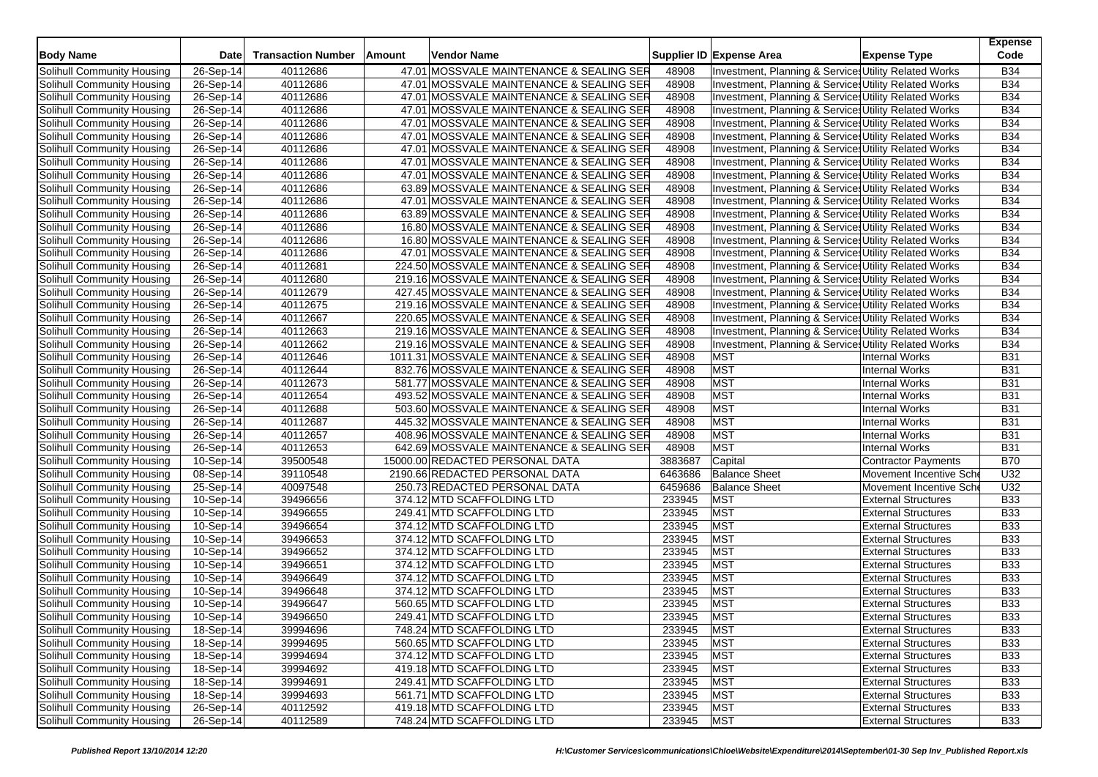| <b>Body Name</b>           | Date      | <b>Transaction Number</b> | Amount | Vendor Name                                |         | Supplier ID Expense Area                              | <b>Expense Type</b>        | <b>Expense</b><br>Code |
|----------------------------|-----------|---------------------------|--------|--------------------------------------------|---------|-------------------------------------------------------|----------------------------|------------------------|
| Solihull Community Housing | 26-Sep-14 | 40112686                  |        | 47.01 MOSSVALE MAINTENANCE & SEALING SER   | 48908   | Investment, Planning & Services Utility Related Works |                            | <b>B34</b>             |
| Solihull Community Housing | 26-Sep-14 | 40112686                  |        | 47.01 MOSSVALE MAINTENANCE & SEALING SER   | 48908   | Investment, Planning & Service: Utility Related Works |                            | <b>B34</b>             |
| Solihull Community Housing | 26-Sep-14 | 40112686                  |        | 47.01 MOSSVALE MAINTENANCE & SEALING SER   | 48908   | Investment, Planning & Service: Utility Related Works |                            | <b>B34</b>             |
| Solihull Community Housing | 26-Sep-14 | 40112686                  |        | 47.01 MOSSVALE MAINTENANCE & SEALING SER   | 48908   | Investment, Planning & Service: Utility Related Works |                            | <b>B34</b>             |
| Solihull Community Housing | 26-Sep-14 | 40112686                  |        | 47.01 MOSSVALE MAINTENANCE & SEALING SER   | 48908   | Investment, Planning & Service: Utility Related Works |                            | <b>B34</b>             |
| Solihull Community Housing | 26-Sep-14 | 40112686                  |        | 47.01 MOSSVALE MAINTENANCE & SEALING SER   | 48908   | Investment, Planning & Services Utility Related Works |                            | <b>B34</b>             |
| Solihull Community Housing | 26-Sep-14 | 40112686                  |        | 47.01 MOSSVALE MAINTENANCE & SEALING SER   | 48908   | Investment, Planning & Service: Utility Related Works |                            | <b>B34</b>             |
| Solihull Community Housing | 26-Sep-14 | 40112686                  |        | 47.01 MOSSVALE MAINTENANCE & SEALING SER   | 48908   | Investment, Planning & Services Utility Related Works |                            | <b>B34</b>             |
| Solihull Community Housing | 26-Sep-14 | 40112686                  |        | 47.01 MOSSVALE MAINTENANCE & SEALING SER   | 48908   | Investment, Planning & Services Utility Related Works |                            | <b>B34</b>             |
| Solihull Community Housing | 26-Sep-14 | 40112686                  |        | 63.89 MOSSVALE MAINTENANCE & SEALING SER   | 48908   | Investment, Planning & Service: Utility Related Works |                            | <b>B34</b>             |
| Solihull Community Housing | 26-Sep-14 | 40112686                  |        | 47.01 MOSSVALE MAINTENANCE & SEALING SER   | 48908   | Investment, Planning & Services Utility Related Works |                            | <b>B34</b>             |
| Solihull Community Housing | 26-Sep-14 | 40112686                  |        | 63.89 MOSSVALE MAINTENANCE & SEALING SER   | 48908   | Investment, Planning & Service: Utility Related Works |                            | <b>B34</b>             |
| Solihull Community Housing | 26-Sep-14 | 40112686                  |        | 16.80 MOSSVALE MAINTENANCE & SEALING SER   | 48908   | Investment, Planning & Services Utility Related Works |                            | <b>B34</b>             |
| Solihull Community Housing | 26-Sep-14 | 40112686                  |        | 16.80 MOSSVALE MAINTENANCE & SEALING SER   | 48908   | Investment, Planning & Service: Utility Related Works |                            | <b>B34</b>             |
| Solihull Community Housing | 26-Sep-14 | 40112686                  |        | 47.01 MOSSVALE MAINTENANCE & SEALING SER   | 48908   | Investment, Planning & Services Utility Related Works |                            | <b>B34</b>             |
| Solihull Community Housing | 26-Sep-14 | 40112681                  |        | 224.50 MOSSVALE MAINTENANCE & SEALING SER  | 48908   | Investment, Planning & Services Utility Related Works |                            | <b>B34</b>             |
| Solihull Community Housing | 26-Sep-14 | 40112680                  |        | 219.16 MOSSVALE MAINTENANCE & SEALING SER  | 48908   | Investment, Planning & Services Utility Related Works |                            | <b>B34</b>             |
| Solihull Community Housing | 26-Sep-14 | 40112679                  |        | 427.45 MOSSVALE MAINTENANCE & SEALING SER  | 48908   | Investment, Planning & Services Utility Related Works |                            | <b>B34</b>             |
| Solihull Community Housing | 26-Sep-14 | 40112675                  |        | 219.16 MOSSVALE MAINTENANCE & SEALING SER  | 48908   | Investment, Planning & Services Utility Related Works |                            | <b>B34</b>             |
| Solihull Community Housing | 26-Sep-14 | 40112667                  |        | 220.65 MOSSVALE MAINTENANCE & SEALING SER  | 48908   | Investment, Planning & Services Utility Related Works |                            | <b>B34</b>             |
| Solihull Community Housing | 26-Sep-14 | 40112663                  |        | 219.16 MOSSVALE MAINTENANCE & SEALING SER  | 48908   | Investment, Planning & Service: Utility Related Works |                            | <b>B34</b>             |
| Solihull Community Housing | 26-Sep-14 | 40112662                  |        | 219.16 MOSSVALE MAINTENANCE & SEALING SER  | 48908   | Investment, Planning & Services Utility Related Works |                            | <b>B34</b>             |
| Solihull Community Housing | 26-Sep-14 | 40112646                  |        | 1011.31 MOSSVALE MAINTENANCE & SEALING SER | 48908   | <b>MST</b>                                            | Internal Works             | <b>B31</b>             |
| Solihull Community Housing | 26-Sep-14 | 40112644                  |        | 832.76 MOSSVALE MAINTENANCE & SEALING SER  | 48908   | <b>MST</b>                                            | <b>Internal Works</b>      | <b>B31</b>             |
| Solihull Community Housing | 26-Sep-14 | 40112673                  |        | 581.77 MOSSVALE MAINTENANCE & SEALING SER  | 48908   | <b>MST</b>                                            | <b>Internal Works</b>      | <b>B31</b>             |
| Solihull Community Housing | 26-Sep-14 | 40112654                  |        | 493.52 MOSSVALE MAINTENANCE & SEALING SER  | 48908   | <b>MST</b>                                            | <b>Internal Works</b>      | <b>B31</b>             |
| Solihull Community Housing | 26-Sep-14 | 40112688                  |        | 503.60 MOSSVALE MAINTENANCE & SEALING SER  | 48908   | <b>MST</b>                                            | <b>Internal Works</b>      | <b>B31</b>             |
| Solihull Community Housing | 26-Sep-14 | 40112687                  |        | 445.32 MOSSVALE MAINTENANCE & SEALING SER  | 48908   | <b>MST</b>                                            | <b>Internal Works</b>      | <b>B31</b>             |
| Solihull Community Housing | 26-Sep-14 | 40112657                  |        | 408.96 MOSSVALE MAINTENANCE & SEALING SER  | 48908   | <b>MST</b>                                            | <b>Internal Works</b>      | <b>B31</b>             |
| Solihull Community Housing | 26-Sep-14 | 40112653                  |        | 642.69 MOSSVALE MAINTENANCE & SEALING SER  | 48908   | <b>MST</b>                                            | <b>Internal Works</b>      | <b>B31</b>             |
| Solihull Community Housing | 10-Sep-14 | 39500548                  |        | 15000.00 REDACTED PERSONAL DATA            | 3883687 | Capital                                               | <b>Contractor Payments</b> | <b>B70</b>             |
| Solihull Community Housing | 08-Sep-14 | 39110548                  |        | 2190.66 REDACTED PERSONAL DATA             | 6463686 | <b>Balance Sheet</b>                                  | Movement Incentive Sche    | U32                    |
| Solihull Community Housing | 25-Sep-14 | 40097548                  |        | 250.73 REDACTED PERSONAL DATA              | 6459686 | <b>Balance Sheet</b>                                  | Movement Incentive Sch     | U32                    |
| Solihull Community Housing | 10-Sep-14 | 39496656                  |        | 374.12 MTD SCAFFOLDING LTD                 | 233945  | <b>MST</b>                                            | <b>External Structures</b> | <b>B33</b>             |
| Solihull Community Housing | 10-Sep-14 | 39496655                  |        | 249.41 MTD SCAFFOLDING LTD                 | 233945  | <b>MST</b>                                            | <b>External Structures</b> | <b>B33</b>             |
| Solihull Community Housing | 10-Sep-14 | 39496654                  |        | 374.12 MTD SCAFFOLDING LTD                 | 233945  | <b>MST</b>                                            | <b>External Structures</b> | <b>B33</b>             |
| Solihull Community Housing | 10-Sep-14 | 39496653                  |        | 374.12 MTD SCAFFOLDING LTD                 | 233945  | MST                                                   | <b>External Structures</b> | <b>B33</b>             |
| Solihull Community Housing | 10-Sep-14 | 39496652                  |        | 374.12 MTD SCAFFOLDING LTD                 | 233945  | <b>MST</b>                                            | <b>External Structures</b> | <b>B33</b>             |
| Solihull Community Housing | 10-Sep-14 | 39496651                  |        | 374.12 MTD SCAFFOLDING LTD                 | 233945  | <b>MST</b>                                            | <b>External Structures</b> | <b>B33</b>             |
| Solihull Community Housing | 10-Sep-14 | 39496649                  |        | 374.12 MTD SCAFFOLDING LTD                 | 233945  | <b>MST</b>                                            | <b>External Structures</b> | <b>B33</b>             |
| Solihull Community Housing | 10-Sep-14 | 39496648                  |        | 374.12 MTD SCAFFOLDING LTD                 | 233945  | <b>MST</b>                                            | <b>External Structures</b> | <b>B33</b>             |
| Solihull Community Housing | 10-Sep-14 | 39496647                  |        | 560.65 MTD SCAFFOLDING LTD                 | 233945  | <b>MST</b>                                            | <b>External Structures</b> | <b>B33</b>             |
| Solihull Community Housing | 10-Sep-14 | 39496650                  |        | 249.41 MTD SCAFFOLDING LTD                 | 233945  | <b>MST</b>                                            | <b>External Structures</b> | <b>B33</b>             |
| Solihull Community Housing | 18-Sep-14 | 39994696                  |        | 748.24 MTD SCAFFOLDING LTD                 | 233945  | <b>MST</b>                                            | <b>External Structures</b> | <b>B33</b>             |
| Solihull Community Housing | 18-Sep-14 | 39994695                  |        | 560.65 MTD SCAFFOLDING LTD                 | 233945  | <b>MST</b>                                            | <b>External Structures</b> | <b>B33</b>             |
| Solihull Community Housing | 18-Sep-14 | 39994694                  |        | 374.12 MTD SCAFFOLDING LTD                 | 233945  | <b>MST</b>                                            | <b>External Structures</b> | <b>B33</b>             |
| Solihull Community Housing | 18-Sep-14 | 39994692                  |        | 419.18 MTD SCAFFOLDING LTD                 | 233945  | <b>MST</b>                                            | <b>External Structures</b> | <b>B33</b>             |
| Solihull Community Housing | 18-Sep-14 | 39994691                  |        | 249.41 MTD SCAFFOLDING LTD                 | 233945  | <b>MST</b>                                            | <b>External Structures</b> | <b>B33</b>             |
| Solihull Community Housing | 18-Sep-14 | 39994693                  |        | 561.71 MTD SCAFFOLDING LTD                 | 233945  | <b>MST</b>                                            | <b>External Structures</b> | <b>B33</b>             |
| Solihull Community Housing | 26-Sep-14 | 40112592                  |        | 419.18 MTD SCAFFOLDING LTD                 | 233945  | <b>MST</b>                                            | <b>External Structures</b> | <b>B33</b>             |
| Solihull Community Housing | 26-Sep-14 | 40112589                  |        | 748.24 MTD SCAFFOLDING LTD                 | 233945  | <b>MST</b>                                            | <b>External Structures</b> | <b>B33</b>             |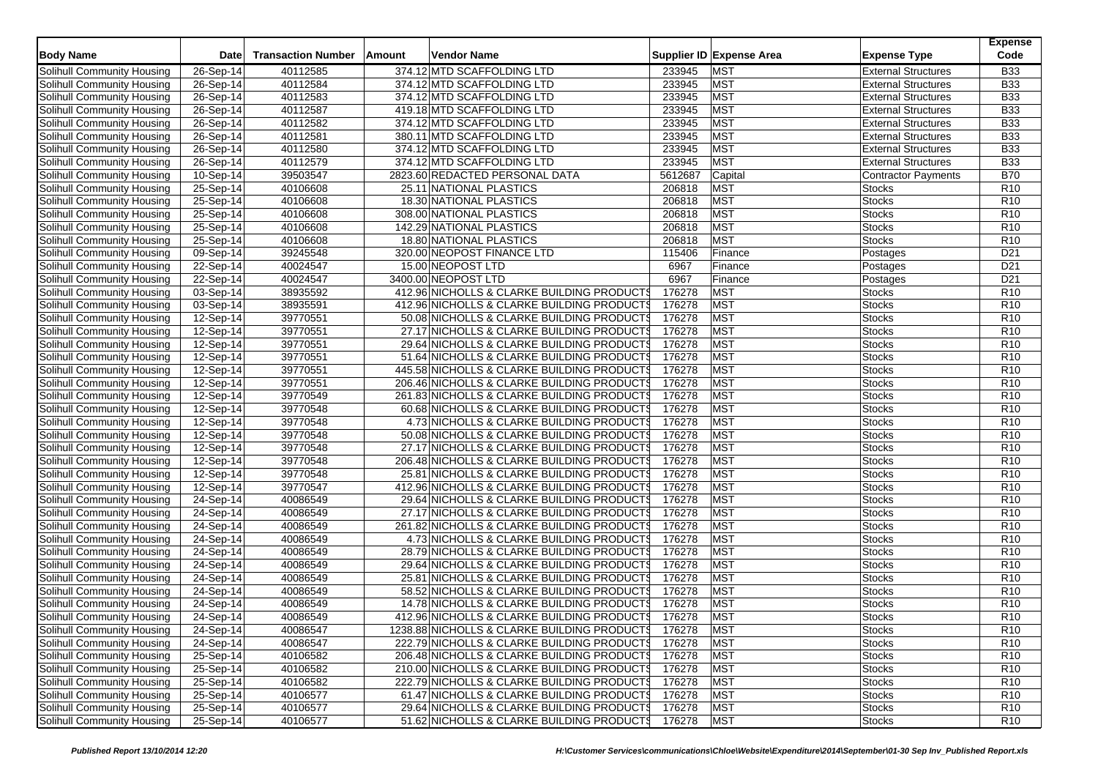| Solihull Community Housing<br>40112585<br>374.12 MTD SCAFFOLDING LTD<br>233945<br><b>MST</b><br><b>External Structures</b><br><b>B33</b><br>26-Sep-14<br>26-Sep-14<br>40112584<br>374.12 MTD SCAFFOLDING LTD<br>233945<br><b>MST</b><br><b>B33</b><br><b>External Structures</b><br><b>MST</b><br>40112583<br>374.12 MTD SCAFFOLDING LTD<br>233945<br><b>B33</b><br>Solihull Community Housing<br>26-Sep-14<br><b>External Structures</b><br><b>MST</b><br><b>B33</b><br>40112587<br>419.18 MTD SCAFFOLDING LTD<br>233945<br>26-Sep-14<br><b>External Structures</b><br><b>MST</b><br>26-Sep-14<br>40112582<br>374.12 MTD SCAFFOLDING LTD<br>233945<br><b>B33</b><br><b>External Structures</b><br><b>MST</b><br>40112581<br>380.11 MTD SCAFFOLDING LTD<br><b>B33</b><br>26-Sep-14<br>233945<br><b>External Structures</b><br>233945<br><b>MST</b><br><b>B33</b><br>26-Sep-14<br>40112580<br>374.12 MTD SCAFFOLDING LTD<br><b>External Structures</b><br><b>MST</b><br>40112579<br>233945<br><b>B33</b><br>$26-Sep-14$<br>374.12 MTD SCAFFOLDING LTD<br><b>External Structures</b><br><b>B70</b><br>39503547<br>2823.60 REDACTED PERSONAL DATA<br>5612687<br>Capital<br>10-Sep-14<br><b>Contractor Payments</b><br>25-Sep-14<br>40106608<br>25.11 NATIONAL PLASTICS<br>206818<br><b>MST</b><br>R <sub>10</sub><br><b>Stocks</b><br><b>MST</b><br>25-Sep-14<br>40106608<br>18.30 NATIONAL PLASTICS<br>206818<br>R <sub>10</sub><br><b>Stocks</b><br><b>MST</b><br>25-Sep-14<br>40106608<br>308.00 NATIONAL PLASTICS<br>206818<br><b>Stocks</b><br>R <sub>10</sub><br><b>MST</b><br>40106608<br>206818<br>R <sub>10</sub><br>25-Sep-14<br>142.29 NATIONAL PLASTICS<br><b>Stocks</b><br><b>MST</b><br>25-Sep-14<br>40106608<br>18.80 NATIONAL PLASTICS<br>206818<br>R <sub>10</sub><br><b>Stocks</b><br>09-Sep-14<br>39245548<br>320.00 NEOPOST FINANCE LTD<br>115406<br>D <sub>21</sub><br>Finance<br>Postages<br>40024547<br>15.00 NEOPOST LTD<br>6967<br>D <sub>21</sub><br>22-Sep-14<br>Finance<br>Postages<br>3400.00 NEOPOST LTD<br>6967<br>22-Sep-14<br>40024547<br>D <sub>21</sub><br>Finance<br>Postages<br>176278<br>03-Sep-14<br>38935592<br>412.96 NICHOLLS & CLARKE BUILDING PRODUCTS<br><b>MST</b><br>R <sub>10</sub><br><b>Stocks</b><br>176278<br><b>MST</b><br>38935591<br>412.96 NICHOLLS & CLARKE BUILDING PRODUCTS<br>R <sub>10</sub><br>Solihull Community Housing<br>03-Sep-14<br><b>Stocks</b><br><b>MST</b><br>39770551<br>176278<br><b>Stocks</b><br>R <sub>10</sub><br>Solihull Community Housing<br>12-Sep-14<br>50.08 NICHOLLS & CLARKE BUILDING PRODUCTS<br>176278<br><b>MST</b><br>Solihull Community Housing<br>12-Sep-14<br>39770551<br>27.17 NICHOLLS & CLARKE BUILDING PRODUCTS<br><b>Stocks</b><br>R <sub>10</sub><br><b>MST</b><br>39770551<br>176278<br>R <sub>10</sub><br>Solihull Community Housing<br>12-Sep-14<br>29.64 NICHOLLS & CLARKE BUILDING PRODUCTS<br><b>Stocks</b><br><b>MST</b><br>39770551<br>51.64 NICHOLLS & CLARKE BUILDING PRODUCTS<br>176278<br>R <sub>10</sub><br>Solihull Community Housing<br>12-Sep-14<br><b>Stocks</b><br>39770551<br>176278<br><b>MST</b><br>Solihull Community Housing<br>12-Sep-14<br>445.58 NICHOLLS & CLARKE BUILDING PRODUCTS<br>R <sub>10</sub><br><b>Stocks</b><br>176278<br><b>MST</b><br>39770551<br>206.46 NICHOLLS & CLARKE BUILDING PRODUCTS<br>R <sub>10</sub><br>Solihull Community Housing<br>12-Sep-14<br><b>Stocks</b><br><b>MST</b><br>39770549<br>176278<br><b>Stocks</b><br>R <sub>10</sub><br>Solihull Community Housing<br>12-Sep-14<br>261.83 NICHOLLS & CLARKE BUILDING PRODUCTS<br>12-Sep-14<br>39770548<br>176278<br><b>MST</b><br>R <sub>10</sub><br>Solihull Community Housing<br>60.68 NICHOLLS & CLARKE BUILDING PRODUCTS<br><b>Stocks</b><br><b>MST</b><br>39770548<br>176278<br>R <sub>10</sub><br>Solihull Community Housing<br>12-Sep-14<br>4.73 NICHOLLS & CLARKE BUILDING PRODUCTS<br><b>Stocks</b><br><b>MST</b><br>39770548<br>50.08 NICHOLLS & CLARKE BUILDING PRODUCTS<br>176278<br>R <sub>10</sub><br>Solihull Community Housing<br>12-Sep-14<br><b>Stocks</b><br>39770548<br>176278<br><b>MST</b><br>Solihull Community Housing<br>12-Sep-14<br>27.17 NICHOLLS & CLARKE BUILDING PRODUCTS<br>R <sub>10</sub><br><b>Stocks</b><br>176278<br><b>MST</b><br>39770548<br>R <sub>10</sub><br>Solihull Community Housing<br>12-Sep-14<br>206.48 NICHOLLS & CLARKE BUILDING PRODUCTS<br><b>Stocks</b><br>39770548<br>176278<br><b>MST</b><br>12-Sep-14<br>25.81 NICHOLLS & CLARKE BUILDING PRODUCTS<br>R <sub>10</sub><br>Solihull Community Housing<br><b>Stocks</b><br>39770547<br>176278<br><b>MST</b><br>12-Sep-14<br>412.96 NICHOLLS & CLARKE BUILDING PRODUCTS<br>R <sub>10</sub><br>Solihull Community Housing<br><b>Stocks</b><br><b>MST</b><br>176278<br>Solihull Community Housing<br>24-Sep-14<br>40086549<br>29.64 NICHOLLS & CLARKE BUILDING PRODUCTS<br><b>Stocks</b><br>R <sub>10</sub><br>40086549<br>176278<br><b>MST</b><br>24-Sep-14<br>27.17 NICHOLLS & CLARKE BUILDING PRODUCTS<br><b>Stocks</b><br>R <sub>10</sub><br>Solihull Community Housing<br>176278<br><b>MST</b><br>$24-Sep-14$<br>40086549<br>261.82 NICHOLLS & CLARKE BUILDING PRODUCTS<br>R <sub>10</sub><br>Solihull Community Housing<br><b>Stocks</b><br>176278<br><b>MST</b><br>4.73 NICHOLLS & CLARKE BUILDING PRODUCTS<br>R <sub>10</sub><br>Solihull Community Housing<br>24-Sep-14<br>40086549<br><b>Stocks</b><br>40086549<br>176278<br><b>MST</b><br>28.79 NICHOLLS & CLARKE BUILDING PRODUCTS<br><b>Stocks</b><br>R <sub>10</sub><br>Solihull Community Housing<br>24-Sep-14<br>176278<br><b>MST</b><br>R <sub>10</sub><br>24-Sep-14<br>40086549<br>29.64 NICHOLLS & CLARKE BUILDING PRODUCTS<br>Solihull Community Housing<br><b>Stocks</b><br><b>MST</b><br>176278<br>Solihull Community Housing<br>24-Sep-14<br>40086549<br>25.81 NICHOLLS & CLARKE BUILDING PRODUCTS<br><b>Stocks</b><br>R <sub>10</sub><br><b>MST</b><br>40086549<br>176278<br>R <sub>10</sub><br>Solihull Community Housing<br>24-Sep-14<br>58.52 NICHOLLS & CLARKE BUILDING PRODUCTS<br><b>Stocks</b><br>176278<br><b>MST</b><br>R <sub>10</sub><br>Solihull Community Housing<br>24-Sep-14<br>40086549<br>14.78 NICHOLLS & CLARKE BUILDING PRODUCTS<br><b>Stocks</b><br>24-Sep-14<br>40086549<br>412.96 NICHOLLS & CLARKE BUILDING PRODUCTS<br>176278<br><b>MST</b><br>R <sub>10</sub><br>Solihull Community Housing<br><b>Stocks</b><br>Solihull Community Housing<br>1238.88 NICHOLLS & CLARKE BUILDING PRODUCTS<br><b>MST</b><br>24-Sep-14<br>40086547<br>176278<br><b>Stocks</b><br>R <sub>10</sub><br>Solihull Community Housing<br>$24-Sep-14$<br>222.79 NICHOLLS & CLARKE BUILDING PRODUCTS<br>176278<br><b>MST</b><br>R <sub>10</sub><br>40086547<br><b>Stocks</b><br>Solihull Community Housing<br>25-Sep-14<br>40106582<br>206.48 NICHOLLS & CLARKE BUILDING PRODUCTS<br>176278<br>MST<br>Stocks<br>R <sub>10</sub><br><b>MST</b><br>Solihull Community Housing<br>25-Sep-14<br>40106582<br>210.00 NICHOLLS & CLARKE BUILDING PRODUCTS<br>176278<br><b>Stocks</b><br>R <sub>10</sub><br>Solihull Community Housing<br>25-Sep-14<br><b>MST</b><br>40106582<br>222.79 NICHOLLS & CLARKE BUILDING PRODUCTS<br>176278<br>R <sub>10</sub><br>Stocks<br>Solihull Community Housing<br>25-Sep-14<br>40106577<br>61.47 NICHOLLS & CLARKE BUILDING PRODUCTS<br>176278<br><b>MST</b><br>R <sub>10</sub><br><b>Stocks</b><br>25-Sep-14<br>40106577<br>29.64 NICHOLLS & CLARKE BUILDING PRODUCTS<br>176278<br><b>MST</b><br>Solihull Community Housing<br><b>Stocks</b><br>R <sub>10</sub> | <b>Body Name</b>           | Date | <b>Transaction Number</b> | <b>Amount</b> | Vendor Name | Supplier ID Expense Area | <b>Expense Type</b> | <b>Expense</b><br>Code |
|------------------------------------------------------------------------------------------------------------------------------------------------------------------------------------------------------------------------------------------------------------------------------------------------------------------------------------------------------------------------------------------------------------------------------------------------------------------------------------------------------------------------------------------------------------------------------------------------------------------------------------------------------------------------------------------------------------------------------------------------------------------------------------------------------------------------------------------------------------------------------------------------------------------------------------------------------------------------------------------------------------------------------------------------------------------------------------------------------------------------------------------------------------------------------------------------------------------------------------------------------------------------------------------------------------------------------------------------------------------------------------------------------------------------------------------------------------------------------------------------------------------------------------------------------------------------------------------------------------------------------------------------------------------------------------------------------------------------------------------------------------------------------------------------------------------------------------------------------------------------------------------------------------------------------------------------------------------------------------------------------------------------------------------------------------------------------------------------------------------------------------------------------------------------------------------------------------------------------------------------------------------------------------------------------------------------------------------------------------------------------------------------------------------------------------------------------------------------------------------------------------------------------------------------------------------------------------------------------------------------------------------------------------------------------------------------------------------------------------------------------------------------------------------------------------------------------------------------------------------------------------------------------------------------------------------------------------------------------------------------------------------------------------------------------------------------------------------------------------------------------------------------------------------------------------------------------------------------------------------------------------------------------------------------------------------------------------------------------------------------------------------------------------------------------------------------------------------------------------------------------------------------------------------------------------------------------------------------------------------------------------------------------------------------------------------------------------------------------------------------------------------------------------------------------------------------------------------------------------------------------------------------------------------------------------------------------------------------------------------------------------------------------------------------------------------------------------------------------------------------------------------------------------------------------------------------------------------------------------------------------------------------------------------------------------------------------------------------------------------------------------------------------------------------------------------------------------------------------------------------------------------------------------------------------------------------------------------------------------------------------------------------------------------------------------------------------------------------------------------------------------------------------------------------------------------------------------------------------------------------------------------------------------------------------------------------------------------------------------------------------------------------------------------------------------------------------------------------------------------------------------------------------------------------------------------------------------------------------------------------------------------------------------------------------------------------------------------------------------------------------------------------------------------------------------------------------------------------------------------------------------------------------------------------------------------------------------------------------------------------------------------------------------------------------------------------------------------------------------------------------------------------------------------------------------------------------------------------------------------------------------------------------------------------------------------------------------------------------------------------------------------------------------------------------------------------------------------------------------------------------------------------------------------------------------------------------------------------------------------------------------------------------------------------------------------------------------------------------------------------------------------------------------------------------------------------------------------------------------------------------------------------------------------------------------------------------------------------------------------------------------------------------------------------------------------------------------------------------------------------------------------------------------------------------------------------------------------------------------------------------------------------------------------------------------------------------------------------------------------------------------------------------------------------------------------------------------------------------------------------------------------------------------------------------------------------------------------------------------------------------------------------------------------------------------------------------------------------------------------------------------------------------------------------------------------------------------------------------------------------------------------------------------------------------------------------------|----------------------------|------|---------------------------|---------------|-------------|--------------------------|---------------------|------------------------|
|                                                                                                                                                                                                                                                                                                                                                                                                                                                                                                                                                                                                                                                                                                                                                                                                                                                                                                                                                                                                                                                                                                                                                                                                                                                                                                                                                                                                                                                                                                                                                                                                                                                                                                                                                                                                                                                                                                                                                                                                                                                                                                                                                                                                                                                                                                                                                                                                                                                                                                                                                                                                                                                                                                                                                                                                                                                                                                                                                                                                                                                                                                                                                                                                                                                                                                                                                                                                                                                                                                                                                                                                                                                                                                                                                                                                                                                                                                                                                                                                                                                                                                                                                                                                                                                                                                                                                                                                                                                                                                                                                                                                                                                                                                                                                                                                                                                                                                                                                                                                                                                                                                                                                                                                                                                                                                                                                                                                                                                                                                                                                                                                                                                                                                                                                                                                                                                                                                                                                                                                                                                                                                                                                                                                                                                                                                                                                                                                                                                                                                                                                                                                                                                                                                                                                                                                                                                                                                                                                                                                                                                                                                                                                                                                                                                                                                                                                                                                                                                                                                                                                                              |                            |      |                           |               |             |                          |                     |                        |
|                                                                                                                                                                                                                                                                                                                                                                                                                                                                                                                                                                                                                                                                                                                                                                                                                                                                                                                                                                                                                                                                                                                                                                                                                                                                                                                                                                                                                                                                                                                                                                                                                                                                                                                                                                                                                                                                                                                                                                                                                                                                                                                                                                                                                                                                                                                                                                                                                                                                                                                                                                                                                                                                                                                                                                                                                                                                                                                                                                                                                                                                                                                                                                                                                                                                                                                                                                                                                                                                                                                                                                                                                                                                                                                                                                                                                                                                                                                                                                                                                                                                                                                                                                                                                                                                                                                                                                                                                                                                                                                                                                                                                                                                                                                                                                                                                                                                                                                                                                                                                                                                                                                                                                                                                                                                                                                                                                                                                                                                                                                                                                                                                                                                                                                                                                                                                                                                                                                                                                                                                                                                                                                                                                                                                                                                                                                                                                                                                                                                                                                                                                                                                                                                                                                                                                                                                                                                                                                                                                                                                                                                                                                                                                                                                                                                                                                                                                                                                                                                                                                                                                              | Solihull Community Housing |      |                           |               |             |                          |                     |                        |
|                                                                                                                                                                                                                                                                                                                                                                                                                                                                                                                                                                                                                                                                                                                                                                                                                                                                                                                                                                                                                                                                                                                                                                                                                                                                                                                                                                                                                                                                                                                                                                                                                                                                                                                                                                                                                                                                                                                                                                                                                                                                                                                                                                                                                                                                                                                                                                                                                                                                                                                                                                                                                                                                                                                                                                                                                                                                                                                                                                                                                                                                                                                                                                                                                                                                                                                                                                                                                                                                                                                                                                                                                                                                                                                                                                                                                                                                                                                                                                                                                                                                                                                                                                                                                                                                                                                                                                                                                                                                                                                                                                                                                                                                                                                                                                                                                                                                                                                                                                                                                                                                                                                                                                                                                                                                                                                                                                                                                                                                                                                                                                                                                                                                                                                                                                                                                                                                                                                                                                                                                                                                                                                                                                                                                                                                                                                                                                                                                                                                                                                                                                                                                                                                                                                                                                                                                                                                                                                                                                                                                                                                                                                                                                                                                                                                                                                                                                                                                                                                                                                                                                              |                            |      |                           |               |             |                          |                     |                        |
|                                                                                                                                                                                                                                                                                                                                                                                                                                                                                                                                                                                                                                                                                                                                                                                                                                                                                                                                                                                                                                                                                                                                                                                                                                                                                                                                                                                                                                                                                                                                                                                                                                                                                                                                                                                                                                                                                                                                                                                                                                                                                                                                                                                                                                                                                                                                                                                                                                                                                                                                                                                                                                                                                                                                                                                                                                                                                                                                                                                                                                                                                                                                                                                                                                                                                                                                                                                                                                                                                                                                                                                                                                                                                                                                                                                                                                                                                                                                                                                                                                                                                                                                                                                                                                                                                                                                                                                                                                                                                                                                                                                                                                                                                                                                                                                                                                                                                                                                                                                                                                                                                                                                                                                                                                                                                                                                                                                                                                                                                                                                                                                                                                                                                                                                                                                                                                                                                                                                                                                                                                                                                                                                                                                                                                                                                                                                                                                                                                                                                                                                                                                                                                                                                                                                                                                                                                                                                                                                                                                                                                                                                                                                                                                                                                                                                                                                                                                                                                                                                                                                                                              | Solihull Community Housing |      |                           |               |             |                          |                     |                        |
|                                                                                                                                                                                                                                                                                                                                                                                                                                                                                                                                                                                                                                                                                                                                                                                                                                                                                                                                                                                                                                                                                                                                                                                                                                                                                                                                                                                                                                                                                                                                                                                                                                                                                                                                                                                                                                                                                                                                                                                                                                                                                                                                                                                                                                                                                                                                                                                                                                                                                                                                                                                                                                                                                                                                                                                                                                                                                                                                                                                                                                                                                                                                                                                                                                                                                                                                                                                                                                                                                                                                                                                                                                                                                                                                                                                                                                                                                                                                                                                                                                                                                                                                                                                                                                                                                                                                                                                                                                                                                                                                                                                                                                                                                                                                                                                                                                                                                                                                                                                                                                                                                                                                                                                                                                                                                                                                                                                                                                                                                                                                                                                                                                                                                                                                                                                                                                                                                                                                                                                                                                                                                                                                                                                                                                                                                                                                                                                                                                                                                                                                                                                                                                                                                                                                                                                                                                                                                                                                                                                                                                                                                                                                                                                                                                                                                                                                                                                                                                                                                                                                                                              | Solihull Community Housing |      |                           |               |             |                          |                     |                        |
|                                                                                                                                                                                                                                                                                                                                                                                                                                                                                                                                                                                                                                                                                                                                                                                                                                                                                                                                                                                                                                                                                                                                                                                                                                                                                                                                                                                                                                                                                                                                                                                                                                                                                                                                                                                                                                                                                                                                                                                                                                                                                                                                                                                                                                                                                                                                                                                                                                                                                                                                                                                                                                                                                                                                                                                                                                                                                                                                                                                                                                                                                                                                                                                                                                                                                                                                                                                                                                                                                                                                                                                                                                                                                                                                                                                                                                                                                                                                                                                                                                                                                                                                                                                                                                                                                                                                                                                                                                                                                                                                                                                                                                                                                                                                                                                                                                                                                                                                                                                                                                                                                                                                                                                                                                                                                                                                                                                                                                                                                                                                                                                                                                                                                                                                                                                                                                                                                                                                                                                                                                                                                                                                                                                                                                                                                                                                                                                                                                                                                                                                                                                                                                                                                                                                                                                                                                                                                                                                                                                                                                                                                                                                                                                                                                                                                                                                                                                                                                                                                                                                                                              | Solihull Community Housing |      |                           |               |             |                          |                     |                        |
|                                                                                                                                                                                                                                                                                                                                                                                                                                                                                                                                                                                                                                                                                                                                                                                                                                                                                                                                                                                                                                                                                                                                                                                                                                                                                                                                                                                                                                                                                                                                                                                                                                                                                                                                                                                                                                                                                                                                                                                                                                                                                                                                                                                                                                                                                                                                                                                                                                                                                                                                                                                                                                                                                                                                                                                                                                                                                                                                                                                                                                                                                                                                                                                                                                                                                                                                                                                                                                                                                                                                                                                                                                                                                                                                                                                                                                                                                                                                                                                                                                                                                                                                                                                                                                                                                                                                                                                                                                                                                                                                                                                                                                                                                                                                                                                                                                                                                                                                                                                                                                                                                                                                                                                                                                                                                                                                                                                                                                                                                                                                                                                                                                                                                                                                                                                                                                                                                                                                                                                                                                                                                                                                                                                                                                                                                                                                                                                                                                                                                                                                                                                                                                                                                                                                                                                                                                                                                                                                                                                                                                                                                                                                                                                                                                                                                                                                                                                                                                                                                                                                                                              | Solihull Community Housing |      |                           |               |             |                          |                     |                        |
|                                                                                                                                                                                                                                                                                                                                                                                                                                                                                                                                                                                                                                                                                                                                                                                                                                                                                                                                                                                                                                                                                                                                                                                                                                                                                                                                                                                                                                                                                                                                                                                                                                                                                                                                                                                                                                                                                                                                                                                                                                                                                                                                                                                                                                                                                                                                                                                                                                                                                                                                                                                                                                                                                                                                                                                                                                                                                                                                                                                                                                                                                                                                                                                                                                                                                                                                                                                                                                                                                                                                                                                                                                                                                                                                                                                                                                                                                                                                                                                                                                                                                                                                                                                                                                                                                                                                                                                                                                                                                                                                                                                                                                                                                                                                                                                                                                                                                                                                                                                                                                                                                                                                                                                                                                                                                                                                                                                                                                                                                                                                                                                                                                                                                                                                                                                                                                                                                                                                                                                                                                                                                                                                                                                                                                                                                                                                                                                                                                                                                                                                                                                                                                                                                                                                                                                                                                                                                                                                                                                                                                                                                                                                                                                                                                                                                                                                                                                                                                                                                                                                                                              | Solihull Community Housing |      |                           |               |             |                          |                     |                        |
|                                                                                                                                                                                                                                                                                                                                                                                                                                                                                                                                                                                                                                                                                                                                                                                                                                                                                                                                                                                                                                                                                                                                                                                                                                                                                                                                                                                                                                                                                                                                                                                                                                                                                                                                                                                                                                                                                                                                                                                                                                                                                                                                                                                                                                                                                                                                                                                                                                                                                                                                                                                                                                                                                                                                                                                                                                                                                                                                                                                                                                                                                                                                                                                                                                                                                                                                                                                                                                                                                                                                                                                                                                                                                                                                                                                                                                                                                                                                                                                                                                                                                                                                                                                                                                                                                                                                                                                                                                                                                                                                                                                                                                                                                                                                                                                                                                                                                                                                                                                                                                                                                                                                                                                                                                                                                                                                                                                                                                                                                                                                                                                                                                                                                                                                                                                                                                                                                                                                                                                                                                                                                                                                                                                                                                                                                                                                                                                                                                                                                                                                                                                                                                                                                                                                                                                                                                                                                                                                                                                                                                                                                                                                                                                                                                                                                                                                                                                                                                                                                                                                                                              | Solihull Community Housing |      |                           |               |             |                          |                     |                        |
|                                                                                                                                                                                                                                                                                                                                                                                                                                                                                                                                                                                                                                                                                                                                                                                                                                                                                                                                                                                                                                                                                                                                                                                                                                                                                                                                                                                                                                                                                                                                                                                                                                                                                                                                                                                                                                                                                                                                                                                                                                                                                                                                                                                                                                                                                                                                                                                                                                                                                                                                                                                                                                                                                                                                                                                                                                                                                                                                                                                                                                                                                                                                                                                                                                                                                                                                                                                                                                                                                                                                                                                                                                                                                                                                                                                                                                                                                                                                                                                                                                                                                                                                                                                                                                                                                                                                                                                                                                                                                                                                                                                                                                                                                                                                                                                                                                                                                                                                                                                                                                                                                                                                                                                                                                                                                                                                                                                                                                                                                                                                                                                                                                                                                                                                                                                                                                                                                                                                                                                                                                                                                                                                                                                                                                                                                                                                                                                                                                                                                                                                                                                                                                                                                                                                                                                                                                                                                                                                                                                                                                                                                                                                                                                                                                                                                                                                                                                                                                                                                                                                                                              | Solihull Community Housing |      |                           |               |             |                          |                     |                        |
|                                                                                                                                                                                                                                                                                                                                                                                                                                                                                                                                                                                                                                                                                                                                                                                                                                                                                                                                                                                                                                                                                                                                                                                                                                                                                                                                                                                                                                                                                                                                                                                                                                                                                                                                                                                                                                                                                                                                                                                                                                                                                                                                                                                                                                                                                                                                                                                                                                                                                                                                                                                                                                                                                                                                                                                                                                                                                                                                                                                                                                                                                                                                                                                                                                                                                                                                                                                                                                                                                                                                                                                                                                                                                                                                                                                                                                                                                                                                                                                                                                                                                                                                                                                                                                                                                                                                                                                                                                                                                                                                                                                                                                                                                                                                                                                                                                                                                                                                                                                                                                                                                                                                                                                                                                                                                                                                                                                                                                                                                                                                                                                                                                                                                                                                                                                                                                                                                                                                                                                                                                                                                                                                                                                                                                                                                                                                                                                                                                                                                                                                                                                                                                                                                                                                                                                                                                                                                                                                                                                                                                                                                                                                                                                                                                                                                                                                                                                                                                                                                                                                                                              | Solihull Community Housing |      |                           |               |             |                          |                     |                        |
|                                                                                                                                                                                                                                                                                                                                                                                                                                                                                                                                                                                                                                                                                                                                                                                                                                                                                                                                                                                                                                                                                                                                                                                                                                                                                                                                                                                                                                                                                                                                                                                                                                                                                                                                                                                                                                                                                                                                                                                                                                                                                                                                                                                                                                                                                                                                                                                                                                                                                                                                                                                                                                                                                                                                                                                                                                                                                                                                                                                                                                                                                                                                                                                                                                                                                                                                                                                                                                                                                                                                                                                                                                                                                                                                                                                                                                                                                                                                                                                                                                                                                                                                                                                                                                                                                                                                                                                                                                                                                                                                                                                                                                                                                                                                                                                                                                                                                                                                                                                                                                                                                                                                                                                                                                                                                                                                                                                                                                                                                                                                                                                                                                                                                                                                                                                                                                                                                                                                                                                                                                                                                                                                                                                                                                                                                                                                                                                                                                                                                                                                                                                                                                                                                                                                                                                                                                                                                                                                                                                                                                                                                                                                                                                                                                                                                                                                                                                                                                                                                                                                                                              | Solihull Community Housing |      |                           |               |             |                          |                     |                        |
|                                                                                                                                                                                                                                                                                                                                                                                                                                                                                                                                                                                                                                                                                                                                                                                                                                                                                                                                                                                                                                                                                                                                                                                                                                                                                                                                                                                                                                                                                                                                                                                                                                                                                                                                                                                                                                                                                                                                                                                                                                                                                                                                                                                                                                                                                                                                                                                                                                                                                                                                                                                                                                                                                                                                                                                                                                                                                                                                                                                                                                                                                                                                                                                                                                                                                                                                                                                                                                                                                                                                                                                                                                                                                                                                                                                                                                                                                                                                                                                                                                                                                                                                                                                                                                                                                                                                                                                                                                                                                                                                                                                                                                                                                                                                                                                                                                                                                                                                                                                                                                                                                                                                                                                                                                                                                                                                                                                                                                                                                                                                                                                                                                                                                                                                                                                                                                                                                                                                                                                                                                                                                                                                                                                                                                                                                                                                                                                                                                                                                                                                                                                                                                                                                                                                                                                                                                                                                                                                                                                                                                                                                                                                                                                                                                                                                                                                                                                                                                                                                                                                                                              | Solihull Community Housing |      |                           |               |             |                          |                     |                        |
|                                                                                                                                                                                                                                                                                                                                                                                                                                                                                                                                                                                                                                                                                                                                                                                                                                                                                                                                                                                                                                                                                                                                                                                                                                                                                                                                                                                                                                                                                                                                                                                                                                                                                                                                                                                                                                                                                                                                                                                                                                                                                                                                                                                                                                                                                                                                                                                                                                                                                                                                                                                                                                                                                                                                                                                                                                                                                                                                                                                                                                                                                                                                                                                                                                                                                                                                                                                                                                                                                                                                                                                                                                                                                                                                                                                                                                                                                                                                                                                                                                                                                                                                                                                                                                                                                                                                                                                                                                                                                                                                                                                                                                                                                                                                                                                                                                                                                                                                                                                                                                                                                                                                                                                                                                                                                                                                                                                                                                                                                                                                                                                                                                                                                                                                                                                                                                                                                                                                                                                                                                                                                                                                                                                                                                                                                                                                                                                                                                                                                                                                                                                                                                                                                                                                                                                                                                                                                                                                                                                                                                                                                                                                                                                                                                                                                                                                                                                                                                                                                                                                                                              | Solihull Community Housing |      |                           |               |             |                          |                     |                        |
|                                                                                                                                                                                                                                                                                                                                                                                                                                                                                                                                                                                                                                                                                                                                                                                                                                                                                                                                                                                                                                                                                                                                                                                                                                                                                                                                                                                                                                                                                                                                                                                                                                                                                                                                                                                                                                                                                                                                                                                                                                                                                                                                                                                                                                                                                                                                                                                                                                                                                                                                                                                                                                                                                                                                                                                                                                                                                                                                                                                                                                                                                                                                                                                                                                                                                                                                                                                                                                                                                                                                                                                                                                                                                                                                                                                                                                                                                                                                                                                                                                                                                                                                                                                                                                                                                                                                                                                                                                                                                                                                                                                                                                                                                                                                                                                                                                                                                                                                                                                                                                                                                                                                                                                                                                                                                                                                                                                                                                                                                                                                                                                                                                                                                                                                                                                                                                                                                                                                                                                                                                                                                                                                                                                                                                                                                                                                                                                                                                                                                                                                                                                                                                                                                                                                                                                                                                                                                                                                                                                                                                                                                                                                                                                                                                                                                                                                                                                                                                                                                                                                                                              | Solihull Community Housing |      |                           |               |             |                          |                     |                        |
|                                                                                                                                                                                                                                                                                                                                                                                                                                                                                                                                                                                                                                                                                                                                                                                                                                                                                                                                                                                                                                                                                                                                                                                                                                                                                                                                                                                                                                                                                                                                                                                                                                                                                                                                                                                                                                                                                                                                                                                                                                                                                                                                                                                                                                                                                                                                                                                                                                                                                                                                                                                                                                                                                                                                                                                                                                                                                                                                                                                                                                                                                                                                                                                                                                                                                                                                                                                                                                                                                                                                                                                                                                                                                                                                                                                                                                                                                                                                                                                                                                                                                                                                                                                                                                                                                                                                                                                                                                                                                                                                                                                                                                                                                                                                                                                                                                                                                                                                                                                                                                                                                                                                                                                                                                                                                                                                                                                                                                                                                                                                                                                                                                                                                                                                                                                                                                                                                                                                                                                                                                                                                                                                                                                                                                                                                                                                                                                                                                                                                                                                                                                                                                                                                                                                                                                                                                                                                                                                                                                                                                                                                                                                                                                                                                                                                                                                                                                                                                                                                                                                                                              | Solihull Community Housing |      |                           |               |             |                          |                     |                        |
|                                                                                                                                                                                                                                                                                                                                                                                                                                                                                                                                                                                                                                                                                                                                                                                                                                                                                                                                                                                                                                                                                                                                                                                                                                                                                                                                                                                                                                                                                                                                                                                                                                                                                                                                                                                                                                                                                                                                                                                                                                                                                                                                                                                                                                                                                                                                                                                                                                                                                                                                                                                                                                                                                                                                                                                                                                                                                                                                                                                                                                                                                                                                                                                                                                                                                                                                                                                                                                                                                                                                                                                                                                                                                                                                                                                                                                                                                                                                                                                                                                                                                                                                                                                                                                                                                                                                                                                                                                                                                                                                                                                                                                                                                                                                                                                                                                                                                                                                                                                                                                                                                                                                                                                                                                                                                                                                                                                                                                                                                                                                                                                                                                                                                                                                                                                                                                                                                                                                                                                                                                                                                                                                                                                                                                                                                                                                                                                                                                                                                                                                                                                                                                                                                                                                                                                                                                                                                                                                                                                                                                                                                                                                                                                                                                                                                                                                                                                                                                                                                                                                                                              | Solihull Community Housing |      |                           |               |             |                          |                     |                        |
|                                                                                                                                                                                                                                                                                                                                                                                                                                                                                                                                                                                                                                                                                                                                                                                                                                                                                                                                                                                                                                                                                                                                                                                                                                                                                                                                                                                                                                                                                                                                                                                                                                                                                                                                                                                                                                                                                                                                                                                                                                                                                                                                                                                                                                                                                                                                                                                                                                                                                                                                                                                                                                                                                                                                                                                                                                                                                                                                                                                                                                                                                                                                                                                                                                                                                                                                                                                                                                                                                                                                                                                                                                                                                                                                                                                                                                                                                                                                                                                                                                                                                                                                                                                                                                                                                                                                                                                                                                                                                                                                                                                                                                                                                                                                                                                                                                                                                                                                                                                                                                                                                                                                                                                                                                                                                                                                                                                                                                                                                                                                                                                                                                                                                                                                                                                                                                                                                                                                                                                                                                                                                                                                                                                                                                                                                                                                                                                                                                                                                                                                                                                                                                                                                                                                                                                                                                                                                                                                                                                                                                                                                                                                                                                                                                                                                                                                                                                                                                                                                                                                                                              | Solihull Community Housing |      |                           |               |             |                          |                     |                        |
|                                                                                                                                                                                                                                                                                                                                                                                                                                                                                                                                                                                                                                                                                                                                                                                                                                                                                                                                                                                                                                                                                                                                                                                                                                                                                                                                                                                                                                                                                                                                                                                                                                                                                                                                                                                                                                                                                                                                                                                                                                                                                                                                                                                                                                                                                                                                                                                                                                                                                                                                                                                                                                                                                                                                                                                                                                                                                                                                                                                                                                                                                                                                                                                                                                                                                                                                                                                                                                                                                                                                                                                                                                                                                                                                                                                                                                                                                                                                                                                                                                                                                                                                                                                                                                                                                                                                                                                                                                                                                                                                                                                                                                                                                                                                                                                                                                                                                                                                                                                                                                                                                                                                                                                                                                                                                                                                                                                                                                                                                                                                                                                                                                                                                                                                                                                                                                                                                                                                                                                                                                                                                                                                                                                                                                                                                                                                                                                                                                                                                                                                                                                                                                                                                                                                                                                                                                                                                                                                                                                                                                                                                                                                                                                                                                                                                                                                                                                                                                                                                                                                                                              |                            |      |                           |               |             |                          |                     |                        |
|                                                                                                                                                                                                                                                                                                                                                                                                                                                                                                                                                                                                                                                                                                                                                                                                                                                                                                                                                                                                                                                                                                                                                                                                                                                                                                                                                                                                                                                                                                                                                                                                                                                                                                                                                                                                                                                                                                                                                                                                                                                                                                                                                                                                                                                                                                                                                                                                                                                                                                                                                                                                                                                                                                                                                                                                                                                                                                                                                                                                                                                                                                                                                                                                                                                                                                                                                                                                                                                                                                                                                                                                                                                                                                                                                                                                                                                                                                                                                                                                                                                                                                                                                                                                                                                                                                                                                                                                                                                                                                                                                                                                                                                                                                                                                                                                                                                                                                                                                                                                                                                                                                                                                                                                                                                                                                                                                                                                                                                                                                                                                                                                                                                                                                                                                                                                                                                                                                                                                                                                                                                                                                                                                                                                                                                                                                                                                                                                                                                                                                                                                                                                                                                                                                                                                                                                                                                                                                                                                                                                                                                                                                                                                                                                                                                                                                                                                                                                                                                                                                                                                                              |                            |      |                           |               |             |                          |                     |                        |
|                                                                                                                                                                                                                                                                                                                                                                                                                                                                                                                                                                                                                                                                                                                                                                                                                                                                                                                                                                                                                                                                                                                                                                                                                                                                                                                                                                                                                                                                                                                                                                                                                                                                                                                                                                                                                                                                                                                                                                                                                                                                                                                                                                                                                                                                                                                                                                                                                                                                                                                                                                                                                                                                                                                                                                                                                                                                                                                                                                                                                                                                                                                                                                                                                                                                                                                                                                                                                                                                                                                                                                                                                                                                                                                                                                                                                                                                                                                                                                                                                                                                                                                                                                                                                                                                                                                                                                                                                                                                                                                                                                                                                                                                                                                                                                                                                                                                                                                                                                                                                                                                                                                                                                                                                                                                                                                                                                                                                                                                                                                                                                                                                                                                                                                                                                                                                                                                                                                                                                                                                                                                                                                                                                                                                                                                                                                                                                                                                                                                                                                                                                                                                                                                                                                                                                                                                                                                                                                                                                                                                                                                                                                                                                                                                                                                                                                                                                                                                                                                                                                                                                              |                            |      |                           |               |             |                          |                     |                        |
|                                                                                                                                                                                                                                                                                                                                                                                                                                                                                                                                                                                                                                                                                                                                                                                                                                                                                                                                                                                                                                                                                                                                                                                                                                                                                                                                                                                                                                                                                                                                                                                                                                                                                                                                                                                                                                                                                                                                                                                                                                                                                                                                                                                                                                                                                                                                                                                                                                                                                                                                                                                                                                                                                                                                                                                                                                                                                                                                                                                                                                                                                                                                                                                                                                                                                                                                                                                                                                                                                                                                                                                                                                                                                                                                                                                                                                                                                                                                                                                                                                                                                                                                                                                                                                                                                                                                                                                                                                                                                                                                                                                                                                                                                                                                                                                                                                                                                                                                                                                                                                                                                                                                                                                                                                                                                                                                                                                                                                                                                                                                                                                                                                                                                                                                                                                                                                                                                                                                                                                                                                                                                                                                                                                                                                                                                                                                                                                                                                                                                                                                                                                                                                                                                                                                                                                                                                                                                                                                                                                                                                                                                                                                                                                                                                                                                                                                                                                                                                                                                                                                                                              |                            |      |                           |               |             |                          |                     |                        |
|                                                                                                                                                                                                                                                                                                                                                                                                                                                                                                                                                                                                                                                                                                                                                                                                                                                                                                                                                                                                                                                                                                                                                                                                                                                                                                                                                                                                                                                                                                                                                                                                                                                                                                                                                                                                                                                                                                                                                                                                                                                                                                                                                                                                                                                                                                                                                                                                                                                                                                                                                                                                                                                                                                                                                                                                                                                                                                                                                                                                                                                                                                                                                                                                                                                                                                                                                                                                                                                                                                                                                                                                                                                                                                                                                                                                                                                                                                                                                                                                                                                                                                                                                                                                                                                                                                                                                                                                                                                                                                                                                                                                                                                                                                                                                                                                                                                                                                                                                                                                                                                                                                                                                                                                                                                                                                                                                                                                                                                                                                                                                                                                                                                                                                                                                                                                                                                                                                                                                                                                                                                                                                                                                                                                                                                                                                                                                                                                                                                                                                                                                                                                                                                                                                                                                                                                                                                                                                                                                                                                                                                                                                                                                                                                                                                                                                                                                                                                                                                                                                                                                                              |                            |      |                           |               |             |                          |                     |                        |
|                                                                                                                                                                                                                                                                                                                                                                                                                                                                                                                                                                                                                                                                                                                                                                                                                                                                                                                                                                                                                                                                                                                                                                                                                                                                                                                                                                                                                                                                                                                                                                                                                                                                                                                                                                                                                                                                                                                                                                                                                                                                                                                                                                                                                                                                                                                                                                                                                                                                                                                                                                                                                                                                                                                                                                                                                                                                                                                                                                                                                                                                                                                                                                                                                                                                                                                                                                                                                                                                                                                                                                                                                                                                                                                                                                                                                                                                                                                                                                                                                                                                                                                                                                                                                                                                                                                                                                                                                                                                                                                                                                                                                                                                                                                                                                                                                                                                                                                                                                                                                                                                                                                                                                                                                                                                                                                                                                                                                                                                                                                                                                                                                                                                                                                                                                                                                                                                                                                                                                                                                                                                                                                                                                                                                                                                                                                                                                                                                                                                                                                                                                                                                                                                                                                                                                                                                                                                                                                                                                                                                                                                                                                                                                                                                                                                                                                                                                                                                                                                                                                                                                              |                            |      |                           |               |             |                          |                     |                        |
|                                                                                                                                                                                                                                                                                                                                                                                                                                                                                                                                                                                                                                                                                                                                                                                                                                                                                                                                                                                                                                                                                                                                                                                                                                                                                                                                                                                                                                                                                                                                                                                                                                                                                                                                                                                                                                                                                                                                                                                                                                                                                                                                                                                                                                                                                                                                                                                                                                                                                                                                                                                                                                                                                                                                                                                                                                                                                                                                                                                                                                                                                                                                                                                                                                                                                                                                                                                                                                                                                                                                                                                                                                                                                                                                                                                                                                                                                                                                                                                                                                                                                                                                                                                                                                                                                                                                                                                                                                                                                                                                                                                                                                                                                                                                                                                                                                                                                                                                                                                                                                                                                                                                                                                                                                                                                                                                                                                                                                                                                                                                                                                                                                                                                                                                                                                                                                                                                                                                                                                                                                                                                                                                                                                                                                                                                                                                                                                                                                                                                                                                                                                                                                                                                                                                                                                                                                                                                                                                                                                                                                                                                                                                                                                                                                                                                                                                                                                                                                                                                                                                                                              |                            |      |                           |               |             |                          |                     |                        |
|                                                                                                                                                                                                                                                                                                                                                                                                                                                                                                                                                                                                                                                                                                                                                                                                                                                                                                                                                                                                                                                                                                                                                                                                                                                                                                                                                                                                                                                                                                                                                                                                                                                                                                                                                                                                                                                                                                                                                                                                                                                                                                                                                                                                                                                                                                                                                                                                                                                                                                                                                                                                                                                                                                                                                                                                                                                                                                                                                                                                                                                                                                                                                                                                                                                                                                                                                                                                                                                                                                                                                                                                                                                                                                                                                                                                                                                                                                                                                                                                                                                                                                                                                                                                                                                                                                                                                                                                                                                                                                                                                                                                                                                                                                                                                                                                                                                                                                                                                                                                                                                                                                                                                                                                                                                                                                                                                                                                                                                                                                                                                                                                                                                                                                                                                                                                                                                                                                                                                                                                                                                                                                                                                                                                                                                                                                                                                                                                                                                                                                                                                                                                                                                                                                                                                                                                                                                                                                                                                                                                                                                                                                                                                                                                                                                                                                                                                                                                                                                                                                                                                                              |                            |      |                           |               |             |                          |                     |                        |
|                                                                                                                                                                                                                                                                                                                                                                                                                                                                                                                                                                                                                                                                                                                                                                                                                                                                                                                                                                                                                                                                                                                                                                                                                                                                                                                                                                                                                                                                                                                                                                                                                                                                                                                                                                                                                                                                                                                                                                                                                                                                                                                                                                                                                                                                                                                                                                                                                                                                                                                                                                                                                                                                                                                                                                                                                                                                                                                                                                                                                                                                                                                                                                                                                                                                                                                                                                                                                                                                                                                                                                                                                                                                                                                                                                                                                                                                                                                                                                                                                                                                                                                                                                                                                                                                                                                                                                                                                                                                                                                                                                                                                                                                                                                                                                                                                                                                                                                                                                                                                                                                                                                                                                                                                                                                                                                                                                                                                                                                                                                                                                                                                                                                                                                                                                                                                                                                                                                                                                                                                                                                                                                                                                                                                                                                                                                                                                                                                                                                                                                                                                                                                                                                                                                                                                                                                                                                                                                                                                                                                                                                                                                                                                                                                                                                                                                                                                                                                                                                                                                                                                              |                            |      |                           |               |             |                          |                     |                        |
|                                                                                                                                                                                                                                                                                                                                                                                                                                                                                                                                                                                                                                                                                                                                                                                                                                                                                                                                                                                                                                                                                                                                                                                                                                                                                                                                                                                                                                                                                                                                                                                                                                                                                                                                                                                                                                                                                                                                                                                                                                                                                                                                                                                                                                                                                                                                                                                                                                                                                                                                                                                                                                                                                                                                                                                                                                                                                                                                                                                                                                                                                                                                                                                                                                                                                                                                                                                                                                                                                                                                                                                                                                                                                                                                                                                                                                                                                                                                                                                                                                                                                                                                                                                                                                                                                                                                                                                                                                                                                                                                                                                                                                                                                                                                                                                                                                                                                                                                                                                                                                                                                                                                                                                                                                                                                                                                                                                                                                                                                                                                                                                                                                                                                                                                                                                                                                                                                                                                                                                                                                                                                                                                                                                                                                                                                                                                                                                                                                                                                                                                                                                                                                                                                                                                                                                                                                                                                                                                                                                                                                                                                                                                                                                                                                                                                                                                                                                                                                                                                                                                                                              |                            |      |                           |               |             |                          |                     |                        |
|                                                                                                                                                                                                                                                                                                                                                                                                                                                                                                                                                                                                                                                                                                                                                                                                                                                                                                                                                                                                                                                                                                                                                                                                                                                                                                                                                                                                                                                                                                                                                                                                                                                                                                                                                                                                                                                                                                                                                                                                                                                                                                                                                                                                                                                                                                                                                                                                                                                                                                                                                                                                                                                                                                                                                                                                                                                                                                                                                                                                                                                                                                                                                                                                                                                                                                                                                                                                                                                                                                                                                                                                                                                                                                                                                                                                                                                                                                                                                                                                                                                                                                                                                                                                                                                                                                                                                                                                                                                                                                                                                                                                                                                                                                                                                                                                                                                                                                                                                                                                                                                                                                                                                                                                                                                                                                                                                                                                                                                                                                                                                                                                                                                                                                                                                                                                                                                                                                                                                                                                                                                                                                                                                                                                                                                                                                                                                                                                                                                                                                                                                                                                                                                                                                                                                                                                                                                                                                                                                                                                                                                                                                                                                                                                                                                                                                                                                                                                                                                                                                                                                                              |                            |      |                           |               |             |                          |                     |                        |
|                                                                                                                                                                                                                                                                                                                                                                                                                                                                                                                                                                                                                                                                                                                                                                                                                                                                                                                                                                                                                                                                                                                                                                                                                                                                                                                                                                                                                                                                                                                                                                                                                                                                                                                                                                                                                                                                                                                                                                                                                                                                                                                                                                                                                                                                                                                                                                                                                                                                                                                                                                                                                                                                                                                                                                                                                                                                                                                                                                                                                                                                                                                                                                                                                                                                                                                                                                                                                                                                                                                                                                                                                                                                                                                                                                                                                                                                                                                                                                                                                                                                                                                                                                                                                                                                                                                                                                                                                                                                                                                                                                                                                                                                                                                                                                                                                                                                                                                                                                                                                                                                                                                                                                                                                                                                                                                                                                                                                                                                                                                                                                                                                                                                                                                                                                                                                                                                                                                                                                                                                                                                                                                                                                                                                                                                                                                                                                                                                                                                                                                                                                                                                                                                                                                                                                                                                                                                                                                                                                                                                                                                                                                                                                                                                                                                                                                                                                                                                                                                                                                                                                              |                            |      |                           |               |             |                          |                     |                        |
|                                                                                                                                                                                                                                                                                                                                                                                                                                                                                                                                                                                                                                                                                                                                                                                                                                                                                                                                                                                                                                                                                                                                                                                                                                                                                                                                                                                                                                                                                                                                                                                                                                                                                                                                                                                                                                                                                                                                                                                                                                                                                                                                                                                                                                                                                                                                                                                                                                                                                                                                                                                                                                                                                                                                                                                                                                                                                                                                                                                                                                                                                                                                                                                                                                                                                                                                                                                                                                                                                                                                                                                                                                                                                                                                                                                                                                                                                                                                                                                                                                                                                                                                                                                                                                                                                                                                                                                                                                                                                                                                                                                                                                                                                                                                                                                                                                                                                                                                                                                                                                                                                                                                                                                                                                                                                                                                                                                                                                                                                                                                                                                                                                                                                                                                                                                                                                                                                                                                                                                                                                                                                                                                                                                                                                                                                                                                                                                                                                                                                                                                                                                                                                                                                                                                                                                                                                                                                                                                                                                                                                                                                                                                                                                                                                                                                                                                                                                                                                                                                                                                                                              |                            |      |                           |               |             |                          |                     |                        |
|                                                                                                                                                                                                                                                                                                                                                                                                                                                                                                                                                                                                                                                                                                                                                                                                                                                                                                                                                                                                                                                                                                                                                                                                                                                                                                                                                                                                                                                                                                                                                                                                                                                                                                                                                                                                                                                                                                                                                                                                                                                                                                                                                                                                                                                                                                                                                                                                                                                                                                                                                                                                                                                                                                                                                                                                                                                                                                                                                                                                                                                                                                                                                                                                                                                                                                                                                                                                                                                                                                                                                                                                                                                                                                                                                                                                                                                                                                                                                                                                                                                                                                                                                                                                                                                                                                                                                                                                                                                                                                                                                                                                                                                                                                                                                                                                                                                                                                                                                                                                                                                                                                                                                                                                                                                                                                                                                                                                                                                                                                                                                                                                                                                                                                                                                                                                                                                                                                                                                                                                                                                                                                                                                                                                                                                                                                                                                                                                                                                                                                                                                                                                                                                                                                                                                                                                                                                                                                                                                                                                                                                                                                                                                                                                                                                                                                                                                                                                                                                                                                                                                                              |                            |      |                           |               |             |                          |                     |                        |
|                                                                                                                                                                                                                                                                                                                                                                                                                                                                                                                                                                                                                                                                                                                                                                                                                                                                                                                                                                                                                                                                                                                                                                                                                                                                                                                                                                                                                                                                                                                                                                                                                                                                                                                                                                                                                                                                                                                                                                                                                                                                                                                                                                                                                                                                                                                                                                                                                                                                                                                                                                                                                                                                                                                                                                                                                                                                                                                                                                                                                                                                                                                                                                                                                                                                                                                                                                                                                                                                                                                                                                                                                                                                                                                                                                                                                                                                                                                                                                                                                                                                                                                                                                                                                                                                                                                                                                                                                                                                                                                                                                                                                                                                                                                                                                                                                                                                                                                                                                                                                                                                                                                                                                                                                                                                                                                                                                                                                                                                                                                                                                                                                                                                                                                                                                                                                                                                                                                                                                                                                                                                                                                                                                                                                                                                                                                                                                                                                                                                                                                                                                                                                                                                                                                                                                                                                                                                                                                                                                                                                                                                                                                                                                                                                                                                                                                                                                                                                                                                                                                                                                              |                            |      |                           |               |             |                          |                     |                        |
|                                                                                                                                                                                                                                                                                                                                                                                                                                                                                                                                                                                                                                                                                                                                                                                                                                                                                                                                                                                                                                                                                                                                                                                                                                                                                                                                                                                                                                                                                                                                                                                                                                                                                                                                                                                                                                                                                                                                                                                                                                                                                                                                                                                                                                                                                                                                                                                                                                                                                                                                                                                                                                                                                                                                                                                                                                                                                                                                                                                                                                                                                                                                                                                                                                                                                                                                                                                                                                                                                                                                                                                                                                                                                                                                                                                                                                                                                                                                                                                                                                                                                                                                                                                                                                                                                                                                                                                                                                                                                                                                                                                                                                                                                                                                                                                                                                                                                                                                                                                                                                                                                                                                                                                                                                                                                                                                                                                                                                                                                                                                                                                                                                                                                                                                                                                                                                                                                                                                                                                                                                                                                                                                                                                                                                                                                                                                                                                                                                                                                                                                                                                                                                                                                                                                                                                                                                                                                                                                                                                                                                                                                                                                                                                                                                                                                                                                                                                                                                                                                                                                                                              |                            |      |                           |               |             |                          |                     |                        |
|                                                                                                                                                                                                                                                                                                                                                                                                                                                                                                                                                                                                                                                                                                                                                                                                                                                                                                                                                                                                                                                                                                                                                                                                                                                                                                                                                                                                                                                                                                                                                                                                                                                                                                                                                                                                                                                                                                                                                                                                                                                                                                                                                                                                                                                                                                                                                                                                                                                                                                                                                                                                                                                                                                                                                                                                                                                                                                                                                                                                                                                                                                                                                                                                                                                                                                                                                                                                                                                                                                                                                                                                                                                                                                                                                                                                                                                                                                                                                                                                                                                                                                                                                                                                                                                                                                                                                                                                                                                                                                                                                                                                                                                                                                                                                                                                                                                                                                                                                                                                                                                                                                                                                                                                                                                                                                                                                                                                                                                                                                                                                                                                                                                                                                                                                                                                                                                                                                                                                                                                                                                                                                                                                                                                                                                                                                                                                                                                                                                                                                                                                                                                                                                                                                                                                                                                                                                                                                                                                                                                                                                                                                                                                                                                                                                                                                                                                                                                                                                                                                                                                                              |                            |      |                           |               |             |                          |                     |                        |
|                                                                                                                                                                                                                                                                                                                                                                                                                                                                                                                                                                                                                                                                                                                                                                                                                                                                                                                                                                                                                                                                                                                                                                                                                                                                                                                                                                                                                                                                                                                                                                                                                                                                                                                                                                                                                                                                                                                                                                                                                                                                                                                                                                                                                                                                                                                                                                                                                                                                                                                                                                                                                                                                                                                                                                                                                                                                                                                                                                                                                                                                                                                                                                                                                                                                                                                                                                                                                                                                                                                                                                                                                                                                                                                                                                                                                                                                                                                                                                                                                                                                                                                                                                                                                                                                                                                                                                                                                                                                                                                                                                                                                                                                                                                                                                                                                                                                                                                                                                                                                                                                                                                                                                                                                                                                                                                                                                                                                                                                                                                                                                                                                                                                                                                                                                                                                                                                                                                                                                                                                                                                                                                                                                                                                                                                                                                                                                                                                                                                                                                                                                                                                                                                                                                                                                                                                                                                                                                                                                                                                                                                                                                                                                                                                                                                                                                                                                                                                                                                                                                                                                              |                            |      |                           |               |             |                          |                     |                        |
|                                                                                                                                                                                                                                                                                                                                                                                                                                                                                                                                                                                                                                                                                                                                                                                                                                                                                                                                                                                                                                                                                                                                                                                                                                                                                                                                                                                                                                                                                                                                                                                                                                                                                                                                                                                                                                                                                                                                                                                                                                                                                                                                                                                                                                                                                                                                                                                                                                                                                                                                                                                                                                                                                                                                                                                                                                                                                                                                                                                                                                                                                                                                                                                                                                                                                                                                                                                                                                                                                                                                                                                                                                                                                                                                                                                                                                                                                                                                                                                                                                                                                                                                                                                                                                                                                                                                                                                                                                                                                                                                                                                                                                                                                                                                                                                                                                                                                                                                                                                                                                                                                                                                                                                                                                                                                                                                                                                                                                                                                                                                                                                                                                                                                                                                                                                                                                                                                                                                                                                                                                                                                                                                                                                                                                                                                                                                                                                                                                                                                                                                                                                                                                                                                                                                                                                                                                                                                                                                                                                                                                                                                                                                                                                                                                                                                                                                                                                                                                                                                                                                                                              |                            |      |                           |               |             |                          |                     |                        |
|                                                                                                                                                                                                                                                                                                                                                                                                                                                                                                                                                                                                                                                                                                                                                                                                                                                                                                                                                                                                                                                                                                                                                                                                                                                                                                                                                                                                                                                                                                                                                                                                                                                                                                                                                                                                                                                                                                                                                                                                                                                                                                                                                                                                                                                                                                                                                                                                                                                                                                                                                                                                                                                                                                                                                                                                                                                                                                                                                                                                                                                                                                                                                                                                                                                                                                                                                                                                                                                                                                                                                                                                                                                                                                                                                                                                                                                                                                                                                                                                                                                                                                                                                                                                                                                                                                                                                                                                                                                                                                                                                                                                                                                                                                                                                                                                                                                                                                                                                                                                                                                                                                                                                                                                                                                                                                                                                                                                                                                                                                                                                                                                                                                                                                                                                                                                                                                                                                                                                                                                                                                                                                                                                                                                                                                                                                                                                                                                                                                                                                                                                                                                                                                                                                                                                                                                                                                                                                                                                                                                                                                                                                                                                                                                                                                                                                                                                                                                                                                                                                                                                                              |                            |      |                           |               |             |                          |                     |                        |
|                                                                                                                                                                                                                                                                                                                                                                                                                                                                                                                                                                                                                                                                                                                                                                                                                                                                                                                                                                                                                                                                                                                                                                                                                                                                                                                                                                                                                                                                                                                                                                                                                                                                                                                                                                                                                                                                                                                                                                                                                                                                                                                                                                                                                                                                                                                                                                                                                                                                                                                                                                                                                                                                                                                                                                                                                                                                                                                                                                                                                                                                                                                                                                                                                                                                                                                                                                                                                                                                                                                                                                                                                                                                                                                                                                                                                                                                                                                                                                                                                                                                                                                                                                                                                                                                                                                                                                                                                                                                                                                                                                                                                                                                                                                                                                                                                                                                                                                                                                                                                                                                                                                                                                                                                                                                                                                                                                                                                                                                                                                                                                                                                                                                                                                                                                                                                                                                                                                                                                                                                                                                                                                                                                                                                                                                                                                                                                                                                                                                                                                                                                                                                                                                                                                                                                                                                                                                                                                                                                                                                                                                                                                                                                                                                                                                                                                                                                                                                                                                                                                                                                              |                            |      |                           |               |             |                          |                     |                        |
|                                                                                                                                                                                                                                                                                                                                                                                                                                                                                                                                                                                                                                                                                                                                                                                                                                                                                                                                                                                                                                                                                                                                                                                                                                                                                                                                                                                                                                                                                                                                                                                                                                                                                                                                                                                                                                                                                                                                                                                                                                                                                                                                                                                                                                                                                                                                                                                                                                                                                                                                                                                                                                                                                                                                                                                                                                                                                                                                                                                                                                                                                                                                                                                                                                                                                                                                                                                                                                                                                                                                                                                                                                                                                                                                                                                                                                                                                                                                                                                                                                                                                                                                                                                                                                                                                                                                                                                                                                                                                                                                                                                                                                                                                                                                                                                                                                                                                                                                                                                                                                                                                                                                                                                                                                                                                                                                                                                                                                                                                                                                                                                                                                                                                                                                                                                                                                                                                                                                                                                                                                                                                                                                                                                                                                                                                                                                                                                                                                                                                                                                                                                                                                                                                                                                                                                                                                                                                                                                                                                                                                                                                                                                                                                                                                                                                                                                                                                                                                                                                                                                                                              |                            |      |                           |               |             |                          |                     |                        |
|                                                                                                                                                                                                                                                                                                                                                                                                                                                                                                                                                                                                                                                                                                                                                                                                                                                                                                                                                                                                                                                                                                                                                                                                                                                                                                                                                                                                                                                                                                                                                                                                                                                                                                                                                                                                                                                                                                                                                                                                                                                                                                                                                                                                                                                                                                                                                                                                                                                                                                                                                                                                                                                                                                                                                                                                                                                                                                                                                                                                                                                                                                                                                                                                                                                                                                                                                                                                                                                                                                                                                                                                                                                                                                                                                                                                                                                                                                                                                                                                                                                                                                                                                                                                                                                                                                                                                                                                                                                                                                                                                                                                                                                                                                                                                                                                                                                                                                                                                                                                                                                                                                                                                                                                                                                                                                                                                                                                                                                                                                                                                                                                                                                                                                                                                                                                                                                                                                                                                                                                                                                                                                                                                                                                                                                                                                                                                                                                                                                                                                                                                                                                                                                                                                                                                                                                                                                                                                                                                                                                                                                                                                                                                                                                                                                                                                                                                                                                                                                                                                                                                                              |                            |      |                           |               |             |                          |                     |                        |
|                                                                                                                                                                                                                                                                                                                                                                                                                                                                                                                                                                                                                                                                                                                                                                                                                                                                                                                                                                                                                                                                                                                                                                                                                                                                                                                                                                                                                                                                                                                                                                                                                                                                                                                                                                                                                                                                                                                                                                                                                                                                                                                                                                                                                                                                                                                                                                                                                                                                                                                                                                                                                                                                                                                                                                                                                                                                                                                                                                                                                                                                                                                                                                                                                                                                                                                                                                                                                                                                                                                                                                                                                                                                                                                                                                                                                                                                                                                                                                                                                                                                                                                                                                                                                                                                                                                                                                                                                                                                                                                                                                                                                                                                                                                                                                                                                                                                                                                                                                                                                                                                                                                                                                                                                                                                                                                                                                                                                                                                                                                                                                                                                                                                                                                                                                                                                                                                                                                                                                                                                                                                                                                                                                                                                                                                                                                                                                                                                                                                                                                                                                                                                                                                                                                                                                                                                                                                                                                                                                                                                                                                                                                                                                                                                                                                                                                                                                                                                                                                                                                                                                              |                            |      |                           |               |             |                          |                     |                        |
|                                                                                                                                                                                                                                                                                                                                                                                                                                                                                                                                                                                                                                                                                                                                                                                                                                                                                                                                                                                                                                                                                                                                                                                                                                                                                                                                                                                                                                                                                                                                                                                                                                                                                                                                                                                                                                                                                                                                                                                                                                                                                                                                                                                                                                                                                                                                                                                                                                                                                                                                                                                                                                                                                                                                                                                                                                                                                                                                                                                                                                                                                                                                                                                                                                                                                                                                                                                                                                                                                                                                                                                                                                                                                                                                                                                                                                                                                                                                                                                                                                                                                                                                                                                                                                                                                                                                                                                                                                                                                                                                                                                                                                                                                                                                                                                                                                                                                                                                                                                                                                                                                                                                                                                                                                                                                                                                                                                                                                                                                                                                                                                                                                                                                                                                                                                                                                                                                                                                                                                                                                                                                                                                                                                                                                                                                                                                                                                                                                                                                                                                                                                                                                                                                                                                                                                                                                                                                                                                                                                                                                                                                                                                                                                                                                                                                                                                                                                                                                                                                                                                                                              |                            |      |                           |               |             |                          |                     |                        |
|                                                                                                                                                                                                                                                                                                                                                                                                                                                                                                                                                                                                                                                                                                                                                                                                                                                                                                                                                                                                                                                                                                                                                                                                                                                                                                                                                                                                                                                                                                                                                                                                                                                                                                                                                                                                                                                                                                                                                                                                                                                                                                                                                                                                                                                                                                                                                                                                                                                                                                                                                                                                                                                                                                                                                                                                                                                                                                                                                                                                                                                                                                                                                                                                                                                                                                                                                                                                                                                                                                                                                                                                                                                                                                                                                                                                                                                                                                                                                                                                                                                                                                                                                                                                                                                                                                                                                                                                                                                                                                                                                                                                                                                                                                                                                                                                                                                                                                                                                                                                                                                                                                                                                                                                                                                                                                                                                                                                                                                                                                                                                                                                                                                                                                                                                                                                                                                                                                                                                                                                                                                                                                                                                                                                                                                                                                                                                                                                                                                                                                                                                                                                                                                                                                                                                                                                                                                                                                                                                                                                                                                                                                                                                                                                                                                                                                                                                                                                                                                                                                                                                                              |                            |      |                           |               |             |                          |                     |                        |
|                                                                                                                                                                                                                                                                                                                                                                                                                                                                                                                                                                                                                                                                                                                                                                                                                                                                                                                                                                                                                                                                                                                                                                                                                                                                                                                                                                                                                                                                                                                                                                                                                                                                                                                                                                                                                                                                                                                                                                                                                                                                                                                                                                                                                                                                                                                                                                                                                                                                                                                                                                                                                                                                                                                                                                                                                                                                                                                                                                                                                                                                                                                                                                                                                                                                                                                                                                                                                                                                                                                                                                                                                                                                                                                                                                                                                                                                                                                                                                                                                                                                                                                                                                                                                                                                                                                                                                                                                                                                                                                                                                                                                                                                                                                                                                                                                                                                                                                                                                                                                                                                                                                                                                                                                                                                                                                                                                                                                                                                                                                                                                                                                                                                                                                                                                                                                                                                                                                                                                                                                                                                                                                                                                                                                                                                                                                                                                                                                                                                                                                                                                                                                                                                                                                                                                                                                                                                                                                                                                                                                                                                                                                                                                                                                                                                                                                                                                                                                                                                                                                                                                              |                            |      |                           |               |             |                          |                     |                        |
|                                                                                                                                                                                                                                                                                                                                                                                                                                                                                                                                                                                                                                                                                                                                                                                                                                                                                                                                                                                                                                                                                                                                                                                                                                                                                                                                                                                                                                                                                                                                                                                                                                                                                                                                                                                                                                                                                                                                                                                                                                                                                                                                                                                                                                                                                                                                                                                                                                                                                                                                                                                                                                                                                                                                                                                                                                                                                                                                                                                                                                                                                                                                                                                                                                                                                                                                                                                                                                                                                                                                                                                                                                                                                                                                                                                                                                                                                                                                                                                                                                                                                                                                                                                                                                                                                                                                                                                                                                                                                                                                                                                                                                                                                                                                                                                                                                                                                                                                                                                                                                                                                                                                                                                                                                                                                                                                                                                                                                                                                                                                                                                                                                                                                                                                                                                                                                                                                                                                                                                                                                                                                                                                                                                                                                                                                                                                                                                                                                                                                                                                                                                                                                                                                                                                                                                                                                                                                                                                                                                                                                                                                                                                                                                                                                                                                                                                                                                                                                                                                                                                                                              |                            |      |                           |               |             |                          |                     |                        |
|                                                                                                                                                                                                                                                                                                                                                                                                                                                                                                                                                                                                                                                                                                                                                                                                                                                                                                                                                                                                                                                                                                                                                                                                                                                                                                                                                                                                                                                                                                                                                                                                                                                                                                                                                                                                                                                                                                                                                                                                                                                                                                                                                                                                                                                                                                                                                                                                                                                                                                                                                                                                                                                                                                                                                                                                                                                                                                                                                                                                                                                                                                                                                                                                                                                                                                                                                                                                                                                                                                                                                                                                                                                                                                                                                                                                                                                                                                                                                                                                                                                                                                                                                                                                                                                                                                                                                                                                                                                                                                                                                                                                                                                                                                                                                                                                                                                                                                                                                                                                                                                                                                                                                                                                                                                                                                                                                                                                                                                                                                                                                                                                                                                                                                                                                                                                                                                                                                                                                                                                                                                                                                                                                                                                                                                                                                                                                                                                                                                                                                                                                                                                                                                                                                                                                                                                                                                                                                                                                                                                                                                                                                                                                                                                                                                                                                                                                                                                                                                                                                                                                                              |                            |      |                           |               |             |                          |                     |                        |
|                                                                                                                                                                                                                                                                                                                                                                                                                                                                                                                                                                                                                                                                                                                                                                                                                                                                                                                                                                                                                                                                                                                                                                                                                                                                                                                                                                                                                                                                                                                                                                                                                                                                                                                                                                                                                                                                                                                                                                                                                                                                                                                                                                                                                                                                                                                                                                                                                                                                                                                                                                                                                                                                                                                                                                                                                                                                                                                                                                                                                                                                                                                                                                                                                                                                                                                                                                                                                                                                                                                                                                                                                                                                                                                                                                                                                                                                                                                                                                                                                                                                                                                                                                                                                                                                                                                                                                                                                                                                                                                                                                                                                                                                                                                                                                                                                                                                                                                                                                                                                                                                                                                                                                                                                                                                                                                                                                                                                                                                                                                                                                                                                                                                                                                                                                                                                                                                                                                                                                                                                                                                                                                                                                                                                                                                                                                                                                                                                                                                                                                                                                                                                                                                                                                                                                                                                                                                                                                                                                                                                                                                                                                                                                                                                                                                                                                                                                                                                                                                                                                                                                              |                            |      |                           |               |             |                          |                     |                        |
|                                                                                                                                                                                                                                                                                                                                                                                                                                                                                                                                                                                                                                                                                                                                                                                                                                                                                                                                                                                                                                                                                                                                                                                                                                                                                                                                                                                                                                                                                                                                                                                                                                                                                                                                                                                                                                                                                                                                                                                                                                                                                                                                                                                                                                                                                                                                                                                                                                                                                                                                                                                                                                                                                                                                                                                                                                                                                                                                                                                                                                                                                                                                                                                                                                                                                                                                                                                                                                                                                                                                                                                                                                                                                                                                                                                                                                                                                                                                                                                                                                                                                                                                                                                                                                                                                                                                                                                                                                                                                                                                                                                                                                                                                                                                                                                                                                                                                                                                                                                                                                                                                                                                                                                                                                                                                                                                                                                                                                                                                                                                                                                                                                                                                                                                                                                                                                                                                                                                                                                                                                                                                                                                                                                                                                                                                                                                                                                                                                                                                                                                                                                                                                                                                                                                                                                                                                                                                                                                                                                                                                                                                                                                                                                                                                                                                                                                                                                                                                                                                                                                                                              |                            |      |                           |               |             |                          |                     |                        |
| 25-Sep-14<br>40106577<br>51.62 NICHOLLS & CLARKE BUILDING PRODUCTS<br>176278<br><b>MST</b><br>R <sub>10</sub><br><b>Stocks</b>                                                                                                                                                                                                                                                                                                                                                                                                                                                                                                                                                                                                                                                                                                                                                                                                                                                                                                                                                                                                                                                                                                                                                                                                                                                                                                                                                                                                                                                                                                                                                                                                                                                                                                                                                                                                                                                                                                                                                                                                                                                                                                                                                                                                                                                                                                                                                                                                                                                                                                                                                                                                                                                                                                                                                                                                                                                                                                                                                                                                                                                                                                                                                                                                                                                                                                                                                                                                                                                                                                                                                                                                                                                                                                                                                                                                                                                                                                                                                                                                                                                                                                                                                                                                                                                                                                                                                                                                                                                                                                                                                                                                                                                                                                                                                                                                                                                                                                                                                                                                                                                                                                                                                                                                                                                                                                                                                                                                                                                                                                                                                                                                                                                                                                                                                                                                                                                                                                                                                                                                                                                                                                                                                                                                                                                                                                                                                                                                                                                                                                                                                                                                                                                                                                                                                                                                                                                                                                                                                                                                                                                                                                                                                                                                                                                                                                                                                                                                                                               | Solihull Community Housing |      |                           |               |             |                          |                     |                        |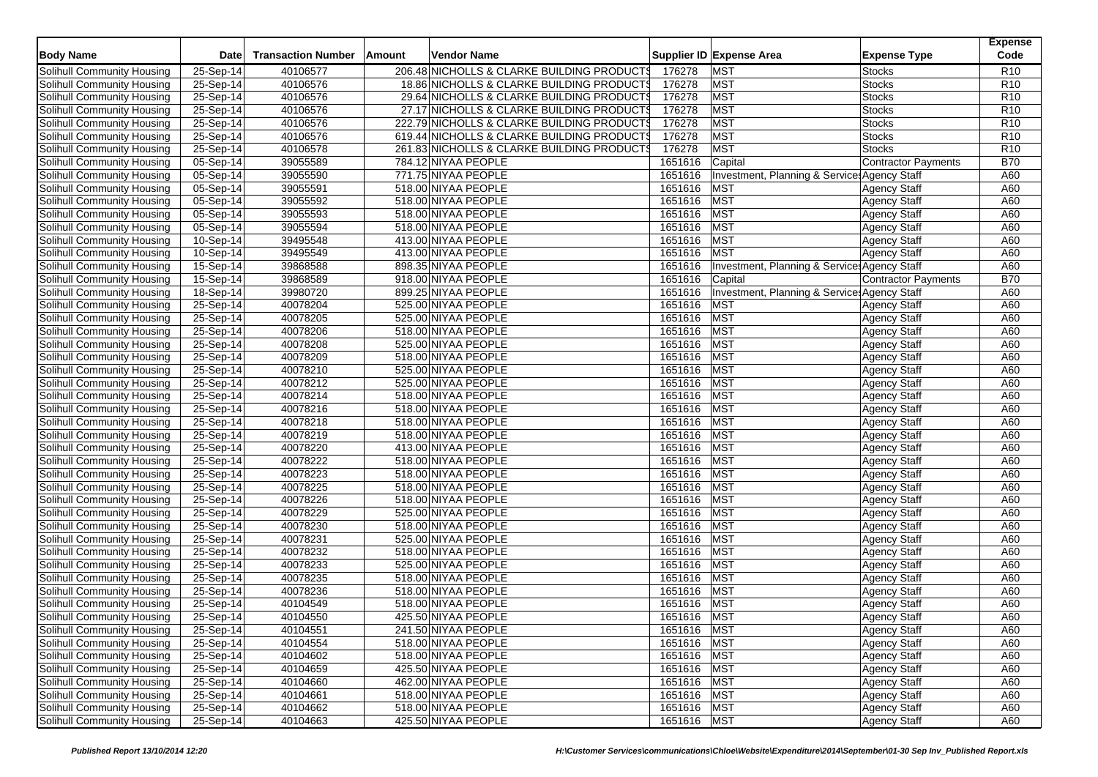| <b>Body Name</b>           | <b>Date</b> | <b>Transaction Number</b> | Amount | Vendor Name                                |               | Supplier ID Expense Area<br><b>Expense Type</b> | <b>Expense</b><br>Code |
|----------------------------|-------------|---------------------------|--------|--------------------------------------------|---------------|-------------------------------------------------|------------------------|
| Solihull Community Housing | 25-Sep-14   | 40106577                  |        | 206.48 NICHOLLS & CLARKE BUILDING PRODUCTS | 176278        | <b>MST</b><br><b>Stocks</b>                     | R <sub>10</sub>        |
| Solihull Community Housing | 25-Sep-14   | 40106576                  |        | 18.86 NICHOLLS & CLARKE BUILDING PRODUCTS  | 176278        | <b>MST</b><br><b>Stocks</b>                     | R <sub>10</sub>        |
| Solihull Community Housing | 25-Sep-14   | 40106576                  |        | 29.64 NICHOLLS & CLARKE BUILDING PRODUCTS  | 176278        | <b>MST</b><br><b>Stocks</b>                     | R <sub>10</sub>        |
| Solihull Community Housing | 25-Sep-14   | 40106576                  |        | 27.17 NICHOLLS & CLARKE BUILDING PRODUCTS  | 176278        | <b>MST</b><br>Stocks                            | R <sub>10</sub>        |
| Solihull Community Housing | 25-Sep-14   | 40106576                  |        | 222.79 NICHOLLS & CLARKE BUILDING PRODUCTS | 176278        | <b>MST</b><br><b>Stocks</b>                     | R <sub>10</sub>        |
| Solihull Community Housing | 25-Sep-14   | 40106576                  |        | 619.44 NICHOLLS & CLARKE BUILDING PRODUCTS | 176278        | <b>MST</b><br><b>Stocks</b>                     | R <sub>10</sub>        |
| Solihull Community Housing | 25-Sep-14   | 40106578                  |        | 261.83 NICHOLLS & CLARKE BUILDING PRODUCTS | 176278        | <b>MST</b><br><b>Stocks</b>                     | R <sub>10</sub>        |
| Solihull Community Housing | 05-Sep-14   | 39055589                  |        | 784.12 NIYAA PEOPLE                        | 1651616       | Capital<br><b>Contractor Payments</b>           | <b>B70</b>             |
| Solihull Community Housing | 05-Sep-14   | 39055590                  |        | 771.75 NIYAA PEOPLE                        | 1651616       | Investment, Planning & Service: Agency Staff    | A60                    |
| Solihull Community Housing | 05-Sep-14   | 39055591                  |        | 518.00 NIYAA PEOPLE                        | 1651616       | MST<br>Agency Staff                             | A60                    |
| Solihull Community Housing | 05-Sep-14   | 39055592                  |        | 518.00 NIYAA PEOPLE                        | 1651616       | <b>MST</b><br><b>Agency Staff</b>               | A60                    |
| Solihull Community Housing | 05-Sep-14   | 39055593                  |        | 518.00 NIYAA PEOPLE                        | 1651616       | <b>MST</b><br><b>Agency Staff</b>               | A60                    |
| Solihull Community Housing | 05-Sep-14   | 39055594                  |        | 518.00 NIYAA PEOPLE                        | 1651616       | <b>MST</b><br><b>Agency Staff</b>               | A60                    |
| Solihull Community Housing | $10-Sep-14$ | 39495548                  |        | 413.00 NIYAA PEOPLE                        | 1651616       | <b>MST</b><br><b>Agency Staff</b>               | A60                    |
| Solihull Community Housing | 10-Sep-14   | 39495549                  |        | 413.00 NIYAA PEOPLE                        | 1651616       | <b>MST</b><br><b>Agency Staff</b>               | A60                    |
| Solihull Community Housing | $15-Sep-14$ | 39868588                  |        | 898.35 NIYAA PEOPLE                        | 1651616       | Investment, Planning & Service: Agency Staff    | A60                    |
| Solihull Community Housing | $15-Sep-14$ | 39868589                  |        | 918.00 NIYAA PEOPLE                        | 1651616       | Capital<br><b>Contractor Payments</b>           | <b>B70</b>             |
| Solihull Community Housing | 18-Sep-14   | 39980720                  |        | 899.25 NIYAA PEOPLE                        | 1651616       | Investment, Planning & Service, Agency Staff    | A60                    |
| Solihull Community Housing | 25-Sep-14   | 40078204                  |        | 525.00 NIYAA PEOPLE                        | 1651616       | MST<br><b>Agency Staff</b>                      | A60                    |
| Solihull Community Housing | 25-Sep-14   | 40078205                  |        | 525.00 NIYAA PEOPLE                        | 1651616       | <b>MST</b><br><b>Agency Staff</b>               | A60                    |
| Solihull Community Housing | 25-Sep-14   | 40078206                  |        | 518.00 NIYAA PEOPLE                        | 1651616       | <b>MST</b><br><b>Agency Staff</b>               | A60                    |
| Solihull Community Housing | 25-Sep-14   | 40078208                  |        | 525.00 NIYAA PEOPLE                        | 1651616       | <b>MST</b><br><b>Agency Staff</b>               | A60                    |
| Solihull Community Housing | 25-Sep-14   | 40078209                  |        | 518.00 NIYAA PEOPLE                        | 1651616       | <b>MST</b><br><b>Agency Staff</b>               | A60                    |
| Solihull Community Housing | 25-Sep-14   | 40078210                  |        | 525.00 NIYAA PEOPLE                        | 1651616       | <b>MST</b><br><b>Agency Staff</b>               | A60                    |
| Solihull Community Housing | 25-Sep-14   | 40078212                  |        | 525.00 NIYAA PEOPLE                        | 1651616       | <b>MST</b><br><b>Agency Staff</b>               | A60                    |
| Solihull Community Housing | $25-Sep-14$ | 40078214                  |        | 518.00 NIYAA PEOPLE                        | 1651616       | <b>MST</b><br><b>Agency Staff</b>               | A60                    |
| Solihull Community Housing | 25-Sep-14   | 40078216                  |        | 518.00 NIYAA PEOPLE                        | 1651616       | <b>MST</b><br><b>Agency Staff</b>               | A60                    |
| Solihull Community Housing | 25-Sep-14   | 40078218                  |        | 518.00 NIYAA PEOPLE                        | 1651616       | <b>MST</b><br><b>Agency Staff</b>               | A60                    |
| Solihull Community Housing | 25-Sep-14   | 40078219                  |        | 518.00 NIYAA PEOPLE                        | 1651616       | <b>MST</b><br><b>Agency Staff</b>               | A60                    |
| Solihull Community Housing | 25-Sep-14   | 40078220                  |        | 413.00 NIYAA PEOPLE                        | 1651616       | <b>MST</b><br><b>Agency Staff</b>               | A60                    |
| Solihull Community Housing | 25-Sep-14   | 40078222                  |        | 518.00 NIYAA PEOPLE                        | 1651616       | <b>MST</b><br><b>Agency Staff</b>               | A60                    |
| Solihull Community Housing | 25-Sep-14   | 40078223                  |        | 518.00 NIYAA PEOPLE                        | 1651616       | <b>MST</b><br><b>Agency Staff</b>               | A60                    |
| Solihull Community Housing | 25-Sep-14   | 40078225                  |        | 518.00 NIYAA PEOPLE                        | 1651616       | <b>MST</b><br><b>Agency Staff</b>               | A60                    |
| Solihull Community Housing | 25-Sep-14   | 40078226                  |        | 518.00 NIYAA PEOPLE                        | 1651616       | <b>MST</b><br><b>Agency Staff</b>               | A60                    |
| Solihull Community Housing | 25-Sep-14   | 40078229                  |        | 525.00 NIYAA PEOPLE                        | 1651616       | <b>MST</b><br><b>Agency Staff</b>               | A60                    |
| Solihull Community Housing | 25-Sep-14   | 40078230                  |        | 518.00 NIYAA PEOPLE                        | 1651616       | <b>MST</b><br><b>Agency Staff</b>               | A60                    |
| Solihull Community Housing | 25-Sep-14   | 40078231                  |        | 525.00 NIYAA PEOPLE                        | 1651616       | <b>MST</b><br><b>Agency Staff</b>               | A60                    |
| Solihull Community Housing | 25-Sep-14   | 40078232                  |        | 518.00 NIYAA PEOPLE                        | 1651616       | <b>MST</b><br><b>Agency Staff</b>               | A60                    |
| Solihull Community Housing | 25-Sep-14   | 40078233                  |        | 525.00 NIYAA PEOPLE                        | 1651616       | <b>MST</b><br><b>Agency Staff</b>               | A60                    |
| Solihull Community Housing | 25-Sep-14   | 40078235                  |        | 518.00 NIYAA PEOPLE                        | 1651616       | <b>MST</b><br><b>Agency Staff</b>               | A60                    |
| Solihull Community Housing | 25-Sep-14   | 40078236                  |        | 518.00 NIYAA PEOPLE                        | 1651616       | MST<br><b>Agency Staff</b>                      | A60                    |
| Solihull Community Housing | 25-Sep-14   | 40104549                  |        | 518.00 NIYAA PEOPLE                        | 1651616       | <b>MST</b><br><b>Agency Staff</b>               | A60                    |
| Solihull Community Housing | 25-Sep-14   | 40104550                  |        | 425.50 NIYAA PEOPLE                        | 1651616 MST   | <b>Agency Staff</b>                             | A60                    |
| Solihull Community Housing | 25-Sep-14   | 40104551                  |        | 241.50 NIYAA PEOPLE                        | 1651616 MST   | Agency Staff                                    | A60                    |
| Solihull Community Housing | 25-Sep-14   | 40104554                  |        | 518.00 NIYAA PEOPLE                        | 1651616 MST   | <b>Agency Staff</b>                             | A60                    |
| Solihull Community Housing | 25-Sep-14   | 40104602                  |        | 518.00 NIYAA PEOPLE                        | 1651616   MST | Agency Staff                                    | A60                    |
| Solihull Community Housing | 25-Sep-14   | 40104659                  |        | 425.50 NIYAA PEOPLE                        | 1651616 MST   | <b>Agency Staff</b>                             | A60                    |
| Solihull Community Housing | 25-Sep-14   | 40104660                  |        | 462.00 NIYAA PEOPLE                        | 1651616 MST   | Agency Staff                                    | A60                    |
| Solihull Community Housing | 25-Sep-14   | 40104661                  |        | 518.00 NIYAA PEOPLE                        | 1651616 MST   | <b>Agency Staff</b>                             | A60                    |
| Solihull Community Housing | 25-Sep-14   | 40104662                  |        | 518.00 NIYAA PEOPLE                        | 1651616 MST   | <b>Agency Staff</b>                             | A60                    |
| Solihull Community Housing | 25-Sep-14   | 40104663                  |        | 425.50 NIYAA PEOPLE                        | 1651616 MST   | Agency Staff                                    | A60                    |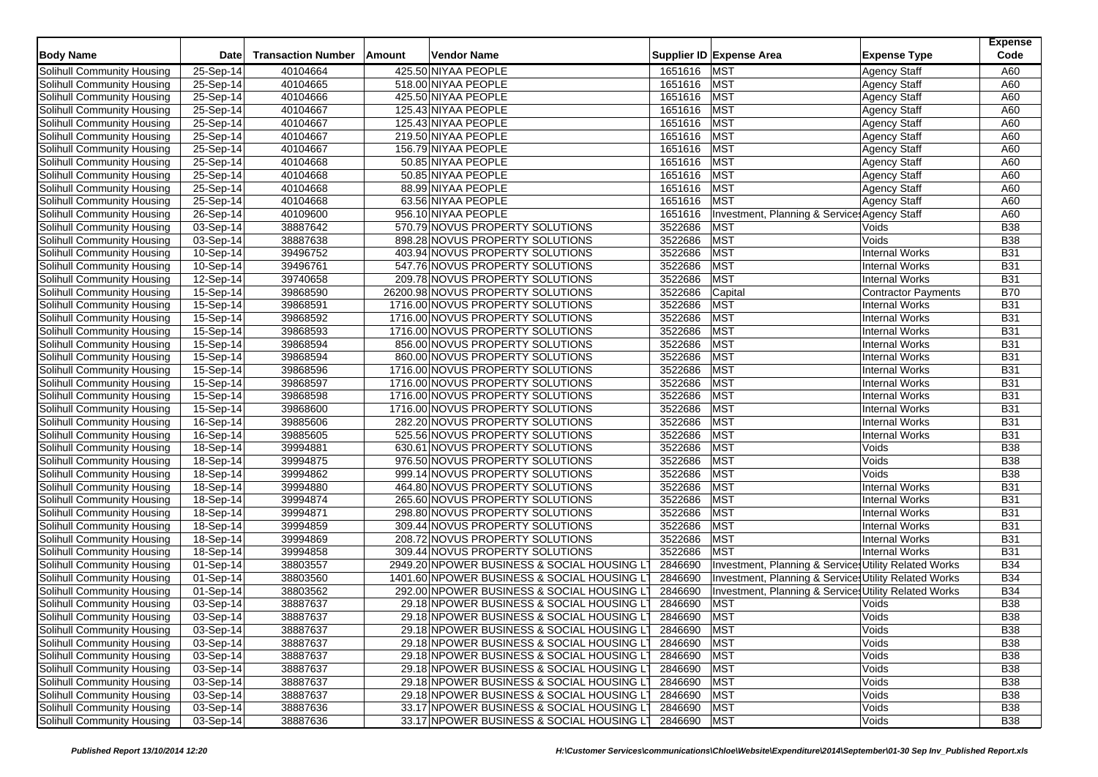|                            |             |                           |        |                                   |                                            |             |                                                       |                            | <b>Expense</b> |
|----------------------------|-------------|---------------------------|--------|-----------------------------------|--------------------------------------------|-------------|-------------------------------------------------------|----------------------------|----------------|
| <b>Body Name</b>           | <b>Date</b> | <b>Transaction Number</b> | Amount | Vendor Name                       |                                            |             | Supplier ID Expense Area                              | <b>Expense Type</b>        | Code           |
| Solihull Community Housing | 25-Sep-14   | 40104664                  |        | 425.50 NIYAA PEOPLE               |                                            | 1651616 MST |                                                       | <b>Agency Staff</b>        | A60            |
| Solihull Community Housing | 25-Sep-14   | 40104665                  |        | 518.00 NIYAA PEOPLE               |                                            | 1651616     | <b>MST</b>                                            | <b>Agency Staff</b>        | A60            |
| Solihull Community Housing | 25-Sep-14   | 40104666                  |        | 425.50 NIYAA PEOPLE               |                                            | 1651616     | <b>MST</b>                                            | <b>Agency Staff</b>        | A60            |
| Solihull Community Housing | $25-Sep-14$ | 40104667                  |        | 125.43 NIYAA PEOPLE               |                                            | 1651616     | <b>MST</b>                                            | <b>Agency Staff</b>        | A60            |
| Solihull Community Housing | 25-Sep-14   | 40104667                  |        | 125.43 NIYAA PEOPLE               |                                            | 1651616     | <b>MST</b>                                            | <b>Agency Staff</b>        | A60            |
| Solihull Community Housing | 25-Sep-14   | 40104667                  |        | 219.50 NIYAA PEOPLE               |                                            | 1651616     | <b>MST</b>                                            | <b>Agency Staff</b>        | A60            |
| Solihull Community Housing | $25-Sep-14$ | 40104667                  |        | 156.79 NIYAA PEOPLE               |                                            | 1651616     | <b>MST</b>                                            | <b>Agency Staff</b>        | A60            |
| Solihull Community Housing | 25-Sep-14   | 40104668                  |        | 50.85 NIYAA PEOPLE                |                                            | 1651616     | <b>MST</b>                                            | <b>Agency Staff</b>        | A60            |
| Solihull Community Housing | 25-Sep-14   | 40104668                  |        | 50.85 NIYAA PEOPLE                |                                            | 1651616     | <b>MST</b>                                            | <b>Agency Staff</b>        | A60            |
| Solihull Community Housing | 25-Sep-14   | 40104668                  |        | 88.99 NIYAA PEOPLE                |                                            | 1651616     | <b>MST</b>                                            | <b>Agency Staff</b>        | A60            |
| Solihull Community Housing | 25-Sep-14   | 40104668                  |        | 63.56 NIYAA PEOPLE                |                                            | 1651616     | <b>MST</b>                                            | <b>Agency Staff</b>        | A60            |
| Solihull Community Housing | 26-Sep-14   | 40109600                  |        | 956.10 NIYAA PEOPLE               |                                            | 1651616     | Investment, Planning & Service: Agency Staff          |                            | A60            |
| Solihull Community Housing | 03-Sep-14   | 38887642                  |        | 570.79 NOVUS PROPERTY SOLUTIONS   |                                            | 3522686     | <b>MST</b>                                            | Voids                      | <b>B38</b>     |
| Solihull Community Housing | 03-Sep-14   | 38887638                  |        | 898.28 NOVUS PROPERTY SOLUTIONS   |                                            | 3522686     | <b>MST</b>                                            | Voids                      | <b>B38</b>     |
| Solihull Community Housing | $10-Sep-14$ | 39496752                  |        | 403.94 NOVUS PROPERTY SOLUTIONS   |                                            | 3522686     | <b>MST</b>                                            | <b>Internal Works</b>      | <b>B31</b>     |
| Solihull Community Housing | 10-Sep-14   | 39496761                  |        | 547.76 NOVUS PROPERTY SOLUTIONS   |                                            | 3522686     | <b>MST</b>                                            | <b>Internal Works</b>      | <b>B31</b>     |
| Solihull Community Housing | 12-Sep-14   | 39740658                  |        | 209.78 NOVUS PROPERTY SOLUTIONS   |                                            | 3522686     | <b>MST</b>                                            | <b>Internal Works</b>      | <b>B31</b>     |
| Solihull Community Housing | 15-Sep-14   | 39868590                  |        | 26200.98 NOVUS PROPERTY SOLUTIONS |                                            | 3522686     | Capital                                               | <b>Contractor Payments</b> | <b>B70</b>     |
| Solihull Community Housing | 15-Sep-14   | 39868591                  |        | 1716.00 NOVUS PROPERTY SOLUTIONS  |                                            | 3522686     | <b>MST</b>                                            | <b>Internal Works</b>      | <b>B31</b>     |
| Solihull Community Housing | 15-Sep-14   | 39868592                  |        | 1716.00 NOVUS PROPERTY SOLUTIONS  |                                            | 3522686     | <b>MST</b>                                            | <b>Internal Works</b>      | <b>B31</b>     |
| Solihull Community Housing | 15-Sep-14   | 39868593                  |        | 1716.00 NOVUS PROPERTY SOLUTIONS  |                                            | 3522686     | <b>MST</b>                                            | <b>Internal Works</b>      | <b>B31</b>     |
| Solihull Community Housing | 15-Sep-14   | 39868594                  |        | 856.00 NOVUS PROPERTY SOLUTIONS   |                                            | 3522686     | <b>MST</b>                                            | <b>Internal Works</b>      | <b>B31</b>     |
| Solihull Community Housing | 15-Sep-14   | 39868594                  |        | 860.00 NOVUS PROPERTY SOLUTIONS   |                                            | 3522686     | <b>MST</b>                                            | <b>Internal Works</b>      | <b>B31</b>     |
| Solihull Community Housing | 15-Sep-14   | 39868596                  |        | 1716.00 NOVUS PROPERTY SOLUTIONS  |                                            | 3522686     | <b>MST</b>                                            | <b>Internal Works</b>      | <b>B31</b>     |
| Solihull Community Housing | 15-Sep-14   | 39868597                  |        | 1716.00 NOVUS PROPERTY SOLUTIONS  |                                            | 3522686     | <b>MST</b>                                            | <b>Internal Works</b>      | <b>B31</b>     |
| Solihull Community Housing | 15-Sep-14   | 39868598                  |        | 1716.00 NOVUS PROPERTY SOLUTIONS  |                                            | 3522686     | <b>MST</b>                                            | <b>Internal Works</b>      | <b>B31</b>     |
| Solihull Community Housing | 15-Sep-14   | 39868600                  |        | 1716.00 NOVUS PROPERTY SOLUTIONS  |                                            | 3522686     | <b>MST</b>                                            | <b>Internal Works</b>      | <b>B31</b>     |
| Solihull Community Housing | 16-Sep-14   | 39885606                  |        | 282.20 NOVUS PROPERTY SOLUTIONS   |                                            | 3522686     | <b>MST</b>                                            | <b>Internal Works</b>      | <b>B31</b>     |
| Solihull Community Housing | $16-Sep-14$ | 39885605                  |        | 525.56 NOVUS PROPERTY SOLUTIONS   |                                            | 3522686     | <b>MST</b>                                            | <b>Internal Works</b>      | <b>B31</b>     |
| Solihull Community Housing | 18-Sep-14   | 39994881                  |        | 630.61 NOVUS PROPERTY SOLUTIONS   |                                            | 3522686     | <b>MST</b>                                            | Voids                      | <b>B38</b>     |
| Solihull Community Housing | 18-Sep-14   | 39994875                  |        | 976.50 NOVUS PROPERTY SOLUTIONS   |                                            | 3522686     | <b>MST</b>                                            | Voids                      | <b>B38</b>     |
| Solihull Community Housing | 18-Sep-14   | 39994862                  |        | 999.14 NOVUS PROPERTY SOLUTIONS   |                                            | 3522686     | <b>MST</b>                                            | Voids                      | <b>B38</b>     |
| Solihull Community Housing | 18-Sep-14   | 39994880                  |        | 464.80 NOVUS PROPERTY SOLUTIONS   |                                            | 3522686     | <b>MST</b>                                            | <b>Internal Works</b>      | <b>B31</b>     |
| Solihull Community Housing | 18-Sep-14   | 39994874                  |        | 265.60 NOVUS PROPERTY SOLUTIONS   |                                            | 3522686     | <b>MST</b>                                            | <b>Internal Works</b>      | <b>B31</b>     |
| Solihull Community Housing | 18-Sep-14   | 39994871                  |        | 298.80 NOVUS PROPERTY SOLUTIONS   |                                            | 3522686     | <b>MST</b>                                            | <b>Internal Works</b>      | <b>B31</b>     |
| Solihull Community Housing | $18-Sep-14$ | 39994859                  |        | 309.44 NOVUS PROPERTY SOLUTIONS   |                                            | 3522686     | <b>MST</b>                                            | <b>Internal Works</b>      | <b>B31</b>     |
| Solihull Community Housing | 18-Sep-14   | 39994869                  |        | 208.72 NOVUS PROPERTY SOLUTIONS   |                                            | 3522686     | <b>MST</b>                                            | <b>Internal Works</b>      | <b>B31</b>     |
| Solihull Community Housing | 18-Sep-14   | 39994858                  |        | 309.44 NOVUS PROPERTY SOLUTIONS   |                                            | 3522686     | <b>MST</b>                                            | <b>Internal Works</b>      | <b>B31</b>     |
| Solihull Community Housing | 01-Sep-14   | 38803557                  |        |                                   | 2949.20 NPOWER BUSINESS & SOCIAL HOUSING L | 2846690     | Investment, Planning & Services Utility Related Works |                            | <b>B34</b>     |
| Solihull Community Housing | 01-Sep-14   | 38803560                  |        |                                   | 1401.60 NPOWER BUSINESS & SOCIAL HOUSING L | 2846690     | Investment, Planning & Service: Utility Related Works |                            | <b>B34</b>     |
| Solihull Community Housing | 01-Sep-14   | 38803562                  |        |                                   | 292.00 NPOWER BUSINESS & SOCIAL HOUSING LT | 2846690     | Investment, Planning & Services Utility Related Works |                            | <b>B34</b>     |
| Solihull Community Housing | 03-Sep-14   | 38887637                  |        |                                   | 29.18 NPOWER BUSINESS & SOCIAL HOUSING LT  | 2846690     | <b>MST</b>                                            | Voids                      | <b>B38</b>     |
| Solihull Community Housing | 03-Sep-14   | 38887637                  |        |                                   | 29.18 NPOWER BUSINESS & SOCIAL HOUSING LT  | 2846690     | <b>MST</b>                                            | Voids                      | <b>B38</b>     |
| Solihull Community Housing | 03-Sep-14   | 38887637                  |        |                                   | 29.18 NPOWER BUSINESS & SOCIAL HOUSING LT  | 2846690 MST |                                                       | Voids                      | <b>B38</b>     |
| Solihull Community Housing | $03-Sep-14$ | 38887637                  |        |                                   | 29.18 NPOWER BUSINESS & SOCIAL HOUSING LT  | 2846690 MST |                                                       | Voids                      | <b>B38</b>     |
| Solihull Community Housing | 03-Sep-14   | 38887637                  |        |                                   | 29.18 NPOWER BUSINESS & SOCIAL HOUSING LT  | 2846690     | <b>MST</b>                                            | Voids                      | <b>B38</b>     |
| Solihull Community Housing | 03-Sep-14   | 38887637                  |        |                                   | 29.18 NPOWER BUSINESS & SOCIAL HOUSING LT  | 2846690 MST |                                                       | Voids                      | <b>B38</b>     |
| Solihull Community Housing | 03-Sep-14   | 38887637                  |        |                                   | 29.18 NPOWER BUSINESS & SOCIAL HOUSING LT  | 2846690     | <b>MST</b>                                            | Voids                      | <b>B38</b>     |
| Solihull Community Housing | 03-Sep-14   | 38887637                  |        |                                   | 29.18 NPOWER BUSINESS & SOCIAL HOUSING L'  | 2846690     | <b>MST</b>                                            | Voids                      | <b>B38</b>     |
| Solihull Community Housing | 03-Sep-14   | 38887636                  |        |                                   | 33.17 NPOWER BUSINESS & SOCIAL HOUSING LT  | 2846690     | <b>MST</b>                                            | Voids                      | <b>B38</b>     |
| Solihull Community Housing | 03-Sep-14   | 38887636                  |        |                                   | 33.17 NPOWER BUSINESS & SOCIAL HOUSING LT  | 2846690 MST |                                                       | Voids                      | <b>B38</b>     |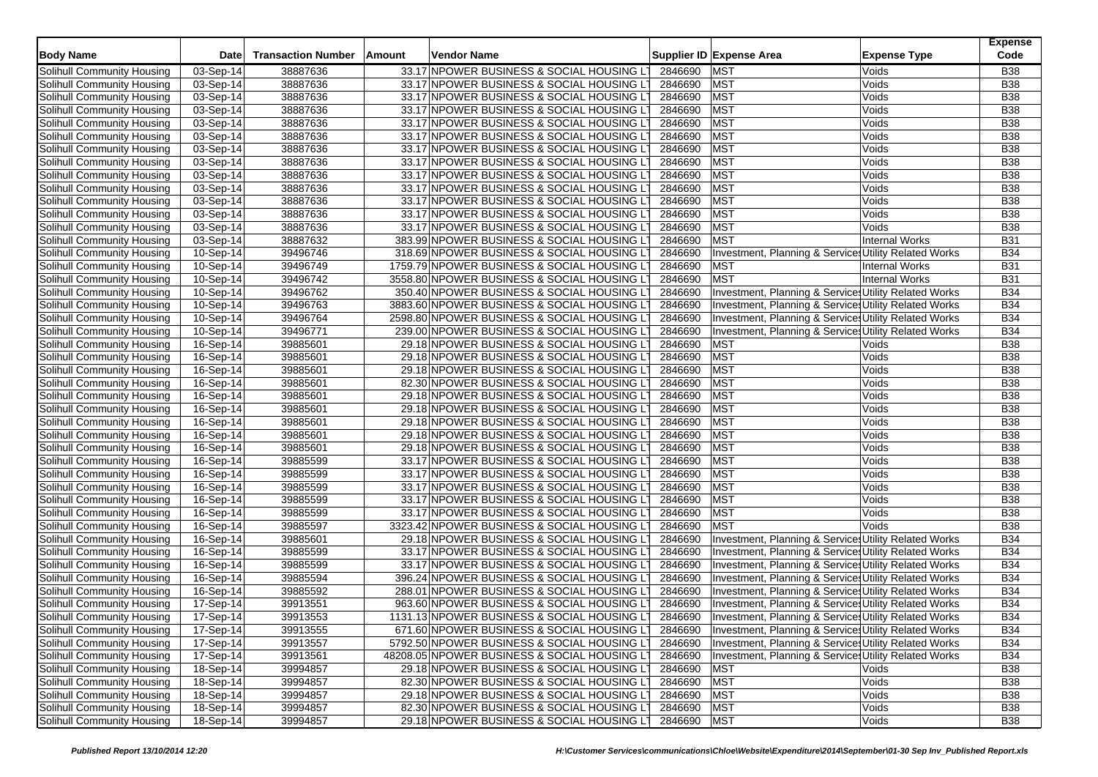|                                   |                         |                           |                                              |             |                                                       | <b>Expense</b> |
|-----------------------------------|-------------------------|---------------------------|----------------------------------------------|-------------|-------------------------------------------------------|----------------|
| <b>Body Name</b>                  | Date                    | <b>Transaction Number</b> | Amount<br>Vendor Name                        |             | Supplier ID Expense Area<br><b>Expense Type</b>       | Code           |
| Solihull Community Housing        | 03-Sep-14               | 38887636                  | 33.17 NPOWER BUSINESS & SOCIAL HOUSING L'    | 2846690     | <b>MST</b><br>Voids                                   | B38            |
| Solihull Community Housing        | 03-Sep-14               | 38887636                  | 33.17 NPOWER BUSINESS & SOCIAL HOUSING LT    | 2846690     | <b>MST</b><br>Voids                                   | <b>B38</b>     |
| Solihull Community Housing        | 03-Sep-14               | 38887636                  | 33.17 NPOWER BUSINESS & SOCIAL HOUSING LT    | 2846690     | <b>MST</b><br>Voids                                   | <b>B38</b>     |
| Solihull Community Housing        | 03-Sep-14               | 38887636                  | 33.17 NPOWER BUSINESS & SOCIAL HOUSING L     | 2846690     | <b>MST</b><br>Voids                                   | <b>B38</b>     |
| Solihull Community Housing        | 03-Sep-14               | 38887636                  | 33.17 NPOWER BUSINESS & SOCIAL HOUSING L     | 2846690     | <b>MST</b><br>Voids                                   | <b>B38</b>     |
| Solihull Community Housing        | 03-Sep-14               | 38887636                  | 33.17 NPOWER BUSINESS & SOCIAL HOUSING L     | 2846690     | <b>MST</b><br>Voids                                   | <b>B38</b>     |
| Solihull Community Housing        | 03-Sep-14               | 38887636                  | 33.17 NPOWER BUSINESS & SOCIAL HOUSING LT    | 2846690     | <b>MST</b><br>Voids                                   | <b>B38</b>     |
| Solihull Community Housing        | 03-Sep-14               | 38887636                  | 33.17 NPOWER BUSINESS & SOCIAL HOUSING L     | 2846690     | <b>MST</b><br>Voids                                   | <b>B38</b>     |
| Solihull Community Housing        | 03-Sep-14               | 38887636                  | 33.17 NPOWER BUSINESS & SOCIAL HOUSING LT    | 2846690     | <b>MST</b><br>Voids                                   | <b>B38</b>     |
| Solihull Community Housing        | 03-Sep-14               | 38887636                  | 33.17 NPOWER BUSINESS & SOCIAL HOUSING L     | 2846690     | <b>MST</b><br>Voids                                   | <b>B38</b>     |
| Solihull Community Housing        | 03-Sep-14               | 38887636                  | 33.17 NPOWER BUSINESS & SOCIAL HOUSING L     | 2846690     | <b>MST</b><br>Voids                                   | <b>B38</b>     |
| Solihull Community Housing        | 03-Sep-14               | 38887636                  | 33.17 NPOWER BUSINESS & SOCIAL HOUSING LT    | 2846690     | <b>MST</b><br>Voids                                   | <b>B38</b>     |
| Solihull Community Housing        | 03-Sep-14               | 38887636                  | 33.17 NPOWER BUSINESS & SOCIAL HOUSING LT    | 2846690     | <b>MST</b><br>Voids                                   | <b>B38</b>     |
| Solihull Community Housing        | 03-Sep-14               | 38887632                  | 383.99 NPOWER BUSINESS & SOCIAL HOUSING L'   | 2846690     | <b>MST</b><br><b>Internal Works</b>                   | <b>B31</b>     |
| Solihull Community Housing        | 10-Sep-14               | 39496746                  | 318.69 NPOWER BUSINESS & SOCIAL HOUSING L    | 2846690     | Investment, Planning & Service Utility Related Works  | <b>B34</b>     |
| Solihull Community Housing        | 10-Sep-14               | 39496749                  | 1759.79 NPOWER BUSINESS & SOCIAL HOUSING L   | 2846690     | <b>MST</b><br>Internal Works                          | <b>B31</b>     |
| Solihull Community Housing        | 10-Sep-14               | 39496742                  | 3558.80 NPOWER BUSINESS & SOCIAL HOUSING L   | 2846690     | <b>MST</b><br><b>Internal Works</b>                   | <b>B31</b>     |
| Solihull Community Housing        | 10-Sep-14               | 39496762                  | 350.40 NPOWER BUSINESS & SOCIAL HOUSING LT   | 2846690     | Investment, Planning & Services Utility Related Works | <b>B34</b>     |
| Solihull Community Housing        | 10-Sep-14               | 39496763                  | 3883.60 NPOWER BUSINESS & SOCIAL HOUSING L   | 2846690     | Investment, Planning & Services Utility Related Works | <b>B34</b>     |
| Solihull Community Housing        | 10-Sep-14               | 39496764                  | 2598.80 NPOWER BUSINESS & SOCIAL HOUSING L'  | 2846690     | Investment, Planning & Service: Utility Related Works | <b>B34</b>     |
| Solihull Community Housing        | 10-Sep-14               | 39496771                  | 239.00 NPOWER BUSINESS & SOCIAL HOUSING LT   | 2846690     | Investment, Planning & Services Utility Related Works | <b>B34</b>     |
| Solihull Community Housing        | 16-Sep-14               | 39885601                  | 29.18 NPOWER BUSINESS & SOCIAL HOUSING L     | 2846690     | <b>MST</b><br>Voids                                   | <b>B38</b>     |
| Solihull Community Housing        | $\overline{16}$ -Sep-14 | 39885601                  | 29.18 NPOWER BUSINESS & SOCIAL HOUSING L     | 2846690     | <b>MST</b><br>Voids                                   | B38            |
| Solihull Community Housing        | 16-Sep-14               | 39885601                  | 29.18 NPOWER BUSINESS & SOCIAL HOUSING LT    | 2846690     | <b>MST</b><br>Voids                                   | <b>B38</b>     |
| Solihull Community Housing        | 16-Sep-14               | 39885601                  | 82.30 NPOWER BUSINESS & SOCIAL HOUSING L     | 2846690     | <b>MST</b><br>Voids                                   | <b>B38</b>     |
| Solihull Community Housing        | 16-Sep-14               | 39885601                  | 29.18 NPOWER BUSINESS & SOCIAL HOUSING L     | 2846690     | <b>MST</b><br>Voids                                   | B38            |
| Solihull Community Housing        | 16-Sep-14               | 39885601                  | 29.18 NPOWER BUSINESS & SOCIAL HOUSING LT    | 2846690     | <b>MST</b><br>Voids                                   | <b>B38</b>     |
| Solihull Community Housing        | 16-Sep-14               | 39885601                  | 29.18 NPOWER BUSINESS & SOCIAL HOUSING L     | 2846690     | <b>MST</b><br>Voids                                   | <b>B38</b>     |
| Solihull Community Housing        | 16-Sep-14               | 39885601                  | 29.18 NPOWER BUSINESS & SOCIAL HOUSING L     | 2846690     | <b>MST</b><br>Voids                                   | B38            |
| Solihull Community Housing        | $16-$ Sep-14            | 39885601                  | 29.18 NPOWER BUSINESS & SOCIAL HOUSING L     | 2846690     | <b>MST</b><br>Voids                                   | <b>B38</b>     |
| Solihull Community Housing        | 16-Sep-14               | 39885599                  | 33.17 NPOWER BUSINESS & SOCIAL HOUSING LT    | 2846690     | <b>MST</b><br>Voids                                   | <b>B38</b>     |
| Solihull Community Housing        | 16-Sep-14               | 39885599                  | 33.17 NPOWER BUSINESS & SOCIAL HOUSING LT    | 2846690     | <b>MST</b><br>Voids                                   | B38            |
| Solihull Community Housing        | 16-Sep-14               | 39885599                  | 33.17 NPOWER BUSINESS & SOCIAL HOUSING LT    | 2846690     | <b>MST</b><br>Voids                                   | <b>B38</b>     |
| Solihull Community Housing        | 16-Sep-14               | 39885599                  | 33.17 NPOWER BUSINESS & SOCIAL HOUSING L     | 2846690     | <b>MST</b><br>Voids                                   | <b>B38</b>     |
| Solihull Community Housing        | 16-Sep-14               | 39885599                  | 33.17 NPOWER BUSINESS & SOCIAL HOUSING L     | 2846690     | <b>MST</b><br>Voids                                   | <b>B38</b>     |
| Solihull Community Housing        | 16-Sep-14               | 39885597                  | 3323.42 NPOWER BUSINESS & SOCIAL HOUSING L   | 2846690     | <b>MST</b><br>Voids                                   | <b>B38</b>     |
| Solihull Community Housing        | 16-Sep-14               | 39885601                  | 29.18 NPOWER BUSINESS & SOCIAL HOUSING L     | 2846690     | Investment, Planning & Service: Utility Related Works | <b>B34</b>     |
| Solihull Community Housing        | 16-Sep-14               | 39885599                  | 33.17 NPOWER BUSINESS & SOCIAL HOUSING L     | 2846690     | Investment, Planning & Services Utility Related Works | <b>B34</b>     |
| Solihull Community Housing        | 16-Sep-14               | 39885599                  | 33.17 NPOWER BUSINESS & SOCIAL HOUSING LT    | 2846690     | Investment, Planning & Services Utility Related Works | <b>B34</b>     |
| Solihull Community Housing        | 16-Sep-14               | 39885594                  | 396.24 NPOWER BUSINESS & SOCIAL HOUSING L    | 2846690     | Investment, Planning & Service: Utility Related Works | <b>B34</b>     |
| Solihull Community Housing        | 16-Sep-14               | 39885592                  | 288.01 NPOWER BUSINESS & SOCIAL HOUSING L    | 2846690     | Investment, Planning & Service: Utility Related Works | <b>B34</b>     |
| Solihull Community Housing        | 17-Sep-14               | 39913551                  | 963.60 NPOWER BUSINESS & SOCIAL HOUSING LT   | 2846690     | Investment, Planning & Services Utility Related Works | <b>B34</b>     |
| Solihull Community Housing        | 17-Sep-14               | 39913553                  | 1131.13 NPOWER BUSINESS & SOCIAL HOUSING LT  | 2846690     | Investment, Planning & Services Utility Related Works | <b>B34</b>     |
| Solihull Community Housing        | 17-Sep-14               | 39913555                  | 671.60 NPOWER BUSINESS & SOCIAL HOUSING LT   | 2846690     | Investment, Planning & Service: Utility Related Works | <b>B34</b>     |
| Solihull Community Housing        | 17-Sep-14               | 39913557                  | 5792.50 NPOWER BUSINESS & SOCIAL HOUSING LT  | 2846690     | Investment, Planning & Services Utility Related Works | <b>B34</b>     |
| Solihull Community Housing        | 17-Sep-14               | 39913561                  | 48208.05 NPOWER BUSINESS & SOCIAL HOUSING LT | 2846690     | Investment, Planning & Services Utility Related Works | B34            |
| Solihull Community Housing        | 18-Sep-14               | 39994857                  | 29.18 NPOWER BUSINESS & SOCIAL HOUSING L'    | 2846690     | <b>MST</b><br>Voids                                   | <b>B38</b>     |
| Solihull Community Housing        | 18-Sep-14               | 39994857                  | 82.30 NPOWER BUSINESS & SOCIAL HOUSING LT    | 2846690     | <b>MST</b><br>Voids                                   | <b>B38</b>     |
| Solihull Community Housing        | 18-Sep-14               | 39994857                  | 29.18 NPOWER BUSINESS & SOCIAL HOUSING LT    | 2846690     | <b>MST</b><br>Voids                                   | <b>B38</b>     |
| <b>Solihull Community Housing</b> | 18-Sep-14               | 39994857                  | 82.30 NPOWER BUSINESS & SOCIAL HOUSING LT    | 2846690 MST | Voids                                                 | <b>B38</b>     |
| Solihull Community Housing        | 18-Sep-14               | 39994857                  | 29.18 NPOWER BUSINESS & SOCIAL HOUSING LT    | 2846690 MST | Voids                                                 | <b>B38</b>     |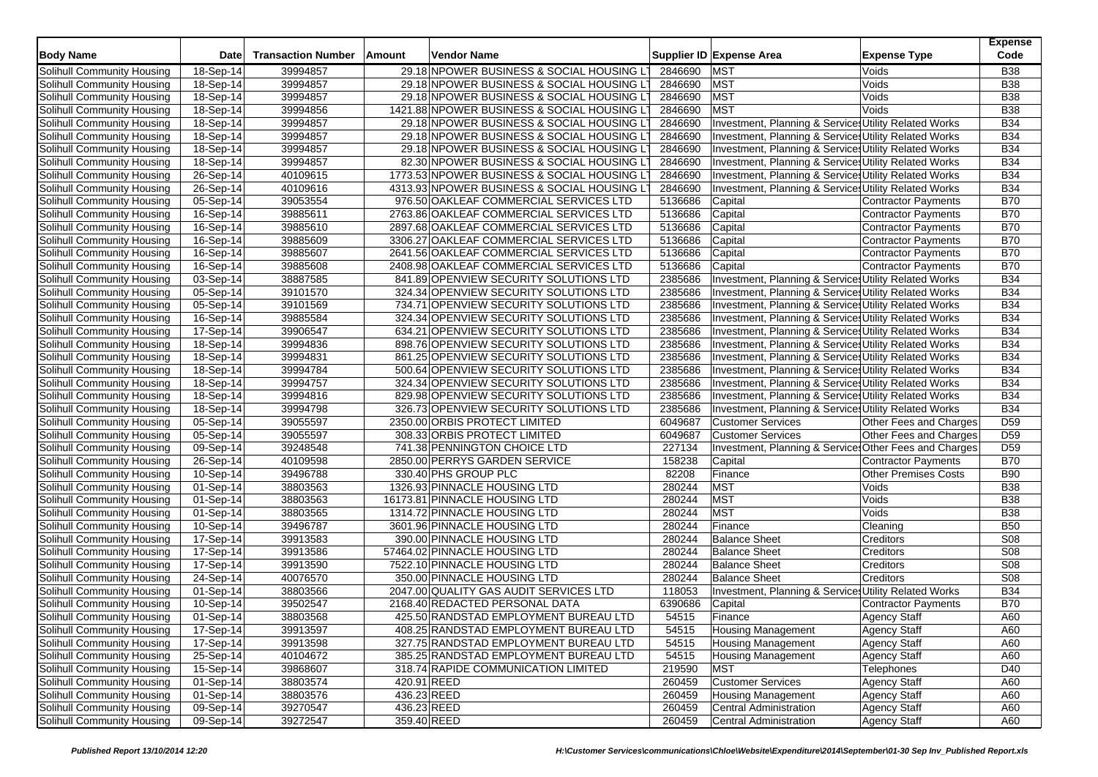| <b>Body Name</b>                  | Date                    | <b>Transaction Number</b> | Amount | Vendor Name                                                                      |         | Supplier ID Expense Area                              | <b>Expense Type</b>         | <b>Expense</b><br>Code   |
|-----------------------------------|-------------------------|---------------------------|--------|----------------------------------------------------------------------------------|---------|-------------------------------------------------------|-----------------------------|--------------------------|
| Solihull Community Housing        | 18-Sep-14               | 39994857                  |        | 29.18 NPOWER BUSINESS & SOCIAL HOUSING LT                                        | 2846690 | <b>MST</b>                                            | Voids                       | <b>B38</b>               |
| Solihull Community Housing        | 18-Sep-14               | 39994857                  |        | 29.18 NPOWER BUSINESS & SOCIAL HOUSING LT                                        | 2846690 | <b>MST</b>                                            | Voids                       | <b>B38</b>               |
| Solihull Community Housing        | 18-Sep-14               | 39994857                  |        | 29.18 NPOWER BUSINESS & SOCIAL HOUSING LT                                        | 2846690 | <b>MST</b>                                            | Voids                       | <b>B38</b>               |
| Solihull Community Housing        | 18-Sep-14               | 39994856                  |        | 1421.88 NPOWER BUSINESS & SOCIAL HOUSING L'                                      | 2846690 | <b>MST</b>                                            | Voids                       | <b>B38</b>               |
| Solihull Community Housing        | 18-Sep-14               | 39994857                  |        | 29.18 NPOWER BUSINESS & SOCIAL HOUSING LT                                        | 2846690 | Investment, Planning & Service: Utility Related Works |                             | <b>B34</b>               |
| Solihull Community Housing        | 18-Sep-14               | 39994857                  |        | 29.18 NPOWER BUSINESS & SOCIAL HOUSING LT                                        | 2846690 | Investment, Planning & Service Utility Related Works  |                             | <b>B34</b>               |
| Solihull Community Housing        | 18-Sep-14               | 39994857                  |        | 29.18 NPOWER BUSINESS & SOCIAL HOUSING LT                                        | 2846690 | Investment, Planning & Services Utility Related Works |                             | <b>B34</b>               |
| Solihull Community Housing        | 18-Sep-14               | 39994857                  |        | 82.30 NPOWER BUSINESS & SOCIAL HOUSING LT                                        | 2846690 | Investment, Planning & Services Utility Related Works |                             | <b>B34</b>               |
| Solihull Community Housing        | 26-Sep-14               | 40109615                  |        | 1773.53 NPOWER BUSINESS & SOCIAL HOUSING LT                                      | 2846690 | Investment, Planning & Services Utility Related Works |                             | <b>B34</b>               |
| Solihull Community Housing        | 26-Sep-14               | 40109616                  |        | 4313.93 NPOWER BUSINESS & SOCIAL HOUSING L                                       | 2846690 | Investment, Planning & Service: Utility Related Works |                             | <b>B34</b>               |
| Solihull Community Housing        | $\overline{05}$ -Sep-14 | 39053554                  |        | 976.50 OAKLEAF COMMERCIAL SERVICES LTD                                           | 5136686 | Capital                                               | <b>Contractor Payments</b>  | <b>B70</b>               |
| Solihull Community Housing        | 16-Sep-14               | 39885611                  |        | 2763.86 OAKLEAF COMMERCIAL SERVICES LTD                                          | 5136686 | Capital                                               |                             | <b>B70</b>               |
| Solihull Community Housing        |                         | 39885610                  |        | 2897.68 OAKLEAF COMMERCIAL SERVICES LTD                                          | 5136686 |                                                       | <b>Contractor Payments</b>  | <b>B70</b>               |
|                                   | 16-Sep-14               |                           |        |                                                                                  |         | Capital                                               | Contractor Payments         | <b>B70</b>               |
| Solihull Community Housing        | 16-Sep-14               | 39885609                  |        | 3306.27 OAKLEAF COMMERCIAL SERVICES LTD                                          | 5136686 | Capital                                               | <b>Contractor Payments</b>  | <b>B70</b>               |
| Solihull Community Housing        | 16-Sep-14               | 39885607                  |        | 2641.56 OAKLEAF COMMERCIAL SERVICES LTD                                          | 5136686 | Capital                                               | <b>Contractor Payments</b>  | <b>B70</b>               |
| Solihull Community Housing        | 16-Sep-14               | 39885608                  |        | 2408.98 OAKLEAF COMMERCIAL SERVICES LTD                                          | 5136686 | Capital                                               | Contractor Payments         |                          |
| Solihull Community Housing        | $03-Sep-14$             | 38887585                  |        | 841.89 OPENVIEW SECURITY SOLUTIONS LTD<br>324.34 OPENVIEW SECURITY SOLUTIONS LTD | 2385686 | Investment, Planning & Services Utility Related Works |                             | <b>B34</b><br><b>B34</b> |
| Solihull Community Housing        | 05-Sep-14               | 39101570                  |        |                                                                                  | 2385686 | Investment, Planning & Services Utility Related Works |                             |                          |
| Solihull Community Housing        | 05-Sep-14               | 39101569                  |        | 734.71 OPENVIEW SECURITY SOLUTIONS LTD                                           | 2385686 | Investment, Planning & Services Utility Related Works |                             | <b>B34</b>               |
| Solihull Community Housing        | 16-Sep-14               | 39885584                  |        | 324.34 OPENVIEW SECURITY SOLUTIONS LTD                                           | 2385686 | Investment, Planning & Services Utility Related Works |                             | <b>B34</b>               |
| Solihull Community Housing        | 17-Sep-14               | 39906547                  |        | 634.21 OPENVIEW SECURITY SOLUTIONS LTD                                           | 2385686 | Investment, Planning & Service: Utility Related Works |                             | <b>B34</b>               |
| Solihull Community Housing        | 18-Sep-14               | 39994836                  |        | 898.76 OPENVIEW SECURITY SOLUTIONS LTD                                           | 2385686 | Investment, Planning & Services Utility Related Works |                             | <b>B34</b>               |
| Solihull Community Housing        | 18-Sep-14               | 39994831                  |        | 861.25 OPENVIEW SECURITY SOLUTIONS LTD                                           | 2385686 | Investment, Planning & Services Utility Related Works |                             | <b>B34</b>               |
| Solihull Community Housing        | 18-Sep-14               | 39994784                  |        | 500.64 OPENVIEW SECURITY SOLUTIONS LTD                                           | 2385686 | Investment, Planning & Services Utility Related Works |                             | <b>B34</b>               |
| Solihull Community Housing        | 18-Sep-14               | 39994757                  |        | 324.34 OPENVIEW SECURITY SOLUTIONS LTD                                           | 2385686 | Investment, Planning & Services Utility Related Works |                             | <b>B34</b>               |
| Solihull Community Housing        | 18-Sep-14               | 39994816                  |        | 829.98 OPENVIEW SECURITY SOLUTIONS LTD                                           | 2385686 | Investment, Planning & Services Utility Related Works |                             | <b>B34</b>               |
| Solihull Community Housing        | 18-Sep-14               | 39994798                  |        | 326.73 OPENVIEW SECURITY SOLUTIONS LTD                                           | 2385686 | Investment, Planning & Services Utility Related Works |                             | <b>B34</b>               |
| Solihull Community Housing        | 05-Sep-14               | 39055597                  |        | 2350.00 ORBIS PROTECT LIMITED                                                    | 6049687 | <b>Customer Services</b>                              | Other Fees and Charges      | D <sub>59</sub>          |
| Solihull Community Housing        | 05-Sep-14               | 39055597                  |        | 308.33 ORBIS PROTECT LIMITED                                                     | 6049687 | <b>Customer Services</b>                              | Other Fees and Charges      | D <sub>59</sub>          |
| Solihull Community Housing        | 09-Sep-14               | 39248548                  |        | 741.38 PENNINGTON CHOICE LTD                                                     | 227134  | Investment, Planning & Service Other Fees and Charges |                             | D <sub>59</sub>          |
| Solihull Community Housing        | 26-Sep-14               | 40109598                  |        | 2850.00 PERRYS GARDEN SERVICE                                                    | 158238  | Capital                                               | <b>Contractor Payments</b>  | <b>B70</b>               |
| Solihull Community Housing        | 10-Sep-14               | 39496788                  |        | 330.40 PHS GROUP PLC                                                             | 82208   | Finance                                               | <b>Other Premises Costs</b> | <b>B90</b>               |
| Solihull Community Housing        | 01-Sep-14               | 38803563                  |        | 1326.93 PINNACLE HOUSING LTD                                                     | 280244  | <b>MST</b>                                            | Voids                       | <b>B38</b>               |
| Solihull Community Housing        | 01-Sep-14               | 38803563                  |        | 16173.81 PINNACLE HOUSING LTD                                                    | 280244  | <b>MST</b>                                            | Voids                       | <b>B38</b>               |
| Solihull Community Housing        | 01-Sep-14               | 38803565                  |        | 1314.72 PINNACLE HOUSING LTD                                                     | 280244  | <b>MST</b>                                            | Voids                       | <b>B38</b>               |
| Solihull Community Housing        | 10-Sep-14               | 39496787                  |        | 3601.96 PINNACLE HOUSING LTD                                                     | 280244  | Finance                                               | Cleaning                    | <b>B50</b>               |
| Solihull Community Housing        | 17-Sep-14               | 39913583                  |        | 390.00 PINNACLE HOUSING LTD                                                      | 280244  | <b>Balance Sheet</b>                                  | Creditors                   | <b>S08</b>               |
| Solihull Community Housing        | 17-Sep-14               | 39913586                  |        | 57464.02 PINNACLE HOUSING LTD                                                    | 280244  | <b>Balance Sheet</b>                                  | Creditors                   | <b>S08</b>               |
| Solihull Community Housing        | 17-Sep-14               | 39913590                  |        | 7522.10 PINNACLE HOUSING LTD                                                     | 280244  | <b>Balance Sheet</b>                                  | Creditors                   | S08                      |
| Solihull Community Housing        | 24-Sep-14               | 40076570                  |        | 350.00 PINNACLE HOUSING LTD                                                      | 280244  | <b>Balance Sheet</b>                                  | Creditors                   | <b>S08</b>               |
| Solihull Community Housing        | 01-Sep-14               | 38803566                  |        | 2047.00 QUALITY GAS AUDIT SERVICES LTD                                           | 118053  | Investment, Planning & Services Utility Related Works |                             | <b>B34</b>               |
| Solihull Community Housing        | 10-Sep-14               | 39502547                  |        | 2168.40 REDACTED PERSONAL DATA                                                   | 6390686 | Capital                                               | <b>Contractor Payments</b>  | <b>B70</b>               |
| Solihull Community Housing        | 01-Sep-14               | 38803568                  |        | 425.50 RANDSTAD EMPLOYMENT BUREAU LTD                                            | 54515   | Finance                                               | Agency Staff                | A60                      |
| Solihull Community Housing        | 17-Sep-14               | 39913597                  |        | 408.25 RANDSTAD EMPLOYMENT BUREAU LTD                                            | 54515   | <b>Housing Management</b>                             | Agency Staff                | A60                      |
| Solihull Community Housing        | 17-Sep-14               | 39913598                  |        | 327.75 RANDSTAD EMPLOYMENT BUREAU LTD                                            | 54515   | <b>Housing Management</b>                             | <b>Agency Staff</b>         | A60                      |
| Solihull Community Housing        | 25-Sep-14               | 40104672                  |        | 385.25 RANDSTAD EMPLOYMENT BUREAU LTD                                            | 54515   | <b>Housing Management</b>                             | Agency Staff                | A60                      |
| Solihull Community Housing        | 15-Sep-14               | 39868607                  |        | 318.74 RAPIDE COMMUNICATION LIMITED                                              | 219590  | <b>MST</b>                                            | Telephones                  | D40                      |
| Solihull Community Housing        | 01-Sep-14               | 38803574                  |        | 420.91 REED                                                                      | 260459  | <b>Customer Services</b>                              | <b>Agency Staff</b>         | A60                      |
| Solihull Community Housing        | 01-Sep-14               | 38803576                  |        | 436.23 REED                                                                      | 260459  | <b>Housing Management</b>                             | <b>Agency Staff</b>         | A60                      |
| <b>Solihull Community Housing</b> | 09-Sep-14               | 39270547                  |        | 436.23 REED                                                                      | 260459  | Central Administration                                | <b>Agency Staff</b>         | A60                      |
| Solihull Community Housing        | 09-Sep-14               | 39272547                  |        | 359.40 REED                                                                      | 260459  | Central Administration                                | Agency Staff                | A60                      |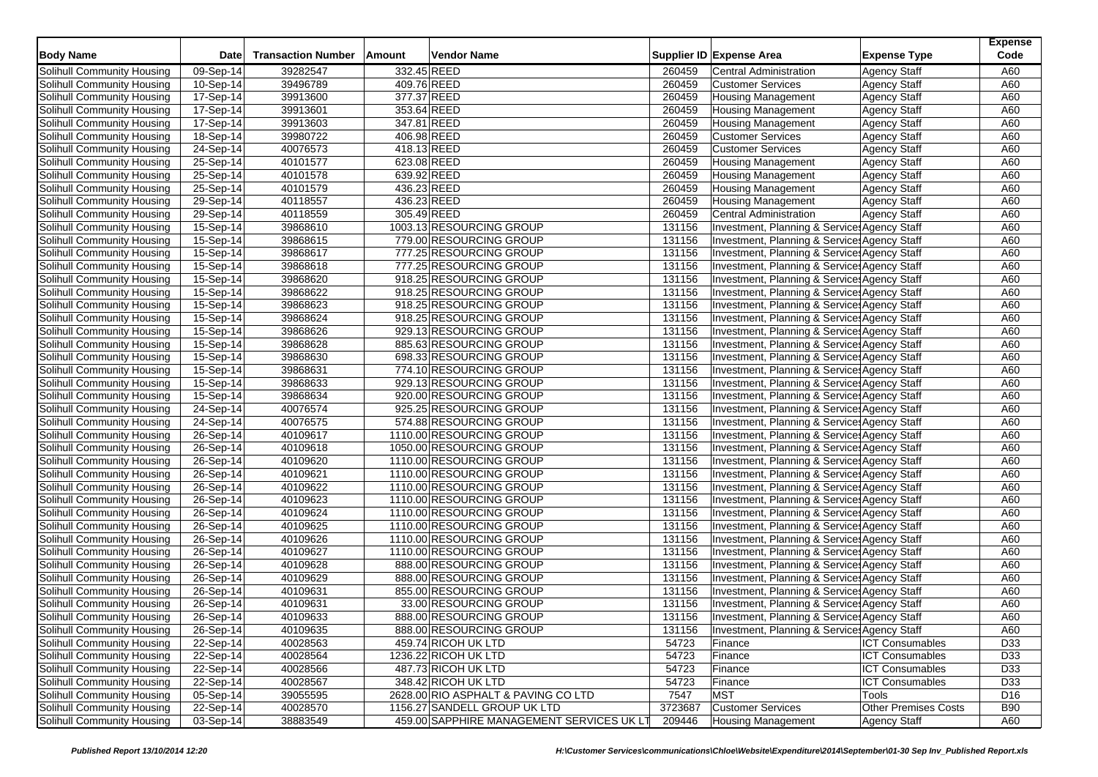| <b>Body Name</b>                                         | Date                    | <b>Transaction Number</b> | Amount      | Vendor Name                               |         | Supplier ID Expense Area                     | <b>Expense Type</b>         | <b>Expense</b><br>Code |
|----------------------------------------------------------|-------------------------|---------------------------|-------------|-------------------------------------------|---------|----------------------------------------------|-----------------------------|------------------------|
|                                                          |                         |                           |             |                                           |         |                                              |                             |                        |
| Solihull Community Housing                               | 09-Sep-14               | 39282547                  | 332.45 REED |                                           | 260459  | <b>Central Administration</b>                | <b>Agency Staff</b>         | A60                    |
| Solihull Community Housing                               | 10-Sep-14               | 39496789                  | 409.76 REED |                                           | 260459  | <b>Customer Services</b>                     | <b>Agency Staff</b>         | A60                    |
| Solihull Community Housing                               | 17-Sep-14               | 39913600                  | 377.37 REED |                                           | 260459  | <b>Housing Management</b>                    | <b>Agency Staff</b>         | A60                    |
| Solihull Community Housing                               | 17-Sep-14               | 39913601                  | 353.64 REED |                                           | 260459  | <b>Housing Management</b>                    | <b>Agency Staff</b>         | A60                    |
| Solihull Community Housing                               | 17-Sep-14               | 39913603                  | 347.81 REED |                                           | 260459  | <b>Housing Management</b>                    | <b>Agency Staff</b>         | A60                    |
| Solihull Community Housing                               | 18-Sep-14               | 39980722                  | 406.98 REED |                                           | 260459  | <b>Customer Services</b>                     | <b>Agency Staff</b>         | A60                    |
| Solihull Community Housing                               | 24-Sep-14               | 40076573                  | 418.13 REED |                                           | 260459  | <b>Customer Services</b>                     | <b>Agency Staff</b>         | A60                    |
| Solihull Community Housing                               | 25-Sep-14               | 40101577                  | 623.08 REED |                                           | 260459  | <b>Housing Management</b>                    | <b>Agency Staff</b>         | A60                    |
| Solihull Community Housing                               | 25-Sep-14               | 40101578                  | 639.92 REED |                                           | 260459  | <b>Housing Management</b>                    | <b>Agency Staff</b>         | A60                    |
| Solihull Community Housing                               | 25-Sep-14               | 40101579                  | 436.23 REED |                                           | 260459  | <b>Housing Management</b>                    | <b>Agency Staff</b>         | A60                    |
| Solihull Community Housing                               | 29-Sep-14               | 40118557                  | 436.23 REED |                                           | 260459  | <b>Housing Management</b>                    | <b>Agency Staff</b>         | A60                    |
| Solihull Community Housing                               | 29-Sep-14               | 40118559                  | 305.49 REED |                                           | 260459  | <b>Central Administration</b>                | <b>Agency Staff</b>         | A60                    |
| Solihull Community Housing                               | 15-Sep-14               | 39868610                  |             | 1003.13 RESOURCING GROUP                  | 131156  | Investment, Planning & Service: Agency Staff |                             | A60                    |
| Solihull Community Housing                               | 15-Sep-14               | 39868615                  |             | 779.00 RESOURCING GROUP                   | 131156  | Investment, Planning & Service: Agency Staff |                             | A60                    |
| Solihull Community Housing                               | 15-Sep-14               | 39868617                  |             | 777.25 RESOURCING GROUP                   | 131156  | Investment, Planning & Service: Agency Staff |                             | A60                    |
| Solihull Community Housing                               | 15-Sep-14               | 39868618                  |             | 777.25 RESOURCING GROUP                   | 131156  | Investment, Planning & Service: Agency Staff |                             | A60                    |
| Solihull Community Housing                               | $\overline{15}$ -Sep-14 | 39868620                  |             | 918.25 RESOURCING GROUP                   | 131156  | Investment, Planning & Service: Agency Staff |                             | A60                    |
| Solihull Community Housing                               | 15-Sep-14               | 39868622                  |             | 918.25 RESOURCING GROUP                   | 131156  | Investment, Planning & Service: Agency Staff |                             | A60                    |
| Solihull Community Housing                               | 15-Sep-14               | 39868623                  |             | 918.25 RESOURCING GROUP                   | 131156  | Investment, Planning & Service: Agency Staff |                             | A60                    |
| Solihull Community Housing                               | 15-Sep-14               | 39868624                  |             | 918.25 RESOURCING GROUP                   | 131156  | Investment, Planning & Service: Agency Staff |                             | A60                    |
| Solihull Community Housing                               | 15-Sep-14               | 39868626                  |             | 929.13 RESOURCING GROUP                   | 131156  | Investment, Planning & Service: Agency Staff |                             | A60                    |
| Solihull Community Housing                               | 15-Sep-14               | 39868628                  |             | 885.63 RESOURCING GROUP                   | 131156  | Investment, Planning & Service: Agency Staff |                             | A60                    |
| Solihull Community Housing                               | 15-Sep-14               | 39868630                  |             | 698.33 RESOURCING GROUP                   | 131156  | Investment, Planning & Service: Agency Staff |                             | A60                    |
| Solihull Community Housing                               | 15-Sep-14               | 39868631                  |             | 774.10 RESOURCING GROUP                   | 131156  | Investment, Planning & Service: Agency Staff |                             | A60                    |
| Solihull Community Housing                               | 15-Sep-14               | 39868633                  |             | 929.13 RESOURCING GROUP                   | 131156  | Investment, Planning & Service: Agency Staff |                             | A60                    |
| Solihull Community Housing                               | 15-Sep-14               | 39868634                  |             | 920.00 RESOURCING GROUP                   | 131156  | Investment, Planning & Service: Agency Staff |                             | A60                    |
| Solihull Community Housing                               | 24-Sep-14               | 40076574                  |             | 925.25 RESOURCING GROUP                   | 131156  | Investment, Planning & Service: Agency Staff |                             | A60                    |
| Solihull Community Housing                               | 24-Sep-14               | 40076575                  |             | 574.88 RESOURCING GROUP                   | 131156  | Investment, Planning & Service: Agency Staff |                             | A60                    |
| Solihull Community Housing                               | 26-Sep-14               | 40109617                  |             | 1110.00 RESOURCING GROUP                  | 131156  | Investment, Planning & Service: Agency Staff |                             | A60                    |
| Solihull Community Housing                               | $26-Sep-14$             | 40109618                  |             | 1050.00 RESOURCING GROUP                  | 131156  | Investment, Planning & Service: Agency Staff |                             | A60                    |
| Solihull Community Housing                               | 26-Sep-14               | 40109620                  |             | 1110.00 RESOURCING GROUP                  | 131156  | Investment, Planning & Service: Agency Staff |                             | A60                    |
| Solihull Community Housing                               | 26-Sep-14               | 40109621                  |             | 1110.00 RESOURCING GROUP                  | 131156  | Investment, Planning & Service: Agency Staff |                             | A60                    |
| Solihull Community Housing                               | 26-Sep-14               | 40109622                  |             | 1110.00 RESOURCING GROUP                  | 131156  | Investment, Planning & Service: Agency Staff |                             | A60                    |
| Solihull Community Housing                               | 26-Sep-14               | 40109623                  |             | 1110.00 RESOURCING GROUP                  | 131156  | Investment, Planning & Service: Agency Staff |                             | A60                    |
| Solihull Community Housing                               | 26-Sep-14               | 40109624                  |             | 1110.00 RESOURCING GROUP                  | 131156  | Investment, Planning & Service: Agency Staff |                             | A60                    |
| Solihull Community Housing                               | 26-Sep-14               | 40109625                  |             | 1110.00 RESOURCING GROUP                  | 131156  | Investment, Planning & Service: Agency Staff |                             | A60                    |
| Solihull Community Housing                               | 26-Sep-14               | 40109626                  |             | 1110.00 RESOURCING GROUP                  | 131156  | Investment, Planning & Service: Agency Staff |                             | A60                    |
| Solihull Community Housing                               | 26-Sep-14               | 40109627                  |             | 1110.00 RESOURCING GROUP                  | 131156  | Investment, Planning & Service: Agency Staff |                             | A60                    |
| Solihull Community Housing                               | 26-Sep-14               | 40109628                  |             | 888.00 RESOURCING GROUP                   | 131156  | Investment, Planning & Service: Agency Staff |                             | A60                    |
| Solihull Community Housing                               | 26-Sep-14               | 40109629                  |             | 888.00 RESOURCING GROUP                   | 131156  | Investment, Planning & Service: Agency Staff |                             | A60                    |
| Solihull Community Housing                               | 26-Sep-14               | 40109631                  |             | 855.00 RESOURCING GROUP                   | 131156  | Investment, Planning & Service: Agency Staff |                             | A60                    |
|                                                          | 26-Sep-14               | 40109631                  |             | 33.00 RESOURCING GROUP                    | 131156  |                                              |                             | A60                    |
| Solihull Community Housing<br>Solihull Community Housing |                         | 40109633                  |             |                                           |         | Investment, Planning & Service: Agency Staff |                             | A60                    |
|                                                          | 26-Sep-14               |                           |             | 888.00 RESOURCING GROUP                   | 131156  | Investment, Planning & Services Agency Staff |                             |                        |
| Solihull Community Housing                               | 26-Sep-14               | 40109635                  |             | 888.00 RESOURCING GROUP                   | 131156  | Investment, Planning & Service: Agency Staff |                             | A60                    |
| Solihull Community Housing                               | 22-Sep-14               | 40028563                  |             | 459.74 RICOH UK LTD                       | 54723   | Finance                                      | <b>ICT Consumables</b>      | D33                    |
| Solihull Community Housing                               | 22-Sep-14               | 40028564                  |             | 1236.22 RICOH UK LTD                      | 54723   | Finance                                      | <b>ICT Consumables</b>      | D33                    |
| Solihull Community Housing                               | 22-Sep-14               | 40028566                  |             | 487.73 RICOH UK LTD                       | 54723   | Finance                                      | <b>ICT Consumables</b>      | D33                    |
| Solihull Community Housing                               | 22-Sep-14               | 40028567                  |             | 348.42 RICOH UK LTD                       | 54723   | Finance                                      | <b>ICT Consumables</b>      | D33                    |
| Solihull Community Housing                               | 05-Sep-14               | 39055595                  |             | 2628.00 RIO ASPHALT & PAVING CO LTD       | 7547    | <b>MST</b>                                   | Tools                       | D <sub>16</sub>        |
| <b>Solihull Community Housing</b>                        | 22-Sep-14               | 40028570                  |             | 1156.27 SANDELL GROUP UK LTD              | 3723687 | <b>Customer Services</b>                     | <b>Other Premises Costs</b> | <b>B90</b>             |
| Solihull Community Housing                               | 03-Sep-14               | 38883549                  |             | 459.00 SAPPHIRE MANAGEMENT SERVICES UK LT | 209446  | <b>Housing Management</b>                    | Agency Staff                | A60                    |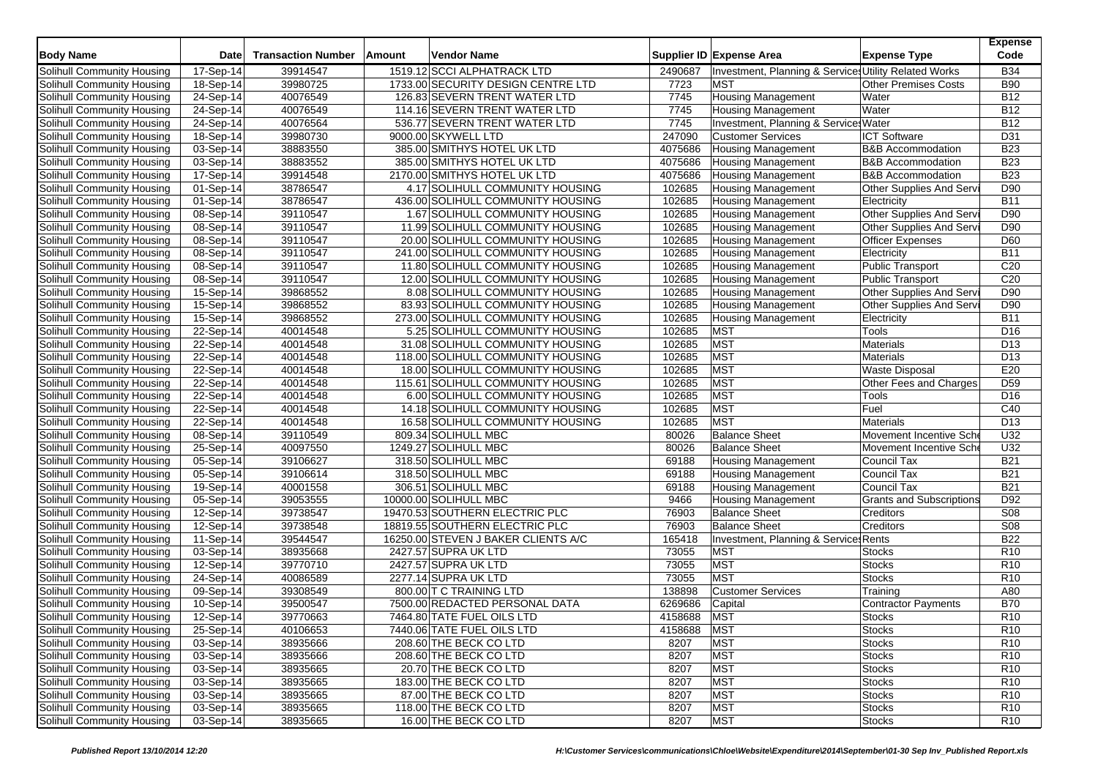| <b>Body Name</b>           | Date      | <b>Transaction Number</b> | Amount | <b>Vendor Name</b>                  |         | Supplier ID Expense Area                              | <b>Expense Type</b>             | <b>Expense</b><br>Code |
|----------------------------|-----------|---------------------------|--------|-------------------------------------|---------|-------------------------------------------------------|---------------------------------|------------------------|
| Solihull Community Housing | 17-Sep-14 | 39914547                  |        | 1519.12 SCCI ALPHATRACK LTD         | 2490687 | Investment, Planning & Services Utility Related Works |                                 | <b>B34</b>             |
| Solihull Community Housing | 18-Sep-14 | 39980725                  |        | 1733.00 SECURITY DESIGN CENTRE LTD  | 7723    | <b>MST</b>                                            | <b>Other Premises Costs</b>     | <b>B90</b>             |
| Solihull Community Housing | 24-Sep-14 | 40076549                  |        | 126.83 SEVERN TRENT WATER LTD       | 7745    | <b>Housing Management</b>                             | Water                           | <b>B12</b>             |
| Solihull Community Housing | 24-Sep-14 | 40076549                  |        | 114.16 SEVERN TRENT WATER LTD       | 7745    | Housing Management                                    | Water                           | <b>B12</b>             |
| Solihull Community Housing | 24-Sep-14 | 40076564                  |        | 536.77 SEVERN TRENT WATER LTD       | 7745    | Investment, Planning & Service: Water                 |                                 | <b>B12</b>             |
| Solihull Community Housing | 18-Sep-14 | 39980730                  |        | 9000.00 SKYWELL LTD                 | 247090  | <b>Customer Services</b>                              | <b>ICT Software</b>             | D31                    |
| Solihull Community Housing | 03-Sep-14 | 38883550                  |        | 385.00 SMITHYS HOTEL UK LTD         | 4075686 | <b>Housing Management</b>                             | <b>B&amp;B</b> Accommodation    | <b>B23</b>             |
| Solihull Community Housing | 03-Sep-14 | 38883552                  |        | 385.00 SMITHYS HOTEL UK LTD         | 4075686 | <b>Housing Management</b>                             | <b>B&amp;B Accommodation</b>    | <b>B23</b>             |
| Solihull Community Housing | 17-Sep-14 | 39914548                  |        | 2170.00 SMITHYS HOTEL UK LTD        | 4075686 | <b>Housing Management</b>                             | <b>B&amp;B Accommodation</b>    | <b>B23</b>             |
| Solihull Community Housing | 01-Sep-14 | 38786547                  |        | 4.17 SOLIHULL COMMUNITY HOUSING     | 102685  | <b>Housing Management</b>                             | Other Supplies And Serv         | D90                    |
| Solihull Community Housing | 01-Sep-14 | 38786547                  |        | 436.00 SOLIHULL COMMUNITY HOUSING   | 102685  | <b>Housing Management</b>                             | Electricity                     | <b>B11</b>             |
| Solihull Community Housing | 08-Sep-14 | 39110547                  |        | 1.67 SOLIHULL COMMUNITY HOUSING     | 102685  | <b>Housing Management</b>                             | Other Supplies And Serv         | D90                    |
| Solihull Community Housing | 08-Sep-14 | 39110547                  |        | 11.99 SOLIHULL COMMUNITY HOUSING    | 102685  | <b>Housing Management</b>                             | Other Supplies And Serv         | D90                    |
| Solihull Community Housing | 08-Sep-14 | 39110547                  |        | 20.00 SOLIHULL COMMUNITY HOUSING    | 102685  | <b>Housing Management</b>                             | Officer Expenses                | D60                    |
| Solihull Community Housing | 08-Sep-14 | 39110547                  |        | 241.00 SOLIHULL COMMUNITY HOUSING   | 102685  | <b>Housing Management</b>                             | Electricity                     | <b>B11</b>             |
| Solihull Community Housing | 08-Sep-14 | 39110547                  |        | 11.80 SOLIHULL COMMUNITY HOUSING    | 102685  | <b>Housing Management</b>                             | Public Transport                | C <sub>20</sub>        |
| Solihull Community Housing | 08-Sep-14 | 39110547                  |        | 12.00 SOLIHULL COMMUNITY HOUSING    | 102685  | <b>Housing Management</b>                             | <b>Public Transport</b>         | C <sub>20</sub>        |
| Solihull Community Housing | 15-Sep-14 | 39868552                  |        | 8.08 SOLIHULL COMMUNITY HOUSING     | 102685  | <b>Housing Management</b>                             | Other Supplies And Serv         | D90                    |
| Solihull Community Housing | 15-Sep-14 | 39868552                  |        | 83.93 SOLIHULL COMMUNITY HOUSING    | 102685  | <b>Housing Management</b>                             | Other Supplies And Servi        | D90                    |
| Solihull Community Housing | 15-Sep-14 | 39868552                  |        | 273.00 SOLIHULL COMMUNITY HOUSING   | 102685  | <b>Housing Management</b>                             | Electricity                     | <b>B11</b>             |
| Solihull Community Housing | 22-Sep-14 | 40014548                  |        | 5.25 SOLIHULL COMMUNITY HOUSING     | 102685  | <b>MST</b>                                            | Tools                           | D <sub>16</sub>        |
| Solihull Community Housing | 22-Sep-14 | 40014548                  |        | 31.08 SOLIHULL COMMUNITY HOUSING    | 102685  | <b>MST</b>                                            | Materials                       | D <sub>13</sub>        |
| Solihull Community Housing | 22-Sep-14 | 40014548                  |        | 118.00 SOLIHULL COMMUNITY HOUSING   | 102685  | <b>MST</b>                                            | Materials                       | D <sub>13</sub>        |
| Solihull Community Housing | 22-Sep-14 | 40014548                  |        | 18.00 SOLIHULL COMMUNITY HOUSING    | 102685  | <b>MST</b>                                            | Waste Disposal                  | E20                    |
| Solihull Community Housing | 22-Sep-14 | 40014548                  |        | 115.61 SOLIHULL COMMUNITY HOUSING   | 102685  | <b>MST</b>                                            | Other Fees and Charges          | D <sub>59</sub>        |
| Solihull Community Housing | 22-Sep-14 | 40014548                  |        | 6.00 SOLIHULL COMMUNITY HOUSING     | 102685  | <b>MST</b>                                            | Tools                           | D <sub>16</sub>        |
| Solihull Community Housing | 22-Sep-14 | 40014548                  |        | 14.18 SOLIHULL COMMUNITY HOUSING    | 102685  | <b>MST</b>                                            | Fuel                            | C40                    |
| Solihull Community Housing | 22-Sep-14 | 40014548                  |        | 16.58 SOLIHULL COMMUNITY HOUSING    | 102685  | <b>MST</b>                                            | <b>Materials</b>                | D <sub>13</sub>        |
| Solihull Community Housing | 08-Sep-14 | 39110549                  |        | 809.34 SOLIHULL MBC                 | 80026   | <b>Balance Sheet</b>                                  | Movement Incentive Sche         | U32                    |
| Solihull Community Housing | 25-Sep-14 | 40097550                  |        | 1249.27 SOLIHULL MBC                | 80026   | <b>Balance Sheet</b>                                  | Movement Incentive Sche         | U32                    |
| Solihull Community Housing | 05-Sep-14 | 39106627                  |        | 318.50 SOLIHULL MBC                 | 69188   | <b>Housing Management</b>                             | Council Tax                     | <b>B21</b>             |
| Solihull Community Housing | 05-Sep-14 | 39106614                  |        | 318.50 SOLIHULL MBC                 | 69188   | <b>Housing Management</b>                             | Council Tax                     | <b>B21</b>             |
| Solihull Community Housing | 19-Sep-14 | 40001558                  |        | 306.51 SOLIHULL MBC                 | 69188   | <b>Housing Management</b>                             | <b>Council Tax</b>              | <b>B21</b>             |
| Solihull Community Housing | 05-Sep-14 | 39053555                  |        | 10000.00 SOLIHULL MBC               | 9466    | <b>Housing Management</b>                             | <b>Grants and Subscriptions</b> | D92                    |
| Solihull Community Housing | 12-Sep-14 | 39738547                  |        | 19470.53 SOUTHERN ELECTRIC PLC      | 76903   | <b>Balance Sheet</b>                                  | Creditors                       | <b>S08</b>             |
| Solihull Community Housing | 12-Sep-14 | 39738548                  |        | 18819.55 SOUTHERN ELECTRIC PLC      | 76903   | <b>Balance Sheet</b>                                  | Creditors                       | S08                    |
| Solihull Community Housing | 11-Sep-14 | 39544547                  |        | 16250.00 STEVEN J BAKER CLIENTS A/C | 165418  | Investment, Planning & Service: Rents                 |                                 | <b>B22</b>             |
| Solihull Community Housing | 03-Sep-14 | 38935668                  |        | 2427.57 SUPRA UK LTD                | 73055   | <b>MST</b>                                            | <b>Stocks</b>                   | R <sub>10</sub>        |
| Solihull Community Housing | 12-Sep-14 | 39770710                  |        | 2427.57 SUPRA UK LTD                | 73055   | <b>MST</b>                                            | <b>Stocks</b>                   | R <sub>10</sub>        |
| Solihull Community Housing | 24-Sep-14 | 40086589                  |        | 2277.14 SUPRA UK LTD                | 73055   | <b>MST</b>                                            | <b>Stocks</b>                   | R <sub>10</sub>        |
| Solihull Community Housing | 09-Sep-14 | 39308549                  |        | 800.00 T C TRAINING LTD             | 138898  | <b>Customer Services</b>                              | Training                        | A80                    |
| Solihull Community Housing | 10-Sep-14 | 39500547                  |        | 7500.00 REDACTED PERSONAL DATA      | 6269686 | Capital                                               | <b>Contractor Payments</b>      | <b>B70</b>             |
| Solihull Community Housing | 12-Sep-14 | 39770663                  |        | 7464.80 TATE FUEL OILS LTD          | 4158688 | <b>MST</b>                                            | Stocks                          | R <sub>10</sub>        |
| Solihull Community Housing | 25-Sep-14 | 40106653                  |        | 7440.06 TATE FUEL OILS LTD          | 4158688 | <b>MST</b>                                            | <b>Stocks</b>                   | R <sub>10</sub>        |
| Solihull Community Housing | 03-Sep-14 | 38935666                  |        | 208.60 THE BECK CO LTD              | 8207    | <b>MST</b>                                            | <b>Stocks</b>                   | R <sub>10</sub>        |
| Solihull Community Housing | 03-Sep-14 | 38935666                  |        | 208.60 THE BECK CO LTD              | 8207    | <b>MST</b>                                            | <b>Stocks</b>                   | R <sub>10</sub>        |
| Solihull Community Housing | 03-Sep-14 | 38935665                  |        | 20.70 THE BECK CO LTD               | 8207    | <b>MST</b>                                            | <b>Stocks</b>                   | R <sub>10</sub>        |
| Solihull Community Housing | 03-Sep-14 | 38935665                  |        | 183.00 THE BECK CO LTD              | 8207    | <b>MST</b>                                            | <b>Stocks</b>                   | R <sub>10</sub>        |
| Solihull Community Housing | 03-Sep-14 | 38935665                  |        | 87.00 THE BECK CO LTD               | 8207    | <b>MST</b>                                            | <b>Stocks</b>                   | R <sub>10</sub>        |
| Solihull Community Housing | 03-Sep-14 | 38935665                  |        | 118.00 THE BECK CO LTD              | 8207    | <b>MST</b>                                            | <b>Stocks</b>                   | R <sub>10</sub>        |
| Solihull Community Housing | 03-Sep-14 | 38935665                  |        | 16.00 THE BECK CO LTD               | 8207    | <b>MST</b>                                            | <b>Stocks</b>                   | R <sub>10</sub>        |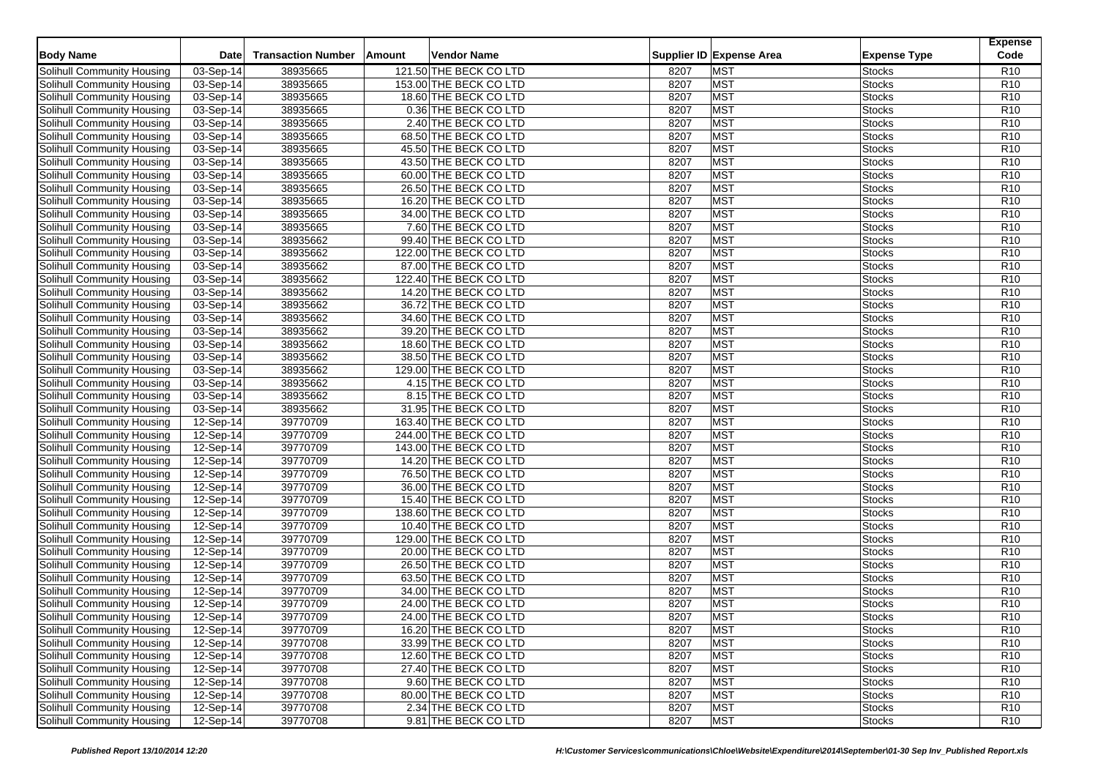|                                   |             |                           |                        |      |                          |                     | <b>Expense</b><br>Code |
|-----------------------------------|-------------|---------------------------|------------------------|------|--------------------------|---------------------|------------------------|
| <b>Body Name</b>                  | <b>Date</b> | <b>Transaction Number</b> | Amount<br>Vendor Name  |      | Supplier ID Expense Area | <b>Expense Type</b> |                        |
| Solihull Community Housing        | 03-Sep-14   | 38935665                  | 121.50 THE BECK CO LTD | 8207 | <b>MST</b>               | <b>Stocks</b>       | R <sub>10</sub>        |
| Solihull Community Housing        | 03-Sep-14   | 38935665                  | 153.00 THE BECK CO LTD | 8207 | <b>MST</b>               | <b>Stocks</b>       | R <sub>10</sub>        |
| <b>Solihull Community Housing</b> | 03-Sep-14   | 38935665                  | 18.60 THE BECK CO LTD  | 8207 | <b>MST</b>               | <b>Stocks</b>       | R <sub>10</sub>        |
| Solihull Community Housing        | 03-Sep-14   | 38935665                  | 0.36 THE BECK CO LTD   | 8207 | <b>MST</b>               | <b>Stocks</b>       | R <sub>10</sub>        |
| Solihull Community Housing        | 03-Sep-14   | 38935665                  | 2.40 THE BECK CO LTD   | 8207 | <b>MST</b>               | <b>Stocks</b>       | R <sub>10</sub>        |
| Solihull Community Housing        | 03-Sep-14   | 38935665                  | 68.50 THE BECK CO LTD  | 8207 | <b>MST</b>               | <b>Stocks</b>       | R <sub>10</sub>        |
| Solihull Community Housing        | 03-Sep-14   | 38935665                  | 45.50 THE BECK CO LTD  | 8207 | <b>MST</b>               | <b>Stocks</b>       | R <sub>10</sub>        |
| Solihull Community Housing        | 03-Sep-14   | 38935665                  | 43.50 THE BECK CO LTD  | 8207 | <b>MST</b>               | <b>Stocks</b>       | R <sub>10</sub>        |
| Solihull Community Housing        | 03-Sep-14   | 38935665                  | 60.00 THE BECK CO LTD  | 8207 | <b>MST</b>               | <b>Stocks</b>       | R <sub>10</sub>        |
| Solihull Community Housing        | 03-Sep-14   | 38935665                  | 26.50 THE BECK CO LTD  | 8207 | <b>MST</b>               | <b>Stocks</b>       | R <sub>10</sub>        |
| Solihull Community Housing        | 03-Sep-14   | 38935665                  | 16.20 THE BECK CO LTD  | 8207 | <b>MST</b>               | <b>Stocks</b>       | R <sub>10</sub>        |
| Solihull Community Housing        | 03-Sep-14   | 38935665                  | 34.00 THE BECK CO LTD  | 8207 | <b>MST</b>               | <b>Stocks</b>       | R <sub>10</sub>        |
| Solihull Community Housing        | 03-Sep-14   | 38935665                  | 7.60 THE BECK CO LTD   | 8207 | <b>MST</b>               | <b>Stocks</b>       | R <sub>10</sub>        |
| Solihull Community Housing        | 03-Sep-14   | 38935662                  | 99.40 THE BECK CO LTD  | 8207 | <b>MST</b>               | <b>Stocks</b>       | R <sub>10</sub>        |
| Solihull Community Housing        | 03-Sep-14   | 38935662                  | 122.00 THE BECK CO LTD | 8207 | <b>MST</b>               | <b>Stocks</b>       | R <sub>10</sub>        |
| Solihull Community Housing        | 03-Sep-14   | 38935662                  | 87.00 THE BECK CO LTD  | 8207 | <b>MST</b>               | <b>Stocks</b>       | R <sub>10</sub>        |
| Solihull Community Housing        | 03-Sep-14   | 38935662                  | 122.40 THE BECK CO LTD | 8207 | <b>MST</b>               | <b>Stocks</b>       | R <sub>10</sub>        |
| Solihull Community Housing        | 03-Sep-14   | 38935662                  | 14.20 THE BECK CO LTD  | 8207 | <b>MST</b>               | <b>Stocks</b>       | R <sub>10</sub>        |
| Solihull Community Housing        | 03-Sep-14   | 38935662                  | 36.72 THE BECK CO LTD  | 8207 | <b>MST</b>               | <b>Stocks</b>       | R <sub>10</sub>        |
| Solihull Community Housing        | 03-Sep-14   | 38935662                  | 34.60 THE BECK CO LTD  | 8207 | <b>MST</b>               | <b>Stocks</b>       | R <sub>10</sub>        |
| Solihull Community Housing        | 03-Sep-14   | 38935662                  | 39.20 THE BECK CO LTD  | 8207 | <b>MST</b>               | <b>Stocks</b>       | R <sub>10</sub>        |
| Solihull Community Housing        | 03-Sep-14   | 38935662                  | 18.60 THE BECK CO LTD  | 8207 | <b>MST</b>               | <b>Stocks</b>       | R <sub>10</sub>        |
| Solihull Community Housing        | 03-Sep-14   | 38935662                  | 38.50 THE BECK CO LTD  | 8207 | <b>MST</b>               | <b>Stocks</b>       | R <sub>10</sub>        |
| Solihull Community Housing        | 03-Sep-14   | 38935662                  | 129.00 THE BECK CO LTD | 8207 | <b>MST</b>               | <b>Stocks</b>       | R <sub>10</sub>        |
| Solihull Community Housing        | 03-Sep-14   | 38935662                  | 4.15 THE BECK CO LTD   | 8207 | <b>MST</b>               | <b>Stocks</b>       | R <sub>10</sub>        |
| Solihull Community Housing        | 03-Sep-14   | 38935662                  | 8.15 THE BECK CO LTD   | 8207 | <b>MST</b>               | <b>Stocks</b>       | R <sub>10</sub>        |
| Solihull Community Housing        | 03-Sep-14   | 38935662                  | 31.95 THE BECK CO LTD  | 8207 | <b>MST</b>               | <b>Stocks</b>       | R <sub>10</sub>        |
| Solihull Community Housing        | 12-Sep-14   | 39770709                  | 163.40 THE BECK CO LTD | 8207 | <b>MST</b>               | <b>Stocks</b>       | R <sub>10</sub>        |
| Solihull Community Housing        | 12-Sep-14   | 39770709                  | 244.00 THE BECK CO LTD | 8207 | <b>MST</b>               | <b>Stocks</b>       | R <sub>10</sub>        |
| Solihull Community Housing        | $12-Sep-14$ | 39770709                  | 143.00 THE BECK CO LTD | 8207 | <b>MST</b>               | <b>Stocks</b>       | R <sub>10</sub>        |
| Solihull Community Housing        | 12-Sep-14   | 39770709                  | 14.20 THE BECK CO LTD  | 8207 | <b>MST</b>               | <b>Stocks</b>       | R <sub>10</sub>        |
| Solihull Community Housing        | 12-Sep-14   | 39770709                  | 76.50 THE BECK CO LTD  | 8207 | <b>MST</b>               | <b>Stocks</b>       | R <sub>10</sub>        |
| Solihull Community Housing        | 12-Sep-14   | 39770709                  | 36.00 THE BECK CO LTD  | 8207 | <b>MST</b>               | <b>Stocks</b>       | R <sub>10</sub>        |
| Solihull Community Housing        | 12-Sep-14   | 39770709                  | 15.40 THE BECK CO LTD  | 8207 | <b>MST</b>               | <b>Stocks</b>       | R10                    |
| Solihull Community Housing        | 12-Sep-14   | 39770709                  | 138.60 THE BECK CO LTD | 8207 | <b>MST</b>               | <b>Stocks</b>       | R <sub>10</sub>        |
| Solihull Community Housing        | 12-Sep-14   | 39770709                  | 10.40 THE BECK CO LTD  | 8207 | <b>MST</b>               | <b>Stocks</b>       | R <sub>10</sub>        |
| Solihull Community Housing        | 12-Sep-14   | 39770709                  | 129.00 THE BECK CO LTD | 8207 | <b>MST</b>               | <b>Stocks</b>       | R <sub>10</sub>        |
| Solihull Community Housing        | 12-Sep-14   | 39770709                  | 20.00 THE BECK CO LTD  | 8207 | <b>MST</b>               | <b>Stocks</b>       | R <sub>10</sub>        |
| Solihull Community Housing        | 12-Sep-14   | 39770709                  | 26.50 THE BECK CO LTD  | 8207 | <b>MST</b>               | <b>Stocks</b>       | R <sub>10</sub>        |
| Solihull Community Housing        | 12-Sep-14   | 39770709                  | 63.50 THE BECK CO LTD  | 8207 | <b>MST</b>               | <b>Stocks</b>       | R <sub>10</sub>        |
| Solihull Community Housing        | 12-Sep-14   | 39770709                  | 34.00 THE BECK CO LTD  | 8207 | <b>MST</b>               | <b>Stocks</b>       | R <sub>10</sub>        |
| Solihull Community Housing        | 12-Sep-14   | 39770709                  | 24.00 THE BECK CO LTD  | 8207 | <b>MST</b>               | <b>Stocks</b>       | R <sub>10</sub>        |
| Solihull Community Housing        | 12-Sep-14   | 39770709                  | 24.00 THE BECK CO LTD  | 8207 | <b>MST</b>               | <b>Stocks</b>       | R <sub>10</sub>        |
| Solihull Community Housing        | 12-Sep-14   | 39770709                  | 16.20 THE BECK CO LTD  | 8207 | <b>MST</b>               | <b>Stocks</b>       | R <sub>10</sub>        |
| Solihull Community Housing        | $12-Sep-14$ | 39770708                  | 33.99 THE BECK CO LTD  | 8207 | <b>MST</b>               | <b>Stocks</b>       | R <sub>10</sub>        |
| Solihull Community Housing        | 12-Sep-14   | 39770708                  | 12.60 THE BECK CO LTD  | 8207 | <b>MST</b>               | <b>Stocks</b>       | R <sub>10</sub>        |
| Solihull Community Housing        | 12-Sep-14   | 39770708                  | 27.40 THE BECK CO LTD  | 8207 | <b>MST</b>               | <b>Stocks</b>       | R <sub>10</sub>        |
| Solihull Community Housing        | 12-Sep-14   | 39770708                  | 9.60 THE BECK CO LTD   | 8207 | <b>MST</b>               | <b>Stocks</b>       | R <sub>10</sub>        |
| Solihull Community Housing        | 12-Sep-14   | 39770708                  | 80.00 THE BECK CO LTD  | 8207 | <b>MST</b>               | <b>Stocks</b>       | R <sub>10</sub>        |
| <b>Solihull Community Housing</b> | 12-Sep-14   | 39770708                  | 2.34 THE BECK CO LTD   | 8207 | <b>MST</b>               | <b>Stocks</b>       | R <sub>10</sub>        |
| Solihull Community Housing        | 12-Sep-14   | 39770708                  | 9.81 THE BECK CO LTD   | 8207 | <b>MST</b>               | <b>Stocks</b>       | R <sub>10</sub>        |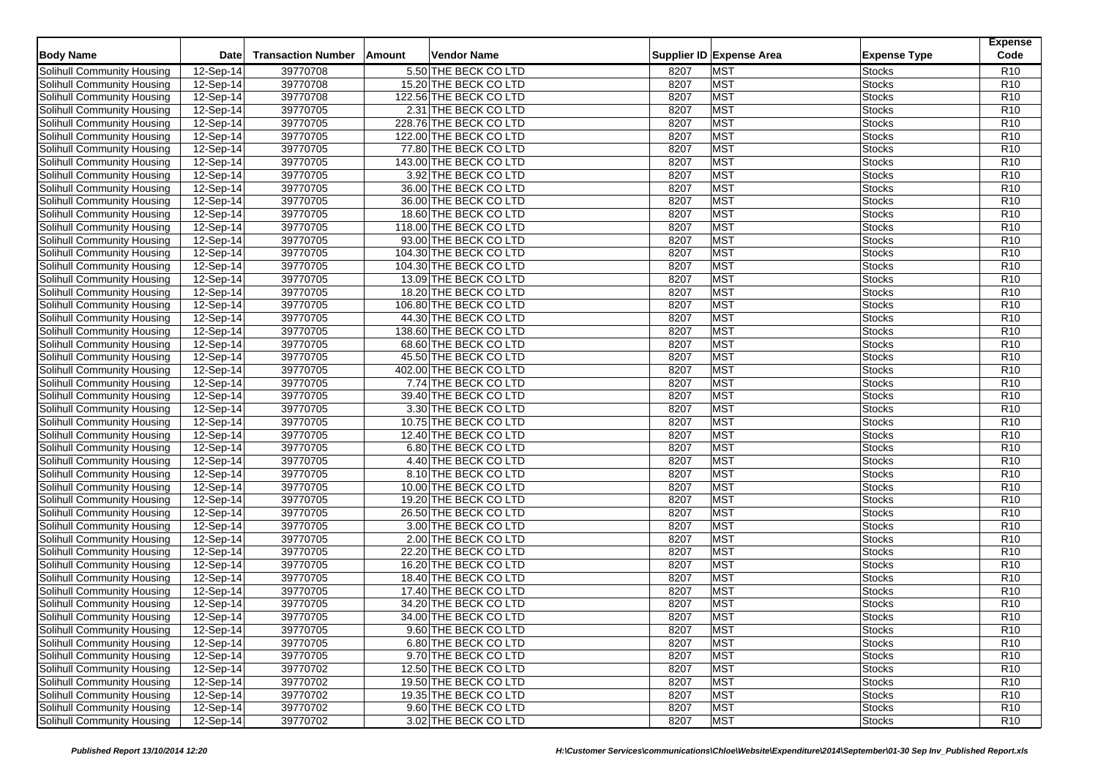| <b>Body Name</b>                                         | <b>Date</b>            | <b>Transaction Number</b> | Vendor Name<br>Amount                            |      | Supplier ID Expense Area | <b>Expense Type</b>            | <b>Expense</b><br>Code |
|----------------------------------------------------------|------------------------|---------------------------|--------------------------------------------------|------|--------------------------|--------------------------------|------------------------|
| Solihull Community Housing                               | 12-Sep-14              | 39770708                  | 5.50 THE BECK CO LTD                             | 8207 | <b>MST</b>               | <b>Stocks</b>                  | R <sub>10</sub>        |
| Solihull Community Housing                               | 12-Sep-14              | 39770708                  | 15.20 THE BECK CO LTD                            | 8207 | <b>MST</b>               | <b>Stocks</b>                  | R <sub>10</sub>        |
| Solihull Community Housing                               | 12-Sep-14              | 39770708                  | 122.56 THE BECK CO LTD                           | 8207 | <b>MST</b>               | <b>Stocks</b>                  | R <sub>10</sub>        |
| Solihull Community Housing                               | 12-Sep-14              | 39770705                  | 2.31 THE BECK CO LTD                             | 8207 | <b>MST</b>               | Stocks                         | R <sub>10</sub>        |
|                                                          |                        | 39770705                  |                                                  | 8207 | <b>MST</b>               |                                | R <sub>10</sub>        |
| Solihull Community Housing<br>Solihull Community Housing | 12-Sep-14<br>12-Sep-14 | 39770705                  | 228.76 THE BECK CO LTD<br>122.00 THE BECK CO LTD | 8207 | <b>MST</b>               | <b>Stocks</b><br><b>Stocks</b> | R <sub>10</sub>        |
| Solihull Community Housing                               |                        | 39770705                  |                                                  | 8207 | <b>MST</b>               |                                | R <sub>10</sub>        |
| Solihull Community Housing                               | 12-Sep-14<br>12-Sep-14 | 39770705                  | 77.80 THE BECK CO LTD<br>143.00 THE BECK CO LTD  | 8207 | <b>MST</b>               | Stocks<br><b>Stocks</b>        | R <sub>10</sub>        |
| Solihull Community Housing                               |                        | 39770705                  |                                                  |      | <b>MST</b>               | <b>Stocks</b>                  | R <sub>10</sub>        |
|                                                          | 12-Sep-14              |                           | 3.92 THE BECK CO LTD                             | 8207 |                          |                                |                        |
| Solihull Community Housing                               | 12-Sep-14              | 39770705                  | 36.00 THE BECK CO LTD                            | 8207 | <b>MST</b><br><b>MST</b> | Stocks                         | R <sub>10</sub>        |
| Solihull Community Housing                               | 12-Sep-14              | 39770705                  | 36.00 THE BECK CO LTD                            | 8207 |                          | <b>Stocks</b>                  | R <sub>10</sub>        |
| Solihull Community Housing                               | 12-Sep-14              | 39770705                  | 18.60 THE BECK CO LTD                            | 8207 | <b>MST</b>               | <b>Stocks</b>                  | R <sub>10</sub>        |
| Solihull Community Housing                               | 12-Sep-14              | 39770705                  | 118.00 THE BECK CO LTD                           | 8207 | <b>MST</b>               | Stocks                         | R10                    |
| <b>Solihull Community Housing</b>                        | 12-Sep-14              | 39770705                  | 93.00 THE BECK CO LTD                            | 8207 | <b>MST</b>               | <b>Stocks</b>                  | R <sub>10</sub>        |
| Solihull Community Housing                               | 12-Sep-14              | 39770705                  | 104.30 THE BECK CO LTD                           | 8207 | <b>MST</b>               | <b>Stocks</b>                  | R <sub>10</sub>        |
| Solihull Community Housing                               | 12-Sep-14              | 39770705                  | 104.30 THE BECK CO LTD                           | 8207 | <b>MST</b>               | Stocks                         | R <sub>10</sub>        |
| Solihull Community Housing                               | 12-Sep-14              | 39770705                  | 13.09 THE BECK CO LTD                            | 8207 | <b>MST</b>               | <b>Stocks</b>                  | R <sub>10</sub>        |
| Solihull Community Housing                               | 12-Sep-14              | 39770705                  | 18.20 THE BECK CO LTD                            | 8207 | <b>MST</b>               | Stocks                         | R <sub>10</sub>        |
| Solihull Community Housing                               | 12-Sep-14              | 39770705                  | 106.80 THE BECK CO LTD                           | 8207 | <b>MST</b>               | Stocks                         | R <sub>10</sub>        |
| Solihull Community Housing                               | 12-Sep-14              | 39770705                  | 44.30 THE BECK CO LTD                            | 8207 | <b>MST</b>               | Stocks                         | R <sub>10</sub>        |
| Solihull Community Housing                               | 12-Sep-14              | 39770705                  | 138.60 THE BECK CO LTD                           | 8207 | <b>MST</b>               | <b>Stocks</b>                  | R <sub>10</sub>        |
| Solihull Community Housing                               | 12-Sep-14              | 39770705                  | 68.60 THE BECK CO LTD                            | 8207 | <b>MST</b>               | <b>Stocks</b>                  | R <sub>10</sub>        |
| Solihull Community Housing                               | 12-Sep-14              | 39770705                  | 45.50 THE BECK CO LTD                            | 8207 | <b>MST</b>               | Stocks                         | R <sub>10</sub>        |
| Solihull Community Housing                               | 12-Sep-14              | 39770705                  | 402.00 THE BECK CO LTD                           | 8207 | <b>MST</b>               | Stocks                         | R <sub>10</sub>        |
| Solihull Community Housing                               | 12-Sep-14              | 39770705                  | 7.74 THE BECK CO LTD                             | 8207 | <b>MST</b>               | <b>Stocks</b>                  | R <sub>10</sub>        |
| Solihull Community Housing                               | 12-Sep-14              | 39770705                  | 39.40 THE BECK CO LTD                            | 8207 | <b>MST</b>               | Stocks                         | R <sub>10</sub>        |
| Solihull Community Housing                               | $12-Sep-14$            | 39770705                  | 3.30 THE BECK CO LTD                             | 8207 | <b>MST</b>               | Stocks                         | R <sub>10</sub>        |
| Solihull Community Housing                               | 12-Sep-14              | 39770705                  | 10.75 THE BECK CO LTD                            | 8207 | <b>MST</b>               | Stocks                         | R <sub>10</sub>        |
| Solihull Community Housing                               | 12-Sep-14              | 39770705                  | 12.40 THE BECK CO LTD                            | 8207 | <b>MST</b>               | Stocks                         | R <sub>10</sub>        |
| Solihull Community Housing                               | $12-Sep-14$            | 39770705                  | 6.80 THE BECK CO LTD                             | 8207 | <b>MST</b>               | Stocks                         | R <sub>10</sub>        |
| Solihull Community Housing                               | 12-Sep-14              | 39770705                  | 4.40 THE BECK CO LTD                             | 8207 | <b>MST</b>               | <b>Stocks</b>                  | R <sub>10</sub>        |
| Solihull Community Housing                               | 12-Sep-14              | 39770705                  | 8.10 THE BECK CO LTD                             | 8207 | <b>MST</b>               | Stocks                         | R <sub>10</sub>        |
| Solihull Community Housing                               | 12-Sep-14              | 39770705                  | 10.00 THE BECK CO LTD                            | 8207 | <b>MST</b>               | Stocks                         | R <sub>10</sub>        |
| Solihull Community Housing                               | 12-Sep-14              | 39770705                  | 19.20 THE BECK CO LTD                            | 8207 | <b>MST</b>               | <b>Stocks</b>                  | R <sub>10</sub>        |
| Solihull Community Housing                               | 12-Sep-14              | 39770705                  | 26.50 THE BECK CO LTD                            | 8207 | <b>MST</b>               | Stocks                         | R <sub>10</sub>        |
| Solihull Community Housing                               | 12-Sep-14              | 39770705                  | 3.00 THE BECK CO LTD                             | 8207 | <b>MST</b>               | <b>Stocks</b>                  | R <sub>10</sub>        |
| Solihull Community Housing                               | 12-Sep-14              | 39770705                  | 2.00 THE BECK CO LTD                             | 8207 | <b>MST</b>               | Stocks                         | R <sub>10</sub>        |
| Solihull Community Housing                               | 12-Sep-14              | 39770705                  | 22.20 THE BECK CO LTD                            | 8207 | <b>MST</b>               | Stocks                         | R <sub>10</sub>        |
| Solihull Community Housing                               | 12-Sep-14              | 39770705                  | 16.20 THE BECK CO LTD                            | 8207 | <b>MST</b>               | Stocks                         | R <sub>10</sub>        |
| Solihull Community Housing                               | 12-Sep-14              | 39770705                  | 18.40 THE BECK CO LTD                            | 8207 | <b>MST</b>               | <b>Stocks</b>                  | R <sub>10</sub>        |
| Solihull Community Housing                               | 12-Sep-14              | 39770705                  | 17.40 THE BECK CO LTD                            | 8207 | <b>MST</b>               | Stocks                         | R <sub>10</sub>        |
| Solihull Community Housing                               | 12-Sep-14              | 39770705                  | 34.20 THE BECK CO LTD                            | 8207 | <b>MST</b>               | <b>Stocks</b>                  | R <sub>10</sub>        |
| <b>Solihull Community Housing</b>                        | 12-Sep-14              | 39770705                  | 34.00 THE BECK CO LTD                            | 8207 | <b>MST</b>               | <b>Stocks</b>                  | R <sub>10</sub>        |
| Solihull Community Housing                               | 12-Sep-14              | 39770705                  | 9.60 THE BECK CO LTD                             | 8207 | <b>MST</b>               | <b>Stocks</b>                  | R <sub>10</sub>        |
| Solihull Community Housing                               | $12$ -Sep-14           | 39770705                  | 6.80 THE BECK CO LTD                             | 8207 | <b>MST</b>               | <b>Stocks</b>                  | R <sub>10</sub>        |
| Solihull Community Housing                               | 12-Sep-14              | 39770705                  | 9.70 THE BECK CO LTD                             | 8207 | <b>MST</b>               | <b>Stocks</b>                  | R <sub>10</sub>        |
| Solihull Community Housing                               | 12-Sep-14              | 39770702                  | 12.50 THE BECK CO LTD                            | 8207 | <b>MST</b>               | <b>Stocks</b>                  | R <sub>10</sub>        |
| Solihull Community Housing                               | 12-Sep-14              | 39770702                  | 19.50 THE BECK CO LTD                            | 8207 | <b>MST</b>               | <b>Stocks</b>                  | R <sub>10</sub>        |
| Solihull Community Housing                               | 12-Sep-14              | 39770702                  | 19.35 THE BECK CO LTD                            | 8207 | <b>MST</b>               | <b>Stocks</b>                  | R <sub>10</sub>        |
| Solihull Community Housing                               | 12-Sep-14              | 39770702                  | 9.60 THE BECK CO LTD                             | 8207 | <b>MST</b>               | <b>Stocks</b>                  | R <sub>10</sub>        |
| Solihull Community Housing                               | 12-Sep-14              | 39770702                  | 3.02 THE BECK CO LTD                             | 8207 | <b>MST</b>               | <b>Stocks</b>                  | R <sub>10</sub>        |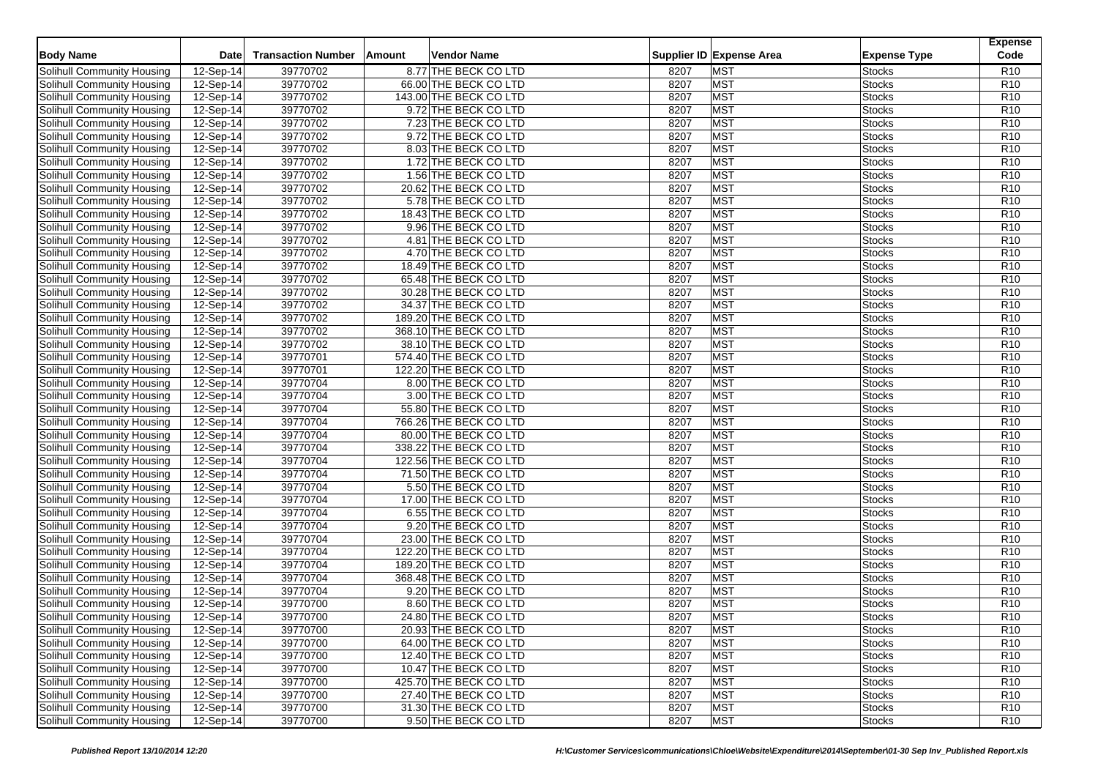| <b>Body Name</b>                  | <b>Date</b> | <b>Transaction Number</b> | <b>Vendor Name</b><br><b>Amount</b> |      | Supplier ID Expense Area | <b>Expense Type</b> | <b>Expense</b><br>Code |
|-----------------------------------|-------------|---------------------------|-------------------------------------|------|--------------------------|---------------------|------------------------|
| Solihull Community Housing        | 12-Sep-14   | 39770702                  | 8.77 THE BECK CO LTD                | 8207 | <b>MST</b>               | <b>Stocks</b>       | R <sub>10</sub>        |
| Solihull Community Housing        | 12-Sep-14   | 39770702                  | 66.00 THE BECK CO LTD               | 8207 | <b>MST</b>               | <b>Stocks</b>       | R <sub>10</sub>        |
| Solihull Community Housing        | 12-Sep-14   | 39770702                  | 143.00 THE BECK CO LTD              | 8207 | MST                      | <b>Stocks</b>       | R <sub>10</sub>        |
| Solihull Community Housing        | 12-Sep-14   | 39770702                  | 9.72 THE BECK CO LTD                | 8207 | <b>MST</b>               | Stocks              | R <sub>10</sub>        |
| Solihull Community Housing        | 12-Sep-14   | 39770702                  | 7.23 THE BECK CO LTD                | 8207 | <b>MST</b>               | Stocks              | R <sub>10</sub>        |
| Solihull Community Housing        | 12-Sep-14   | 39770702                  | 9.72 THE BECK CO LTD                | 8207 | <b>MST</b>               | <b>Stocks</b>       | R <sub>10</sub>        |
| Solihull Community Housing        | 12-Sep-14   | 39770702                  | 8.03 THE BECK CO LTD                | 8207 | <b>MST</b>               | <b>Stocks</b>       | R <sub>10</sub>        |
| Solihull Community Housing        | 12-Sep-14   | 39770702                  | 1.72 THE BECK CO LTD                | 8207 | MST                      | Stocks              | R <sub>10</sub>        |
| Solihull Community Housing        | 12-Sep-14   | 39770702                  | 1.56 THE BECK CO LTD                | 8207 | <b>MST</b>               | Stocks              | R <sub>10</sub>        |
| Solihull Community Housing        | 12-Sep-14   | 39770702                  | 20.62 THE BECK CO LTD               | 8207 | <b>MST</b>               | Stocks              | R <sub>10</sub>        |
| Solihull Community Housing        | 12-Sep-14   | 39770702                  | 5.78 THE BECK CO LTD                | 8207 | <b>MST</b>               | Stocks              | R <sub>10</sub>        |
| Solihull Community Housing        | 12-Sep-14   | 39770702                  | 18.43 THE BECK CO LTD               | 8207 | <b>MST</b>               | <b>Stocks</b>       | R <sub>10</sub>        |
| Solihull Community Housing        | 12-Sep-14   | 39770702                  | 9.96 THE BECK CO LTD                | 8207 | <b>MST</b>               | Stocks              | R <sub>10</sub>        |
| Solihull Community Housing        | $12-Sep-14$ | 39770702                  | 4.81 THE BECK CO LTD                | 8207 | <b>MST</b>               | Stocks              | R <sub>10</sub>        |
| <b>Solihull Community Housing</b> | 12-Sep-14   | 39770702                  | 4.70 THE BECK CO LTD                | 8207 | <b>MST</b>               | <b>Stocks</b>       | R <sub>10</sub>        |
| Solihull Community Housing        | 12-Sep-14   | 39770702                  | 18.49 THE BECK CO LTD               | 8207 | <b>MST</b>               | Stocks              | R <sub>10</sub>        |
| Solihull Community Housing        | 12-Sep-14   | 39770702                  | 65.48 THE BECK CO LTD               | 8207 | <b>MST</b>               | <b>Stocks</b>       | R <sub>10</sub>        |
| Solihull Community Housing        | 12-Sep-14   | 39770702                  | 30.28 THE BECK CO LTD               | 8207 | <b>MST</b>               | <b>Stocks</b>       | R <sub>10</sub>        |
| Solihull Community Housing        | 12-Sep-14   | 39770702                  | 34.37 THE BECK CO LTD               | 8207 | <b>MST</b>               | Stocks              | R <sub>10</sub>        |
| Solihull Community Housing        | 12-Sep-14   | 39770702                  | 189.20 THE BECK CO LTD              | 8207 | <b>MST</b>               | Stocks              | R <sub>10</sub>        |
| Solihull Community Housing        | 12-Sep-14   | 39770702                  | 368.10 THE BECK CO LTD              | 8207 | <b>MST</b>               | <b>Stocks</b>       | R <sub>10</sub>        |
| Solihull Community Housing        | 12-Sep-14   | 39770702                  | 38.10 THE BECK CO LTD               | 8207 | <b>MST</b>               | <b>Stocks</b>       | R <sub>10</sub>        |
| Solihull Community Housing        | 12-Sep-14   | 39770701                  | 574.40 THE BECK CO LTD              | 8207 | <b>MST</b>               | <b>Stocks</b>       | R <sub>10</sub>        |
| Solihull Community Housing        | 12-Sep-14   | 39770701                  | 122.20 THE BECK CO LTD              | 8207 | <b>MST</b>               | <b>Stocks</b>       | R <sub>10</sub>        |
| Solihull Community Housing        | 12-Sep-14   | 39770704                  | 8.00 THE BECK CO LTD                | 8207 | <b>MST</b>               | <b>Stocks</b>       | R <sub>10</sub>        |
| Solihull Community Housing        | 12-Sep-14   | 39770704                  | 3.00 THE BECK CO LTD                | 8207 | <b>MST</b>               | Stocks              | R <sub>10</sub>        |
| Solihull Community Housing        | 12-Sep-14   | 39770704                  | 55.80 THE BECK CO LTD               | 8207 | <b>MST</b>               | Stocks              | R <sub>10</sub>        |
| Solihull Community Housing        | $12-Sep-14$ | 39770704                  | 766.26 THE BECK CO LTD              | 8207 | <b>MST</b>               | Stocks              | R <sub>10</sub>        |
| Solihull Community Housing        | 12-Sep-14   | 39770704                  | 80.00 THE BECK CO LTD               | 8207 | <b>MST</b>               | Stocks              | R <sub>10</sub>        |
| Solihull Community Housing        | 12-Sep-14   | 39770704                  | 338.22 THE BECK CO LTD              | 8207 | <b>MST</b>               | <b>Stocks</b>       | R <sub>10</sub>        |
| Solihull Community Housing        | 12-Sep-14   | 39770704                  | 122.56 THE BECK CO LTD              | 8207 | <b>MST</b>               | Stocks              | R <sub>10</sub>        |
| Solihull Community Housing        | 12-Sep-14   | 39770704                  | 71.50 THE BECK CO LTD               | 8207 | <b>MST</b>               | Stocks              | R <sub>10</sub>        |
| Solihull Community Housing        | 12-Sep-14   | 39770704                  | 5.50 THE BECK CO LTD                | 8207 | <b>MST</b>               | Stocks              | R <sub>10</sub>        |
| Solihull Community Housing        | 12-Sep-14   | 39770704                  | 17.00 THE BECK CO LTD               | 8207 | <b>MST</b>               | <b>Stocks</b>       | R <sub>10</sub>        |
| Solihull Community Housing        | 12-Sep-14   | 39770704                  | 6.55 THE BECK CO LTD                | 8207 | <b>MST</b>               | Stocks              | R <sub>10</sub>        |
| Solihull Community Housing        | 12-Sep-14   | 39770704                  | 9.20 THE BECK CO LTD                | 8207 | <b>MST</b>               | Stocks              | R <sub>10</sub>        |
| Solihull Community Housing        | 12-Sep-14   | 39770704                  | 23.00 THE BECK CO LTD               | 8207 | <b>MST</b>               | Stocks              | R <sub>10</sub>        |
| Solihull Community Housing        | 12-Sep-14   | 39770704                  | 122.20 THE BECK CO LTD              | 8207 | <b>MST</b>               | Stocks              | R <sub>10</sub>        |
| Solihull Community Housing        | $12-Sep-14$ | 39770704                  | 189.20 THE BECK CO LTD              | 8207 | <b>MST</b>               | Stocks              | R <sub>10</sub>        |
| Solihull Community Housing        | 12-Sep-14   | 39770704                  | 368.48 THE BECK CO LTD              | 8207 | <b>MST</b>               | <b>Stocks</b>       | R <sub>10</sub>        |
| Solihull Community Housing        | 12-Sep-14   | 39770704                  | 9.20 THE BECK CO LTD                | 8207 | <b>MST</b>               | Stocks              | R <sub>10</sub>        |
| Solihull Community Housing        | 12-Sep-14   | 39770700                  | 8.60 THE BECK CO LTD                | 8207 | <b>MST</b>               | Stocks              | R <sub>10</sub>        |
| Solihull Community Housing        | 12-Sep-14   | 39770700                  | 24.80 THE BECK CO LTD               | 8207 | <b>MST</b>               | <b>Stocks</b>       | R <sub>10</sub>        |
| Solihull Community Housing        | 12-Sep-14   | 39770700                  | 20.93 THE BECK CO LTD               | 8207 | <b>MST</b>               | <b>Stocks</b>       | R <sub>10</sub>        |
| Solihull Community Housing        | 12-Sep-14   | 39770700                  | 64.00 THE BECK CO LTD               | 8207 | <b>MST</b>               | Stocks              | R <sub>10</sub>        |
| Solihull Community Housing        | 12-Sep-14   | 39770700                  | 12.40 THE BECK CO LTD               | 8207 | <b>MST</b>               | <b>Stocks</b>       | R <sub>10</sub>        |
| Solihull Community Housing        | 12-Sep-14   | 39770700                  | 10.47 THE BECK CO LTD               | 8207 | <b>MST</b>               | <b>Stocks</b>       | R <sub>10</sub>        |
| Solihull Community Housing        | 12-Sep-14   | 39770700                  | 425.70 THE BECK CO LTD              | 8207 | <b>MST</b>               | <b>Stocks</b>       | R <sub>10</sub>        |
| Solihull Community Housing        | 12-Sep-14   | 39770700                  | 27.40 THE BECK CO LTD               | 8207 | <b>MST</b>               | <b>Stocks</b>       | R <sub>10</sub>        |
| Solihull Community Housing        | 12-Sep-14   | 39770700                  | 31.30 THE BECK CO LTD               | 8207 | <b>MST</b>               | <b>Stocks</b>       | R <sub>10</sub>        |
| Solihull Community Housing        | 12-Sep-14   | 39770700                  | 9.50 THE BECK CO LTD                | 8207 | <b>MST</b>               | <b>Stocks</b>       | R <sub>10</sub>        |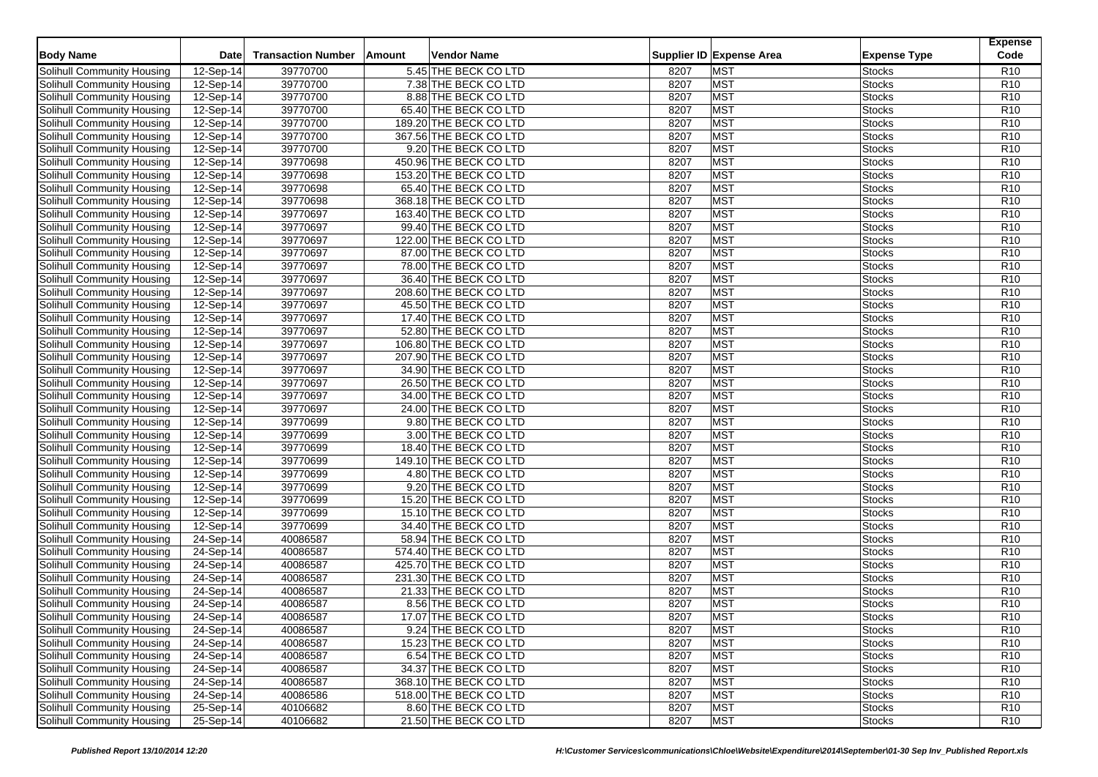|                                   |                         | <b>Transaction Number</b> |                              |      |                          |                     | <b>Expense</b><br>Code |
|-----------------------------------|-------------------------|---------------------------|------------------------------|------|--------------------------|---------------------|------------------------|
| <b>Body Name</b>                  | Date                    |                           | Vendor Name<br><b>Amount</b> |      | Supplier ID Expense Area | <b>Expense Type</b> |                        |
| Solihull Community Housing        | $\overline{12}$ -Sep-14 | 39770700                  | 5.45 THE BECK CO LTD         | 8207 | <b>MST</b>               | <b>Stocks</b>       | R <sub>10</sub>        |
| Solihull Community Housing        | 12-Sep-14               | 39770700                  | 7.38 THE BECK CO LTD         | 8207 | <b>MST</b>               | <b>Stocks</b>       | R <sub>10</sub>        |
| Solihull Community Housing        | 12-Sep-14               | 39770700                  | 8.88 THE BECK CO LTD         | 8207 | <b>MST</b>               | <b>Stocks</b>       | R <sub>10</sub>        |
| Solihull Community Housing        | 12-Sep-14               | 39770700                  | 65.40 THE BECK CO LTD        | 8207 | <b>MST</b>               | <b>Stocks</b>       | R <sub>10</sub>        |
| Solihull Community Housing        | 12-Sep-14               | 39770700                  | 189.20 THE BECK CO LTD       | 8207 | <b>MST</b>               | <b>Stocks</b>       | R <sub>10</sub>        |
| Solihull Community Housing        | 12-Sep-14               | 39770700                  | 367.56 THE BECK CO LTD       | 8207 | <b>MST</b>               | <b>Stocks</b>       | R <sub>10</sub>        |
| Solihull Community Housing        | 12-Sep-14               | 39770700                  | 9.20 THE BECK CO LTD         | 8207 | <b>MST</b>               | <b>Stocks</b>       | R <sub>10</sub>        |
| Solihull Community Housing        | 12-Sep-14               | 39770698                  | 450.96 THE BECK CO LTD       | 8207 | <b>MST</b>               | <b>Stocks</b>       | R <sub>10</sub>        |
| Solihull Community Housing        | 12-Sep-14               | 39770698                  | 153.20 THE BECK CO LTD       | 8207 | <b>MST</b>               | <b>Stocks</b>       | R <sub>10</sub>        |
| Solihull Community Housing        | 12-Sep-14               | 39770698                  | 65.40 THE BECK CO LTD        | 8207 | <b>MST</b>               | <b>Stocks</b>       | R <sub>10</sub>        |
| Solihull Community Housing        | $12-Sep-14$             | 39770698                  | 368.18 THE BECK CO LTD       | 8207 | <b>MST</b>               | <b>Stocks</b>       | R <sub>10</sub>        |
| Solihull Community Housing        | 12-Sep-14               | 39770697                  | 163.40 THE BECK CO LTD       | 8207 | <b>MST</b>               | <b>Stocks</b>       | R <sub>10</sub>        |
| Solihull Community Housing        | 12-Sep-14               | 39770697                  | 99.40 THE BECK CO LTD        | 8207 | <b>MST</b>               | <b>Stocks</b>       | R <sub>10</sub>        |
| Solihull Community Housing        | $12-Sep-14$             | 39770697                  | 122.00 THE BECK CO LTD       | 8207 | <b>MST</b>               | <b>Stocks</b>       | R <sub>10</sub>        |
| <b>Solihull Community Housing</b> | 12-Sep-14               | 39770697                  | 87.00 THE BECK CO LTD        | 8207 | <b>MST</b>               | <b>Stocks</b>       | R <sub>10</sub>        |
| Solihull Community Housing        | 12-Sep-14               | 39770697                  | 78.00 THE BECK CO LTD        | 8207 | <b>MST</b>               | <b>Stocks</b>       | R <sub>10</sub>        |
| Solihull Community Housing        | $12-Sep-14$             | 39770697                  | 36.40 THE BECK CO LTD        | 8207 | <b>MST</b>               | <b>Stocks</b>       | R <sub>10</sub>        |
| Solihull Community Housing        | 12-Sep-14               | 39770697                  | 208.60 THE BECK CO LTD       | 8207 | <b>MST</b>               | <b>Stocks</b>       | R <sub>10</sub>        |
| Solihull Community Housing        | $\overline{12}$ -Sep-14 | 39770697                  | 45.50 THE BECK CO LTD        | 8207 | <b>MST</b>               | <b>Stocks</b>       | R <sub>10</sub>        |
| Solihull Community Housing        | 12-Sep-14               | 39770697                  | 17.40 THE BECK CO LTD        | 8207 | <b>MST</b>               | <b>Stocks</b>       | R <sub>10</sub>        |
| Solihull Community Housing        | $\overline{12}$ -Sep-14 | 39770697                  | 52.80 THE BECK CO LTD        | 8207 | <b>MST</b>               | <b>Stocks</b>       | R <sub>10</sub>        |
| Solihull Community Housing        | 12-Sep-14               | 39770697                  | 106.80 THE BECK CO LTD       | 8207 | <b>MST</b>               | <b>Stocks</b>       | R <sub>10</sub>        |
| Solihull Community Housing        | 12-Sep-14               | 39770697                  | 207.90 THE BECK CO LTD       | 8207 | <b>MST</b>               | <b>Stocks</b>       | R <sub>10</sub>        |
| Solihull Community Housing        | 12-Sep-14               | 39770697                  | 34.90 THE BECK CO LTD        | 8207 | <b>MST</b>               | <b>Stocks</b>       | R <sub>10</sub>        |
| Solihull Community Housing        | 12-Sep-14               | 39770697                  | 26.50 THE BECK CO LTD        | 8207 | <b>MST</b>               | <b>Stocks</b>       | R <sub>10</sub>        |
| Solihull Community Housing        | 12-Sep-14               | 39770697                  | 34.00 THE BECK CO LTD        | 8207 | <b>MST</b>               | <b>Stocks</b>       | R <sub>10</sub>        |
| Solihull Community Housing        | 12-Sep-14               | 39770697                  | 24.00 THE BECK CO LTD        | 8207 | <b>MST</b>               | <b>Stocks</b>       | R <sub>10</sub>        |
| Solihull Community Housing        | 12-Sep-14               | 39770699                  | 9.80 THE BECK CO LTD         | 8207 | <b>MST</b>               | <b>Stocks</b>       | R <sub>10</sub>        |
| Solihull Community Housing        | 12-Sep-14               | 39770699                  | 3.00 THE BECK CO LTD         | 8207 | <b>MST</b>               | <b>Stocks</b>       | R <sub>10</sub>        |
| Solihull Community Housing        | 12-Sep-14               | 39770699                  | 18.40 THE BECK CO LTD        | 8207 | <b>MST</b>               | <b>Stocks</b>       | R <sub>10</sub>        |
| Solihull Community Housing        | 12-Sep-14               | 39770699                  | 149.10 THE BECK CO LTD       | 8207 | <b>MST</b>               | <b>Stocks</b>       | R <sub>10</sub>        |
| Solihull Community Housing        | 12-Sep-14               | 39770699                  | 4.80 THE BECK CO LTD         | 8207 | <b>MST</b>               | <b>Stocks</b>       | R <sub>10</sub>        |
| Solihull Community Housing        | 12-Sep-14               | 39770699                  | 9.20 THE BECK CO LTD         | 8207 | <b>MST</b>               | <b>Stocks</b>       | R <sub>10</sub>        |
| Solihull Community Housing        | 12-Sep-14               | 39770699                  | 15.20 THE BECK CO LTD        | 8207 | <b>MST</b>               | <b>Stocks</b>       | R <sub>10</sub>        |
| Solihull Community Housing        | 12-Sep-14               | 39770699                  | 15.10 THE BECK CO LTD        | 8207 | <b>MST</b>               | <b>Stocks</b>       | R <sub>10</sub>        |
| Solihull Community Housing        | 12-Sep-14               | 39770699                  | 34.40 THE BECK CO LTD        | 8207 | <b>MST</b>               | <b>Stocks</b>       | R <sub>10</sub>        |
| Solihull Community Housing        | 24-Sep-14               | 40086587                  | 58.94 THE BECK CO LTD        | 8207 | <b>MST</b>               | <b>Stocks</b>       | R <sub>10</sub>        |
| Solihull Community Housing        | 24-Sep-14               | 40086587                  | 574.40 THE BECK CO LTD       | 8207 | <b>MST</b>               | <b>Stocks</b>       | R <sub>10</sub>        |
| Solihull Community Housing        | $\overline{24}$ -Sep-14 | 40086587                  | 425.70 THE BECK CO LTD       | 8207 | <b>MST</b>               | <b>Stocks</b>       | R <sub>10</sub>        |
| Solihull Community Housing        | 24-Sep-14               | 40086587                  | 231.30 THE BECK CO LTD       | 8207 | <b>MST</b>               | <b>Stocks</b>       | R <sub>10</sub>        |
| Solihull Community Housing        | 24-Sep-14               | 40086587                  | 21.33 THE BECK CO LTD        | 8207 | <b>MST</b>               | <b>Stocks</b>       | R <sub>10</sub>        |
| Solihull Community Housing        | 24-Sep-14               | 40086587                  | 8.56 THE BECK CO LTD         | 8207 | <b>MST</b>               | <b>Stocks</b>       | R <sub>10</sub>        |
| Solihull Community Housing        | 24-Sep-14               | 40086587                  | 17.07 THE BECK CO LTD        | 8207 | <b>MST</b>               | <b>Stocks</b>       | R10                    |
| Solihull Community Housing        | 24-Sep-14               | 40086587                  | 9.24 THE BECK CO LTD         | 8207 | <b>MST</b>               | <b>Stocks</b>       | R <sub>10</sub>        |
| Solihull Community Housing        | 24-Sep-14               | 40086587                  | 15.23 THE BECK CO LTD        | 8207 | <b>MST</b>               | <b>Stocks</b>       | R <sub>10</sub>        |
| Solihull Community Housing        | 24-Sep-14               | 40086587                  | 6.54 THE BECK CO LTD         | 8207 | <b>MST</b>               | <b>Stocks</b>       | R <sub>10</sub>        |
| Solihull Community Housing        | 24-Sep-14               | 40086587                  | 34.37 THE BECK CO LTD        | 8207 | <b>MST</b>               | <b>Stocks</b>       | R <sub>10</sub>        |
| Solihull Community Housing        | 24-Sep-14               | 40086587                  | 368.10 THE BECK CO LTD       | 8207 | <b>MST</b>               | <b>Stocks</b>       | R <sub>10</sub>        |
| Solihull Community Housing        | 24-Sep-14               | 40086586                  | 518.00 THE BECK CO LTD       | 8207 | <b>MST</b>               | <b>Stocks</b>       | R <sub>10</sub>        |
| <b>Solihull Community Housing</b> | 25-Sep-14               | 40106682                  | 8.60 THE BECK CO LTD         | 8207 | <b>MST</b>               | <b>Stocks</b>       | R <sub>10</sub>        |
| Solihull Community Housing        | 25-Sep-14               | 40106682                  | 21.50 THE BECK CO LTD        | 8207 | <b>MST</b>               | <b>Stocks</b>       | R <sub>10</sub>        |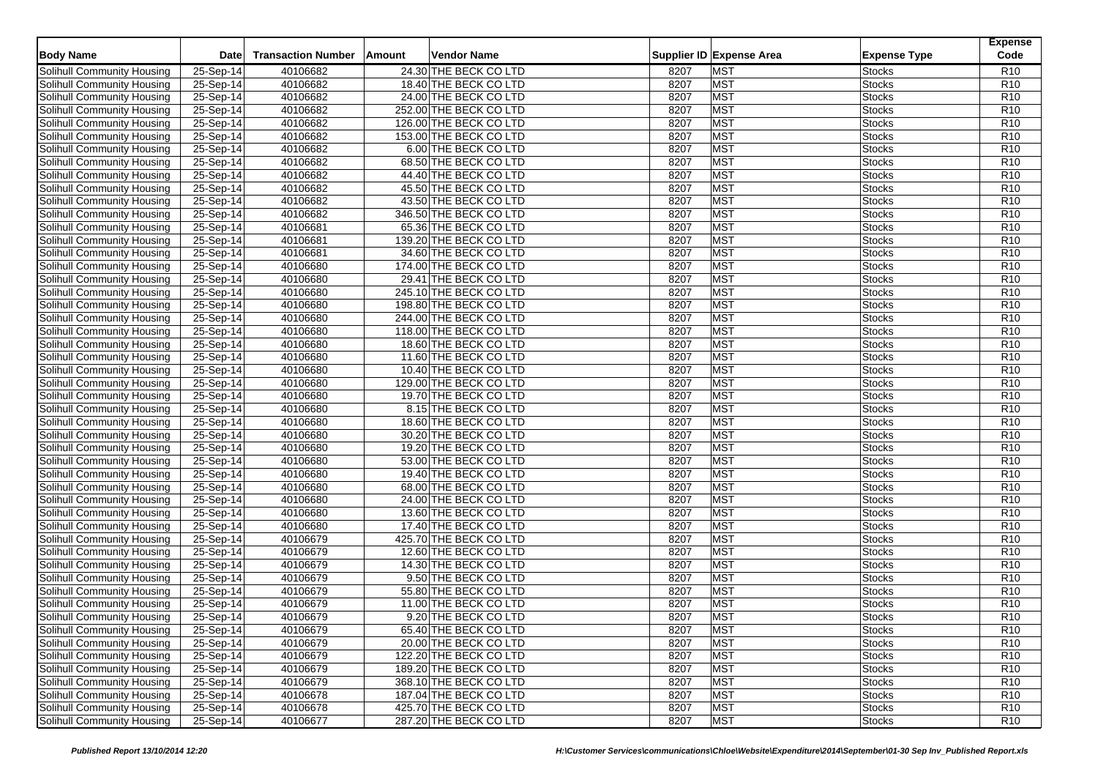| <b>Body Name</b>                  | <b>Date</b> | <b>Transaction Number</b> | Amount<br>Vendor Name  |      | Supplier ID Expense Area |                     | <b>Expense</b><br>Code |
|-----------------------------------|-------------|---------------------------|------------------------|------|--------------------------|---------------------|------------------------|
|                                   |             |                           |                        |      |                          | <b>Expense Type</b> |                        |
| Solihull Community Housing        | 25-Sep-14   | 40106682                  | 24.30 THE BECK CO LTD  | 8207 | <b>MST</b>               | <b>Stocks</b>       | R <sub>10</sub>        |
| Solihull Community Housing        | 25-Sep-14   | 40106682                  | 18.40 THE BECK CO LTD  | 8207 | <b>MST</b>               | <b>Stocks</b>       | R <sub>10</sub>        |
| <b>Solihull Community Housing</b> | 25-Sep-14   | 40106682                  | 24.00 THE BECK CO LTD  | 8207 | <b>MST</b>               | <b>Stocks</b>       | R <sub>10</sub>        |
| Solihull Community Housing        | 25-Sep-14   | 40106682                  | 252.00 THE BECK CO LTD | 8207 | <b>MST</b>               | <b>Stocks</b>       | R <sub>10</sub>        |
| Solihull Community Housing        | 25-Sep-14   | 40106682                  | 126.00 THE BECK CO LTD | 8207 | <b>MST</b>               | <b>Stocks</b>       | R <sub>10</sub>        |
| Solihull Community Housing        | $25-Sep-14$ | 40106682                  | 153.00 THE BECK CO LTD | 8207 | <b>MST</b>               | <b>Stocks</b>       | R <sub>10</sub>        |
| Solihull Community Housing        | 25-Sep-14   | 40106682                  | 6.00 THE BECK CO LTD   | 8207 | <b>MST</b>               | <b>Stocks</b>       | R <sub>10</sub>        |
| Solihull Community Housing        | 25-Sep-14   | 40106682                  | 68.50 THE BECK CO LTD  | 8207 | <b>MST</b>               | <b>Stocks</b>       | R <sub>10</sub>        |
| Solihull Community Housing        | 25-Sep-14   | 40106682                  | 44.40 THE BECK CO LTD  | 8207 | <b>MST</b>               | <b>Stocks</b>       | R <sub>10</sub>        |
| Solihull Community Housing        | 25-Sep-14   | 40106682                  | 45.50 THE BECK CO LTD  | 8207 | <b>MST</b>               | <b>Stocks</b>       | R <sub>10</sub>        |
| Solihull Community Housing        | 25-Sep-14   | 40106682                  | 43.50 THE BECK CO LTD  | 8207 | <b>MST</b>               | <b>Stocks</b>       | R <sub>10</sub>        |
| Solihull Community Housing        | 25-Sep-14   | 40106682                  | 346.50 THE BECK CO LTD | 8207 | <b>MST</b>               | <b>Stocks</b>       | R <sub>10</sub>        |
| Solihull Community Housing        | 25-Sep-14   | 40106681                  | 65.36 THE BECK CO LTD  | 8207 | <b>MST</b>               | <b>Stocks</b>       | R <sub>10</sub>        |
| Solihull Community Housing        | 25-Sep-14   | 40106681                  | 139.20 THE BECK CO LTD | 8207 | <b>MST</b>               | <b>Stocks</b>       | R <sub>10</sub>        |
| Solihull Community Housing        | 25-Sep-14   | 40106681                  | 34.60 THE BECK CO LTD  | 8207 | <b>MST</b>               | <b>Stocks</b>       | R <sub>10</sub>        |
| Solihull Community Housing        | 25-Sep-14   | 40106680                  | 174.00 THE BECK CO LTD | 8207 | <b>MST</b>               | <b>Stocks</b>       | R <sub>10</sub>        |
| Solihull Community Housing        | 25-Sep-14   | 40106680                  | 29.41 THE BECK CO LTD  | 8207 | <b>MST</b>               | Stocks              | R <sub>10</sub>        |
| Solihull Community Housing        | 25-Sep-14   | 40106680                  | 245.10 THE BECK CO LTD | 8207 | <b>MST</b>               | <b>Stocks</b>       | R <sub>10</sub>        |
| Solihull Community Housing        | 25-Sep-14   | 40106680                  | 198.80 THE BECK CO LTD | 8207 | <b>MST</b>               | <b>Stocks</b>       | R <sub>10</sub>        |
| Solihull Community Housing        | 25-Sep-14   | 40106680                  | 244.00 THE BECK CO LTD | 8207 | <b>MST</b>               | <b>Stocks</b>       | R <sub>10</sub>        |
| Solihull Community Housing        | 25-Sep-14   | 40106680                  | 118.00 THE BECK CO LTD | 8207 | <b>MST</b>               | <b>Stocks</b>       | R <sub>10</sub>        |
| Solihull Community Housing        | 25-Sep-14   | 40106680                  | 18.60 THE BECK CO LTD  | 8207 | <b>MST</b>               | <b>Stocks</b>       | R <sub>10</sub>        |
| Solihull Community Housing        | 25-Sep-14   | 40106680                  | 11.60 THE BECK CO LTD  | 8207 | <b>MST</b>               | <b>Stocks</b>       | R <sub>10</sub>        |
| Solihull Community Housing        | 25-Sep-14   | 40106680                  | 10.40 THE BECK CO LTD  | 8207 | <b>MST</b>               | <b>Stocks</b>       | R <sub>10</sub>        |
| Solihull Community Housing        | 25-Sep-14   | 40106680                  | 129.00 THE BECK CO LTD | 8207 | <b>MST</b>               | <b>Stocks</b>       | R <sub>10</sub>        |
| Solihull Community Housing        | 25-Sep-14   | 40106680                  | 19.70 THE BECK CO LTD  | 8207 | <b>MST</b>               | <b>Stocks</b>       | R <sub>10</sub>        |
| Solihull Community Housing        | 25-Sep-14   | 40106680                  | 8.15 THE BECK CO LTD   | 8207 | <b>MST</b>               | <b>Stocks</b>       | R <sub>10</sub>        |
| Solihull Community Housing        | 25-Sep-14   | 40106680                  | 18.60 THE BECK CO LTD  | 8207 | <b>MST</b>               | <b>Stocks</b>       | R <sub>10</sub>        |
| Solihull Community Housing        | 25-Sep-14   | 40106680                  | 30.20 THE BECK CO LTD  | 8207 | <b>MST</b>               | <b>Stocks</b>       | R <sub>10</sub>        |
| Solihull Community Housing        | $25-Sep-14$ | 40106680                  | 19.20 THE BECK CO LTD  | 8207 | <b>MST</b>               | <b>Stocks</b>       | R <sub>10</sub>        |
| Solihull Community Housing        | 25-Sep-14   | 40106680                  | 53.00 THE BECK CO LTD  | 8207 | <b>MST</b>               | <b>Stocks</b>       | R <sub>10</sub>        |
| Solihull Community Housing        | 25-Sep-14   | 40106680                  | 19.40 THE BECK CO LTD  | 8207 | <b>MST</b>               | <b>Stocks</b>       | R <sub>10</sub>        |
| Solihull Community Housing        | 25-Sep-14   | 40106680                  | 68.00 THE BECK CO LTD  | 8207 | <b>MST</b>               | <b>Stocks</b>       | R <sub>10</sub>        |
| Solihull Community Housing        | 25-Sep-14   | 40106680                  | 24.00 THE BECK CO LTD  | 8207 | <b>MST</b>               | <b>Stocks</b>       | R10                    |
| Solihull Community Housing        | 25-Sep-14   | 40106680                  | 13.60 THE BECK CO LTD  | 8207 | <b>MST</b>               | <b>Stocks</b>       | R <sub>10</sub>        |
| Solihull Community Housing        | 25-Sep-14   | 40106680                  | 17.40 THE BECK CO LTD  | 8207 | <b>MST</b>               | <b>Stocks</b>       | R <sub>10</sub>        |
| Solihull Community Housing        | 25-Sep-14   | 40106679                  | 425.70 THE BECK CO LTD | 8207 | <b>MST</b>               | <b>Stocks</b>       | R <sub>10</sub>        |
| Solihull Community Housing        | 25-Sep-14   | 40106679                  | 12.60 THE BECK CO LTD  | 8207 | <b>MST</b>               | <b>Stocks</b>       | R <sub>10</sub>        |
| Solihull Community Housing        | 25-Sep-14   | 40106679                  | 14.30 THE BECK CO LTD  | 8207 | <b>MST</b>               | <b>Stocks</b>       | R <sub>10</sub>        |
| Solihull Community Housing        | 25-Sep-14   | 40106679                  | 9.50 THE BECK CO LTD   | 8207 | <b>MST</b>               | <b>Stocks</b>       | R <sub>10</sub>        |
| Solihull Community Housing        | 25-Sep-14   | 40106679                  | 55.80 THE BECK CO LTD  | 8207 | <b>MST</b>               | <b>Stocks</b>       | R <sub>10</sub>        |
| Solihull Community Housing        | 25-Sep-14   | 40106679                  | 11.00 THE BECK CO LTD  | 8207 | <b>MST</b>               | <b>Stocks</b>       | R <sub>10</sub>        |
| Solihull Community Housing        | 25-Sep-14   | 40106679                  | 9.20 THE BECK CO LTD   | 8207 | <b>MST</b>               | <b>Stocks</b>       | R <sub>10</sub>        |
| Solihull Community Housing        | 25-Sep-14   | 40106679                  | 65.40 THE BECK CO LTD  | 8207 | <b>MST</b>               | <b>Stocks</b>       | R <sub>10</sub>        |
| Solihull Community Housing        | $25-Sep-14$ | 40106679                  | 20.00 THE BECK CO LTD  | 8207 | <b>MST</b>               | <b>Stocks</b>       | R <sub>10</sub>        |
| Solihull Community Housing        | 25-Sep-14   | 40106679                  | 122.20 THE BECK CO LTD | 8207 | <b>MST</b>               | <b>Stocks</b>       | R <sub>10</sub>        |
| Solihull Community Housing        | 25-Sep-14   | 40106679                  | 189.20 THE BECK CO LTD | 8207 | <b>MST</b>               | <b>Stocks</b>       | R <sub>10</sub>        |
| Solihull Community Housing        | 25-Sep-14   | 40106679                  | 368.10 THE BECK CO LTD | 8207 | <b>MST</b>               | <b>Stocks</b>       | R <sub>10</sub>        |
| Solihull Community Housing        | 25-Sep-14   | 40106678                  | 187.04 THE BECK CO LTD | 8207 | <b>MST</b>               | <b>Stocks</b>       | R <sub>10</sub>        |
| <b>Solihull Community Housing</b> | 25-Sep-14   | 40106678                  | 425.70 THE BECK CO LTD | 8207 | <b>MST</b>               | <b>Stocks</b>       | R <sub>10</sub>        |
| Solihull Community Housing        | 25-Sep-14   | 40106677                  | 287.20 THE BECK CO LTD | 8207 | <b>MST</b>               | <b>Stocks</b>       | R <sub>10</sub>        |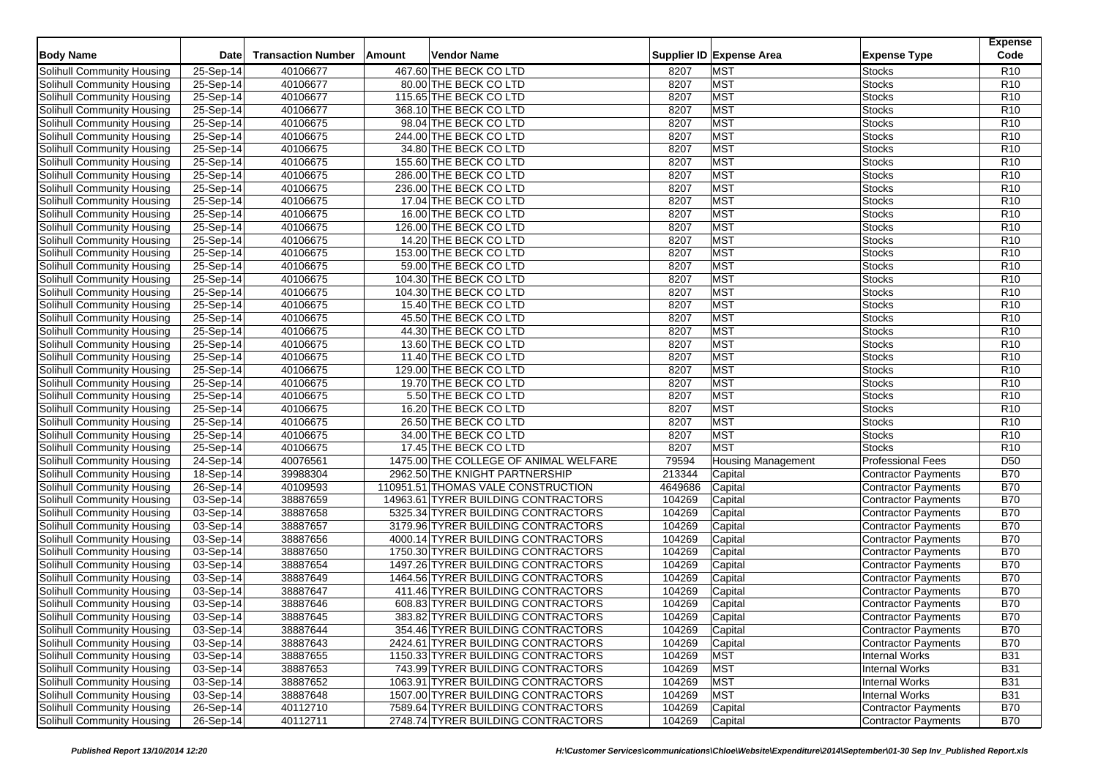|                            | Date        | <b>Transaction Number</b> | Amount | Vendor Name                           |         | Supplier ID Expense Area  |                            | <b>Expense</b><br>Code |
|----------------------------|-------------|---------------------------|--------|---------------------------------------|---------|---------------------------|----------------------------|------------------------|
| <b>Body Name</b>           |             |                           |        |                                       |         |                           | <b>Expense Type</b>        |                        |
| Solihull Community Housing | 25-Sep-14   | 40106677                  |        | 467.60 THE BECK CO LTD                | 8207    | <b>MST</b>                | <b>Stocks</b>              | R <sub>10</sub>        |
| Solihull Community Housing | 25-Sep-14   | 40106677                  |        | 80.00 THE BECK CO LTD                 | 8207    | <b>MST</b>                | <b>Stocks</b>              | R <sub>10</sub>        |
| Solihull Community Housing | 25-Sep-14   | 40106677                  |        | 115.65 THE BECK CO LTD                | 8207    | <b>MST</b>                | <b>Stocks</b>              | R <sub>10</sub>        |
| Solihull Community Housing | 25-Sep-14   | 40106677                  |        | 368.10 THE BECK CO LTD                | 8207    | <b>MST</b>                | <b>Stocks</b>              | R <sub>10</sub>        |
| Solihull Community Housing | 25-Sep-14   | 40106675                  |        | 98.04 THE BECK CO LTD                 | 8207    | <b>MST</b>                | <b>Stocks</b>              | R <sub>10</sub>        |
| Solihull Community Housing | 25-Sep-14   | 40106675                  |        | 244.00 THE BECK CO LTD                | 8207    | <b>MST</b>                | <b>Stocks</b>              | R <sub>10</sub>        |
| Solihull Community Housing | $25-Sep-14$ | 40106675                  |        | 34.80 THE BECK CO LTD                 | 8207    | <b>MST</b>                | <b>Stocks</b>              | R <sub>10</sub>        |
| Solihull Community Housing | 25-Sep-14   | 40106675                  |        | 155.60 THE BECK CO LTD                | 8207    | <b>MST</b>                | <b>Stocks</b>              | R <sub>10</sub>        |
| Solihull Community Housing | 25-Sep-14   | 40106675                  |        | 286.00 THE BECK CO LTD                | 8207    | <b>MST</b>                | <b>Stocks</b>              | R <sub>10</sub>        |
| Solihull Community Housing | 25-Sep-14   | 40106675                  |        | 236.00 THE BECK CO LTD                | 8207    | <b>MST</b>                | <b>Stocks</b>              | R <sub>10</sub>        |
| Solihull Community Housing | 25-Sep-14   | 40106675                  |        | 17.04 THE BECK CO LTD                 | 8207    | <b>MST</b>                | <b>Stocks</b>              | R <sub>10</sub>        |
| Solihull Community Housing | 25-Sep-14   | 40106675                  |        | 16.00 THE BECK CO LTD                 | 8207    | <b>MST</b>                | <b>Stocks</b>              | R <sub>10</sub>        |
| Solihull Community Housing | 25-Sep-14   | 40106675                  |        | 126.00 THE BECK CO LTD                | 8207    | <b>MST</b>                | <b>Stocks</b>              | R <sub>10</sub>        |
| Solihull Community Housing | 25-Sep-14   | 40106675                  |        | 14.20 THE BECK CO LTD                 | 8207    | <b>MST</b>                | <b>Stocks</b>              | R <sub>10</sub>        |
| Solihull Community Housing | $25-Sep-14$ | 40106675                  |        | 153.00 THE BECK CO LTD                | 8207    | <b>MST</b>                | <b>Stocks</b>              | R <sub>10</sub>        |
| Solihull Community Housing | 25-Sep-14   | 40106675                  |        | 59.00 THE BECK CO LTD                 | 8207    | <b>MST</b>                | <b>Stocks</b>              | R <sub>10</sub>        |
| Solihull Community Housing | 25-Sep-14   | 40106675                  |        | 104.30 THE BECK CO LTD                | 8207    | <b>MST</b>                | <b>Stocks</b>              | R <sub>10</sub>        |
| Solihull Community Housing | 25-Sep-14   | 40106675                  |        | 104.30 THE BECK CO LTD                | 8207    | <b>MST</b>                | <b>Stocks</b>              | R <sub>10</sub>        |
| Solihull Community Housing | 25-Sep-14   | 40106675                  |        | 15.40 THE BECK CO LTD                 | 8207    | <b>MST</b>                | <b>Stocks</b>              | R <sub>10</sub>        |
| Solihull Community Housing | 25-Sep-14   | 40106675                  |        | 45.50 THE BECK CO LTD                 | 8207    | <b>MST</b>                | <b>Stocks</b>              | R <sub>10</sub>        |
| Solihull Community Housing | 25-Sep-14   | 40106675                  |        | 44.30 THE BECK CO LTD                 | 8207    | <b>MST</b>                | <b>Stocks</b>              | R <sub>10</sub>        |
| Solihull Community Housing | 25-Sep-14   | 40106675                  |        | 13.60 THE BECK CO LTD                 | 8207    | <b>MST</b>                | <b>Stocks</b>              | R <sub>10</sub>        |
| Solihull Community Housing | 25-Sep-14   | 40106675                  |        | 11.40 THE BECK CO LTD                 | 8207    | <b>MST</b>                | <b>Stocks</b>              | R <sub>10</sub>        |
| Solihull Community Housing | 25-Sep-14   | 40106675                  |        | 129.00 THE BECK CO LTD                | 8207    | <b>MST</b>                | <b>Stocks</b>              | R <sub>10</sub>        |
| Solihull Community Housing | 25-Sep-14   | 40106675                  |        | 19.70 THE BECK CO LTD                 | 8207    | <b>MST</b>                | <b>Stocks</b>              | R <sub>10</sub>        |
| Solihull Community Housing | 25-Sep-14   | 40106675                  |        | 5.50 THE BECK CO LTD                  | 8207    | <b>MST</b>                | <b>Stocks</b>              | R <sub>10</sub>        |
| Solihull Community Housing | 25-Sep-14   | 40106675                  |        | 16.20 THE BECK CO LTD                 | 8207    | <b>MST</b>                | <b>Stocks</b>              | R <sub>10</sub>        |
| Solihull Community Housing | 25-Sep-14   | 40106675                  |        | 26.50 THE BECK CO LTD                 | 8207    | <b>MST</b>                | <b>Stocks</b>              | R <sub>10</sub>        |
| Solihull Community Housing | 25-Sep-14   | 40106675                  |        | 34.00 THE BECK CO LTD                 | 8207    | <b>MST</b>                | <b>Stocks</b>              | R <sub>10</sub>        |
| Solihull Community Housing | 25-Sep-14   | 40106675                  |        | 17.45 THE BECK CO LTD                 | 8207    | <b>MST</b>                | <b>Stocks</b>              | R <sub>10</sub>        |
| Solihull Community Housing | 24-Sep-14   | 40076561                  |        | 1475.00 THE COLLEGE OF ANIMAL WELFARE | 79594   | <b>Housing Management</b> | <b>Professional Fees</b>   | D <sub>50</sub>        |
| Solihull Community Housing | 18-Sep-14   | 39988304                  |        | 2962.50 THE KNIGHT PARTNERSHIP        | 213344  | Capital                   | <b>Contractor Payments</b> | <b>B70</b>             |
| Solihull Community Housing | 26-Sep-14   | 40109593                  |        | 110951.51 THOMAS VALE CONSTRUCTION    | 4649686 | Capital                   | Contractor Payments        | <b>B70</b>             |
| Solihull Community Housing | 03-Sep-14   | 38887659                  |        | 14963.61 TYRER BUILDING CONTRACTORS   | 104269  | Capital                   | <b>Contractor Payments</b> | <b>B70</b>             |
| Solihull Community Housing | 03-Sep-14   | 38887658                  |        | 5325.34 TYRER BUILDING CONTRACTORS    | 104269  | Capital                   | <b>Contractor Payments</b> | <b>B70</b>             |
| Solihull Community Housing | 03-Sep-14   | 38887657                  |        | 3179.96 TYRER BUILDING CONTRACTORS    | 104269  | Capital                   | <b>Contractor Payments</b> | <b>B70</b>             |
| Solihull Community Housing | 03-Sep-14   | 38887656                  |        | 4000.14 TYRER BUILDING CONTRACTORS    | 104269  | Capital                   | <b>Contractor Payments</b> | <b>B70</b>             |
| Solihull Community Housing | 03-Sep-14   | 38887650                  |        | 1750.30 TYRER BUILDING CONTRACTORS    | 104269  | Capital                   | <b>Contractor Payments</b> | <b>B70</b>             |
| Solihull Community Housing | $03-Sep-14$ | 38887654                  |        | 1497.26 TYRER BUILDING CONTRACTORS    | 104269  | Capital                   | <b>Contractor Payments</b> | <b>B70</b>             |
| Solihull Community Housing | 03-Sep-14   | 38887649                  |        | 1464.56 TYRER BUILDING CONTRACTORS    | 104269  | Capital                   | <b>Contractor Payments</b> | <b>B70</b>             |
| Solihull Community Housing | 03-Sep-14   | 38887647                  |        | 411.46 TYRER BUILDING CONTRACTORS     | 104269  | Capital                   | <b>Contractor Payments</b> | <b>B70</b>             |
| Solihull Community Housing | 03-Sep-14   | 38887646                  |        | 608.83 TYRER BUILDING CONTRACTORS     | 104269  | Capital                   | <b>Contractor Payments</b> | <b>B70</b>             |
| Solihull Community Housing | 03-Sep-14   | 38887645                  |        | 383.82 TYRER BUILDING CONTRACTORS     | 104269  | Capital                   | <b>Contractor Payments</b> | <b>B70</b>             |
| Solihull Community Housing | 03-Sep-14   | 38887644                  |        | 354.46 TYRER BUILDING CONTRACTORS     | 104269  | Capital                   | <b>Contractor Payments</b> | <b>B70</b>             |
| Solihull Community Housing | $03-Sep-14$ | 38887643                  |        | 2424.61 TYRER BUILDING CONTRACTORS    | 104269  | Capital                   | <b>Contractor Payments</b> | <b>B70</b>             |
| Solihull Community Housing | 03-Sep-14   | 38887655                  |        | 1150.33 TYRER BUILDING CONTRACTORS    | 104269  | <b>MST</b>                | <b>Internal Works</b>      | <b>B31</b>             |
| Solihull Community Housing | 03-Sep-14   | 38887653                  |        | 743.99 TYRER BUILDING CONTRACTORS     | 104269  | <b>MST</b>                | <b>Internal Works</b>      | <b>B31</b>             |
| Solihull Community Housing | 03-Sep-14   | 38887652                  |        | 1063.91 TYRER BUILDING CONTRACTORS    | 104269  | <b>MST</b>                | <b>Internal Works</b>      | <b>B31</b>             |
| Solihull Community Housing | 03-Sep-14   | 38887648                  |        | 1507.00 TYRER BUILDING CONTRACTORS    | 104269  | <b>MST</b>                | <b>Internal Works</b>      | <b>B31</b>             |
| Solihull Community Housing | 26-Sep-14   | 40112710                  |        | 7589.64 TYRER BUILDING CONTRACTORS    | 104269  | Capital                   | <b>Contractor Payments</b> | <b>B70</b>             |
| Solihull Community Housing | 26-Sep-14   | 40112711                  |        | 2748.74 TYRER BUILDING CONTRACTORS    | 104269  | Capital                   | <b>Contractor Payments</b> | <b>B70</b>             |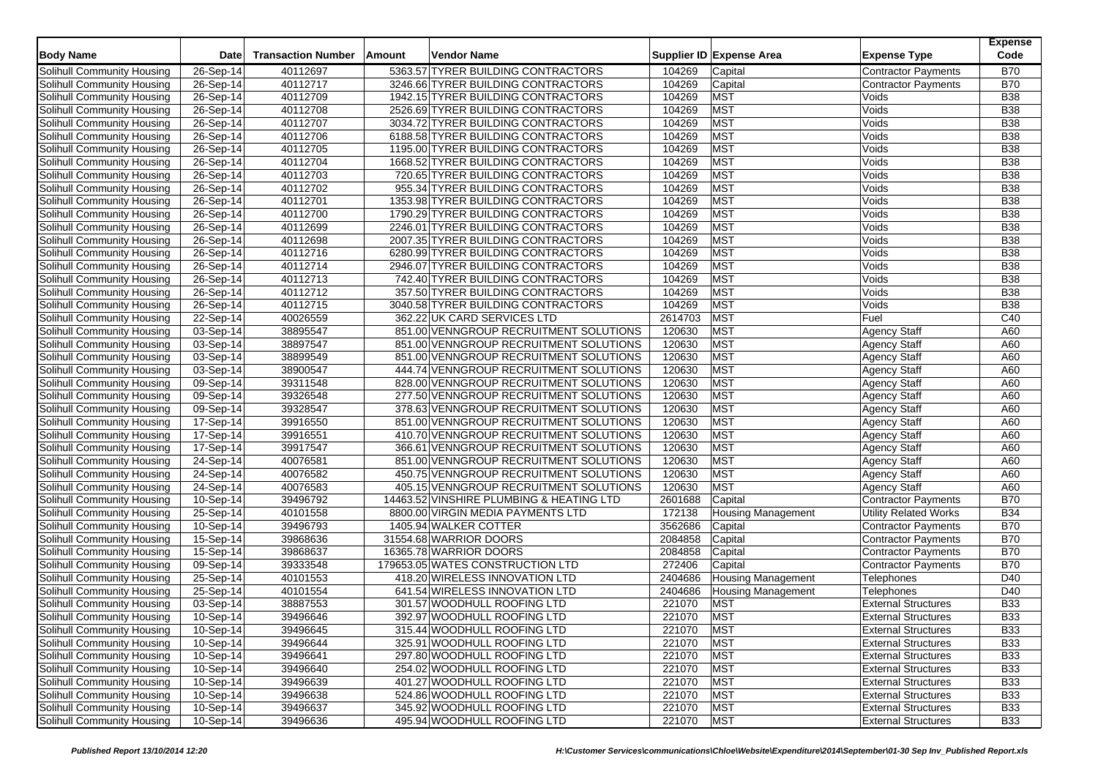| <b>Body Name</b>                                         | <b>Date</b>            | <b>Transaction Number</b> | <b>Amount</b> | Vendor Name                                                              |                  | Supplier ID Expense Area  | <b>Expense Type</b>        | <b>Expense</b><br>Code   |
|----------------------------------------------------------|------------------------|---------------------------|---------------|--------------------------------------------------------------------------|------------------|---------------------------|----------------------------|--------------------------|
| Solihull Community Housing                               | 26-Sep-14              | 40112697                  |               | 5363.57 TYRER BUILDING CONTRACTORS                                       | 104269           | Capital                   | <b>Contractor Payments</b> | <b>B70</b>               |
| Solihull Community Housing                               | 26-Sep-14              | 40112717                  |               | 3246.66 TYRER BUILDING CONTRACTORS                                       | 104269           | Capital                   | <b>Contractor Payments</b> | <b>B70</b>               |
| Solihull Community Housing                               | 26-Sep-14              | 40112709                  |               | 1942.15 TYRER BUILDING CONTRACTORS                                       | 104269           | <b>MST</b>                | Voids                      | <b>B38</b>               |
| Solihull Community Housing                               | 26-Sep-14              | 40112708                  |               | 2526.69 TYRER BUILDING CONTRACTORS                                       | 104269           | <b>MST</b>                | Voids                      | <b>B38</b>               |
| Solihull Community Housing                               | 26-Sep-14              | 40112707                  |               | 3034.72 TYRER BUILDING CONTRACTORS                                       | 104269           | <b>MST</b>                | Voids                      | <b>B38</b>               |
| Solihull Community Housing                               | 26-Sep-14              | 40112706                  |               | 6188.58 TYRER BUILDING CONTRACTORS                                       | 104269           | <b>MST</b>                | Voids                      | <b>B38</b>               |
| Solihull Community Housing                               | 26-Sep-14              | 40112705                  |               | 1195.00 TYRER BUILDING CONTRACTORS                                       | 104269           | <b>MST</b>                | Voids                      | <b>B38</b>               |
| Solihull Community Housing                               | 26-Sep-14              | 40112704                  |               | 1668.52 TYRER BUILDING CONTRACTORS                                       | 104269           | <b>MST</b>                | Voids                      | <b>B38</b>               |
| Solihull Community Housing                               | 26-Sep-14              | 40112703                  |               | 720.65 TYRER BUILDING CONTRACTORS                                        | 104269           | <b>MST</b>                | Voids                      | <b>B38</b>               |
| Solihull Community Housing                               | 26-Sep-14              | 40112702                  |               | 955.34 TYRER BUILDING CONTRACTORS                                        | 104269           | <b>MST</b>                | Voids                      | <b>B38</b>               |
| Solihull Community Housing                               | 26-Sep-14              | 40112701                  |               | 1353.98 TYRER BUILDING CONTRACTORS                                       | 104269           | <b>MST</b>                | Voids                      | <b>B38</b>               |
| Solihull Community Housing                               | $26-Sep-14$            | 40112700                  |               | 1790.29 TYRER BUILDING CONTRACTORS                                       | 104269           | <b>MST</b>                | Voids                      | <b>B38</b>               |
|                                                          |                        | 40112699                  |               | 2246.01 TYRER BUILDING CONTRACTORS                                       | 104269           | <b>MST</b>                | Voids                      | <b>B38</b>               |
| Solihull Community Housing                               | 26-Sep-14              |                           |               |                                                                          |                  | <b>MST</b>                |                            | <b>B38</b>               |
| Solihull Community Housing<br>Solihull Community Housing | 26-Sep-14<br>26-Sep-14 | 40112698<br>40112716      |               | 2007.35 TYRER BUILDING CONTRACTORS<br>6280.99 TYRER BUILDING CONTRACTORS | 104269<br>104269 | <b>MST</b>                | Voids<br>Voids             | <b>B38</b>               |
|                                                          |                        |                           |               |                                                                          |                  |                           |                            | <b>B38</b>               |
| Solihull Community Housing                               | 26-Sep-14              | 40112714                  |               | 2946.07 TYRER BUILDING CONTRACTORS                                       | 104269           | <b>MST</b>                | Voids                      |                          |
| Solihull Community Housing                               | 26-Sep-14<br>26-Sep-14 | 40112713                  |               | 742.40 TYRER BUILDING CONTRACTORS                                        | 104269           | <b>MST</b><br><b>MST</b>  | Voids<br>Voids             | <b>B38</b><br><b>B38</b> |
| Solihull Community Housing                               |                        | 40112712                  |               | 357.50 TYRER BUILDING CONTRACTORS                                        | 104269           |                           |                            |                          |
| Solihull Community Housing                               | 26-Sep-14              | 40112715                  |               | 3040.58 TYRER BUILDING CONTRACTORS                                       | 104269           | <b>MST</b>                | Voids                      | <b>B38</b>               |
| Solihull Community Housing                               | 22-Sep-14              | 40026559                  |               | 362.22 UK CARD SERVICES LTD                                              | 2614703          | <b>MST</b>                | Fuel                       | C40                      |
| Solihull Community Housing                               | 03-Sep-14              | 38895547                  |               | 851.00 VENNGROUP RECRUITMENT SOLUTIONS                                   | 120630           | <b>MST</b>                | <b>Agency Staff</b>        | A60                      |
| Solihull Community Housing                               | 03-Sep-14              | 38897547                  |               | 851.00 VENNGROUP RECRUITMENT SOLUTIONS                                   | 120630           | <b>MST</b>                | <b>Agency Staff</b>        | A60                      |
| Solihull Community Housing                               | 03-Sep-14              | 38899549                  |               | 851.00 VENNGROUP RECRUITMENT SOLUTIONS                                   | 120630           | <b>MST</b>                | <b>Agency Staff</b>        | A60                      |
| Solihull Community Housing                               | 03-Sep-14              | 38900547                  |               | 444.74 VENNGROUP RECRUITMENT SOLUTIONS                                   | 120630           | <b>MST</b>                | <b>Agency Staff</b>        | A60                      |
| Solihull Community Housing                               | 09-Sep-14              | 39311548                  |               | 828.00 VENNGROUP RECRUITMENT SOLUTIONS                                   | 120630           | <b>MST</b>                | <b>Agency Staff</b>        | A60                      |
| Solihull Community Housing                               | 09-Sep-14              | 39326548                  |               | 277.50 VENNGROUP RECRUITMENT SOLUTIONS                                   | 120630           | <b>MST</b>                | <b>Agency Staff</b>        | A60                      |
| Solihull Community Housing                               | 09-Sep-14              | 39328547                  |               | 378.63 VENNGROUP RECRUITMENT SOLUTIONS                                   | 120630           | <b>MST</b>                | <b>Agency Staff</b>        | A60                      |
| Solihull Community Housing                               | 17-Sep-14              | 39916550                  |               | 851.00 VENNGROUP RECRUITMENT SOLUTIONS                                   | 120630           | <b>MST</b>                | <b>Agency Staff</b>        | A60                      |
| Solihull Community Housing                               | 17-Sep-14              | 39916551                  |               | 410.70 VENNGROUP RECRUITMENT SOLUTIONS                                   | 120630           | <b>MST</b>                | <b>Agency Staff</b>        | A60                      |
| Solihull Community Housing                               | 17-Sep-14              | 39917547                  |               | 366.61 VENNGROUP RECRUITMENT SOLUTIONS                                   | 120630           | <b>MST</b>                | <b>Agency Staff</b>        | A60                      |
| Solihull Community Housing                               | 24-Sep-14              | 40076581                  |               | 851.00 VENNGROUP RECRUITMENT SOLUTIONS                                   | 120630           | <b>MST</b>                | <b>Agency Staff</b>        | A60                      |
| Solihull Community Housing                               | 24-Sep-14              | 40076582                  |               | 450.75 VENNGROUP RECRUITMENT SOLUTIONS                                   | 120630           | <b>MST</b>                | <b>Agency Staff</b>        | A60                      |
| Solihull Community Housing                               | 24-Sep-14              | 40076583                  |               | 405.15 VENNGROUP RECRUITMENT SOLUTIONS                                   | 120630           | <b>MST</b>                | <b>Agency Staff</b>        | A60                      |
| Solihull Community Housing                               | 10-Sep-14              | 39496792                  |               | 14463.52 VINSHIRE PLUMBING & HEATING LTD                                 | 2601688          | Capital                   | <b>Contractor Payments</b> | <b>B70</b>               |
| Solihull Community Housing                               | 25-Sep-14              | 40101558                  |               | 8800.00 VIRGIN MEDIA PAYMENTS LTD                                        | 172138           | <b>Housing Management</b> | Utility Related Works      | <b>B34</b>               |
| Solihull Community Housing                               | 10-Sep-14              | 39496793                  |               | 1405.94 WALKER COTTER                                                    | 3562686          | Capital                   | <b>Contractor Payments</b> | <b>B70</b>               |
| Solihull Community Housing                               | 15-Sep-14              | 39868636                  |               | 31554.68 WARRIOR DOORS                                                   | 2084858          | Capital                   | <b>Contractor Payments</b> | <b>B70</b>               |
| Solihull Community Housing                               | 15-Sep-14              | 39868637                  |               | 16365.78 WARRIOR DOORS                                                   | 2084858          | Capital                   | <b>Contractor Payments</b> | <b>B70</b>               |
| Solihull Community Housing                               | 09-Sep-14              | 39333548                  |               | 179653.05 WATES CONSTRUCTION LTD                                         | 272406           | Capital                   | <b>Contractor Payments</b> | <b>B70</b>               |
| Solihull Community Housing                               | 25-Sep-14              | 40101553                  |               | 418.20 WIRELESS INNOVATION LTD                                           | 2404686          | <b>Housing Management</b> | Telephones                 | D40                      |
| Solihull Community Housing                               | 25-Sep-14              | 40101554                  |               | 641.54 WIRELESS INNOVATION LTD                                           | 2404686          | <b>Housing Management</b> | <b>Telephones</b>          | D40                      |
| Solihull Community Housing                               | 03-Sep-14              | 38887553                  |               | 301.57 WOODHULL ROOFING LTD                                              | 221070           | <b>MST</b>                | <b>External Structures</b> | <b>B33</b>               |
| Solihull Community Housing                               | 10-Sep-14              | 39496646                  |               | 392.97 WOODHULL ROOFING LTD                                              | 221070           | <b>MST</b>                | <b>External Structures</b> | <b>B33</b>               |
| Solihull Community Housing                               | 10-Sep-14              | 39496645                  |               | 315.44 WOODHULL ROOFING LTD                                              | 221070           | <b>MST</b>                | <b>External Structures</b> | <b>B33</b>               |
| Solihull Community Housing                               | 10-Sep-14              | 39496644                  |               | 325.91 WOODHULL ROOFING LTD                                              | 221070           | <b>MST</b>                | <b>External Structures</b> | <b>B33</b>               |
| Solihull Community Housing                               | 10-Sep-14              | 39496641                  |               | 297.80 WOODHULL ROOFING LTD                                              | 221070           | <b>MST</b>                | <b>External Structures</b> | <b>B33</b>               |
| Solihull Community Housing                               | 10-Sep-14              | 39496640                  |               | 254.02 WOODHULL ROOFING LTD                                              | 221070           | <b>MST</b>                | <b>External Structures</b> | <b>B33</b>               |
| Solihull Community Housing                               | 10-Sep-14              | 39496639                  |               | 401.27 WOODHULL ROOFING LTD                                              | 221070           | <b>MST</b>                | <b>External Structures</b> | <b>B33</b>               |
| Solihull Community Housing                               | 10-Sep-14              | 39496638                  |               | 524.86 WOODHULL ROOFING LTD                                              | 221070           | <b>MST</b>                | <b>External Structures</b> | <b>B33</b>               |
| Solihull Community Housing                               | 10-Sep-14              | 39496637                  |               | 345.92 WOODHULL ROOFING LTD                                              | 221070           | <b>MST</b>                | <b>External Structures</b> | <b>B33</b>               |
| Solihull Community Housing                               | 10-Sep-14              | 39496636                  |               | 495.94 WOODHULL ROOFING LTD                                              | 221070           | <b>MST</b>                | <b>External Structures</b> | <b>B33</b>               |